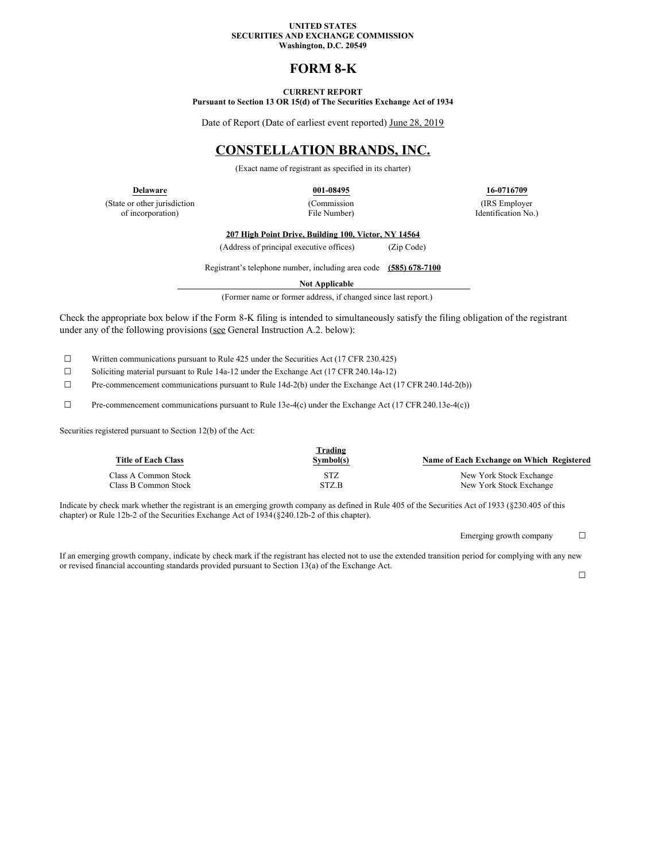### **UNITED STATES SECURITIES AND EXCHANGE COMMISSION Washington, D.C. 20549**

# **FORM 8-K**

### **CURRENT REPORT Pursuant to Section 13 OR 15(d) of The Securities Exchange Act of 1934**

Date of Report (Date of earliest event reported) June 28, 2019

# **CONSTELLATION BRANDS, INC.**

(Exact name of registrant as specified in its charter)

(State or other jurisdiction of incorporation)

(Commission

File Number)

**Delaware 001-08495 16-0716709**

(IRS Employer Identification No.)

**207 High Point Drive, Building 100, Victor, NY 14564**

(Address of principal executive offices) (Zip Code)

Registrant's telephone number, including area code **(585) 678-7100**

**Not Applicable**

(Former name or former address, if changed since last report.)

Check the appropriate box below if the Form 8-K filing is intended to simultaneously satisfy the filing obligation of the registrant under any of the following provisions (see General Instruction A.2. below):

☐ Written communications pursuant to Rule 425 under the Securities Act (17 CFR 230.425)

☐ Soliciting material pursuant to Rule 14a-12 under the Exchange Act (17 CFR 240.14a-12)

 $\Box$  Pre-commencement communications pursuant to Rule 14d-2(b) under the Exchange Act (17 CFR 240.14d-2(b))

 $\Box$  Pre-commencement communications pursuant to Rule 13e-4(c) under the Exchange Act (17 CFR 240.13e-4(c))

Securities registered pursuant to Section 12(b) of the Act:

| Title of Each Class  | <b>Trading</b><br>Symbol(s) | Name of Each Exchange on Which Registered |
|----------------------|-----------------------------|-------------------------------------------|
| Class A Common Stock | STZ.                        | New York Stock Exchange                   |
| Class B Common Stock | STZ.B                       | New York Stock Exchange                   |

Indicate by check mark whether the registrant is an emerging growth company as defined in Rule 405 of the Securities Act of 1933 (§230.405 of this chapter) or Rule 12b-2 of the Securities Exchange Act of 1934(§240.12b-2 of this chapter).

Emerging growth company  $\Box$ 

If an emerging growth company, indicate by check mark if the registrant has elected not to use the extended transition period for complying with any new or revised financial accounting standards provided pursuant to Section 13(a) of the Exchange Act.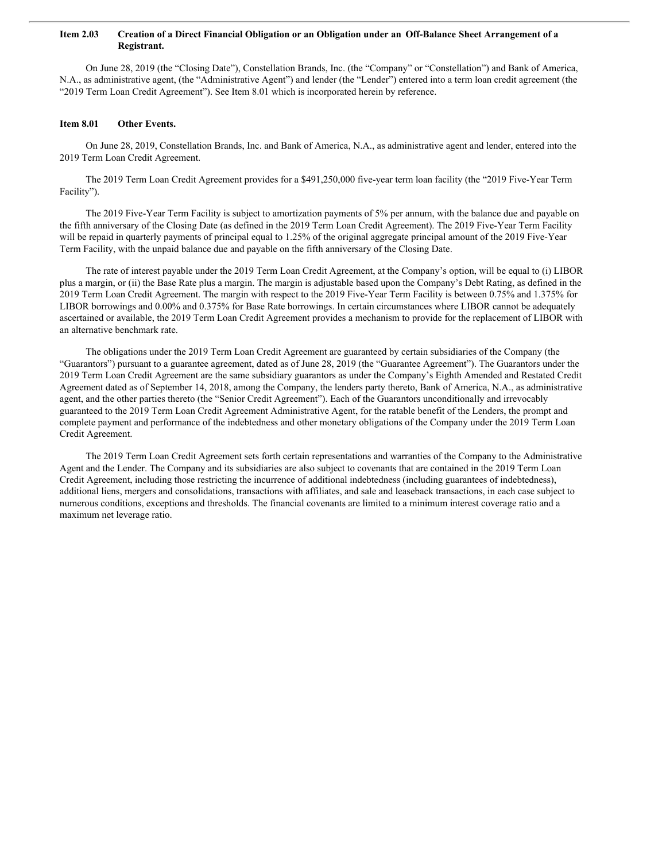## Item 2.03 Creation of a Direct Financial Obligation or an Obligation under an Off-Balance Sheet Arrangement of a **Registrant.**

On June 28, 2019 (the "Closing Date"), Constellation Brands, Inc. (the "Company" or "Constellation") and Bank of America, N.A., as administrative agent, (the "Administrative Agent") and lender (the "Lender") entered into a term loan credit agreement (the "2019 Term Loan Credit Agreement"). See Item 8.01 which is incorporated herein by reference.

## **Item 8.01 Other Events.**

On June 28, 2019, Constellation Brands, Inc. and Bank of America, N.A., as administrative agent and lender, entered into the 2019 Term Loan Credit Agreement.

The 2019 Term Loan Credit Agreement provides for a \$491,250,000 five-year term loan facility (the "2019 Five-Year Term Facility").

The 2019 Five-Year Term Facility is subject to amortization payments of 5% per annum, with the balance due and payable on the fifth anniversary of the Closing Date (as defined in the 2019 Term Loan Credit Agreement). The 2019 Five-Year Term Facility will be repaid in quarterly payments of principal equal to 1.25% of the original aggregate principal amount of the 2019 Five-Year Term Facility, with the unpaid balance due and payable on the fifth anniversary of the Closing Date.

The rate of interest payable under the 2019 Term Loan Credit Agreement, at the Company's option, will be equal to (i) LIBOR plus a margin, or (ii) the Base Rate plus a margin. The margin is adjustable based upon the Company's Debt Rating, as defined in the 2019 Term Loan Credit Agreement. The margin with respect to the 2019 Five-Year Term Facility is between 0.75% and 1.375% for LIBOR borrowings and 0.00% and 0.375% for Base Rate borrowings. In certain circumstances where LIBOR cannot be adequately ascertained or available, the 2019 Term Loan Credit Agreement provides a mechanism to provide for the replacement of LIBOR with an alternative benchmark rate.

The obligations under the 2019 Term Loan Credit Agreement are guaranteed by certain subsidiaries of the Company (the "Guarantors") pursuant to a guarantee agreement, dated as of June 28, 2019 (the "Guarantee Agreement"). The Guarantors under the 2019 Term Loan Credit Agreement are the same subsidiary guarantors as under the Company's Eighth Amended and Restated Credit Agreement dated as of September 14, 2018, among the Company, the lenders party thereto, Bank of America, N.A., as administrative agent, and the other parties thereto (the "Senior Credit Agreement"). Each of the Guarantors unconditionally and irrevocably guaranteed to the 2019 Term Loan Credit Agreement Administrative Agent, for the ratable benefit of the Lenders, the prompt and complete payment and performance of the indebtedness and other monetary obligations of the Company under the 2019 Term Loan Credit Agreement.

The 2019 Term Loan Credit Agreement sets forth certain representations and warranties of the Company to the Administrative Agent and the Lender. The Company and its subsidiaries are also subject to covenants that are contained in the 2019 Term Loan Credit Agreement, including those restricting the incurrence of additional indebtedness (including guarantees of indebtedness), additional liens, mergers and consolidations, transactions with affiliates, and sale and leaseback transactions, in each case subject to numerous conditions, exceptions and thresholds. The financial covenants are limited to a minimum interest coverage ratio and a maximum net leverage ratio.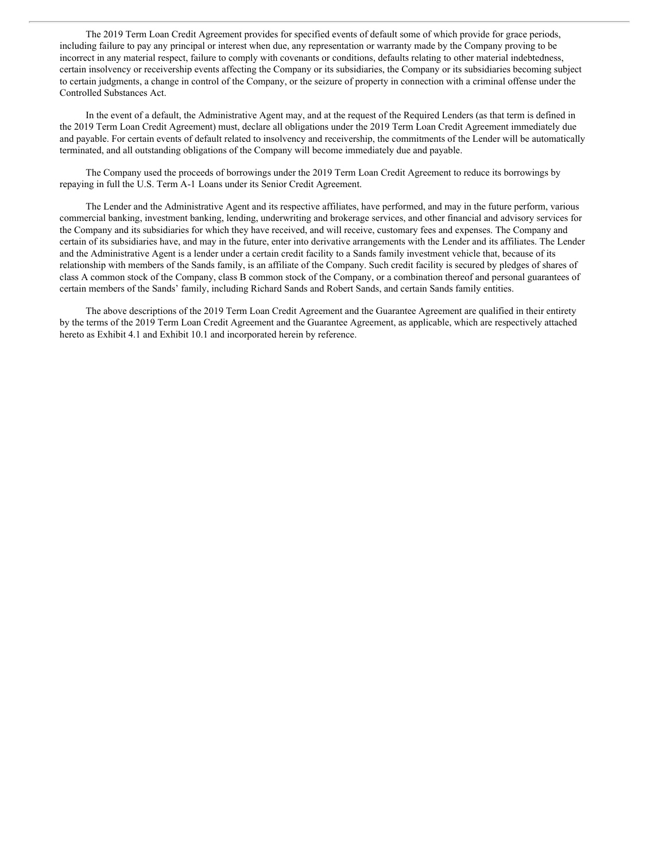The 2019 Term Loan Credit Agreement provides for specified events of default some of which provide for grace periods, including failure to pay any principal or interest when due, any representation or warranty made by the Company proving to be incorrect in any material respect, failure to comply with covenants or conditions, defaults relating to other material indebtedness, certain insolvency or receivership events affecting the Company or its subsidiaries, the Company or its subsidiaries becoming subject to certain judgments, a change in control of the Company, or the seizure of property in connection with a criminal offense under the Controlled Substances Act.

In the event of a default, the Administrative Agent may, and at the request of the Required Lenders (as that term is defined in the 2019 Term Loan Credit Agreement) must, declare all obligations under the 2019 Term Loan Credit Agreement immediately due and payable. For certain events of default related to insolvency and receivership, the commitments of the Lender will be automatically terminated, and all outstanding obligations of the Company will become immediately due and payable.

The Company used the proceeds of borrowings under the 2019 Term Loan Credit Agreement to reduce its borrowings by repaying in full the U.S. Term A-1 Loans under its Senior Credit Agreement.

The Lender and the Administrative Agent and its respective affiliates, have performed, and may in the future perform, various commercial banking, investment banking, lending, underwriting and brokerage services, and other financial and advisory services for the Company and its subsidiaries for which they have received, and will receive, customary fees and expenses. The Company and certain of its subsidiaries have, and may in the future, enter into derivative arrangements with the Lender and its affiliates. The Lender and the Administrative Agent is a lender under a certain credit facility to a Sands family investment vehicle that, because of its relationship with members of the Sands family, is an affiliate of the Company. Such credit facility is secured by pledges of shares of class A common stock of the Company, class B common stock of the Company, or a combination thereof and personal guarantees of certain members of the Sands' family, including Richard Sands and Robert Sands, and certain Sands family entities.

The above descriptions of the 2019 Term Loan Credit Agreement and the Guarantee Agreement are qualified in their entirety by the terms of the 2019 Term Loan Credit Agreement and the Guarantee Agreement, as applicable, which are respectively attached hereto as Exhibit 4.1 and Exhibit 10.1 and incorporated herein by reference.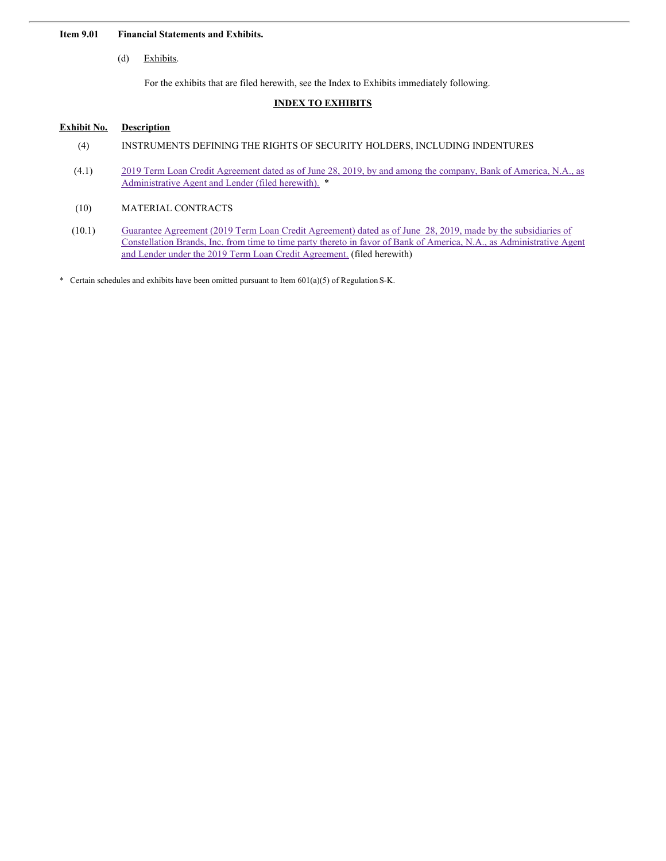## **Item 9.01 Financial Statements and Exhibits.**

(d) Exhibits.

For the exhibits that are filed herewith, see the Index to Exhibits immediately following.

# **INDEX TO EXHIBITS**

# **Exhibit No. Description**

- (4) INSTRUMENTS DEFINING THE RIGHTS OF SECURITY HOLDERS, INCLUDING INDENTURES
- (4.1) 2019 Term Loan Credit Agreement dated as of June 28, 2019, by and among the company, Bank of America, N.A., as [Administrative](#page-49-0) Agent and Lender (filed herewith). \*
- (10) MATERIAL CONTRACTS
- (10.1) Guarantee Agreement (2019 Term Loan Credit Agreement) dated as of June 28, 2019, made by the subsidiaries of Constellation Brands, Inc. from time to time party thereto in favor of Bank of America, N.A., as [Administrative](#page-102-0) Agent and Lender under the 2019 Term Loan Credit Agreement. (filed herewith)

\* Certain schedules and exhibits have been omitted pursuant to Item 601(a)(5) of Regulation S-K.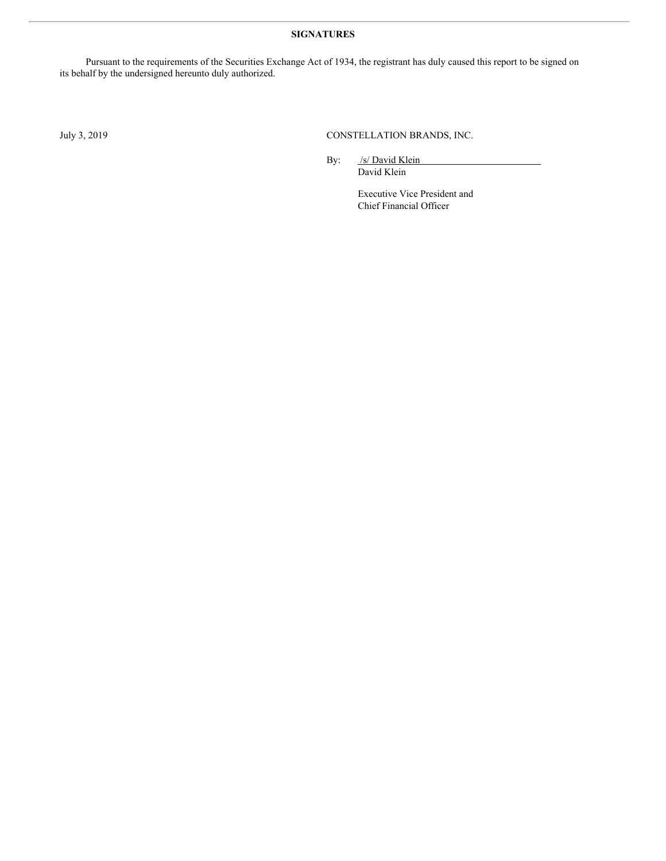# **SIGNATURES**

Pursuant to the requirements of the Securities Exchange Act of 1934, the registrant has duly caused this report to be signed on its behalf by the undersigned hereunto duly authorized.

July 3, 2019 CONSTELLATION BRANDS, INC.

By: /s/ David Klein David Klein

> Executive Vice President and Chief Financial Officer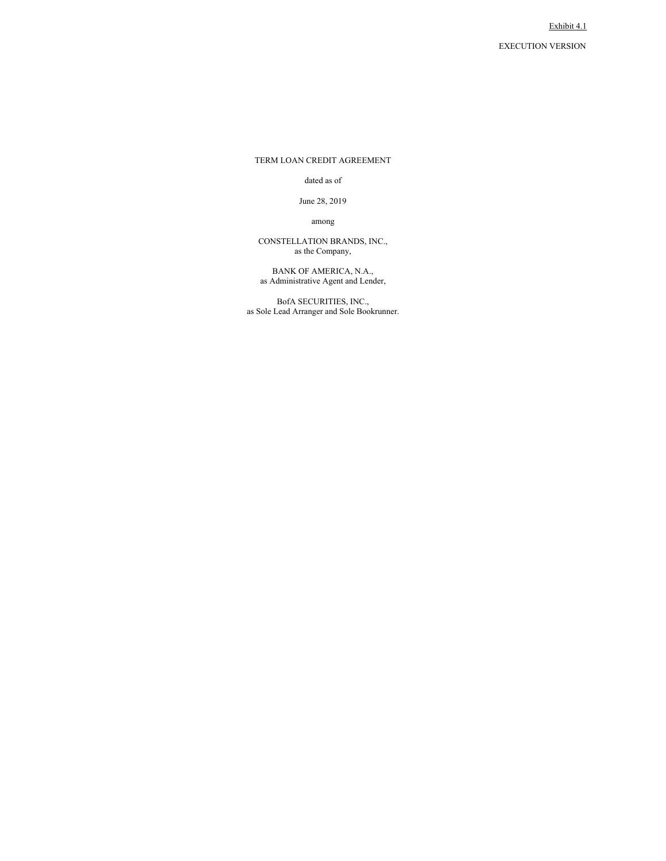# TERM LOAN CREDIT AGREEMENT

### dated as of

June 28, 2019

among

CONSTELLATION BRANDS, INC., as the Company,

BANK OF AMERICA, N.A., as Administrative Agent and Lender,

BofA SECURITIES, INC., as Sole Lead Arranger and Sole Bookrunner.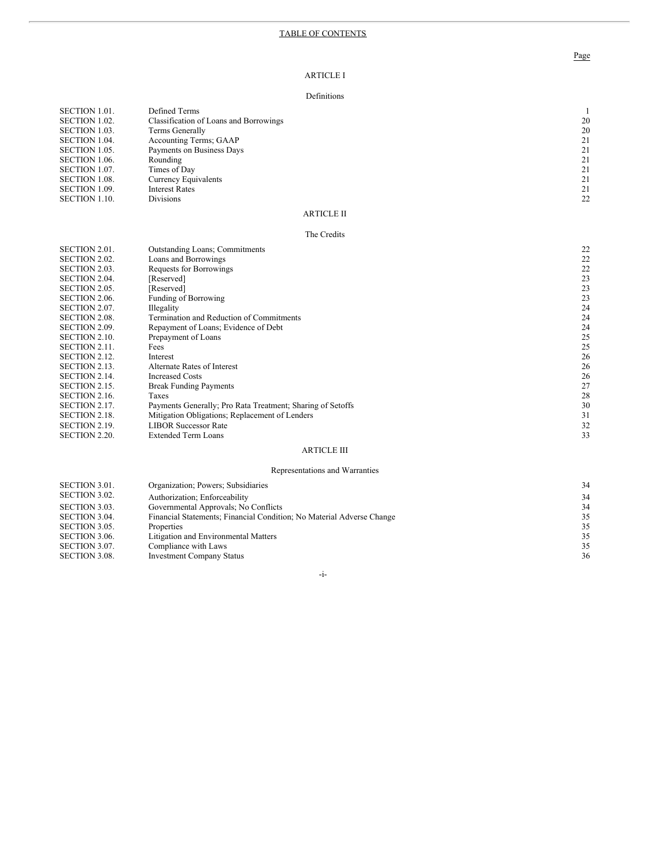#### Page

#### A R T I C L E I

#### Definitions

| 20 |
|----|
| 20 |
| 21 |
| 21 |
| 21 |
| 21 |
| 21 |
| 21 |
| 22 |
|    |
|    |
| 22 |
| 22 |
|    |

| <b>SECTION 2.02.</b> | Loans and Borrowings                                       | 22 |
|----------------------|------------------------------------------------------------|----|
| SECTION 2.03.        | Requests for Borrowings                                    | 22 |
| SECTION 2.04.        | [Reserved]                                                 | 23 |
| SECTION 2.05.        | [Reserved]                                                 | 23 |
| SECTION 2.06.        | <b>Funding of Borrowing</b>                                | 23 |
| SECTION 2.07.        | <b>Illegality</b>                                          | 24 |
| SECTION 2.08.        | Termination and Reduction of Commitments                   | 24 |
| <b>SECTION 2.09.</b> | Repayment of Loans; Evidence of Debt                       | 24 |
| SECTION 2.10.        | Prepayment of Loans                                        | 25 |
| SECTION 2.11.        | Fees                                                       | 25 |
| SECTION 2.12.        | Interest                                                   | 26 |
| SECTION 2.13.        | Alternate Rates of Interest                                | 26 |
| <b>SECTION 2.14.</b> | <b>Increased Costs</b>                                     | 26 |
| SECTION 2.15.        | <b>Break Funding Payments</b>                              | 27 |
| <b>SECTION 2.16.</b> | Taxes                                                      | 28 |
| SECTION 2.17.        | Payments Generally; Pro Rata Treatment; Sharing of Setoffs | 30 |
| SECTION 2.18.        | Mitigation Obligations; Replacement of Lenders             | 31 |
| <b>SECTION 2.19.</b> | <b>LIBOR Successor Rate</b>                                | 32 |
| <b>SECTION 2.20.</b> | <b>Extended Term Loans</b>                                 | 33 |
|                      | ________                                                   |    |

#### ARTICLE III

#### Representations and Warranties

| <b>SECTION 3.01.</b> | Organization; Powers; Subsidiaries                                    | 34 |
|----------------------|-----------------------------------------------------------------------|----|
| SECTION 3.02.        | Authorization; Enforceability                                         | 34 |
| <b>SECTION 3.03.</b> | Governmental Approvals; No Conflicts                                  | 34 |
| SECTION 3.04.        | Financial Statements; Financial Condition; No Material Adverse Change | 35 |
| SECTION 3.05.        | Properties                                                            | 35 |
| SECTION 3.06.        | Litigation and Environmental Matters                                  | 35 |
| SECTION 3.07.        | Compliance with Laws                                                  | 35 |
| SECTION 3.08.        | <b>Investment Company Status</b>                                      | 36 |
|                      |                                                                       |    |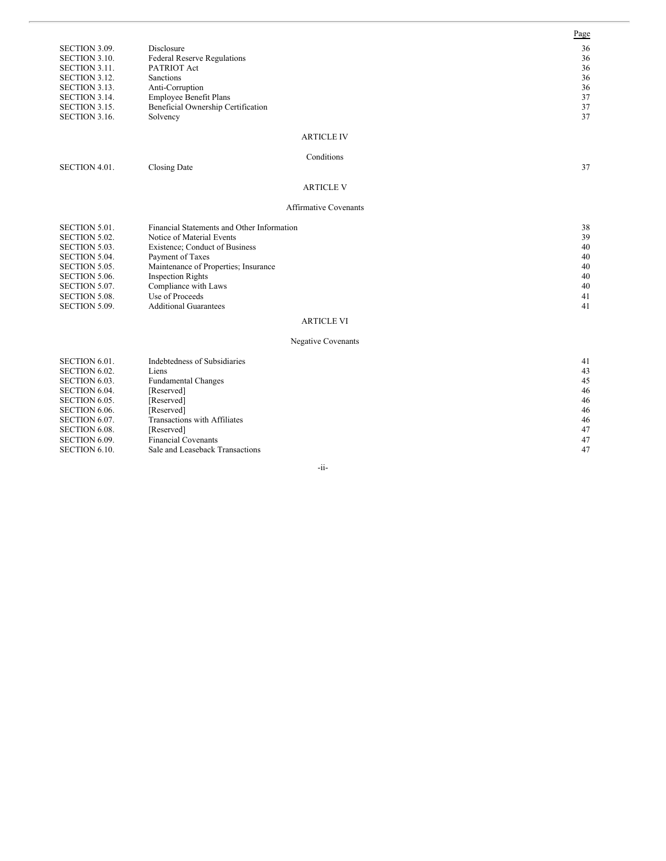| SECTION 3.09.<br><b>SECTION 3.10.</b><br>SECTION 3.11.<br><b>SECTION 3.12.</b><br><b>SECTION 3.13.</b><br>SECTION 3.14.<br>SECTION 3.15.<br>SECTION 3.16. | Disclosure<br><b>Federal Reserve Regulations</b><br>PATRIOT Act<br><b>Sanctions</b><br>Anti-Corruption<br><b>Employee Benefit Plans</b><br>Beneficial Ownership Certification<br>Solvency |                              | 36<br>36<br>36<br>36<br>36<br>37<br>37<br>37 |
|-----------------------------------------------------------------------------------------------------------------------------------------------------------|-------------------------------------------------------------------------------------------------------------------------------------------------------------------------------------------|------------------------------|----------------------------------------------|
|                                                                                                                                                           |                                                                                                                                                                                           | <b>ARTICLE IV</b>            |                                              |
|                                                                                                                                                           |                                                                                                                                                                                           |                              |                                              |
|                                                                                                                                                           |                                                                                                                                                                                           | Conditions                   |                                              |
| SECTION 4.01.                                                                                                                                             | Closing Date                                                                                                                                                                              |                              | 37                                           |
|                                                                                                                                                           |                                                                                                                                                                                           | <b>ARTICLE V</b>             |                                              |
|                                                                                                                                                           |                                                                                                                                                                                           | <b>Affirmative Covenants</b> |                                              |
| <b>SECTION 5.01.</b>                                                                                                                                      | Financial Statements and Other Information                                                                                                                                                |                              | 38                                           |
| <b>SECTION 5.02.</b>                                                                                                                                      | Notice of Material Events                                                                                                                                                                 |                              | 39                                           |
| SECTION 5.03.                                                                                                                                             | Existence; Conduct of Business                                                                                                                                                            |                              | 40                                           |
| <b>SECTION 5.04.</b>                                                                                                                                      | Payment of Taxes                                                                                                                                                                          |                              | 40                                           |
| SECTION 5.05.                                                                                                                                             | Maintenance of Properties; Insurance                                                                                                                                                      |                              | 40                                           |
| SECTION 5.06.                                                                                                                                             | <b>Inspection Rights</b>                                                                                                                                                                  |                              | 40                                           |
| SECTION 5.07.                                                                                                                                             | Compliance with Laws                                                                                                                                                                      |                              | 40                                           |
| <b>SECTION 5.08.</b>                                                                                                                                      | Use of Proceeds                                                                                                                                                                           |                              | 41                                           |

Page

4 1

#### ARTICLE VI

SECTION 5.09

9. Additional Guarantees

#### Negative Covenants

| SECTION 6.01. | Indebtedness of Subsidiaries    | 41 |
|---------------|---------------------------------|----|
| SECTION 6.02. | Liens                           | 43 |
| SECTION 6.03. | <b>Fundamental Changes</b>      | 45 |
| SECTION 6.04. | [Reserved]                      | 46 |
| SECTION 6.05. | [Reserved]                      | 46 |
| SECTION 6.06. | [Reserved]                      | 46 |
| SECTION 6.07. | Transactions with Affiliates    | 46 |
| SECTION 6.08. | [Reserved]                      | 47 |
| SECTION 6.09. | <b>Financial Covenants</b>      | 47 |
| SECTION 6.10. | Sale and Leaseback Transactions | 47 |

- i i -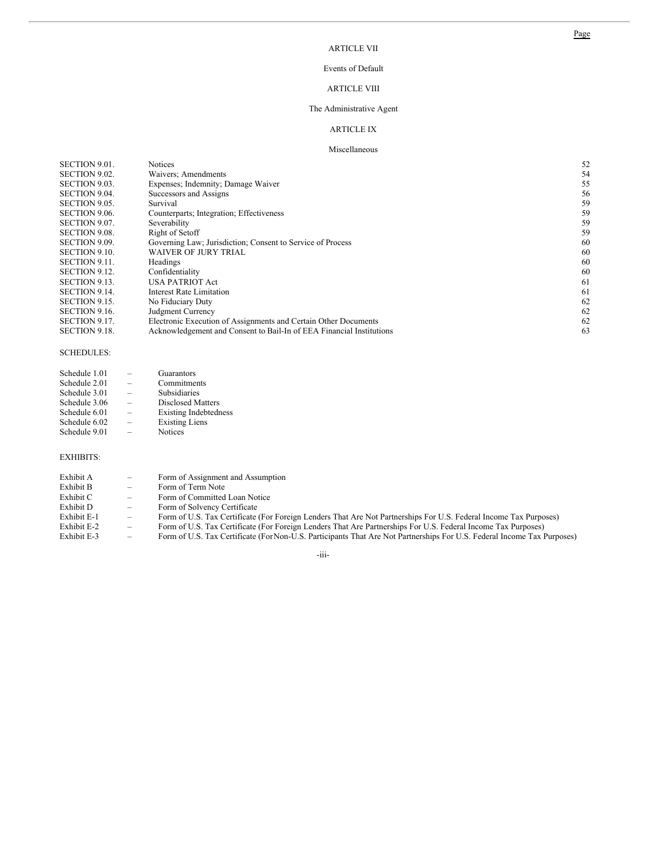# ARTICLE VII

# Events of Default

# ARTICLE VIII

# The Administrative Agent

# ARTICLE IX

# Miscellaneous

| <b>SECTION 9.01.</b> | Notices                                                              | 52 |
|----------------------|----------------------------------------------------------------------|----|
| <b>SECTION 9.02.</b> | Waivers; Amendments                                                  | 54 |
| SECTION 9.03.        | Expenses: Indemnity: Damage Waiver                                   | 55 |
| SECTION 9.04.        | Successors and Assigns                                               | 56 |
| SECTION 9.05.        | Survival                                                             | 59 |
| SECTION 9.06.        | Counterparts: Integration: Effectiveness                             | 59 |
| SECTION 9.07.        | Severability                                                         | 59 |
| SECTION 9.08.        | Right of Setoff                                                      | 59 |
| SECTION 9.09.        | Governing Law; Jurisdiction; Consent to Service of Process           | 60 |
| SECTION 9.10.        | WAIVER OF JURY TRIAL                                                 | 60 |
| <b>SECTION 9.11.</b> | Headings                                                             | 60 |
| SECTION 9.12.        | Confidentiality                                                      | 60 |
| SECTION 9.13.        | <b>USA PATRIOT Act</b>                                               | 61 |
| SECTION 9.14.        | <b>Interest Rate Limitation</b>                                      | 61 |
| SECTION 9.15.        | No Fiduciary Duty                                                    | 62 |
| SECTION 9.16.        | Judgment Currency                                                    | 62 |
| SECTION 9.17.        | Electronic Execution of Assignments and Certain Other Documents      | 62 |
| SECTION 9.18.        | Acknowledgement and Consent to Bail-In of EEA Financial Institutions | 63 |
|                      |                                                                      |    |

# SCHEDULES:

| Schedule 1.01 | - | Guarantors                   |
|---------------|---|------------------------------|
| Schedule 2.01 |   | Commitments                  |
| Schedule 3.01 | - | Subsidiaries                 |
| Schedule 3.06 | - | <b>Disclosed Matters</b>     |
| Schedule 6.01 |   | <b>Existing Indebtedness</b> |
| Schedule 6.02 | - | <b>Existing Liens</b>        |
| Schedule 9.01 |   | <b>Notices</b>               |

### EXHIBITS:

| Exhibit A   | $\overline{\phantom{a}}$ | Form of Assignment and Assumption                                                                                       |
|-------------|--------------------------|-------------------------------------------------------------------------------------------------------------------------|
| Exhibit B   | $\overline{\phantom{0}}$ | Form of Term Note                                                                                                       |
| Exhibit C   | $-$                      | Form of Committed Loan Notice                                                                                           |
| Exhibit D   | $\overline{\phantom{0}}$ | Form of Solvency Certificate                                                                                            |
| Exhibit E-1 | $-$                      | Form of U.S. Tax Certificate (For Foreign Lenders That Are Not Partnerships For U.S. Federal Income Tax Purposes)       |
| Exhibit E-2 | $\overline{\phantom{0}}$ | Form of U.S. Tax Certificate (For Foreign Lenders That Are Partnerships For U.S. Federal Income Tax Purposes)           |
| Exhibit E-3 | $\overline{\phantom{0}}$ | Form of U.S. Tax Certificate (For Non-U.S. Participants That Are Not Partnerships For U.S. Federal Income Tax Purposes) |
|             |                          |                                                                                                                         |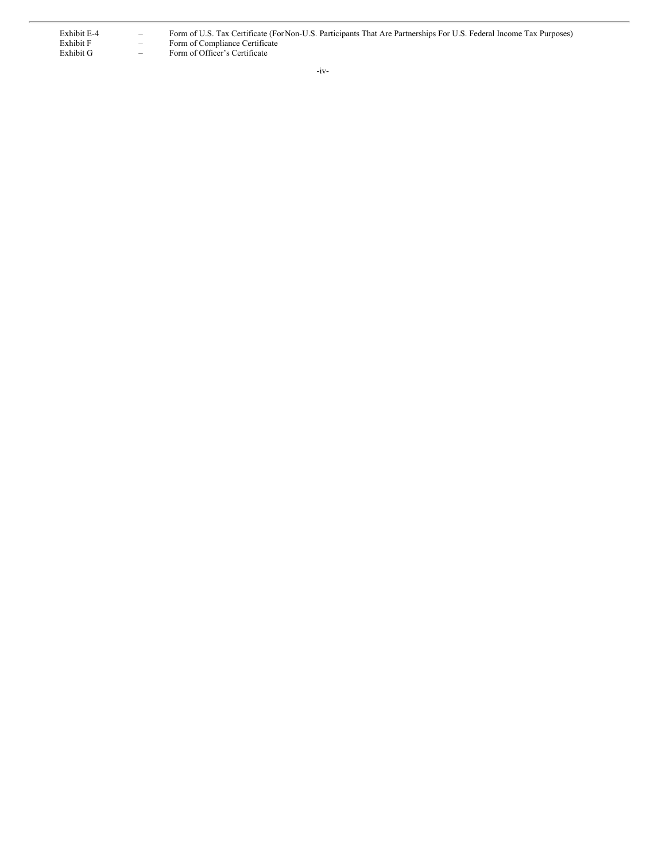| Exhibit E-4 | $\overline{\phantom{0}}$ | Form of U.S. Tax Certificate (For Non-U.S. Participants That Are Partnerships For U.S. Federal Income Tax Purposes) |
|-------------|--------------------------|---------------------------------------------------------------------------------------------------------------------|
| Exhibit F   | <b>Service</b>           | Form of Compliance Certificate                                                                                      |
| Exhibit G   | -                        | Form of Officer's Certificate                                                                                       |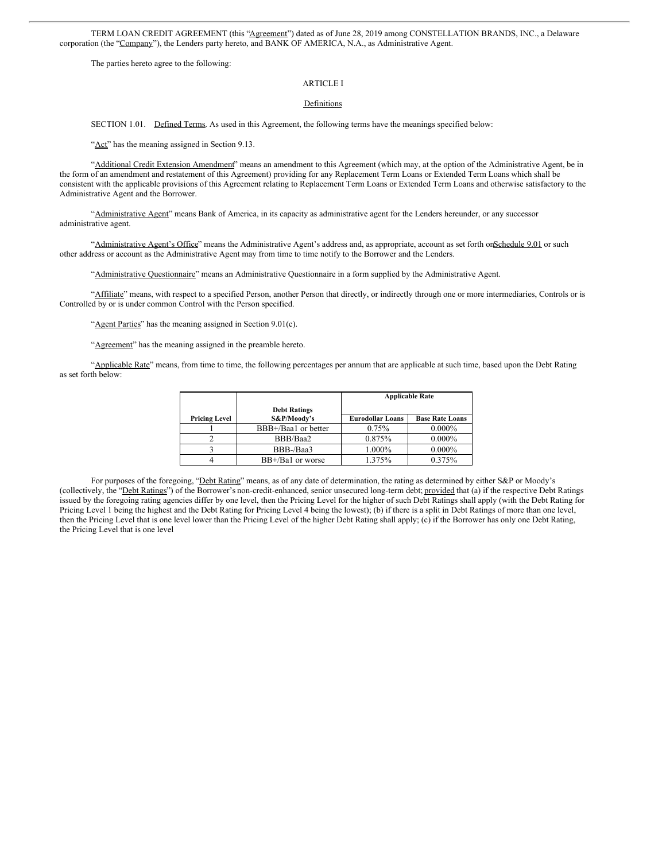TERM LOAN CREDIT AGREEMENT (this "Agreement") dated as of June 28, 2019 among CONSTELLATION BRANDS, INC., a Delaware corporation (the "Company"), the Lenders party hereto, and BANK OF AMERICA, N.A., as Administrative Agent.

The parties hereto agree to the following:

### ARTICLE I

### **Definitions**

SECTION 1.01. Defined Terms. As used in this Agreement, the following terms have the meanings specified below:

"Act" has the meaning assigned in Section 9.13.

"Additional Credit Extension Amendment" means an amendment to this Agreement (which may, at the option of the Administrative Agent, be in the form of an amendment and restatement of this Agreement) providing for any Replacement Term Loans or Extended Term Loans which shall be consistent with the applicable provisions of this Agreement relating to Replacement Term Loans or Extended Term Loans and otherwise satisfactory to the Administrative Agent and the Borrower.

"Administrative Agent" means Bank of America, in its capacity as administrative agent for the Lenders hereunder, or any successor administrative agent.

"Administrative Agent's Office" means the Administrative Agent's address and, as appropriate, account as set forth onSchedule 9.01 or such other address or account as the Administrative Agent may from time to time notify to the Borrower and the Lenders.

"Administrative Questionnaire" means an Administrative Questionnaire in a form supplied by the Administrative Agent.

"Affiliate" means, with respect to a specified Person, another Person that directly, or indirectly through one or more intermediaries, Controls or is Controlled by or is under common Control with the Person specified.

"Agent Parties" has the meaning assigned in Section 9.01(c).

"Agreement" has the meaning assigned in the preamble hereto.

"Applicable Rate" means, from time to time, the following percentages per annum that are applicable at such time, based upon the Debt Rating as set forth below:

|                      |                     | <b>Applicable Rate</b>  |                        |  |
|----------------------|---------------------|-------------------------|------------------------|--|
|                      | <b>Debt Ratings</b> |                         |                        |  |
| <b>Pricing Level</b> | S&P/Moody's         | <b>Eurodollar Loans</b> | <b>Base Rate Loans</b> |  |
|                      | BBB+/Baa1 or better | 0.75%                   | $0.000\%$              |  |
|                      | BBB/Baa2            | 0.875%                  | $0.000\%$              |  |
|                      | BBB-/Baa3           | 1.000%                  | $0.000\%$              |  |
|                      | BB+/Ba1 or worse    | 1.375%                  | 0.375%                 |  |

For purposes of the foregoing, "Debt Rating" means, as of any date of determination, the rating as determined by either S&P or Moody's (collectively, the "Debt Ratings") of the Borrower's non-credit-enhanced, senior unsecured long-term debt; provided that (a) if the respective Debt Ratings issued by the foregoing rating agencies differ by one level, then the Pricing Level for the higher of such Debt Ratings shall apply (with the Debt Rating for Pricing Level 1 being the highest and the Debt Rating for Pricing Level 4 being the lowest); (b) if there is a split in Debt Ratings of more than one level, then the Pricing Level that is one level lower than the Pricing Level of the higher Debt Rating shall apply; (c) if the Borrower has only one Debt Rating, the Pricing Level that is one level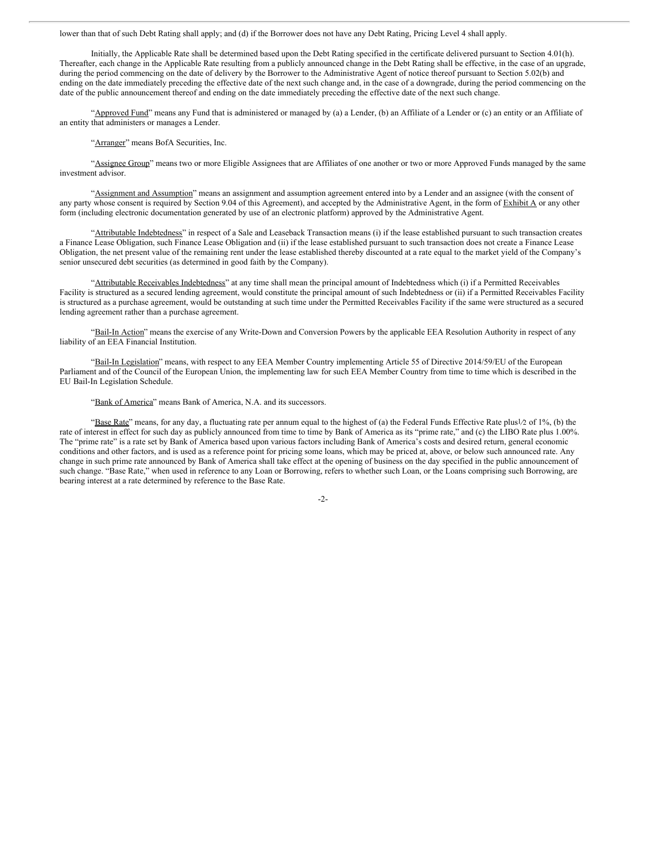lower than that of such Debt Rating shall apply; and (d) if the Borrower does not have any Debt Rating, Pricing Level 4 shall apply.

Initially, the Applicable Rate shall be determined based upon the Debt Rating specified in the certificate delivered pursuant to Section 4.01(h). Thereafter, each change in the Applicable Rate resulting from a publicly announced change in the Debt Rating shall be effective, in the case of an upgrade, during the period commencing on the date of delivery by the Borrower to the Administrative Agent of notice thereof pursuant to Section 5.02(b) and ending on the date immediately preceding the effective date of the next such change and, in the case of a downgrade, during the period commencing on the date of the public announcement thereof and ending on the date immediately preceding the effective date of the next such change.

"Approved Fund" means any Fund that is administered or managed by (a) a Lender, (b) an Affiliate of a Lender or (c) an entity or an Affiliate of an entity that administers or manages a Lender.

"Arranger" means BofA Securities, Inc.

"Assignee Group" means two or more Eligible Assignees that are Affiliates of one another or two or more Approved Funds managed by the same investment advisor.

"Assignment and Assumption" means an assignment and assumption agreement entered into by a Lender and an assignee (with the consent of any party whose consent is required by Section 9.04 of this Agreement), and accepted by the Administrative Agent, in the form of Exhibit A or any other form (including electronic documentation generated by use of an electronic platform) approved by the Administrative Agent.

"Attributable Indebtedness" in respect of a Sale and Leaseback Transaction means (i) if the lease established pursuant to such transaction creates a Finance Lease Obligation, such Finance Lease Obligation and (ii) if the lease established pursuant to such transaction does not create a Finance Lease Obligation, the net present value of the remaining rent under the lease established thereby discounted at a rate equal to the market yield of the Company's senior unsecured debt securities (as determined in good faith by the Company).

"Attributable Receivables Indebtedness" at any time shall mean the principal amount of Indebtedness which (i) if a Permitted Receivables Facility is structured as a secured lending agreement, would constitute the principal amount of such Indebtedness or (ii) if a Permitted Receivables Facility is structured as a purchase agreement, would be outstanding at such time under the Permitted Receivables Facility if the same were structured as a secured lending agreement rather than a purchase agreement.

"Bail-In Action" means the exercise of any Write-Down and Conversion Powers by the applicable EEA Resolution Authority in respect of any liability of an EEA Financial Institution.

"Bail-In Legislation" means, with respect to any EEA Member Country implementing Article 55 of Directive 2014/59/EU of the European Parliament and of the Council of the European Union, the implementing law for such EEA Member Country from time to time which is described in the EU Bail-In Legislation Schedule.

### "Bank of America" means Bank of America, N.A. and its successors.

"Base Rate" means, for any day, a fluctuating rate per annum equal to the highest of (a) the Federal Funds Effective Rate plus<sup>1</sup>/2 of 1%, (b) the rate of interest in effect for such day as publicly announced from time to time by Bank of America as its "prime rate," and (c) the LIBO Rate plus 1.00%. The "prime rate" is a rate set by Bank of America based upon various factors including Bank of America's costs and desired return, general economic conditions and other factors, and is used as a reference point for pricing some loans, which may be priced at, above, or below such announced rate. Any change in such prime rate announced by Bank of America shall take effect at the opening of business on the day specified in the public announcement of such change. "Base Rate," when used in reference to any Loan or Borrowing, refers to whether such Loan, or the Loans comprising such Borrowing, are bearing interest at a rate determined by reference to the Base Rate.

-2-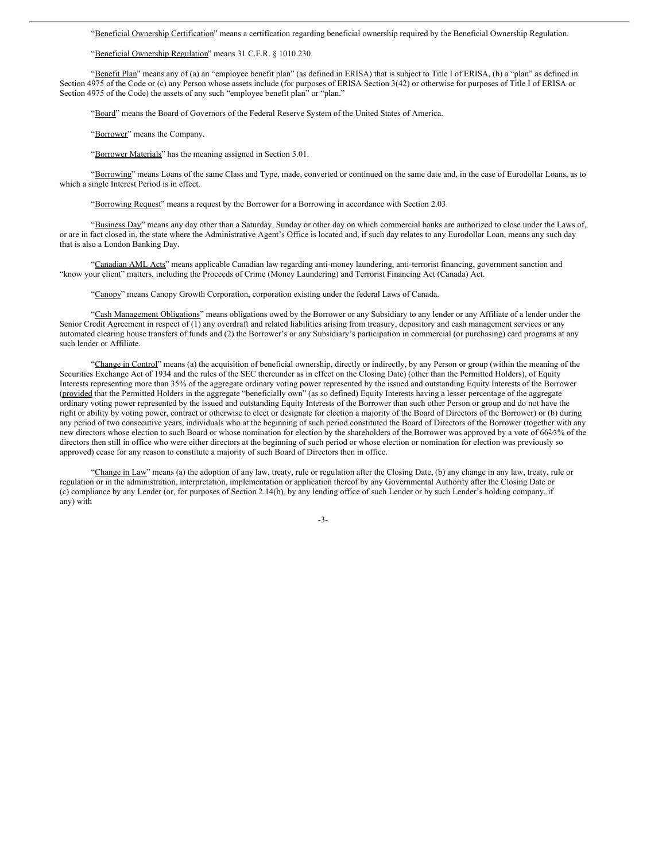"Beneficial Ownership Certification" means a certification regarding beneficial ownership required by the Beneficial Ownership Regulation.

### "Beneficial Ownership Regulation" means 31 C.F.R. § 1010.230.

"Benefit Plan" means any of (a) an "employee benefit plan" (as defined in ERISA) that is subject to Title I of ERISA, (b) a "plan" as defined in Section 4975 of the Code or (c) any Person whose assets include (for purposes of ERISA Section 3(42) or otherwise for purposes of Title I of ERISA or Section 4975 of the Code) the assets of any such "employee benefit plan" or "plan."

"Board" means the Board of Governors of the Federal Reserve System of the United States of America.

"Borrower" means the Company.

"Borrower Materials" has the meaning assigned in Section 5.01.

"Borrowing" means Loans of the same Class and Type, made, converted or continued on the same date and, in the case of Eurodollar Loans, as to which a single Interest Period is in effect.

"Borrowing Request" means a request by the Borrower for a Borrowing in accordance with Section 2.03.

"Business Day" means any day other than a Saturday, Sunday or other day on which commercial banks are authorized to close under the Laws of, or are in fact closed in, the state where the Administrative Agent's Office is located and, if such day relates to any Eurodollar Loan, means any such day that is also a London Banking Day.

"Canadian AML Acts" means applicable Canadian law regarding anti-money laundering, anti-terrorist financing, government sanction and "know your client" matters, including the Proceeds of Crime (Money Laundering) and Terrorist Financing Act (Canada) Act.

"Canopy" means Canopy Growth Corporation, corporation existing under the federal Laws of Canada.

"Cash Management Obligations" means obligations owed by the Borrower or any Subsidiary to any lender or any Affiliate of a lender under the Senior Credit Agreement in respect of (1) any overdraft and related liabilities arising from treasury, depository and cash management services or any automated clearing house transfers of funds and (2) the Borrower's or any Subsidiary's participation in commercial (or purchasing) card programs at any such lender or Affiliate.

"Change in Control" means (a) the acquisition of beneficial ownership, directly or indirectly, by any Person or group (within the meaning of the Securities Exchange Act of 1934 and the rules of the SEC thereunder as in effect on the Closing Date) (other than the Permitted Holders), of Equity Interests representing more than 35% of the aggregate ordinary voting power represented by the issued and outstanding Equity Interests of the Borrower (provided that the Permitted Holders in the aggregate "beneficially own" (as so defined) Equity Interests having a lesser percentage of the aggregate ordinary voting power represented by the issued and outstanding Equity Interests of the Borrower than such other Person or group and do not have the right or ability by voting power, contract or otherwise to elect or designate for election a majority of the Board of Directors of the Borrower) or (b) during any period of two consecutive years, individuals who at the beginning of such period constituted the Board of Directors of the Borrower (together with any new directors whose election to such Board or whose nomination for election by the shareholders of the Borrower was approved by a vote of 662⁄3% of the directors then still in office who were either directors at the beginning of such period or whose election or nomination for election was previously so approved) cease for any reason to constitute a majority of such Board of Directors then in office.

"Change in Law" means (a) the adoption of any law, treaty, rule or regulation after the Closing Date, (b) any change in any law, treaty, rule or regulation or in the administration, interpretation, implementation or application thereof by any Governmental Authority after the Closing Date or (c) compliance by any Lender (or, for purposes of Section 2.14(b), by any lending office of such Lender or by such Lender's holding company, if any) with

-3-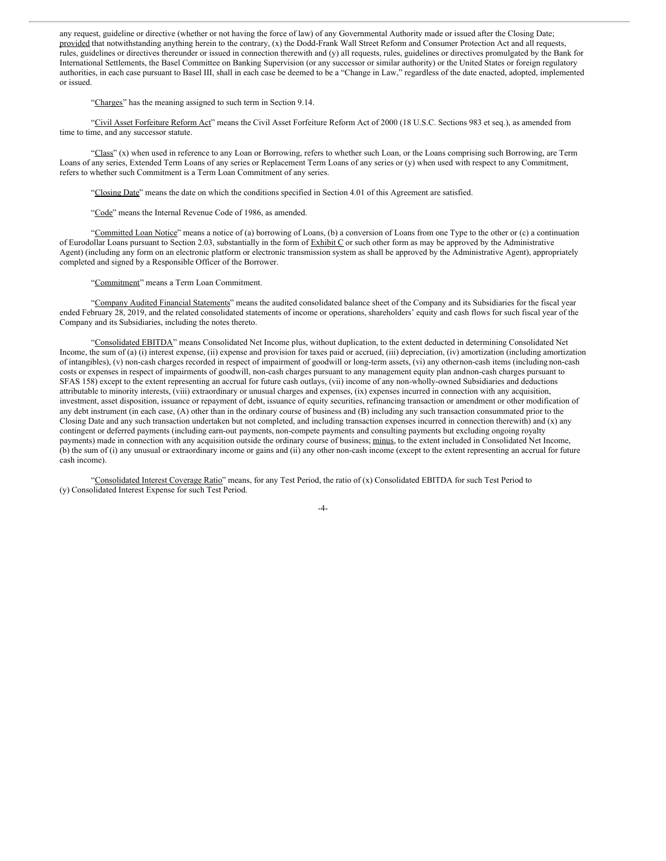any request, guideline or directive (whether or not having the force of law) of any Governmental Authority made or issued after the Closing Date; provided that notwithstanding anything herein to the contrary, (x) the Dodd-Frank Wall Street Reform and Consumer Protection Act and all requests, rules, guidelines or directives thereunder or issued in connection therewith and (y) all requests, rules, guidelines or directives promulgated by the Bank for International Settlements, the Basel Committee on Banking Supervision (or any successor or similar authority) or the United States or foreign regulatory authorities, in each case pursuant to Basel III, shall in each case be deemed to be a "Change in Law," regardless of the date enacted, adopted, implemented or issued.

"Charges" has the meaning assigned to such term in Section 9.14.

"Civil Asset Forfeiture Reform Act" means the Civil Asset Forfeiture Reform Act of 2000 (18 U.S.C. Sections 983 et seq.), as amended from time to time, and any successor statute.

"Class" (x) when used in reference to any Loan or Borrowing, refers to whether such Loan, or the Loans comprising such Borrowing, are Term Loans of any series, Extended Term Loans of any series or Replacement Term Loans of any series or (y) when used with respect to any Commitment, refers to whether such Commitment is a Term Loan Commitment of any series.

"Closing Date" means the date on which the conditions specified in Section 4.01 of this Agreement are satisfied.

"Code" means the Internal Revenue Code of 1986, as amended.

"Committed Loan Notice" means a notice of (a) borrowing of Loans, (b) a conversion of Loans from one Type to the other or (c) a continuation of Eurodollar Loans pursuant to Section 2.03, substantially in the form of  $\frac{Exhibit C}{Ce}$  or such other form as may be approved by the Administrative Agent) (including any form on an electronic platform or electronic transmission system as shall be approved by the Administrative Agent), appropriately completed and signed by a Responsible Officer of the Borrower.

"Commitment" means a Term Loan Commitment.

"Company Audited Financial Statements" means the audited consolidated balance sheet of the Company and its Subsidiaries for the fiscal year ended February 28, 2019, and the related consolidated statements of income or operations, shareholders' equity and cash flows for such fiscal year of the Company and its Subsidiaries, including the notes thereto.

"Consolidated EBITDA" means Consolidated Net Income plus, without duplication, to the extent deducted in determining Consolidated Net Income, the sum of (a) (i) interest expense, (ii) expense and provision for taxes paid or accrued, (iii) depreciation, (iv) amortization (including amortization of intangibles), (v) non-cash charges recorded in respect of impairment of goodwill or long-term assets, (vi) any othernon-cash items (including non-cash costs or expenses in respect of impairments of goodwill, non-cash charges pursuant to any management equity plan andnon-cash charges pursuant to SFAS 158) except to the extent representing an accrual for future cash outlays, (vii) income of any non-wholly-owned Subsidiaries and deductions attributable to minority interests, (viii) extraordinary or unusual charges and expenses, (ix) expenses incurred in connection with any acquisition, investment, asset disposition, issuance or repayment of debt, issuance of equity securities, refinancing transaction or amendment or other modification of any debt instrument (in each case, (A) other than in the ordinary course of business and (B) including any such transaction consummated prior to the Closing Date and any such transaction undertaken but not completed, and including transaction expenses incurred in connection therewith) and (x) any contingent or deferred payments (including earn-out payments, non-compete payments and consulting payments but excluding ongoing royalty payments) made in connection with any acquisition outside the ordinary course of business; minus, to the extent included in Consolidated Net Income, (b) the sum of (i) any unusual or extraordinary income or gains and (ii) any other non-cash income (except to the extent representing an accrual for future cash income).

"Consolidated Interest Coverage Ratio" means, for any Test Period, the ratio of (x) Consolidated EBITDA for such Test Period to (y) Consolidated Interest Expense for such Test Period.

-4-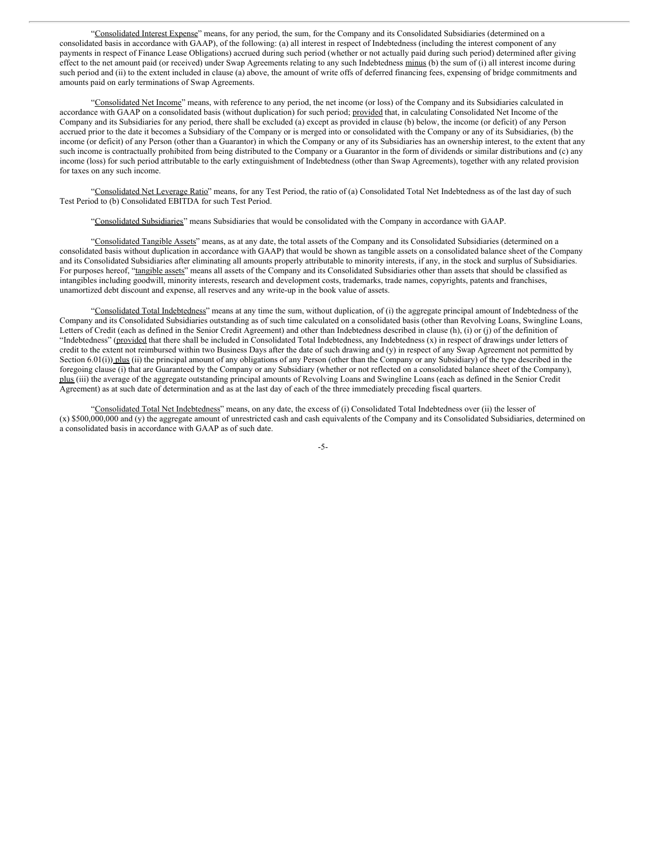"Consolidated Interest Expense" means, for any period, the sum, for the Company and its Consolidated Subsidiaries (determined on a consolidated basis in accordance with GAAP), of the following: (a) all interest in respect of Indebtedness (including the interest component of any payments in respect of Finance Lease Obligations) accrued during such period (whether or not actually paid during such period) determined after giving effect to the net amount paid (or received) under Swap Agreements relating to any such Indebtedness minus (b) the sum of (i) all interest income during such period and (ii) to the extent included in clause (a) above, the amount of write offs of deferred financing fees, expensing of bridge commitments and amounts paid on early terminations of Swap Agreements.

"Consolidated Net Income" means, with reference to any period, the net income (or loss) of the Company and its Subsidiaries calculated in accordance with GAAP on a consolidated basis (without duplication) for such period; provided that, in calculating Consolidated Net Income of the Company and its Subsidiaries for any period, there shall be excluded (a) except as provided in clause (b) below, the income (or deficit) of any Person accrued prior to the date it becomes a Subsidiary of the Company or is merged into or consolidated with the Company or any of its Subsidiaries, (b) the income (or deficit) of any Person (other than a Guarantor) in which the Company or any of its Subsidiaries has an ownership interest, to the extent that any such income is contractually prohibited from being distributed to the Company or a Guarantor in the form of dividends or similar distributions and (c) any income (loss) for such period attributable to the early extinguishment of Indebtedness (other than Swap Agreements), together with any related provision for taxes on any such income.

"Consolidated Net Leverage Ratio" means, for any Test Period, the ratio of (a) Consolidated Total Net Indebtedness as of the last day of such Test Period to (b) Consolidated EBITDA for such Test Period.

"Consolidated Subsidiaries" means Subsidiaries that would be consolidated with the Company in accordance with GAAP.

"Consolidated Tangible Assets" means, as at any date, the total assets of the Company and its Consolidated Subsidiaries (determined on a consolidated basis without duplication in accordance with GAAP) that would be shown as tangible assets on a consolidated balance sheet of the Company and its Consolidated Subsidiaries after eliminating all amounts properly attributable to minority interests, if any, in the stock and surplus of Subsidiaries. For purposes hereof, "tangible assets" means all assets of the Company and its Consolidated Subsidiaries other than assets that should be classified as intangibles including goodwill, minority interests, research and development costs, trademarks, trade names, copyrights, patents and franchises, unamortized debt discount and expense, all reserves and any write-up in the book value of assets.

"Consolidated Total Indebtedness" means at any time the sum, without duplication, of (i) the aggregate principal amount of Indebtedness of the Company and its Consolidated Subsidiaries outstanding as of such time calculated on a consolidated basis (other than Revolving Loans, Swingline Loans, Letters of Credit (each as defined in the Senior Credit Agreement) and other than Indebtedness described in clause (h), (i) or (j) of the definition of "Indebtedness" (provided that there shall be included in Consolidated Total Indebtedness, any Indebtedness (x) in respect of drawings under letters of credit to the extent not reimbursed within two Business Days after the date of such drawing and (y) in respect of any Swap Agreement not permitted by Section  $6.01(i)$ ) plus (ii) the principal amount of any obligations of any Person (other than the Company or any Subsidiary) of the type described in the foregoing clause (i) that are Guaranteed by the Company or any Subsidiary (whether or not reflected on a consolidated balance sheet of the Company), plus (iii) the average of the aggregate outstanding principal amounts of Revolving Loans and Swingline Loans (each as defined in the Senior Credit Agreement) as at such date of determination and as at the last day of each of the three immediately preceding fiscal quarters.

"Consolidated Total Net Indebtedness" means, on any date, the excess of (i) Consolidated Total Indebtedness over (ii) the lesser of (x) \$500,000,000 and (y) the aggregate amount of unrestricted cash and cash equivalents of the Company and its Consolidated Subsidiaries, determined on a consolidated basis in accordance with GAAP as of such date.

-5-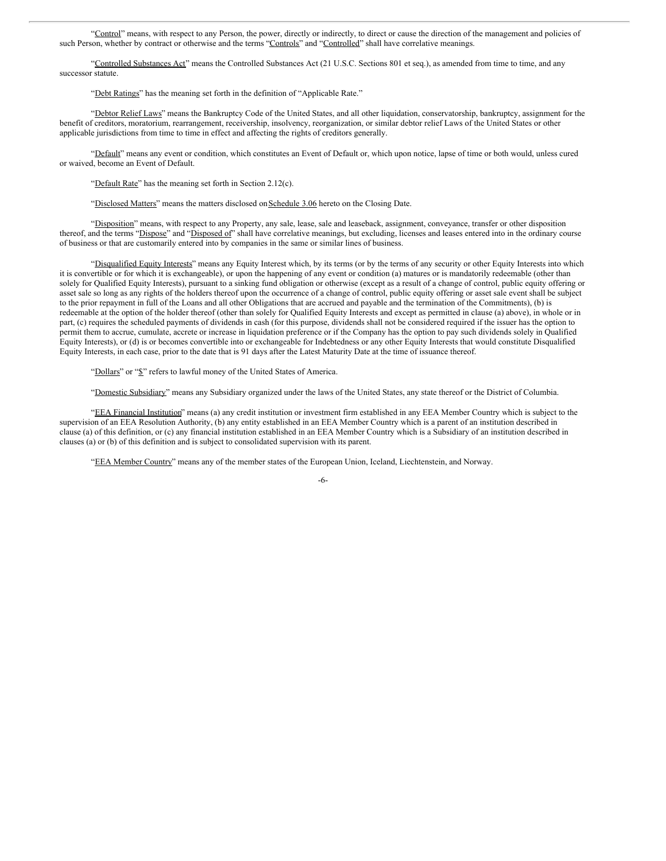"Control" means, with respect to any Person, the power, directly or indirectly, to direct or cause the direction of the management and policies of such Person, whether by contract or otherwise and the terms "Controls" and "Controlled" shall have correlative meanings.

"Controlled Substances Act" means the Controlled Substances Act (21 U.S.C. Sections 801 et seq.), as amended from time to time, and any successor statute.

"Debt Ratings" has the meaning set forth in the definition of "Applicable Rate."

"Debtor Relief Laws" means the Bankruptcy Code of the United States, and all other liquidation, conservatorship, bankruptcy, assignment for the benefit of creditors, moratorium, rearrangement, receivership, insolvency, reorganization, or similar debtor relief Laws of the United States or other applicable jurisdictions from time to time in effect and affecting the rights of creditors generally.

"Default" means any event or condition, which constitutes an Event of Default or, which upon notice, lapse of time or both would, unless cured or waived, become an Event of Default.

"Default Rate" has the meaning set forth in Section 2.12(c).

"Disclosed Matters" means the matters disclosed on Schedule 3.06 hereto on the Closing Date.

"Disposition" means, with respect to any Property, any sale, lease, sale and leaseback, assignment, conveyance, transfer or other disposition thereof, and the terms "Dispose" and "Disposed of" shall have correlative meanings, but excluding, licenses and leases entered into in the ordinary course of business or that are customarily entered into by companies in the same or similar lines of business.

"Disqualified Equity Interests" means any Equity Interest which, by its terms (or by the terms of any security or other Equity Interests into which it is convertible or for which it is exchangeable), or upon the happening of any event or condition (a) matures or is mandatorily redeemable (other than solely for Qualified Equity Interests), pursuant to a sinking fund obligation or otherwise (except as a result of a change of control, public equity offering or asset sale so long as any rights of the holders thereof upon the occurrence of a change of control, public equity offering or asset sale event shall be subject to the prior repayment in full of the Loans and all other Obligations that are accrued and payable and the termination of the Commitments), (b) is redeemable at the option of the holder thereof (other than solely for Qualified Equity Interests and except as permitted in clause (a) above), in whole or in part, (c) requires the scheduled payments of dividends in cash (for this purpose, dividends shall not be considered required if the issuer has the option to permit them to accrue, cumulate, accrete or increase in liquidation preference or if the Company has the option to pay such dividends solely in Qualified Equity Interests), or (d) is or becomes convertible into or exchangeable for Indebtedness or any other Equity Interests that would constitute Disqualified Equity Interests, in each case, prior to the date that is 91 days after the Latest Maturity Date at the time of issuance thereof.

"Dollars" or "\$" refers to lawful money of the United States of America.

"Domestic Subsidiary" means any Subsidiary organized under the laws of the United States, any state thereof or the District of Columbia.

"EEA Financial Institution" means (a) any credit institution or investment firm established in any EEA Member Country which is subject to the supervision of an EEA Resolution Authority, (b) any entity established in an EEA Member Country which is a parent of an institution described in clause (a) of this definition, or (c) any financial institution established in an EEA Member Country which is a Subsidiary of an institution described in clauses (a) or (b) of this definition and is subject to consolidated supervision with its parent.

"EEA Member Country" means any of the member states of the European Union, Iceland, Liechtenstein, and Norway.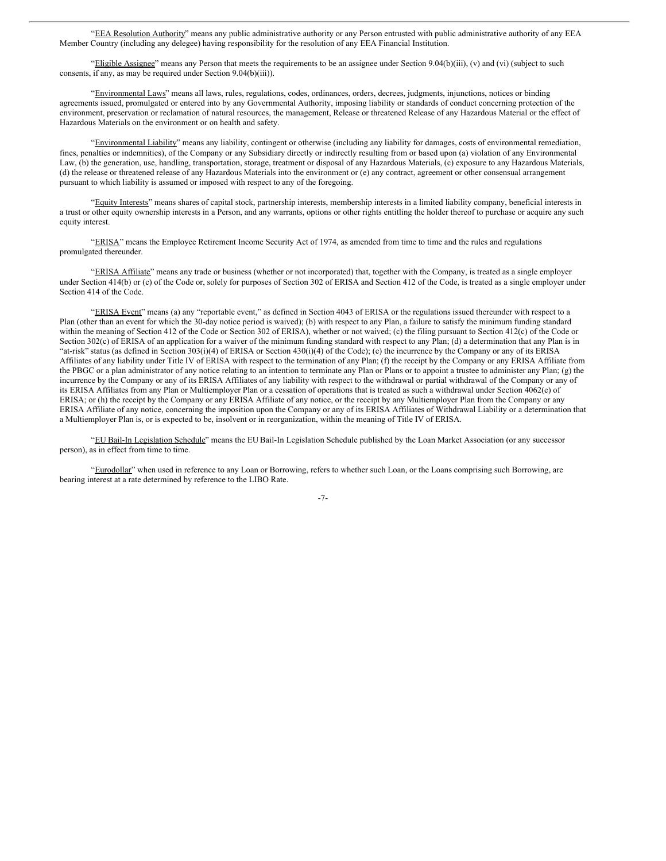"EEA Resolution Authority" means any public administrative authority or any Person entrusted with public administrative authority of any EEA Member Country (including any delegee) having responsibility for the resolution of any EEA Financial Institution.

"Eligible Assignee" means any Person that meets the requirements to be an assignee under Section 9.04(b)(iii), (v) and (vi) (subject to such consents, if any, as may be required under Section 9.04(b)(iii)).

"Environmental Laws" means all laws, rules, regulations, codes, ordinances, orders, decrees, judgments, injunctions, notices or binding agreements issued, promulgated or entered into by any Governmental Authority, imposing liability or standards of conduct concerning protection of the environment, preservation or reclamation of natural resources, the management, Release or threatened Release of any Hazardous Material or the effect of Hazardous Materials on the environment or on health and safety.

"Environmental Liability" means any liability, contingent or otherwise (including any liability for damages, costs of environmental remediation, fines, penalties or indemnities), of the Company or any Subsidiary directly or indirectly resulting from or based upon (a) violation of any Environmental Law, (b) the generation, use, handling, transportation, storage, treatment or disposal of any Hazardous Materials, (c) exposure to any Hazardous Materials, (d) the release or threatened release of any Hazardous Materials into the environment or (e) any contract, agreement or other consensual arrangement pursuant to which liability is assumed or imposed with respect to any of the foregoing.

"Equity Interests" means shares of capital stock, partnership interests, membership interests in a limited liability company, beneficial interests in a trust or other equity ownership interests in a Person, and any warrants, options or other rights entitling the holder thereof to purchase or acquire any such equity interest.

"ERISA" means the Employee Retirement Income Security Act of 1974, as amended from time to time and the rules and regulations promulgated thereunder.

"ERISA Affiliate" means any trade or business (whether or not incorporated) that, together with the Company, is treated as a single employer under Section 414(b) or (c) of the Code or, solely for purposes of Section 302 of ERISA and Section 412 of the Code, is treated as a single employer under Section 414 of the Code.

"ERISA Event" means (a) any "reportable event," as defined in Section 4043 of ERISA or the regulations issued thereunder with respect to a Plan (other than an event for which the 30-day notice period is waived); (b) with respect to any Plan, a failure to satisfy the minimum funding standard within the meaning of Section 412 of the Code or Section 302 of ERISA), whether or not waived; (c) the filing pursuant to Section 412(c) of the Code or Section 302(c) of ERISA of an application for a waiver of the minimum funding standard with respect to any Plan; (d) a determination that any Plan is in "at-risk" status (as defined in Section  $303(i)(4)$  of ERISA or Section  $430(i)(4)$  of the Code); (e) the incurrence by the Company or any of its ERISA Affiliates of any liability under Title IV of ERISA with respect to the termination of any Plan; (f) the receipt by the Company or any ERISA Affiliate from the PBGC or a plan administrator of any notice relating to an intention to terminate any Plan or Plans or to appoint a trustee to administer any Plan; (g) the incurrence by the Company or any of its ERISA Affiliates of any liability with respect to the withdrawal or partial withdrawal of the Company or any of its ERISA Affiliates from any Plan or Multiemployer Plan or a cessation of operations that is treated as such a withdrawal under Section 4062(e) of ERISA; or (h) the receipt by the Company or any ERISA Affiliate of any notice, or the receipt by any Multiemployer Plan from the Company or any ERISA Affiliate of any notice, concerning the imposition upon the Company or any of its ERISA Affiliates of Withdrawal Liability or a determination that a Multiemployer Plan is, or is expected to be, insolvent or in reorganization, within the meaning of Title IV of ERISA.

"EU Bail-In Legislation Schedule" means the EU Bail-In Legislation Schedule published by the Loan Market Association (or any successor person), as in effect from time to time.

"Eurodollar" when used in reference to any Loan or Borrowing, refers to whether such Loan, or the Loans comprising such Borrowing, are bearing interest at a rate determined by reference to the LIBO Rate.

-7-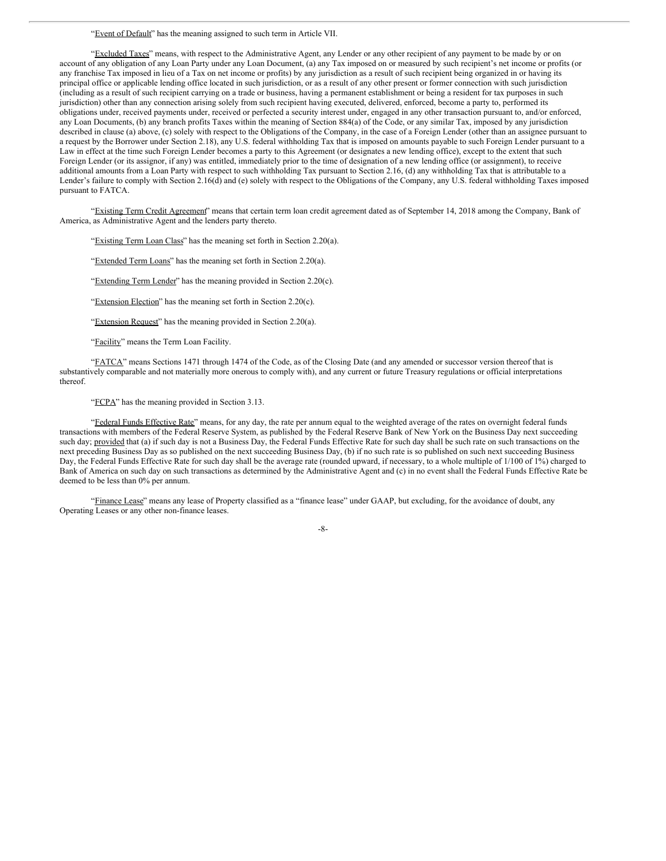#### "Event of Default" has the meaning assigned to such term in Article VII.

"Excluded Taxes" means, with respect to the Administrative Agent, any Lender or any other recipient of any payment to be made by or on account of any obligation of any Loan Party under any Loan Document, (a) any Tax imposed on or measured by such recipient's net income or profits (or any franchise Tax imposed in lieu of a Tax on net income or profits) by any jurisdiction as a result of such recipient being organized in or having its principal office or applicable lending office located in such jurisdiction, or as a result of any other present or former connection with such jurisdiction (including as a result of such recipient carrying on a trade or business, having a permanent establishment or being a resident for tax purposes in such jurisdiction) other than any connection arising solely from such recipient having executed, delivered, enforced, become a party to, performed its obligations under, received payments under, received or perfected a security interest under, engaged in any other transaction pursuant to, and/or enforced, any Loan Documents, (b) any branch profits Taxes within the meaning of Section 884(a) of the Code, or any similar Tax, imposed by any jurisdiction described in clause (a) above, (c) solely with respect to the Obligations of the Company, in the case of a Foreign Lender (other than an assignee pursuant to a request by the Borrower under Section 2.18), any U.S. federal withholding Tax that is imposed on amounts payable to such Foreign Lender pursuant to a Law in effect at the time such Foreign Lender becomes a party to this Agreement (or designates a new lending office), except to the extent that such Foreign Lender (or its assignor, if any) was entitled, immediately prior to the time of designation of a new lending office (or assignment), to receive additional amounts from a Loan Party with respect to such withholding Tax pursuant to Section 2.16, (d) any withholding Tax that is attributable to a Lender's failure to comply with Section 2.16(d) and (e) solely with respect to the Obligations of the Company, any U.S. federal withholding Taxes imposed pursuant to FATCA.

"Existing Term Credit Agreement" means that certain term loan credit agreement dated as of September 14, 2018 among the Company, Bank of America, as Administrative Agent and the lenders party thereto.

"Existing Term Loan Class" has the meaning set forth in Section 2.20(a).

"Extended Term Loans" has the meaning set forth in Section 2.20(a).

"Extending Term Lender" has the meaning provided in Section 2.20(c).

"Extension Election" has the meaning set forth in Section 2.20(c).

"Extension Request" has the meaning provided in Section 2.20(a).

"Facility" means the Term Loan Facility.

"FATCA" means Sections 1471 through 1474 of the Code, as of the Closing Date (and any amended or successor version thereof that is substantively comparable and not materially more onerous to comply with), and any current or future Treasury regulations or official interpretations thereof.

"FCPA" has the meaning provided in Section 3.13.

"Federal Funds Effective Rate" means, for any day, the rate per annum equal to the weighted average of the rates on overnight federal funds transactions with members of the Federal Reserve System, as published by the Federal Reserve Bank of New York on the Business Day next succeeding such day; provided that (a) if such day is not a Business Day, the Federal Funds Effective Rate for such day shall be such rate on such transactions on the next preceding Business Day as so published on the next succeeding Business Day, (b) if no such rate is so published on such next succeeding Business Day, the Federal Funds Effective Rate for such day shall be the average rate (rounded upward, if necessary, to a whole multiple of 1/100 of 1%) charged to Bank of America on such day on such transactions as determined by the Administrative Agent and (c) in no event shall the Federal Funds Effective Rate be deemed to be less than 0% per annum.

"Finance Lease" means any lease of Property classified as a "finance lease" under GAAP, but excluding, for the avoidance of doubt, any Operating Leases or any other non-finance leases.

-8-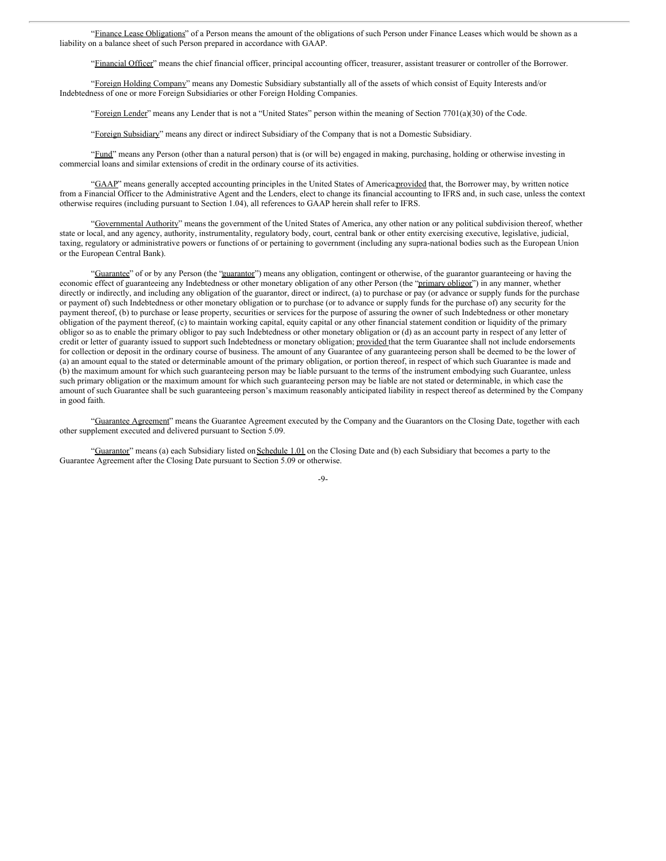"Finance Lease Obligations" of a Person means the amount of the obligations of such Person under Finance Leases which would be shown as a liability on a balance sheet of such Person prepared in accordance with GAAP.

"Financial Officer" means the chief financial officer, principal accounting officer, treasurer, assistant treasurer or controller of the Borrower.

"Foreign Holding Company" means any Domestic Subsidiary substantially all of the assets of which consist of Equity Interests and/or Indebtedness of one or more Foreign Subsidiaries or other Foreign Holding Companies.

"Foreign Lender" means any Lender that is not a "United States" person within the meaning of Section 7701(a)(30) of the Code.

"Foreign Subsidiary" means any direct or indirect Subsidiary of the Company that is not a Domestic Subsidiary.

"Fund" means any Person (other than a natural person) that is (or will be) engaged in making, purchasing, holding or otherwise investing in commercial loans and similar extensions of credit in the ordinary course of its activities.

"GAAP" means generally accepted accounting principles in the United States of America;provided that, the Borrower may, by written notice from a Financial Officer to the Administrative Agent and the Lenders, elect to change its financial accounting to IFRS and, in such case, unless the context otherwise requires (including pursuant to Section 1.04), all references to GAAP herein shall refer to IFRS.

"Governmental Authority" means the government of the United States of America, any other nation or any political subdivision thereof, whether state or local, and any agency, authority, instrumentality, regulatory body, court, central bank or other entity exercising executive, legislative, judicial, taxing, regulatory or administrative powers or functions of or pertaining to government (including any supra-national bodies such as the European Union or the European Central Bank).

"Guarantee" of or by any Person (the "guarantor") means any obligation, contingent or otherwise, of the guarantor guaranteeing or having the economic effect of guaranteeing any Indebtedness or other monetary obligation of any other Person (the "primary obligor") in any manner, whether directly or indirectly, and including any obligation of the guarantor, direct or indirect, (a) to purchase or pay (or advance or supply funds for the purchase or payment of) such Indebtedness or other monetary obligation or to purchase (or to advance or supply funds for the purchase of) any security for the payment thereof, (b) to purchase or lease property, securities or services for the purpose of assuring the owner of such Indebtedness or other monetary obligation of the payment thereof, (c) to maintain working capital, equity capital or any other financial statement condition or liquidity of the primary obligor so as to enable the primary obligor to pay such Indebtedness or other monetary obligation or (d) as an account party in respect of any letter of credit or letter of guaranty issued to support such Indebtedness or monetary obligation; provided that the term Guarantee shall not include endorsements for collection or deposit in the ordinary course of business. The amount of any Guarantee of any guaranteeing person shall be deemed to be the lower of (a) an amount equal to the stated or determinable amount of the primary obligation, or portion thereof, in respect of which such Guarantee is made and (b) the maximum amount for which such guaranteeing person may be liable pursuant to the terms of the instrument embodying such Guarantee, unless such primary obligation or the maximum amount for which such guaranteeing person may be liable are not stated or determinable, in which case the amount of such Guarantee shall be such guaranteeing person's maximum reasonably anticipated liability in respect thereof as determined by the Company in good faith.

"Guarantee Agreement" means the Guarantee Agreement executed by the Company and the Guarantors on the Closing Date, together with each other supplement executed and delivered pursuant to Section 5.09.

"Guarantor" means (a) each Subsidiary listed onSchedule 1.01 on the Closing Date and (b) each Subsidiary that becomes a party to the Guarantee Agreement after the Closing Date pursuant to Section 5.09 or otherwise.

-9-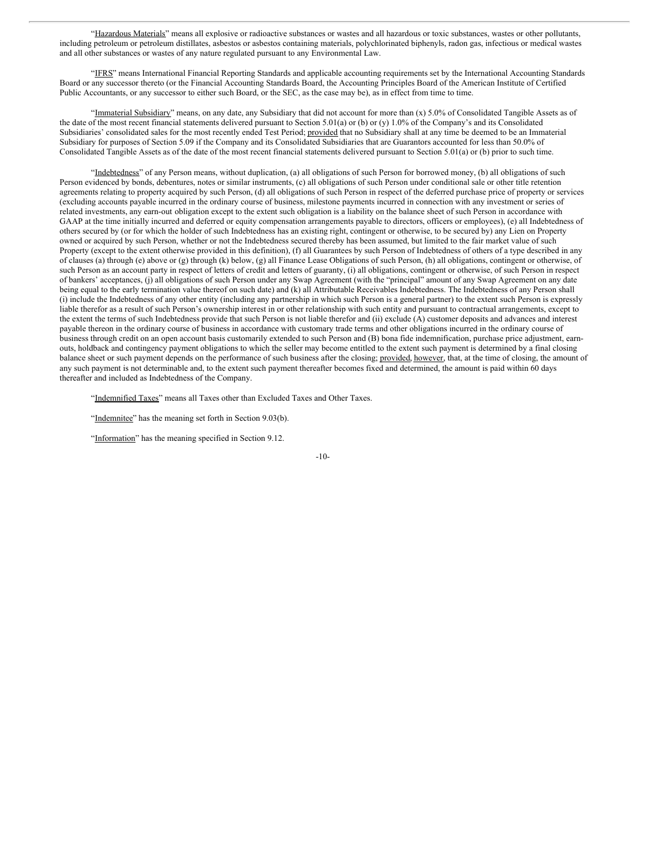"Hazardous Materials" means all explosive or radioactive substances or wastes and all hazardous or toxic substances, wastes or other pollutants, including petroleum or petroleum distillates, asbestos or asbestos containing materials, polychlorinated biphenyls, radon gas, infectious or medical wastes and all other substances or wastes of any nature regulated pursuant to any Environmental Law.

"IFRS" means International Financial Reporting Standards and applicable accounting requirements set by the International Accounting Standards Board or any successor thereto (or the Financial Accounting Standards Board, the Accounting Principles Board of the American Institute of Certified Public Accountants, or any successor to either such Board, or the SEC, as the case may be), as in effect from time to time.

"Immaterial Subsidiary" means, on any date, any Subsidiary that did not account for more than (x) 5.0% of Consolidated Tangible Assets as of the date of the most recent financial statements delivered pursuant to Section 5.01(a) or (b) or (y) 1.0% of the Company's and its Consolidated Subsidiaries' consolidated sales for the most recently ended Test Period; provided that no Subsidiary shall at any time be deemed to be an Immaterial Subsidiary for purposes of Section 5.09 if the Company and its Consolidated Subsidiaries that are Guarantors accounted for less than 50.0% of Consolidated Tangible Assets as of the date of the most recent financial statements delivered pursuant to Section 5.01(a) or (b) prior to such time.

"Indebtedness" of any Person means, without duplication, (a) all obligations of such Person for borrowed money, (b) all obligations of such Person evidenced by bonds, debentures, notes or similar instruments, (c) all obligations of such Person under conditional sale or other title retention agreements relating to property acquired by such Person, (d) all obligations of such Person in respect of the deferred purchase price of property or services (excluding accounts payable incurred in the ordinary course of business, milestone payments incurred in connection with any investment or series of related investments, any earn-out obligation except to the extent such obligation is a liability on the balance sheet of such Person in accordance with GAAP at the time initially incurred and deferred or equity compensation arrangements payable to directors, officers or employees), (e) all Indebtedness of others secured by (or for which the holder of such Indebtedness has an existing right, contingent or otherwise, to be secured by) any Lien on Property owned or acquired by such Person, whether or not the Indebtedness secured thereby has been assumed, but limited to the fair market value of such Property (except to the extent otherwise provided in this definition), (f) all Guarantees by such Person of Indebtedness of others of a type described in any of clauses (a) through (e) above or (g) through (k) below, (g) all Finance Lease Obligations of such Person, (h) all obligations, contingent or otherwise, of such Person as an account party in respect of letters of credit and letters of guaranty, (i) all obligations, contingent or otherwise, of such Person in respect of bankers' acceptances, (j) all obligations of such Person under any Swap Agreement (with the "principal" amount of any Swap Agreement on any date being equal to the early termination value thereof on such date) and (k) all Attributable Receivables Indebtedness. The Indebtedness of any Person shall (i) include the Indebtedness of any other entity (including any partnership in which such Person is a general partner) to the extent such Person is expressly liable therefor as a result of such Person's ownership interest in or other relationship with such entity and pursuant to contractual arrangements, except to the extent the terms of such Indebtedness provide that such Person is not liable therefor and (ii) exclude (A) customer deposits and advances and interest payable thereon in the ordinary course of business in accordance with customary trade terms and other obligations incurred in the ordinary course of business through credit on an open account basis customarily extended to such Person and (B) bona fide indemnification, purchase price adjustment, earnouts, holdback and contingency payment obligations to which the seller may become entitled to the extent such payment is determined by a final closing balance sheet or such payment depends on the performance of such business after the closing; provided, however, that, at the time of closing, the amount of any such payment is not determinable and, to the extent such payment thereafter becomes fixed and determined, the amount is paid within 60 days thereafter and included as Indebtedness of the Company.

"Indemnified Taxes" means all Taxes other than Excluded Taxes and Other Taxes.

"Indemnitee" has the meaning set forth in Section 9.03(b).

"Information" has the meaning specified in Section 9.12.

-10-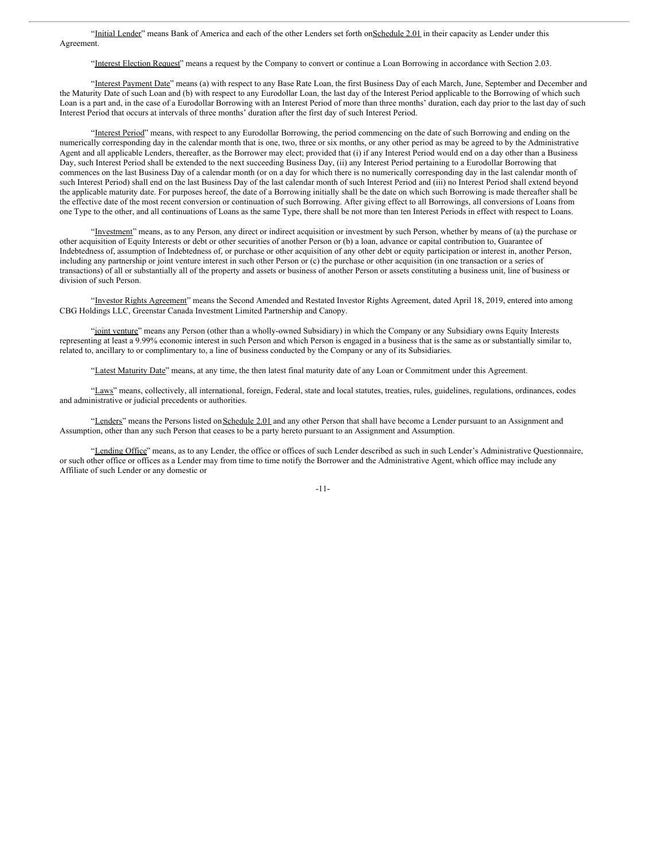"Initial Lender" means Bank of America and each of the other Lenders set forth onSchedule 2.01 in their capacity as Lender under this Agreement.

"Interest Election Request" means a request by the Company to convert or continue a Loan Borrowing in accordance with Section 2.03.

"Interest Payment Date" means (a) with respect to any Base Rate Loan, the first Business Day of each March, June, September and December and the Maturity Date of such Loan and (b) with respect to any Eurodollar Loan, the last day of the Interest Period applicable to the Borrowing of which such Loan is a part and, in the case of a Eurodollar Borrowing with an Interest Period of more than three months' duration, each day prior to the last day of such Interest Period that occurs at intervals of three months' duration after the first day of such Interest Period.

"Interest Period" means, with respect to any Eurodollar Borrowing, the period commencing on the date of such Borrowing and ending on the numerically corresponding day in the calendar month that is one, two, three or six months, or any other period as may be agreed to by the Administrative Agent and all applicable Lenders, thereafter, as the Borrower may elect; provided that (i) if any Interest Period would end on a day other than a Business Day, such Interest Period shall be extended to the next succeeding Business Day, (ii) any Interest Period pertaining to a Eurodollar Borrowing that commences on the last Business Day of a calendar month (or on a day for which there is no numerically corresponding day in the last calendar month of such Interest Period) shall end on the last Business Day of the last calendar month of such Interest Period and (iii) no Interest Period shall extend beyond the applicable maturity date. For purposes hereof, the date of a Borrowing initially shall be the date on which such Borrowing is made thereafter shall be the effective date of the most recent conversion or continuation of such Borrowing. After giving effect to all Borrowings, all conversions of Loans from one Type to the other, and all continuations of Loans as the same Type, there shall be not more than ten Interest Periods in effect with respect to Loans.

"Investment" means, as to any Person, any direct or indirect acquisition or investment by such Person, whether by means of (a) the purchase or other acquisition of Equity Interests or debt or other securities of another Person or (b) a loan, advance or capital contribution to, Guarantee of Indebtedness of, assumption of Indebtedness of, or purchase or other acquisition of any other debt or equity participation or interest in, another Person, including any partnership or joint venture interest in such other Person or (c) the purchase or other acquisition (in one transaction or a series of transactions) of all or substantially all of the property and assets or business of another Person or assets constituting a business unit, line of business or division of such Person.

"Investor Rights Agreement" means the Second Amended and Restated Investor Rights Agreement, dated April 18, 2019, entered into among CBG Holdings LLC, Greenstar Canada Investment Limited Partnership and Canopy.

"joint venture" means any Person (other than a wholly-owned Subsidiary) in which the Company or any Subsidiary owns Equity Interests representing at least a 9.99% economic interest in such Person and which Person is engaged in a business that is the same as or substantially similar to, related to, ancillary to or complimentary to, a line of business conducted by the Company or any of its Subsidiaries.

"Latest Maturity Date" means, at any time, the then latest final maturity date of any Loan or Commitment under this Agreement.

"Laws" means, collectively, all international, foreign, Federal, state and local statutes, treaties, rules, guidelines, regulations, ordinances, codes and administrative or judicial precedents or authorities.

"Lenders" means the Persons listed on Schedule 2.01 and any other Person that shall have become a Lender pursuant to an Assignment and Assumption, other than any such Person that ceases to be a party hereto pursuant to an Assignment and Assumption.

"Lending Office" means, as to any Lender, the office or offices of such Lender described as such in such Lender's Administrative Questionnaire, or such other office or offices as a Lender may from time to time notify the Borrower and the Administrative Agent, which office may include any Affiliate of such Lender or any domestic or

-11-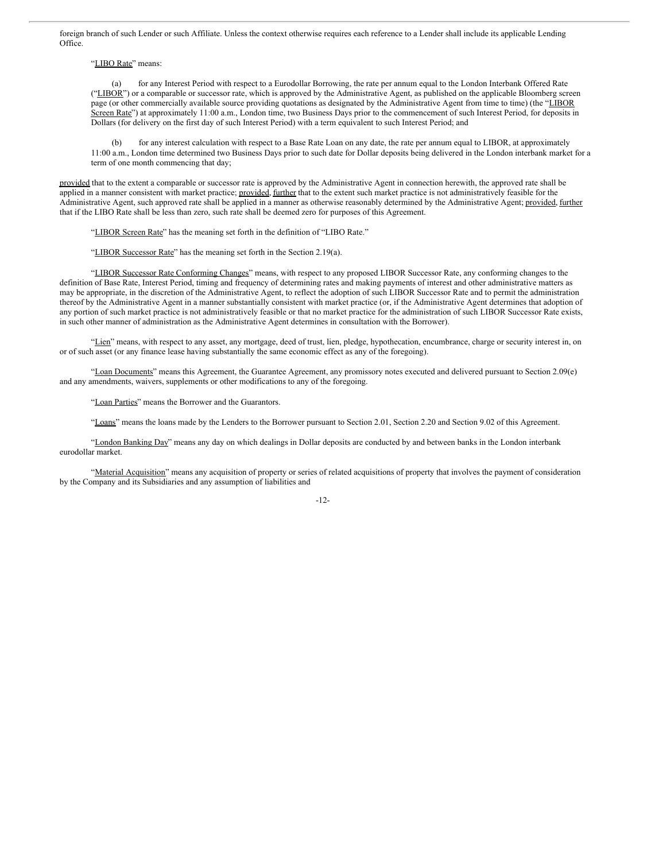foreign branch of such Lender or such Affiliate. Unless the context otherwise requires each reference to a Lender shall include its applicable Lending Office.

#### "LIBO Rate" means:

(a) for any Interest Period with respect to a Eurodollar Borrowing, the rate per annum equal to the London Interbank Offered Rate ("LIBOR") or a comparable or successor rate, which is approved by the Administrative Agent, as published on the applicable Bloomberg screen page (or other commercially available source providing quotations as designated by the Administrative Agent from time to time) (the "LIBOR Screen Rate") at approximately 11:00 a.m., London time, two Business Days prior to the commencement of such Interest Period, for deposits in Dollars (for delivery on the first day of such Interest Period) with a term equivalent to such Interest Period; and

(b) for any interest calculation with respect to a Base Rate Loan on any date, the rate per annum equal to LIBOR, at approximately 11:00 a.m., London time determined two Business Days prior to such date for Dollar deposits being delivered in the London interbank market for a term of one month commencing that day;

provided that to the extent a comparable or successor rate is approved by the Administrative Agent in connection herewith, the approved rate shall be applied in a manner consistent with market practice; provided, further that to the extent such market practice is not administratively feasible for the Administrative Agent, such approved rate shall be applied in a manner as otherwise reasonably determined by the Administrative Agent; provided, further that if the LIBO Rate shall be less than zero, such rate shall be deemed zero for purposes of this Agreement.

"LIBOR Screen Rate" has the meaning set forth in the definition of "LIBO Rate."

"LIBOR Successor Rate" has the meaning set forth in the Section 2.19(a).

"LIBOR Successor Rate Conforming Changes" means, with respect to any proposed LIBOR Successor Rate, any conforming changes to the definition of Base Rate, Interest Period, timing and frequency of determining rates and making payments of interest and other administrative matters as may be appropriate, in the discretion of the Administrative Agent, to reflect the adoption of such LIBOR Successor Rate and to permit the administration thereof by the Administrative Agent in a manner substantially consistent with market practice (or, if the Administrative Agent determines that adoption of any portion of such market practice is not administratively feasible or that no market practice for the administration of such LIBOR Successor Rate exists, in such other manner of administration as the Administrative Agent determines in consultation with the Borrower).

"Lien" means, with respect to any asset, any mortgage, deed of trust, lien, pledge, hypothecation, encumbrance, charge or security interest in, on or of such asset (or any finance lease having substantially the same economic effect as any of the foregoing).

"Loan Documents" means this Agreement, the Guarantee Agreement, any promissory notes executed and delivered pursuant to Section 2.09(e) and any amendments, waivers, supplements or other modifications to any of the foregoing.

"Loan Parties" means the Borrower and the Guarantors.

"Loans" means the loans made by the Lenders to the Borrower pursuant to Section 2.01, Section 2.20 and Section 9.02 of this Agreement.

"London Banking Day" means any day on which dealings in Dollar deposits are conducted by and between banks in the London interbank eurodollar market.

"Material Acquisition" means any acquisition of property or series of related acquisitions of property that involves the payment of consideration by the Company and its Subsidiaries and any assumption of liabilities and

-12-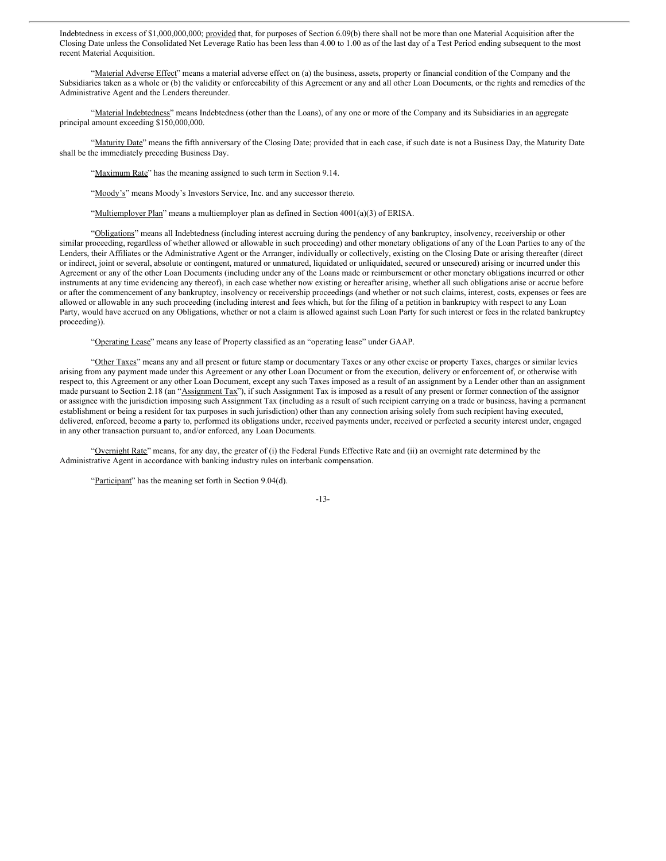Indebtedness in excess of \$1,000,000,000; provided that, for purposes of Section 6.09(b) there shall not be more than one Material Acquisition after the Closing Date unless the Consolidated Net Leverage Ratio has been less than 4.00 to 1.00 as of the last day of a Test Period ending subsequent to the most recent Material Acquisition.

"Material Adverse Effect" means a material adverse effect on (a) the business, assets, property or financial condition of the Company and the Subsidiaries taken as a whole or (b) the validity or enforceability of this Agreement or any and all other Loan Documents, or the rights and remedies of the Administrative Agent and the Lenders thereunder.

"Material Indebtedness" means Indebtedness (other than the Loans), of any one or more of the Company and its Subsidiaries in an aggregate principal amount exceeding \$150,000,000.

"Maturity Date" means the fifth anniversary of the Closing Date; provided that in each case, if such date is not a Business Day, the Maturity Date shall be the immediately preceding Business Day.

"Maximum Rate" has the meaning assigned to such term in Section 9.14.

"Moody's" means Moody's Investors Service, Inc. and any successor thereto.

"Multiemployer Plan" means a multiemployer plan as defined in Section 4001(a)(3) of ERISA.

"Obligations" means all Indebtedness (including interest accruing during the pendency of any bankruptcy, insolvency, receivership or other similar proceeding, regardless of whether allowed or allowable in such proceeding) and other monetary obligations of any of the Loan Parties to any of the Lenders, their Affiliates or the Administrative Agent or the Arranger, individually or collectively, existing on the Closing Date or arising thereafter (direct or indirect, joint or several, absolute or contingent, matured or unmatured, liquidated or unliquidated, secured or unsecured) arising or incurred under this Agreement or any of the other Loan Documents (including under any of the Loans made or reimbursement or other monetary obligations incurred or other instruments at any time evidencing any thereof), in each case whether now existing or hereafter arising, whether all such obligations arise or accrue before or after the commencement of any bankruptcy, insolvency or receivership proceedings (and whether or not such claims, interest, costs, expenses or fees are allowed or allowable in any such proceeding (including interest and fees which, but for the filing of a petition in bankruptcy with respect to any Loan Party, would have accrued on any Obligations, whether or not a claim is allowed against such Loan Party for such interest or fees in the related bankruptcy proceeding)).

"Operating Lease" means any lease of Property classified as an "operating lease" under GAAP.

"Other Taxes" means any and all present or future stamp or documentary Taxes or any other excise or property Taxes, charges or similar levies arising from any payment made under this Agreement or any other Loan Document or from the execution, delivery or enforcement of, or otherwise with respect to, this Agreement or any other Loan Document, except any such Taxes imposed as a result of an assignment by a Lender other than an assignment made pursuant to Section 2.18 (an "Assignment Tax"), if such Assignment Tax is imposed as a result of any present or former connection of the assignor or assignee with the jurisdiction imposing such Assignment Tax (including as a result of such recipient carrying on a trade or business, having a permanent establishment or being a resident for tax purposes in such jurisdiction) other than any connection arising solely from such recipient having executed, delivered, enforced, become a party to, performed its obligations under, received payments under, received or perfected a security interest under, engaged in any other transaction pursuant to, and/or enforced, any Loan Documents.

"Overnight Rate" means, for any day, the greater of (i) the Federal Funds Effective Rate and (ii) an overnight rate determined by the Administrative Agent in accordance with banking industry rules on interbank compensation.

"Participant" has the meaning set forth in Section 9.04(d).

-13-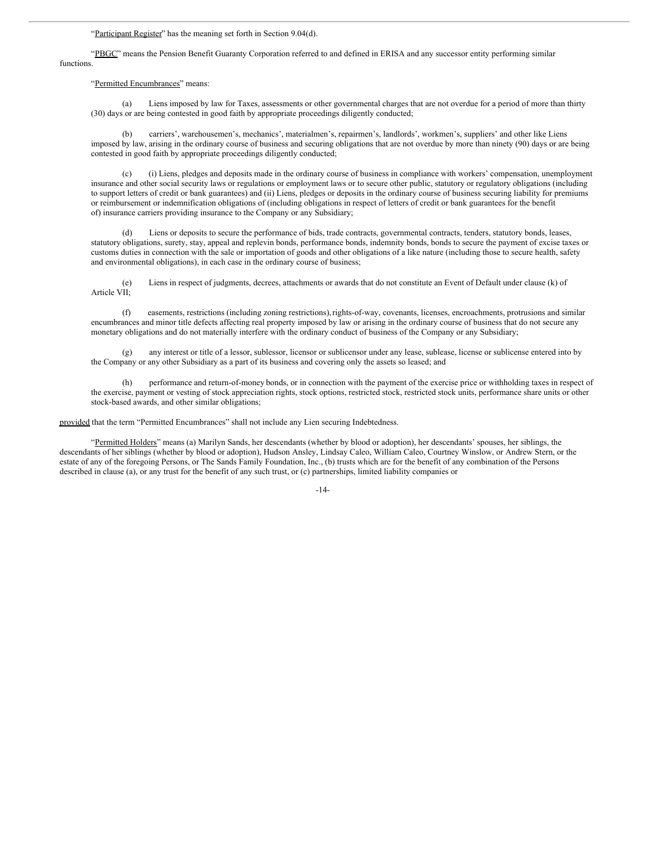#### "Participant Register" has the meaning set forth in Section 9.04(d).

"PBGC" means the Pension Benefit Guaranty Corporation referred to and defined in ERISA and any successor entity performing similar functions.

### "Permitted Encumbrances" means:

(a) Liens imposed by law for Taxes, assessments or other governmental charges that are not overdue for a period of more than thirty (30) days or are being contested in good faith by appropriate proceedings diligently conducted;

carriers', warehousemen's, mechanics', materialmen's, repairmen's, landlords', workmen's, suppliers' and other like Liens imposed by law, arising in the ordinary course of business and securing obligations that are not overdue by more than ninety (90) days or are being contested in good faith by appropriate proceedings diligently conducted;

(c) (i) Liens, pledges and deposits made in the ordinary course of business in compliance with workers' compensation, unemployment insurance and other social security laws or regulations or employment laws or to secure other public, statutory or regulatory obligations (including to support letters of credit or bank guarantees) and (ii) Liens, pledges or deposits in the ordinary course of business securing liability for premiums or reimbursement or indemnification obligations of (including obligations in respect of letters of credit or bank guarantees for the benefit of) insurance carriers providing insurance to the Company or any Subsidiary;

(d) Liens or deposits to secure the performance of bids, trade contracts, governmental contracts, tenders, statutory bonds, leases, statutory obligations, surety, stay, appeal and replevin bonds, performance bonds, indemnity bonds, bonds to secure the payment of excise taxes or customs duties in connection with the sale or importation of goods and other obligations of a like nature (including those to secure health, safety and environmental obligations), in each case in the ordinary course of business;

(e) Liens in respect of judgments, decrees, attachments or awards that do not constitute an Event of Default under clause (k) of Article VII;

(f) easements, restrictions (including zoning restrictions),rights-of-way, covenants, licenses, encroachments, protrusions and similar encumbrances and minor title defects affecting real property imposed by law or arising in the ordinary course of business that do not secure any monetary obligations and do not materially interfere with the ordinary conduct of business of the Company or any Subsidiary;

(g) any interest or title of a lessor, sublessor, licensor or sublicensor under any lease, sublease, license or sublicense entered into by the Company or any other Subsidiary as a part of its business and covering only the assets so leased; and

(h) performance and return-of-money bonds, or in connection with the payment of the exercise price or withholding taxes in respect of the exercise, payment or vesting of stock appreciation rights, stock options, restricted stock, restricted stock units, performance share units or other stock-based awards, and other similar obligations;

provided that the term "Permitted Encumbrances" shall not include any Lien securing Indebtedness.

"Permitted Holders" means (a) Marilyn Sands, her descendants (whether by blood or adoption), her descendants' spouses, her siblings, the descendants of her siblings (whether by blood or adoption), Hudson Ansley, Lindsay Caleo, William Caleo, Courtney Winslow, or Andrew Stern, or the estate of any of the foregoing Persons, or The Sands Family Foundation, Inc., (b) trusts which are for the benefit of any combination of the Persons described in clause (a), or any trust for the benefit of any such trust, or (c) partnerships, limited liability companies or

 $-14-$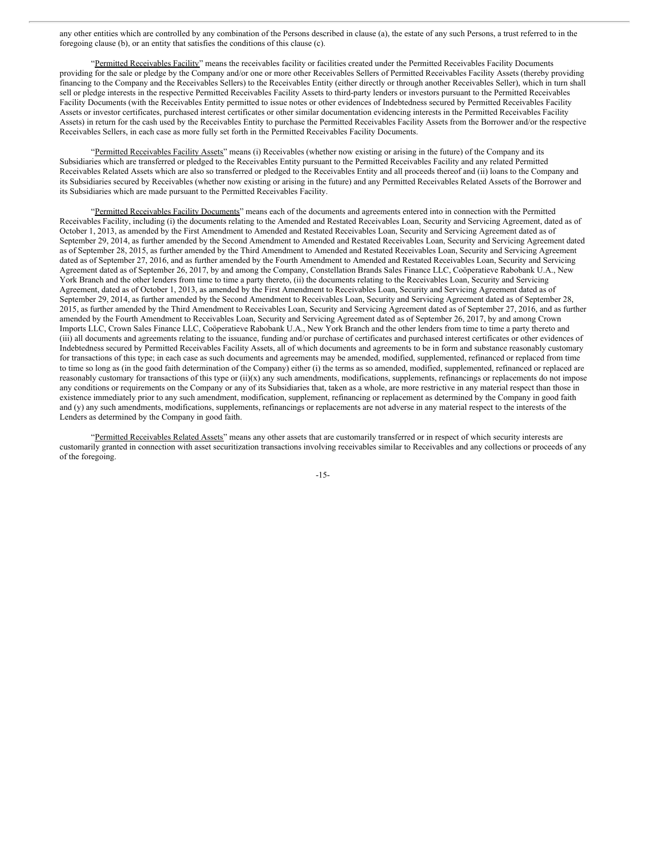any other entities which are controlled by any combination of the Persons described in clause (a), the estate of any such Persons, a trust referred to in the foregoing clause (b), or an entity that satisfies the conditions of this clause (c).

"Permitted Receivables Facility" means the receivables facility or facilities created under the Permitted Receivables Facility Documents providing for the sale or pledge by the Company and/or one or more other Receivables Sellers of Permitted Receivables Facility Assets (thereby providing financing to the Company and the Receivables Sellers) to the Receivables Entity (either directly or through another Receivables Seller), which in turn shall sell or pledge interests in the respective Permitted Receivables Facility Assets to third-party lenders or investors pursuant to the Permitted Receivables Facility Documents (with the Receivables Entity permitted to issue notes or other evidences of Indebtedness secured by Permitted Receivables Facility Assets or investor certificates, purchased interest certificates or other similar documentation evidencing interests in the Permitted Receivables Facility Assets) in return for the cash used by the Receivables Entity to purchase the Permitted Receivables Facility Assets from the Borrower and/or the respective Receivables Sellers, in each case as more fully set forth in the Permitted Receivables Facility Documents.

"Permitted Receivables Facility Assets" means (i) Receivables (whether now existing or arising in the future) of the Company and its Subsidiaries which are transferred or pledged to the Receivables Entity pursuant to the Permitted Receivables Facility and any related Permitted Receivables Related Assets which are also so transferred or pledged to the Receivables Entity and all proceeds thereof and (ii) loans to the Company and its Subsidiaries secured by Receivables (whether now existing or arising in the future) and any Permitted Receivables Related Assets of the Borrower and its Subsidiaries which are made pursuant to the Permitted Receivables Facility.

"Permitted Receivables Facility Documents" means each of the documents and agreements entered into in connection with the Permitted Receivables Facility, including (i) the documents relating to the Amended and Restated Receivables Loan, Security and Servicing Agreement, dated as of October 1, 2013, as amended by the First Amendment to Amended and Restated Receivables Loan, Security and Servicing Agreement dated as of September 29, 2014, as further amended by the Second Amendment to Amended and Restated Receivables Loan, Security and Servicing Agreement dated as of September 28, 2015, as further amended by the Third Amendment to Amended and Restated Receivables Loan, Security and Servicing Agreement dated as of September 27, 2016, and as further amended by the Fourth Amendment to Amended and Restated Receivables Loan, Security and Servicing Agreement dated as of September 26, 2017, by and among the Company, Constellation Brands Sales Finance LLC, Coöperatieve Rabobank U.A., New York Branch and the other lenders from time to time a party thereto, (ii) the documents relating to the Receivables Loan, Security and Servicing Agreement, dated as of October 1, 2013, as amended by the First Amendment to Receivables Loan, Security and Servicing Agreement dated as of September 29, 2014, as further amended by the Second Amendment to Receivables Loan, Security and Servicing Agreement dated as of September 28, 2015, as further amended by the Third Amendment to Receivables Loan, Security and Servicing Agreement dated as of September 27, 2016, and as further amended by the Fourth Amendment to Receivables Loan, Security and Servicing Agreement dated as of September 26, 2017, by and among Crown Imports LLC, Crown Sales Finance LLC, Coöperatieve Rabobank U.A., New York Branch and the other lenders from time to time a party thereto and (iii) all documents and agreements relating to the issuance, funding and/or purchase of certificates and purchased interest certificates or other evidences of Indebtedness secured by Permitted Receivables Facility Assets, all of which documents and agreements to be in form and substance reasonably customary for transactions of this type; in each case as such documents and agreements may be amended, modified, supplemented, refinanced or replaced from time to time so long as (in the good faith determination of the Company) either (i) the terms as so amended, modified, supplemented, refinanced or replaced are reasonably customary for transactions of this type or (ii)(x) any such amendments, modifications, supplements, refinancings or replacements do not impose any conditions or requirements on the Company or any of its Subsidiaries that, taken as a whole, are more restrictive in any material respect than those in existence immediately prior to any such amendment, modification, supplement, refinancing or replacement as determined by the Company in good faith and (y) any such amendments, modifications, supplements, refinancings or replacements are not adverse in any material respect to the interests of the Lenders as determined by the Company in good faith.

"Permitted Receivables Related Assets" means any other assets that are customarily transferred or in respect of which security interests are customarily granted in connection with asset securitization transactions involving receivables similar to Receivables and any collections or proceeds of any of the foregoing.

-15-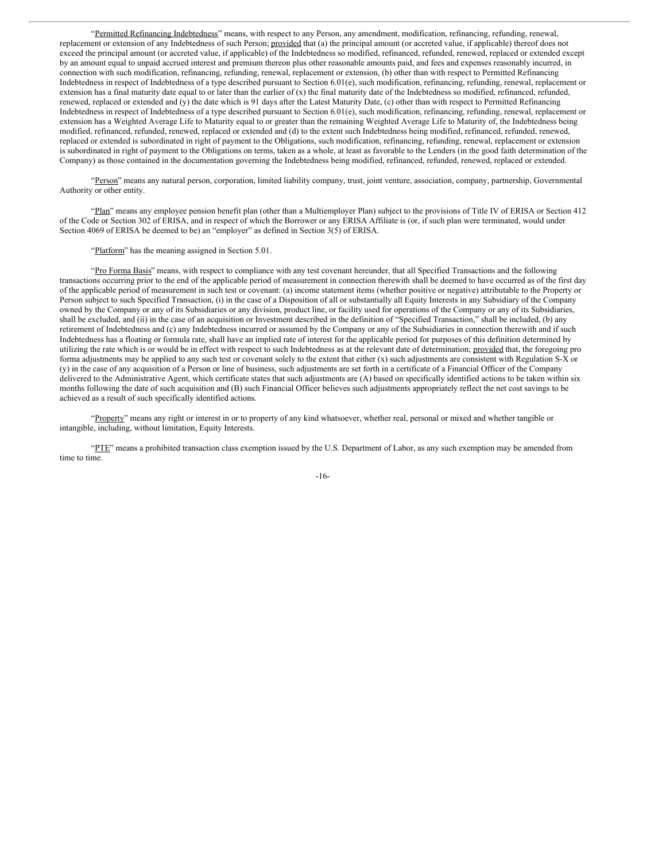"Permitted Refinancing Indebtedness" means, with respect to any Person, any amendment, modification, refinancing, refunding, renewal, replacement or extension of any Indebtedness of such Person; provided that (a) the principal amount (or accreted value, if applicable) thereof does not exceed the principal amount (or accreted value, if applicable) of the Indebtedness so modified, refinanced, refunded, renewed, replaced or extended except by an amount equal to unpaid accrued interest and premium thereon plus other reasonable amounts paid, and fees and expenses reasonably incurred, in connection with such modification, refinancing, refunding, renewal, replacement or extension, (b) other than with respect to Permitted Refinancing Indebtedness in respect of Indebtedness of a type described pursuant to Section 6.01(e), such modification, refinancing, refunding, renewal, replacement or extension has a final maturity date equal to or later than the earlier of  $(x)$  the final maturity date of the Indebtedness so modified, refinanced, refunded, renewed, replaced or extended and (y) the date which is 91 days after the Latest Maturity Date, (c) other than with respect to Permitted Refinancing Indebtedness in respect of Indebtedness of a type described pursuant to Section 6.01(e), such modification, refinancing, refunding, renewal, replacement or extension has a Weighted Average Life to Maturity equal to or greater than the remaining Weighted Average Life to Maturity of, the Indebtedness being modified, refinanced, refunded, renewed, replaced or extended and (d) to the extent such Indebtedness being modified, refinanced, refunded, renewed, replaced or extended is subordinated in right of payment to the Obligations, such modification, refinancing, refunding, renewal, replacement or extension is subordinated in right of payment to the Obligations on terms, taken as a whole, at least as favorable to the Lenders (in the good faith determination of the Company) as those contained in the documentation governing the Indebtedness being modified, refinanced, refunded, renewed, replaced or extended.

"Person" means any natural person, corporation, limited liability company, trust, joint venture, association, company, partnership, Governmental Authority or other entity.

"Plan" means any employee pension benefit plan (other than a Multiemployer Plan) subject to the provisions of Title IV of ERISA or Section 412 of the Code or Section 302 of ERISA, and in respect of which the Borrower or any ERISA Affiliate is (or, if such plan were terminated, would under Section 4069 of ERISA be deemed to be) an "employer" as defined in Section 3(5) of ERISA.

"Platform" has the meaning assigned in Section 5.01.

"Pro Forma Basis" means, with respect to compliance with any test covenant hereunder, that all Specified Transactions and the following transactions occurring prior to the end of the applicable period of measurement in connection therewith shall be deemed to have occurred as of the first day of the applicable period of measurement in such test or covenant: (a) income statement items (whether positive or negative) attributable to the Property or Person subject to such Specified Transaction, (i) in the case of a Disposition of all or substantially all Equity Interests in any Subsidiary of the Company owned by the Company or any of its Subsidiaries or any division, product line, or facility used for operations of the Company or any of its Subsidiaries, shall be excluded, and (ii) in the case of an acquisition or Investment described in the definition of "Specified Transaction," shall be included, (b) any retirement of Indebtedness and (c) any Indebtedness incurred or assumed by the Company or any of the Subsidiaries in connection therewith and if such Indebtedness has a floating or formula rate, shall have an implied rate of interest for the applicable period for purposes of this definition determined by utilizing the rate which is or would be in effect with respect to such Indebtedness as at the relevant date of determination; provided that, the foregoing pro forma adjustments may be applied to any such test or covenant solely to the extent that either (x) such adjustments are consistent with Regulation S-X or (y) in the case of any acquisition of a Person or line of business, such adjustments are set forth in a certificate of a Financial Officer of the Company delivered to the Administrative Agent, which certificate states that such adjustments are (A) based on specifically identified actions to be taken within six months following the date of such acquisition and (B) such Financial Officer believes such adjustments appropriately reflect the net cost savings to be achieved as a result of such specifically identified actions.

"Property" means any right or interest in or to property of any kind whatsoever, whether real, personal or mixed and whether tangible or intangible, including, without limitation, Equity Interests.

"PTE" means a prohibited transaction class exemption issued by the U.S. Department of Labor, as any such exemption may be amended from time to time.

-16-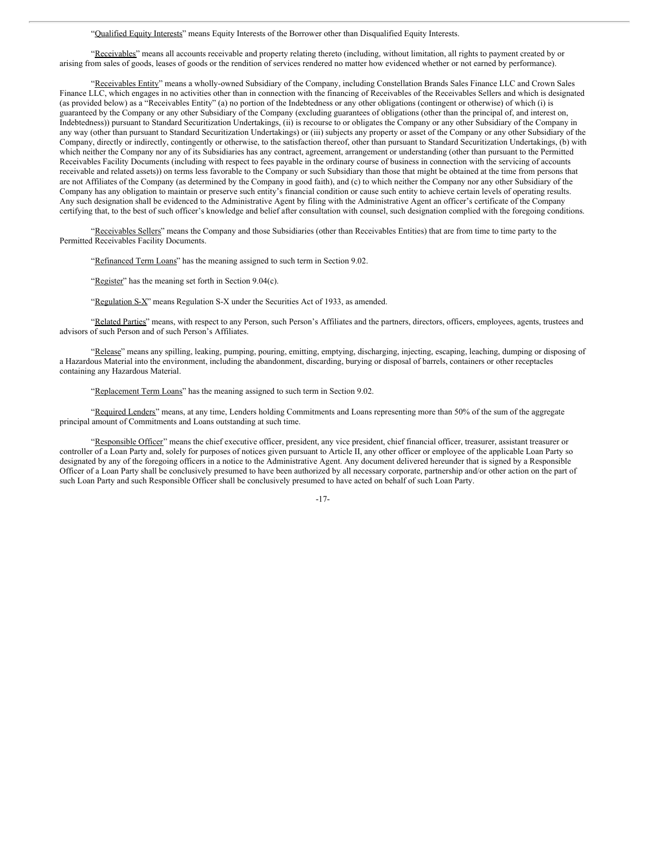"Qualified Equity Interests" means Equity Interests of the Borrower other than Disqualified Equity Interests.

"Receivables" means all accounts receivable and property relating thereto (including, without limitation, all rights to payment created by or arising from sales of goods, leases of goods or the rendition of services rendered no matter how evidenced whether or not earned by performance).

"Receivables Entity" means a wholly-owned Subsidiary of the Company, including Constellation Brands Sales Finance LLC and Crown Sales Finance LLC, which engages in no activities other than in connection with the financing of Receivables of the Receivables Sellers and which is designated (as provided below) as a "Receivables Entity" (a) no portion of the Indebtedness or any other obligations (contingent or otherwise) of which (i) is guaranteed by the Company or any other Subsidiary of the Company (excluding guarantees of obligations (other than the principal of, and interest on, Indebtedness)) pursuant to Standard Securitization Undertakings, (ii) is recourse to or obligates the Company or any other Subsidiary of the Company in any way (other than pursuant to Standard Securitization Undertakings) or (iii) subjects any property or asset of the Company or any other Subsidiary of the Company, directly or indirectly, contingently or otherwise, to the satisfaction thereof, other than pursuant to Standard Securitization Undertakings, (b) with which neither the Company nor any of its Subsidiaries has any contract, agreement, arrangement or understanding (other than pursuant to the Permitted Receivables Facility Documents (including with respect to fees payable in the ordinary course of business in connection with the servicing of accounts receivable and related assets)) on terms less favorable to the Company or such Subsidiary than those that might be obtained at the time from persons that are not Affiliates of the Company (as determined by the Company in good faith), and (c) to which neither the Company nor any other Subsidiary of the Company has any obligation to maintain or preserve such entity's financial condition or cause such entity to achieve certain levels of operating results. Any such designation shall be evidenced to the Administrative Agent by filing with the Administrative Agent an officer's certificate of the Company certifying that, to the best of such officer's knowledge and belief after consultation with counsel, such designation complied with the foregoing conditions.

"Receivables Sellers" means the Company and those Subsidiaries (other than Receivables Entities) that are from time to time party to the Permitted Receivables Facility Documents.

"Refinanced Term Loans" has the meaning assigned to such term in Section 9.02.

"Register" has the meaning set forth in Section 9.04(c).

"Regulation S-X" means Regulation S-X under the Securities Act of 1933, as amended.

"Related Parties" means, with respect to any Person, such Person's Affiliates and the partners, directors, officers, employees, agents, trustees and advisors of such Person and of such Person's Affiliates.

"Release" means any spilling, leaking, pumping, pouring, emitting, emptying, discharging, injecting, escaping, leaching, dumping or disposing of a Hazardous Material into the environment, including the abandonment, discarding, burying or disposal of barrels, containers or other receptacles containing any Hazardous Material.

"Replacement Term Loans" has the meaning assigned to such term in Section 9.02.

"Required Lenders" means, at any time, Lenders holding Commitments and Loans representing more than 50% of the sum of the aggregate principal amount of Commitments and Loans outstanding at such time.

"Responsible Officer" means the chief executive officer, president, any vice president, chief financial officer, treasurer, assistant treasurer or controller of a Loan Party and, solely for purposes of notices given pursuant to Article II, any other officer or employee of the applicable Loan Party so designated by any of the foregoing officers in a notice to the Administrative Agent. Any document delivered hereunder that is signed by a Responsible Officer of a Loan Party shall be conclusively presumed to have been authorized by all necessary corporate, partnership and/or other action on the part of such Loan Party and such Responsible Officer shall be conclusively presumed to have acted on behalf of such Loan Party.

-17-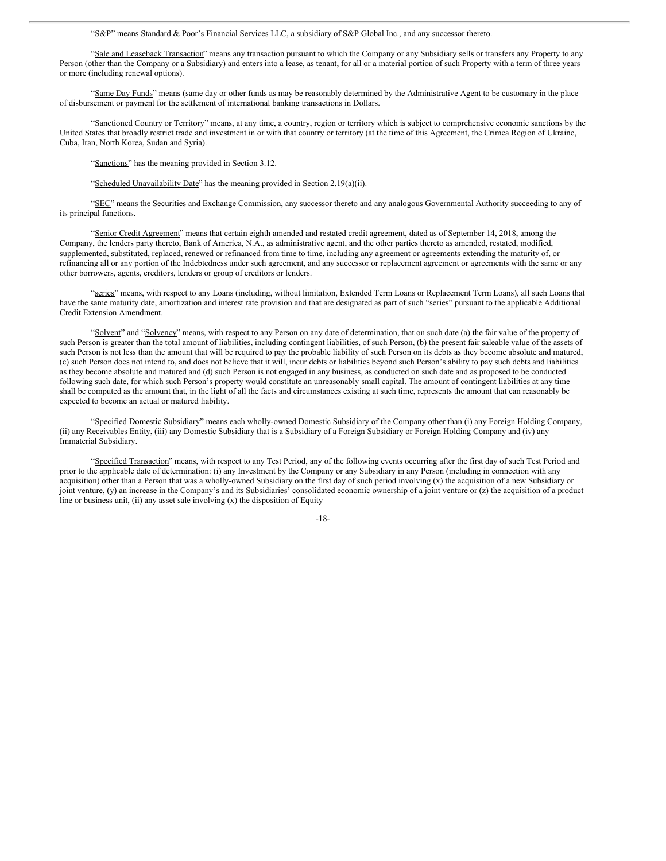"S&P" means Standard & Poor's Financial Services LLC, a subsidiary of S&P Global Inc., and any successor thereto.

"Sale and Leaseback Transaction" means any transaction pursuant to which the Company or any Subsidiary sells or transfers any Property to any Person (other than the Company or a Subsidiary) and enters into a lease, as tenant, for all or a material portion of such Property with a term of three years or more (including renewal options).

"Same Day Funds" means (same day or other funds as may be reasonably determined by the Administrative Agent to be customary in the place of disbursement or payment for the settlement of international banking transactions in Dollars.

"Sanctioned Country or Territory" means, at any time, a country, region or territory which is subject to comprehensive economic sanctions by the United States that broadly restrict trade and investment in or with that country or territory (at the time of this Agreement, the Crimea Region of Ukraine, Cuba, Iran, North Korea, Sudan and Syria).

"Sanctions" has the meaning provided in Section 3.12.

"Scheduled Unavailability Date" has the meaning provided in Section 2.19(a)(ii).

"SEC" means the Securities and Exchange Commission, any successor thereto and any analogous Governmental Authority succeeding to any of its principal functions.

"Senior Credit Agreement" means that certain eighth amended and restated credit agreement, dated as of September 14, 2018, among the Company, the lenders party thereto, Bank of America, N.A., as administrative agent, and the other parties thereto as amended, restated, modified, supplemented, substituted, replaced, renewed or refinanced from time to time, including any agreement or agreements extending the maturity of, or refinancing all or any portion of the Indebtedness under such agreement, and any successor or replacement agreement or agreements with the same or any other borrowers, agents, creditors, lenders or group of creditors or lenders.

"series" means, with respect to any Loans (including, without limitation, Extended Term Loans or Replacement Term Loans), all such Loans that have the same maturity date, amortization and interest rate provision and that are designated as part of such "series" pursuant to the applicable Additional Credit Extension Amendment.

"Solvent" and "Solvency" means, with respect to any Person on any date of determination, that on such date (a) the fair value of the property of such Person is greater than the total amount of liabilities, including contingent liabilities, of such Person, (b) the present fair saleable value of the assets of such Person is not less than the amount that will be required to pay the probable liability of such Person on its debts as they become absolute and matured, (c) such Person does not intend to, and does not believe that it will, incur debts or liabilities beyond such Person's ability to pay such debts and liabilities as they become absolute and matured and (d) such Person is not engaged in any business, as conducted on such date and as proposed to be conducted following such date, for which such Person's property would constitute an unreasonably small capital. The amount of contingent liabilities at any time shall be computed as the amount that, in the light of all the facts and circumstances existing at such time, represents the amount that can reasonably be expected to become an actual or matured liability.

"Specified Domestic Subsidiary" means each wholly-owned Domestic Subsidiary of the Company other than (i) any Foreign Holding Company, (ii) any Receivables Entity, (iii) any Domestic Subsidiary that is a Subsidiary of a Foreign Subsidiary or Foreign Holding Company and (iv) any Immaterial Subsidiary.

"Specified Transaction" means, with respect to any Test Period, any of the following events occurring after the first day of such Test Period and prior to the applicable date of determination: (i) any Investment by the Company or any Subsidiary in any Person (including in connection with any acquisition) other than a Person that was a wholly-owned Subsidiary on the first day of such period involving (x) the acquisition of a new Subsidiary or joint venture, (y) an increase in the Company's and its Subsidiaries' consolidated economic ownership of a joint venture or (z) the acquisition of a product line or business unit, (ii) any asset sale involving (x) the disposition of Equity

-18-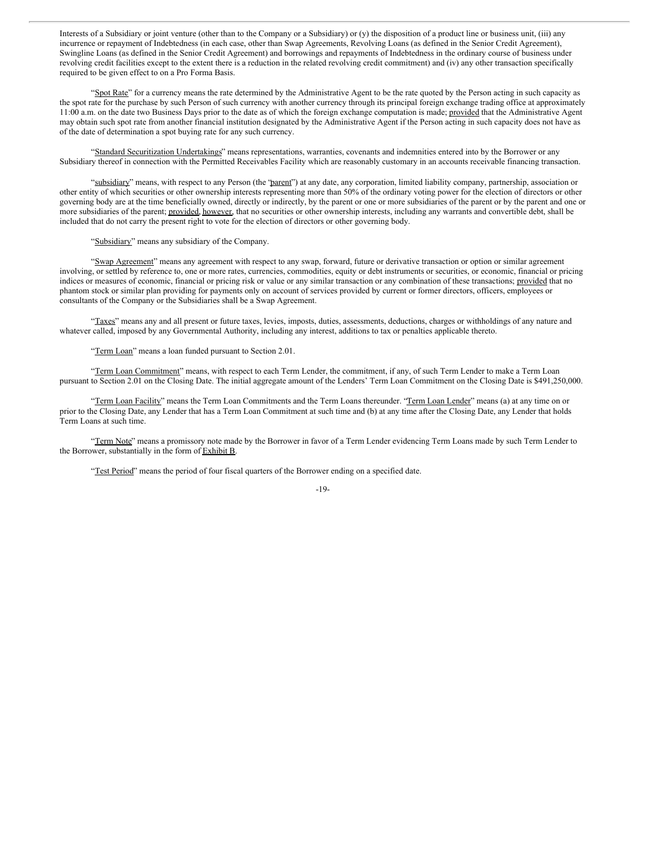Interests of a Subsidiary or joint venture (other than to the Company or a Subsidiary) or (y) the disposition of a product line or business unit, (iii) any incurrence or repayment of Indebtedness (in each case, other than Swap Agreements, Revolving Loans (as defined in the Senior Credit Agreement), Swingline Loans (as defined in the Senior Credit Agreement) and borrowings and repayments of Indebtedness in the ordinary course of business under revolving credit facilities except to the extent there is a reduction in the related revolving credit commitment) and (iv) any other transaction specifically required to be given effect to on a Pro Forma Basis.

"Spot Rate" for a currency means the rate determined by the Administrative Agent to be the rate quoted by the Person acting in such capacity as the spot rate for the purchase by such Person of such currency with another currency through its principal foreign exchange trading office at approximately 11:00 a.m. on the date two Business Days prior to the date as of which the foreign exchange computation is made; provided that the Administrative Agent may obtain such spot rate from another financial institution designated by the Administrative Agent if the Person acting in such capacity does not have as of the date of determination a spot buying rate for any such currency.

"Standard Securitization Undertakings" means representations, warranties, covenants and indemnities entered into by the Borrower or any Subsidiary thereof in connection with the Permitted Receivables Facility which are reasonably customary in an accounts receivable financing transaction.

"subsidiary" means, with respect to any Person (the "parent") at any date, any corporation, limited liability company, partnership, association or other entity of which securities or other ownership interests representing more than 50% of the ordinary voting power for the election of directors or other governing body are at the time beneficially owned, directly or indirectly, by the parent or one or more subsidiaries of the parent or by the parent and one or more subsidiaries of the parent; provided, however, that no securities or other ownership interests, including any warrants and convertible debt, shall be included that do not carry the present right to vote for the election of directors or other governing body.

"Subsidiary" means any subsidiary of the Company.

"Swap Agreement" means any agreement with respect to any swap, forward, future or derivative transaction or option or similar agreement involving, or settled by reference to, one or more rates, currencies, commodities, equity or debt instruments or securities, or economic, financial or pricing indices or measures of economic, financial or pricing risk or value or any similar transaction or any combination of these transactions; provided that no phantom stock or similar plan providing for payments only on account of services provided by current or former directors, officers, employees or consultants of the Company or the Subsidiaries shall be a Swap Agreement.

"Taxes" means any and all present or future taxes, levies, imposts, duties, assessments, deductions, charges or withholdings of any nature and whatever called, imposed by any Governmental Authority, including any interest, additions to tax or penalties applicable thereto.

"Term Loan" means a loan funded pursuant to Section 2.01.

"Term Loan Commitment" means, with respect to each Term Lender, the commitment, if any, of such Term Lender to make a Term Loan pursuant to Section 2.01 on the Closing Date. The initial aggregate amount of the Lenders' Term Loan Commitment on the Closing Date is \$491,250,000.

"Term Loan Facility" means the Term Loan Commitments and the Term Loans thereunder. "Term Loan Lender" means (a) at any time on or prior to the Closing Date, any Lender that has a Term Loan Commitment at such time and (b) at any time after the Closing Date, any Lender that holds Term Loans at such time.

"Term Note" means a promissory note made by the Borrower in favor of a Term Lender evidencing Term Loans made by such Term Lender to the Borrower, substantially in the form of Exhibit B.

"Test Period" means the period of four fiscal quarters of the Borrower ending on a specified date.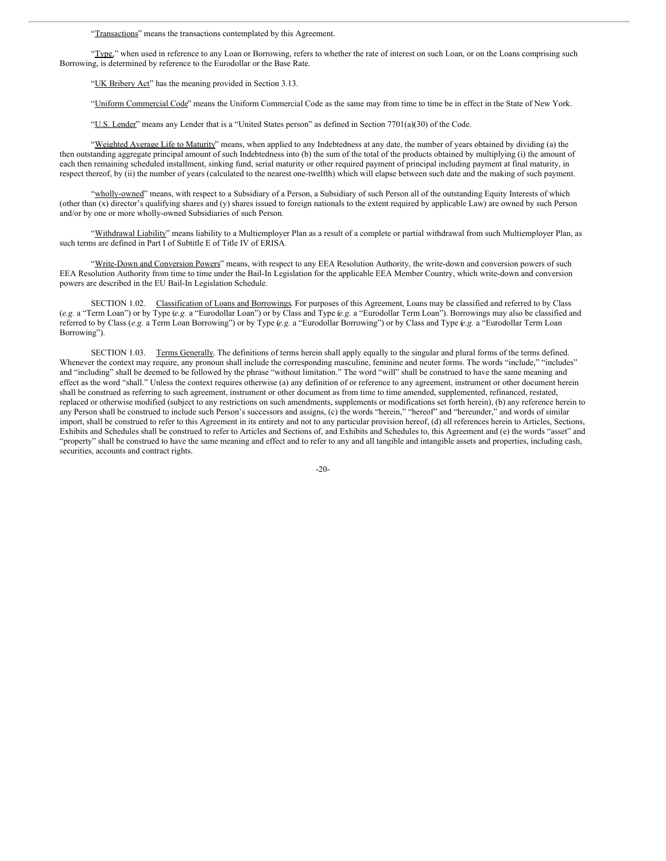"Transactions" means the transactions contemplated by this Agreement.

"Type," when used in reference to any Loan or Borrowing, refers to whether the rate of interest on such Loan, or on the Loans comprising such Borrowing, is determined by reference to the Eurodollar or the Base Rate.

"UK Bribery Act" has the meaning provided in Section 3.13.

"Uniform Commercial Code" means the Uniform Commercial Code as the same may from time to time be in effect in the State of New York.

"U.S. Lender" means any Lender that is a "United States person" as defined in Section 7701(a)(30) of the Code.

"Weighted Average Life to Maturity" means, when applied to any Indebtedness at any date, the number of years obtained by dividing (a) the then outstanding aggregate principal amount of such Indebtedness into (b) the sum of the total of the products obtained by multiplying (i) the amount of each then remaining scheduled installment, sinking fund, serial maturity or other required payment of principal including payment at final maturity, in respect thereof, by (ii) the number of years (calculated to the nearest one-twelfth) which will elapse between such date and the making of such payment.

"wholly-owned" means, with respect to a Subsidiary of a Person, a Subsidiary of such Person all of the outstanding Equity Interests of which (other than (x) director's qualifying shares and (y) shares issued to foreign nationals to the extent required by applicable Law) are owned by such Person and/or by one or more wholly-owned Subsidiaries of such Person.

"Withdrawal Liability" means liability to a Multiemployer Plan as a result of a complete or partial withdrawal from such Multiemployer Plan, as such terms are defined in Part I of Subtitle E of Title IV of ERISA.

"Write-Down and Conversion Powers" means, with respect to any EEA Resolution Authority, the write-down and conversion powers of such EEA Resolution Authority from time to time under the Bail-In Legislation for the applicable EEA Member Country, which write-down and conversion powers are described in the EU Bail-In Legislation Schedule.

SECTION 1.02. Classification of Loans and Borrowings. For purposes of this Agreement, Loans may be classified and referred to by Class (*e.g.* a "Term Loan") or by Type (*e.g.* a "Eurodollar Loan") or by Class and Type (*e.g.* a "Eurodollar Term Loan"). Borrowings may also be classified and referred to by Class (*e.g.* a Term Loan Borrowing") or by Type (*e.g.* a "Eurodollar Borrowing") or by Class and Type (*e.g.* a "Eurodollar Term Loan Borrowing").

SECTION 1.03. Terms Generally. The definitions of terms herein shall apply equally to the singular and plural forms of the terms defined. Whenever the context may require, any pronoun shall include the corresponding masculine, feminine and neuter forms. The words "include," "includes" and "including" shall be deemed to be followed by the phrase "without limitation." The word "will" shall be construed to have the same meaning and effect as the word "shall." Unless the context requires otherwise (a) any definition of or reference to any agreement, instrument or other document herein shall be construed as referring to such agreement, instrument or other document as from time to time amended, supplemented, refinanced, restated, replaced or otherwise modified (subject to any restrictions on such amendments, supplements or modifications set forth herein), (b) any reference herein to any Person shall be construed to include such Person's successors and assigns, (c) the words "herein," "hereof" and "hereunder," and words of similar import, shall be construed to refer to this Agreement in its entirety and not to any particular provision hereof, (d) all references herein to Articles, Sections, Exhibits and Schedules shall be construed to refer to Articles and Sections of, and Exhibits and Schedules to, this Agreement and (e) the words "asset" and "property" shall be construed to have the same meaning and effect and to refer to any and all tangible and intangible assets and properties, including cash, securities, accounts and contract rights.

-20-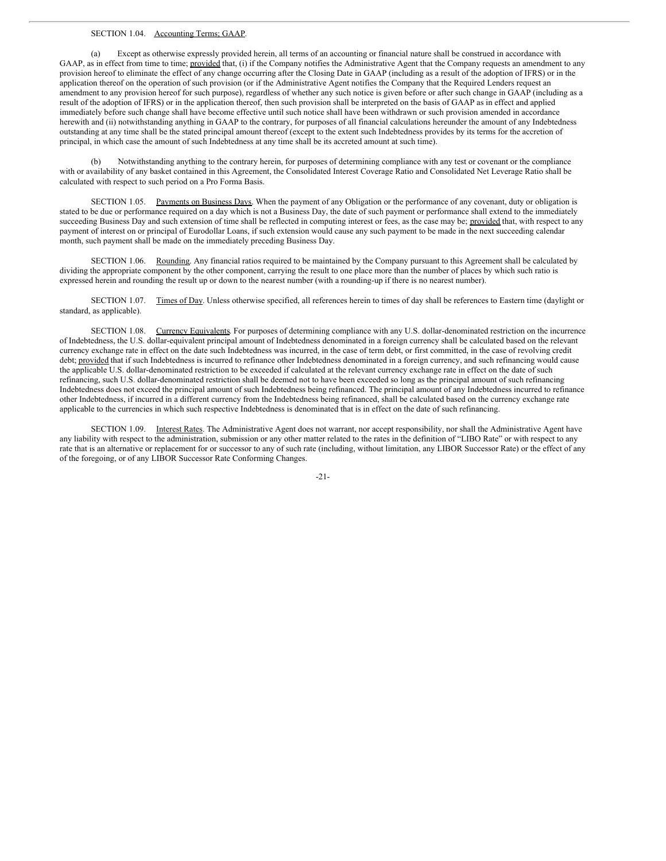(a) Except as otherwise expressly provided herein, all terms of an accounting or financial nature shall be construed in accordance with GAAP, as in effect from time to time; provided that, (i) if the Company notifies the Administrative Agent that the Company requests an amendment to any provision hereof to eliminate the effect of any change occurring after the Closing Date in GAAP (including as a result of the adoption of IFRS) or in the application thereof on the operation of such provision (or if the Administrative Agent notifies the Company that the Required Lenders request an amendment to any provision hereof for such purpose), regardless of whether any such notice is given before or after such change in GAAP (including as a result of the adoption of IFRS) or in the application thereof, then such provision shall be interpreted on the basis of GAAP as in effect and applied immediately before such change shall have become effective until such notice shall have been withdrawn or such provision amended in accordance herewith and (ii) notwithstanding anything in GAAP to the contrary, for purposes of all financial calculations hereunder the amount of any Indebtedness outstanding at any time shall be the stated principal amount thereof (except to the extent such Indebtedness provides by its terms for the accretion of principal, in which case the amount of such Indebtedness at any time shall be its accreted amount at such time).

(b) Notwithstanding anything to the contrary herein, for purposes of determining compliance with any test or covenant or the compliance with or availability of any basket contained in this Agreement, the Consolidated Interest Coverage Ratio and Consolidated Net Leverage Ratio shall be calculated with respect to such period on a Pro Forma Basis.

SECTION 1.05. Payments on Business Days. When the payment of any Obligation or the performance of any covenant, duty or obligation is stated to be due or performance required on a day which is not a Business Day, the date of such payment or performance shall extend to the immediately succeeding Business Day and such extension of time shall be reflected in computing interest or fees, as the case may be; provided that, with respect to any payment of interest on or principal of Eurodollar Loans, if such extension would cause any such payment to be made in the next succeeding calendar month, such payment shall be made on the immediately preceding Business Day.

SECTION 1.06. Rounding. Any financial ratios required to be maintained by the Company pursuant to this Agreement shall be calculated by dividing the appropriate component by the other component, carrying the result to one place more than the number of places by which such ratio is expressed herein and rounding the result up or down to the nearest number (with a rounding-up if there is no nearest number).

SECTION 1.07. Times of Day. Unless otherwise specified, all references herein to times of day shall be references to Eastern time (daylight or standard, as applicable).

SECTION 1.08. Currency Equivalents. For purposes of determining compliance with any U.S. dollar-denominated restriction on the incurrence of Indebtedness, the U.S. dollar-equivalent principal amount of Indebtedness denominated in a foreign currency shall be calculated based on the relevant currency exchange rate in effect on the date such Indebtedness was incurred, in the case of term debt, or first committed, in the case of revolving credit debt; provided that if such Indebtedness is incurred to refinance other Indebtedness denominated in a foreign currency, and such refinancing would cause the applicable U.S. dollar-denominated restriction to be exceeded if calculated at the relevant currency exchange rate in effect on the date of such refinancing, such U.S. dollar-denominated restriction shall be deemed not to have been exceeded so long as the principal amount of such refinancing Indebtedness does not exceed the principal amount of such Indebtedness being refinanced. The principal amount of any Indebtedness incurred to refinance other Indebtedness, if incurred in a different currency from the Indebtedness being refinanced, shall be calculated based on the currency exchange rate applicable to the currencies in which such respective Indebtedness is denominated that is in effect on the date of such refinancing.

SECTION 1.09. Interest Rates. The Administrative Agent does not warrant, nor accept responsibility, nor shall the Administrative Agent have any liability with respect to the administration, submission or any other matter related to the rates in the definition of "LIBO Rate" or with respect to any rate that is an alternative or replacement for or successor to any of such rate (including, without limitation, any LIBOR Successor Rate) or the effect of any of the foregoing, or of any LIBOR Successor Rate Conforming Changes.

-21-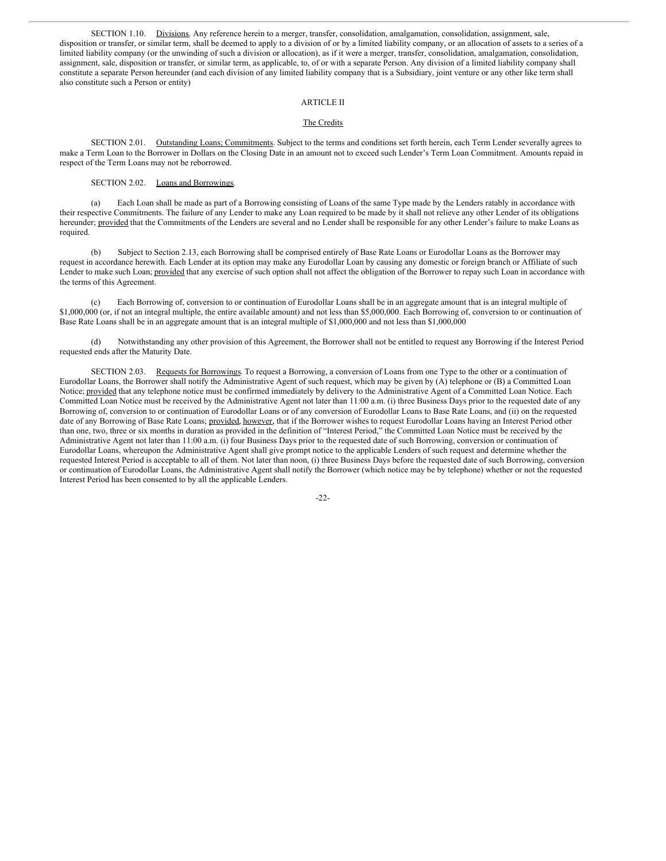SECTION 1.10. Divisions. Any reference herein to a merger, transfer, consolidation, amalgamation, consolidation, assignment, sale, disposition or transfer, or similar term, shall be deemed to apply to a division of or by a limited liability company, or an allocation of assets to a series of a limited liability company (or the unwinding of such a division or allocation), as if it were a merger, transfer, consolidation, amalgamation, consolidation, assignment, sale, disposition or transfer, or similar term, as applicable, to, of or with a separate Person. Any division of a limited liability company shall constitute a separate Person hereunder (and each division of any limited liability company that is a Subsidiary, joint venture or any other like term shall also constitute such a Person or entity)

### ARTICLE II

#### The Credits

SECTION 2.01. Outstanding Loans; Commitments. Subject to the terms and conditions set forth herein, each Term Lender severally agrees to make a Term Loan to the Borrower in Dollars on the Closing Date in an amount not to exceed such Lender's Term Loan Commitment. Amounts repaid in respect of the Term Loans may not be reborrowed.

### SECTION 2.02. Loans and Borrowings.

(a) Each Loan shall be made as part of a Borrowing consisting of Loans of the same Type made by the Lenders ratably in accordance with their respective Commitments. The failure of any Lender to make any Loan required to be made by it shall not relieve any other Lender of its obligations hereunder; provided that the Commitments of the Lenders are several and no Lender shall be responsible for any other Lender's failure to make Loans as required.

Subject to Section 2.13, each Borrowing shall be comprised entirely of Base Rate Loans or Eurodollar Loans as the Borrower may request in accordance herewith. Each Lender at its option may make any Eurodollar Loan by causing any domestic or foreign branch or Affiliate of such Lender to make such Loan; provided that any exercise of such option shall not affect the obligation of the Borrower to repay such Loan in accordance with the terms of this Agreement.

(c) Each Borrowing of, conversion to or continuation of Eurodollar Loans shall be in an aggregate amount that is an integral multiple of \$1,000,000 (or, if not an integral multiple, the entire available amount) and not less than \$5,000,000. Each Borrowing of, conversion to or continuation of Base Rate Loans shall be in an aggregate amount that is an integral multiple of \$1,000,000 and not less than \$1,000,000

(d) Notwithstanding any other provision of this Agreement, the Borrower shall not be entitled to request any Borrowing if the Interest Period requested ends after the Maturity Date.

SECTION 2.03. Requests for Borrowings. To request a Borrowing, a conversion of Loans from one Type to the other or a continuation of Eurodollar Loans, the Borrower shall notify the Administrative Agent of such request, which may be given by (A) telephone or (B) a Committed Loan Notice; provided that any telephone notice must be confirmed immediately by delivery to the Administrative Agent of a Committed Loan Notice. Each Committed Loan Notice must be received by the Administrative Agent not later than 11:00 a.m. (i) three Business Days prior to the requested date of any Borrowing of, conversion to or continuation of Eurodollar Loans or of any conversion of Eurodollar Loans to Base Rate Loans, and (ii) on the requested date of any Borrowing of Base Rate Loans; provided, however, that if the Borrower wishes to request Eurodollar Loans having an Interest Period other than one, two, three or six months in duration as provided in the definition of "Interest Period," the Committed Loan Notice must be received by the Administrative Agent not later than 11:00 a.m. (i) four Business Days prior to the requested date of such Borrowing, conversion or continuation of Eurodollar Loans, whereupon the Administrative Agent shall give prompt notice to the applicable Lenders of such request and determine whether the requested Interest Period is acceptable to all of them. Not later than noon, (i) three Business Days before the requested date of such Borrowing, conversion or continuation of Eurodollar Loans, the Administrative Agent shall notify the Borrower (which notice may be by telephone) whether or not the requested Interest Period has been consented to by all the applicable Lenders.

-22-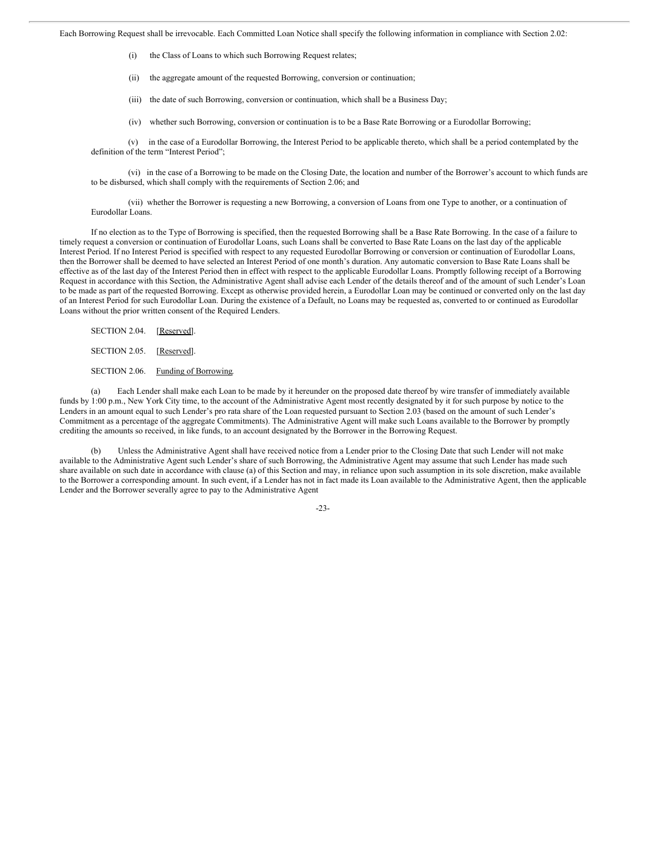Each Borrowing Request shall be irrevocable. Each Committed Loan Notice shall specify the following information in compliance with Section 2.02:

- (i) the Class of Loans to which such Borrowing Request relates;
- (ii) the aggregate amount of the requested Borrowing, conversion or continuation;
- (iii) the date of such Borrowing, conversion or continuation, which shall be a Business Day;
- (iv) whether such Borrowing, conversion or continuation is to be a Base Rate Borrowing or a Eurodollar Borrowing;

(v) in the case of a Eurodollar Borrowing, the Interest Period to be applicable thereto, which shall be a period contemplated by the definition of the term "Interest Period";

(vi) in the case of a Borrowing to be made on the Closing Date, the location and number of the Borrower's account to which funds are to be disbursed, which shall comply with the requirements of Section 2.06; and

(vii) whether the Borrower is requesting a new Borrowing, a conversion of Loans from one Type to another, or a continuation of Eurodollar Loans.

If no election as to the Type of Borrowing is specified, then the requested Borrowing shall be a Base Rate Borrowing. In the case of a failure to timely request a conversion or continuation of Eurodollar Loans, such Loans shall be converted to Base Rate Loans on the last day of the applicable Interest Period. If no Interest Period is specified with respect to any requested Eurodollar Borrowing or conversion or continuation of Eurodollar Loans, then the Borrower shall be deemed to have selected an Interest Period of one month's duration. Any automatic conversion to Base Rate Loans shall be effective as of the last day of the Interest Period then in effect with respect to the applicable Eurodollar Loans. Promptly following receipt of a Borrowing Request in accordance with this Section, the Administrative Agent shall advise each Lender of the details thereof and of the amount of such Lender's Loan to be made as part of the requested Borrowing. Except as otherwise provided herein, a Eurodollar Loan may be continued or converted only on the last day of an Interest Period for such Eurodollar Loan. During the existence of a Default, no Loans may be requested as, converted to or continued as Eurodollar Loans without the prior written consent of the Required Lenders.

- SECTION 2.04. [Reserved].
- SECTION 2.05. [Reserved].
- SECTION 2.06. Funding of Borrowing.

(a) Each Lender shall make each Loan to be made by it hereunder on the proposed date thereof by wire transfer of immediately available funds by 1:00 p.m., New York City time, to the account of the Administrative Agent most recently designated by it for such purpose by notice to the Lenders in an amount equal to such Lender's pro rata share of the Loan requested pursuant to Section 2.03 (based on the amount of such Lender's Commitment as a percentage of the aggregate Commitments). The Administrative Agent will make such Loans available to the Borrower by promptly crediting the amounts so received, in like funds, to an account designated by the Borrower in the Borrowing Request.

Unless the Administrative Agent shall have received notice from a Lender prior to the Closing Date that such Lender will not make available to the Administrative Agent such Lender's share of such Borrowing, the Administrative Agent may assume that such Lender has made such share available on such date in accordance with clause (a) of this Section and may, in reliance upon such assumption in its sole discretion, make available to the Borrower a corresponding amount. In such event, if a Lender has not in fact made its Loan available to the Administrative Agent, then the applicable Lender and the Borrower severally agree to pay to the Administrative Agent

-23-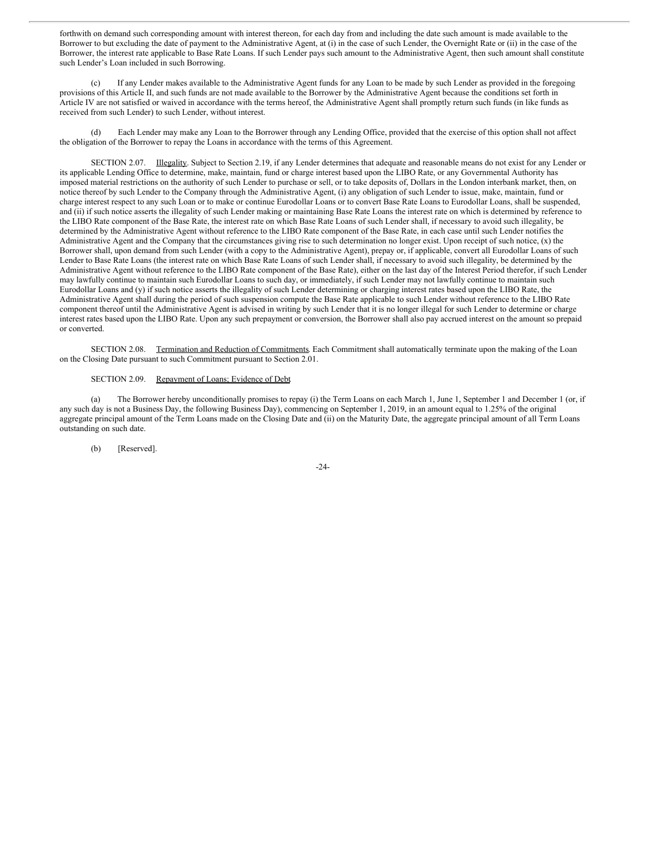forthwith on demand such corresponding amount with interest thereon, for each day from and including the date such amount is made available to the Borrower to but excluding the date of payment to the Administrative Agent, at (i) in the case of such Lender, the Overnight Rate or (ii) in the case of the Borrower, the interest rate applicable to Base Rate Loans. If such Lender pays such amount to the Administrative Agent, then such amount shall constitute such Lender's Loan included in such Borrowing.

(c) If any Lender makes available to the Administrative Agent funds for any Loan to be made by such Lender as provided in the foregoing provisions of this Article II, and such funds are not made available to the Borrower by the Administrative Agent because the conditions set forth in Article IV are not satisfied or waived in accordance with the terms hereof, the Administrative Agent shall promptly return such funds (in like funds as received from such Lender) to such Lender, without interest.

(d) Each Lender may make any Loan to the Borrower through any Lending Office, provided that the exercise of this option shall not affect the obligation of the Borrower to repay the Loans in accordance with the terms of this Agreement.

SECTION 2.07. Illegality. Subject to Section 2.19, if any Lender determines that adequate and reasonable means do not exist for any Lender or its applicable Lending Office to determine, make, maintain, fund or charge interest based upon the LIBO Rate, or any Governmental Authority has imposed material restrictions on the authority of such Lender to purchase or sell, or to take deposits of, Dollars in the London interbank market, then, on notice thereof by such Lender to the Company through the Administrative Agent, (i) any obligation of such Lender to issue, make, maintain, fund or charge interest respect to any such Loan or to make or continue Eurodollar Loans or to convert Base Rate Loans to Eurodollar Loans, shall be suspended, and (ii) if such notice asserts the illegality of such Lender making or maintaining Base Rate Loans the interest rate on which is determined by reference to the LIBO Rate component of the Base Rate, the interest rate on which Base Rate Loans of such Lender shall, if necessary to avoid such illegality, be determined by the Administrative Agent without reference to the LIBO Rate component of the Base Rate, in each case until such Lender notifies the Administrative Agent and the Company that the circumstances giving rise to such determination no longer exist. Upon receipt of such notice, (x) the Borrower shall, upon demand from such Lender (with a copy to the Administrative Agent), prepay or, if applicable, convert all Eurodollar Loans of such Lender to Base Rate Loans (the interest rate on which Base Rate Loans of such Lender shall, if necessary to avoid such illegality, be determined by the Administrative Agent without reference to the LIBO Rate component of the Base Rate), either on the last day of the Interest Period therefor, if such Lender may lawfully continue to maintain such Eurodollar Loans to such day, or immediately, if such Lender may not lawfully continue to maintain such Eurodollar Loans and (y) if such notice asserts the illegality of such Lender determining or charging interest rates based upon the LIBO Rate, the Administrative Agent shall during the period of such suspension compute the Base Rate applicable to such Lender without reference to the LIBO Rate component thereof until the Administrative Agent is advised in writing by such Lender that it is no longer illegal for such Lender to determine or charge interest rates based upon the LIBO Rate. Upon any such prepayment or conversion, the Borrower shall also pay accrued interest on the amount so prepaid or converted.

SECTION 2.08. Termination and Reduction of Commitments. Each Commitment shall automatically terminate upon the making of the Loan on the Closing Date pursuant to such Commitment pursuant to Section 2.01.

#### SECTION 2.09. Repayment of Loans; Evidence of Debt.

(a) The Borrower hereby unconditionally promises to repay (i) the Term Loans on each March 1, June 1, September 1 and December 1 (or, if any such day is not a Business Day, the following Business Day), commencing on September 1, 2019, in an amount equal to 1.25% of the original aggregate principal amount of the Term Loans made on the Closing Date and (ii) on the Maturity Date, the aggregate principal amount of all Term Loans outstanding on such date.

(b) [Reserved].

-24-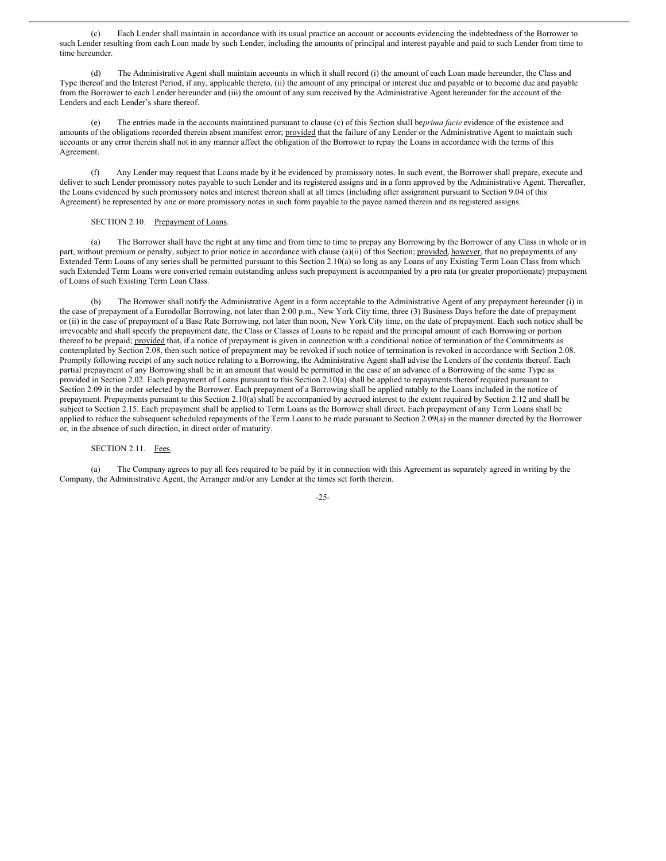(c) Each Lender shall maintain in accordance with its usual practice an account or accounts evidencing the indebtedness of the Borrower to such Lender resulting from each Loan made by such Lender, including the amounts of principal and interest payable and paid to such Lender from time to time hereunder.

(d) The Administrative Agent shall maintain accounts in which it shall record (i) the amount of each Loan made hereunder, the Class and Type thereof and the Interest Period, if any, applicable thereto, (ii) the amount of any principal or interest due and payable or to become due and payable from the Borrower to each Lender hereunder and (iii) the amount of any sum received by the Administrative Agent hereunder for the account of the Lenders and each Lender's share thereof.

(e) The entries made in the accounts maintained pursuant to clause (c) of this Section shall be*prima facie* evidence of the existence and amounts of the obligations recorded therein absent manifest error; provided that the failure of any Lender or the Administrative Agent to maintain such accounts or any error therein shall not in any manner affect the obligation of the Borrower to repay the Loans in accordance with the terms of this Agreement.

(f) Any Lender may request that Loans made by it be evidenced by promissory notes. In such event, the Borrower shall prepare, execute and deliver to such Lender promissory notes payable to such Lender and its registered assigns and in a form approved by the Administrative Agent. Thereafter, the Loans evidenced by such promissory notes and interest thereon shall at all times (including after assignment pursuant to Section 9.04 of this Agreement) be represented by one or more promissory notes in such form payable to the payee named therein and its registered assigns.

### SECTION 2.10. Prepayment of Loans.

(a) The Borrower shall have the right at any time and from time to time to prepay any Borrowing by the Borrower of any Class in whole or in part, without premium or penalty, subject to prior notice in accordance with clause (a)(ii) of this Section; provided, however, that no prepayments of any Extended Term Loans of any series shall be permitted pursuant to this Section 2.10(a) so long as any Loans of any Existing Term Loan Class from which such Extended Term Loans were converted remain outstanding unless such prepayment is accompanied by a pro rata (or greater proportionate) prepayment of Loans of such Existing Term Loan Class.

(b) The Borrower shall notify the Administrative Agent in a form acceptable to the Administrative Agent of any prepayment hereunder (i) in the case of prepayment of a Eurodollar Borrowing, not later than 2:00 p.m., New York City time, three (3) Business Days before the date of prepayment or (ii) in the case of prepayment of a Base Rate Borrowing, not later than noon, New York City time, on the date of prepayment. Each such notice shall be irrevocable and shall specify the prepayment date, the Class or Classes of Loans to be repaid and the principal amount of each Borrowing or portion thereof to be prepaid; provided that, if a notice of prepayment is given in connection with a conditional notice of termination of the Commitments as contemplated by Section 2.08, then such notice of prepayment may be revoked if such notice of termination is revoked in accordance with Section 2.08. Promptly following receipt of any such notice relating to a Borrowing, the Administrative Agent shall advise the Lenders of the contents thereof. Each partial prepayment of any Borrowing shall be in an amount that would be permitted in the case of an advance of a Borrowing of the same Type as provided in Section 2.02. Each prepayment of Loans pursuant to this Section 2.10(a) shall be applied to repayments thereof required pursuant to Section 2.09 in the order selected by the Borrower. Each prepayment of a Borrowing shall be applied ratably to the Loans included in the notice of prepayment. Prepayments pursuant to this Section 2.10(a) shall be accompanied by accrued interest to the extent required by Section 2.12 and shall be subject to Section 2.15. Each prepayment shall be applied to Term Loans as the Borrower shall direct. Each prepayment of any Term Loans shall be applied to reduce the subsequent scheduled repayments of the Term Loans to be made pursuant to Section 2.09(a) in the manner directed by the Borrower or, in the absence of such direction, in direct order of maturity.

# SECTION 2.11. Fees.

(a) The Company agrees to pay all fees required to be paid by it in connection with this Agreement as separately agreed in writing by the Company, the Administrative Agent, the Arranger and/or any Lender at the times set forth therein.

-25-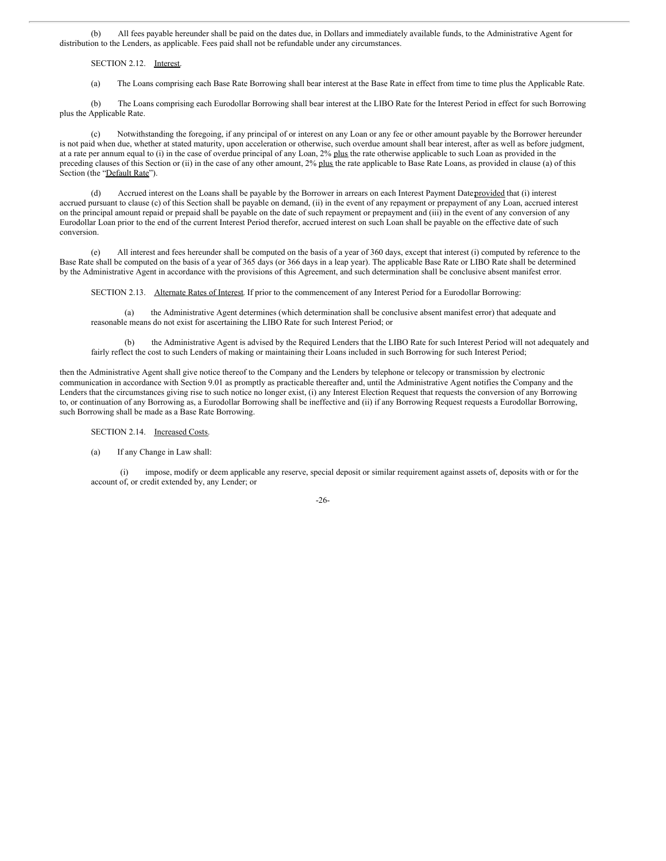(b) All fees payable hereunder shall be paid on the dates due, in Dollars and immediately available funds, to the Administrative Agent for distribution to the Lenders, as applicable. Fees paid shall not be refundable under any circumstances.

#### SECTION 2.12. Interest.

(a) The Loans comprising each Base Rate Borrowing shall bear interest at the Base Rate in effect from time to time plus the Applicable Rate.

(b) The Loans comprising each Eurodollar Borrowing shall bear interest at the LIBO Rate for the Interest Period in effect for such Borrowing plus the Applicable Rate.

Notwithstanding the foregoing, if any principal of or interest on any Loan or any fee or other amount payable by the Borrower hereunder is not paid when due, whether at stated maturity, upon acceleration or otherwise, such overdue amount shall bear interest, after as well as before judgment, at a rate per annum equal to (i) in the case of overdue principal of any Loan, 2% plus the rate otherwise applicable to such Loan as provided in the preceding clauses of this Section or (ii) in the case of any other amount, 2% plus the rate applicable to Base Rate Loans, as provided in clause (a) of this Section (the "Default Rate").

(d) Accrued interest on the Loans shall be payable by the Borrower in arrears on each Interest Payment Dateprovided that (i) interest accrued pursuant to clause (c) of this Section shall be payable on demand, (ii) in the event of any repayment or prepayment of any Loan, accrued interest on the principal amount repaid or prepaid shall be payable on the date of such repayment or prepayment and (iii) in the event of any conversion of any Eurodollar Loan prior to the end of the current Interest Period therefor, accrued interest on such Loan shall be payable on the effective date of such conversion.

(e) All interest and fees hereunder shall be computed on the basis of a year of 360 days, except that interest (i) computed by reference to the Base Rate shall be computed on the basis of a year of 365 days (or 366 days in a leap year). The applicable Base Rate or LIBO Rate shall be determined by the Administrative Agent in accordance with the provisions of this Agreement, and such determination shall be conclusive absent manifest error.

SECTION 2.13. Alternate Rates of Interest. If prior to the commencement of any Interest Period for a Eurodollar Borrowing:

(a) the Administrative Agent determines (which determination shall be conclusive absent manifest error) that adequate and reasonable means do not exist for ascertaining the LIBO Rate for such Interest Period; or

(b) the Administrative Agent is advised by the Required Lenders that the LIBO Rate for such Interest Period will not adequately and fairly reflect the cost to such Lenders of making or maintaining their Loans included in such Borrowing for such Interest Period;

then the Administrative Agent shall give notice thereof to the Company and the Lenders by telephone or telecopy or transmission by electronic communication in accordance with Section 9.01 as promptly as practicable thereafter and, until the Administrative Agent notifies the Company and the Lenders that the circumstances giving rise to such notice no longer exist, (i) any Interest Election Request that requests the conversion of any Borrowing to, or continuation of any Borrowing as, a Eurodollar Borrowing shall be ineffective and (ii) if any Borrowing Request requests a Eurodollar Borrowing, such Borrowing shall be made as a Base Rate Borrowing.

SECTION 2.14. Increased Costs.

(a) If any Change in Law shall:

(i) impose, modify or deem applicable any reserve, special deposit or similar requirement against assets of, deposits with or for the account of, or credit extended by, any Lender; or

-26-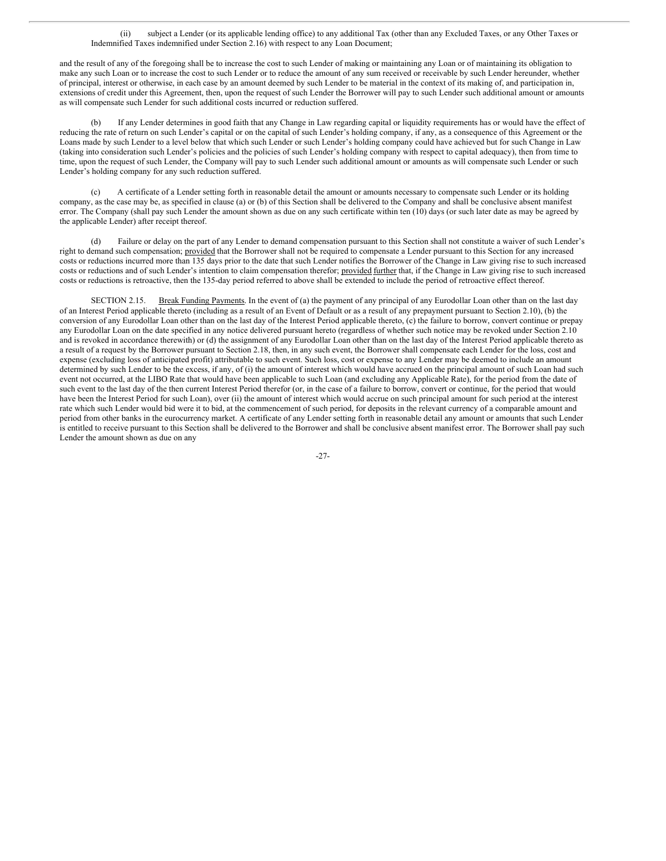(ii) subject a Lender (or its applicable lending office) to any additional Tax (other than any Excluded Taxes, or any Other Taxes or Indemnified Taxes indemnified under Section 2.16) with respect to any Loan Document;

and the result of any of the foregoing shall be to increase the cost to such Lender of making or maintaining any Loan or of maintaining its obligation to make any such Loan or to increase the cost to such Lender or to reduce the amount of any sum received or receivable by such Lender hereunder, whether of principal, interest or otherwise, in each case by an amount deemed by such Lender to be material in the context of its making of, and participation in, extensions of credit under this Agreement, then, upon the request of such Lender the Borrower will pay to such Lender such additional amount or amounts as will compensate such Lender for such additional costs incurred or reduction suffered.

If any Lender determines in good faith that any Change in Law regarding capital or liquidity requirements has or would have the effect of reducing the rate of return on such Lender's capital or on the capital of such Lender's holding company, if any, as a consequence of this Agreement or the Loans made by such Lender to a level below that which such Lender or such Lender's holding company could have achieved but for such Change in Law (taking into consideration such Lender's policies and the policies of such Lender's holding company with respect to capital adequacy), then from time to time, upon the request of such Lender, the Company will pay to such Lender such additional amount or amounts as will compensate such Lender or such Lender's holding company for any such reduction suffered.

(c) A certificate of a Lender setting forth in reasonable detail the amount or amounts necessary to compensate such Lender or its holding company, as the case may be, as specified in clause (a) or (b) of this Section shall be delivered to the Company and shall be conclusive absent manifest error. The Company (shall pay such Lender the amount shown as due on any such certificate within ten (10) days (or such later date as may be agreed by the applicable Lender) after receipt thereof.

(d) Failure or delay on the part of any Lender to demand compensation pursuant to this Section shall not constitute a waiver of such Lender's right to demand such compensation; provided that the Borrower shall not be required to compensate a Lender pursuant to this Section for any increased costs or reductions incurred more than 135 days prior to the date that such Lender notifies the Borrower of the Change in Law giving rise to such increased costs or reductions and of such Lender's intention to claim compensation therefor; provided further that, if the Change in Law giving rise to such increased costs or reductions is retroactive, then the 135-day period referred to above shall be extended to include the period of retroactive effect thereof.

SECTION 2.15. Break Funding Payments. In the event of (a) the payment of any principal of any Eurodollar Loan other than on the last day of an Interest Period applicable thereto (including as a result of an Event of Default or as a result of any prepayment pursuant to Section 2.10), (b) the conversion of any Eurodollar Loan other than on the last day of the Interest Period applicable thereto, (c) the failure to borrow, convert continue or prepay any Eurodollar Loan on the date specified in any notice delivered pursuant hereto (regardless of whether such notice may be revoked under Section 2.10 and is revoked in accordance therewith) or (d) the assignment of any Eurodollar Loan other than on the last day of the Interest Period applicable thereto as a result of a request by the Borrower pursuant to Section 2.18, then, in any such event, the Borrower shall compensate each Lender for the loss, cost and expense (excluding loss of anticipated profit) attributable to such event. Such loss, cost or expense to any Lender may be deemed to include an amount determined by such Lender to be the excess, if any, of (i) the amount of interest which would have accrued on the principal amount of such Loan had such event not occurred, at the LIBO Rate that would have been applicable to such Loan (and excluding any Applicable Rate), for the period from the date of such event to the last day of the then current Interest Period therefor (or, in the case of a failure to borrow, convert or continue, for the period that would have been the Interest Period for such Loan), over (ii) the amount of interest which would accrue on such principal amount for such period at the interest rate which such Lender would bid were it to bid, at the commencement of such period, for deposits in the relevant currency of a comparable amount and period from other banks in the eurocurrency market. A certificate of any Lender setting forth in reasonable detail any amount or amounts that such Lender is entitled to receive pursuant to this Section shall be delivered to the Borrower and shall be conclusive absent manifest error. The Borrower shall pay such Lender the amount shown as due on any

-27-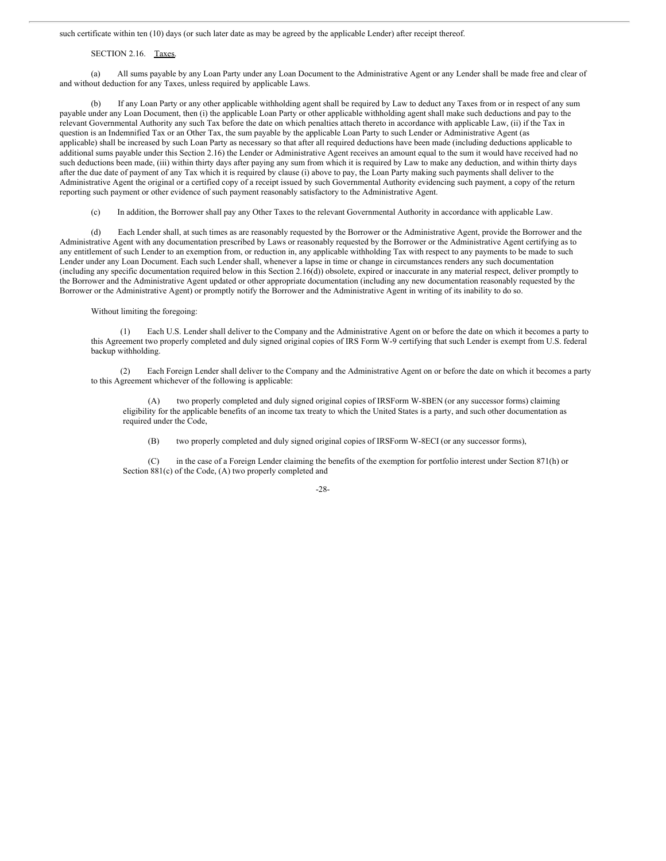such certificate within ten (10) days (or such later date as may be agreed by the applicable Lender) after receipt thereof.

### SECTION 2.16. Taxes.

(a) All sums payable by any Loan Party under any Loan Document to the Administrative Agent or any Lender shall be made free and clear of and without deduction for any Taxes, unless required by applicable Laws.

(b) If any Loan Party or any other applicable withholding agent shall be required by Law to deduct any Taxes from or in respect of any sum payable under any Loan Document, then (i) the applicable Loan Party or other applicable withholding agent shall make such deductions and pay to the relevant Governmental Authority any such Tax before the date on which penalties attach thereto in accordance with applicable Law, (ii) if the Tax in question is an Indemnified Tax or an Other Tax, the sum payable by the applicable Loan Party to such Lender or Administrative Agent (as applicable) shall be increased by such Loan Party as necessary so that after all required deductions have been made (including deductions applicable to additional sums payable under this Section 2.16) the Lender or Administrative Agent receives an amount equal to the sum it would have received had no such deductions been made, (iii) within thirty days after paying any sum from which it is required by Law to make any deduction, and within thirty days after the due date of payment of any Tax which it is required by clause (i) above to pay, the Loan Party making such payments shall deliver to the Administrative Agent the original or a certified copy of a receipt issued by such Governmental Authority evidencing such payment, a copy of the return reporting such payment or other evidence of such payment reasonably satisfactory to the Administrative Agent.

(c) In addition, the Borrower shall pay any Other Taxes to the relevant Governmental Authority in accordance with applicable Law.

(d) Each Lender shall, at such times as are reasonably requested by the Borrower or the Administrative Agent, provide the Borrower and the Administrative Agent with any documentation prescribed by Laws or reasonably requested by the Borrower or the Administrative Agent certifying as to any entitlement of such Lender to an exemption from, or reduction in, any applicable withholding Tax with respect to any payments to be made to such Lender under any Loan Document. Each such Lender shall, whenever a lapse in time or change in circumstances renders any such documentation (including any specific documentation required below in this Section 2.16(d)) obsolete, expired or inaccurate in any material respect, deliver promptly to the Borrower and the Administrative Agent updated or other appropriate documentation (including any new documentation reasonably requested by the Borrower or the Administrative Agent) or promptly notify the Borrower and the Administrative Agent in writing of its inability to do so.

Without limiting the foregoing:

(1) Each U.S. Lender shall deliver to the Company and the Administrative Agent on or before the date on which it becomes a party to this Agreement two properly completed and duly signed original copies of IRS Form W-9 certifying that such Lender is exempt from U.S. federal backup withholding.

(2) Each Foreign Lender shall deliver to the Company and the Administrative Agent on or before the date on which it becomes a party to this Agreement whichever of the following is applicable:

(A) two properly completed and duly signed original copies of IRSForm W-8BEN (or any successor forms) claiming eligibility for the applicable benefits of an income tax treaty to which the United States is a party, and such other documentation as required under the Code,

(B) two properly completed and duly signed original copies of IRSForm W-8ECI (or any successor forms),

(C) in the case of a Foreign Lender claiming the benefits of the exemption for portfolio interest under Section 871(h) or Section 881(c) of the Code, (A) two properly completed and

-28-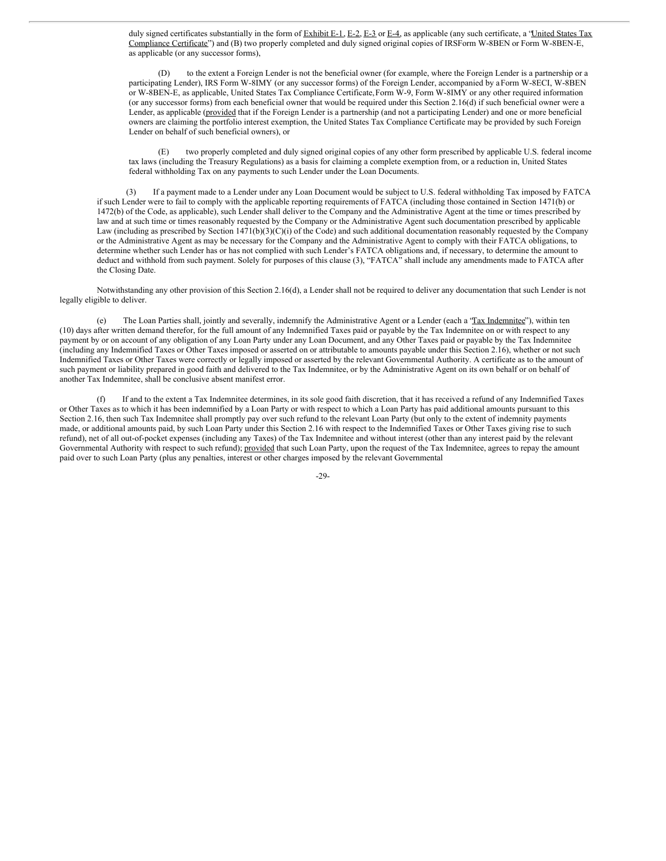duly signed certificates substantially in the form of  $\frac{Exhibit E-1}{E-2}$ ,  $E-3$  or  $E-4$ , as applicable (any such certificate, a "United States Tax Compliance Certificate") and (B) two properly completed and duly signed original copies of IRSForm W-8BEN or Form W-8BEN-E, as applicable (or any successor forms),

(D) to the extent a Foreign Lender is not the beneficial owner (for example, where the Foreign Lender is a partnership or a participating Lender), IRS Form W-8IMY (or any successor forms) of the Foreign Lender, accompanied by aForm W-8ECI, W-8BEN or W-8BEN-E, as applicable, United States Tax Compliance Certificate,Form W-9, Form W-8IMY or any other required information (or any successor forms) from each beneficial owner that would be required under this Section 2.16(d) if such beneficial owner were a Lender, as applicable (provided that if the Foreign Lender is a partnership (and not a participating Lender) and one or more beneficial owners are claiming the portfolio interest exemption, the United States Tax Compliance Certificate may be provided by such Foreign Lender on behalf of such beneficial owners), or

(E) two properly completed and duly signed original copies of any other form prescribed by applicable U.S. federal income tax laws (including the Treasury Regulations) as a basis for claiming a complete exemption from, or a reduction in, United States federal withholding Tax on any payments to such Lender under the Loan Documents.

(3) If a payment made to a Lender under any Loan Document would be subject to U.S. federal withholding Tax imposed by FATCA if such Lender were to fail to comply with the applicable reporting requirements of FATCA (including those contained in Section 1471(b) or 1472(b) of the Code, as applicable), such Lender shall deliver to the Company and the Administrative Agent at the time or times prescribed by law and at such time or times reasonably requested by the Company or the Administrative Agent such documentation prescribed by applicable Law (including as prescribed by Section 1471(b)(3)(C)(i) of the Code) and such additional documentation reasonably requested by the Company or the Administrative Agent as may be necessary for the Company and the Administrative Agent to comply with their FATCA obligations, to determine whether such Lender has or has not complied with such Lender's FATCA obligations and, if necessary, to determine the amount to deduct and withhold from such payment. Solely for purposes of this clause (3), "FATCA" shall include any amendments made to FATCA after the Closing Date.

Notwithstanding any other provision of this Section 2.16(d), a Lender shall not be required to deliver any documentation that such Lender is not legally eligible to deliver.

(e) The Loan Parties shall, jointly and severally, indemnify the Administrative Agent or a Lender (each a "Tax Indemnitee"), within ten (10) days after written demand therefor, for the full amount of any Indemnified Taxes paid or payable by the Tax Indemnitee on or with respect to any payment by or on account of any obligation of any Loan Party under any Loan Document, and any Other Taxes paid or payable by the Tax Indemnitee (including any Indemnified Taxes or Other Taxes imposed or asserted on or attributable to amounts payable under this Section 2.16), whether or not such Indemnified Taxes or Other Taxes were correctly or legally imposed or asserted by the relevant Governmental Authority. A certificate as to the amount of such payment or liability prepared in good faith and delivered to the Tax Indemnitee, or by the Administrative Agent on its own behalf or on behalf of another Tax Indemnitee, shall be conclusive absent manifest error.

(f) If and to the extent a Tax Indemnitee determines, in its sole good faith discretion, that it has received a refund of any Indemnified Taxes or Other Taxes as to which it has been indemnified by a Loan Party or with respect to which a Loan Party has paid additional amounts pursuant to this Section 2.16, then such Tax Indemnitee shall promptly pay over such refund to the relevant Loan Party (but only to the extent of indemnity payments made, or additional amounts paid, by such Loan Party under this Section 2.16 with respect to the Indemnified Taxes or Other Taxes giving rise to such refund), net of all out-of-pocket expenses (including any Taxes) of the Tax Indemnitee and without interest (other than any interest paid by the relevant Governmental Authority with respect to such refund); provided that such Loan Party, upon the request of the Tax Indemnitee, agrees to repay the amount paid over to such Loan Party (plus any penalties, interest or other charges imposed by the relevant Governmental

-29-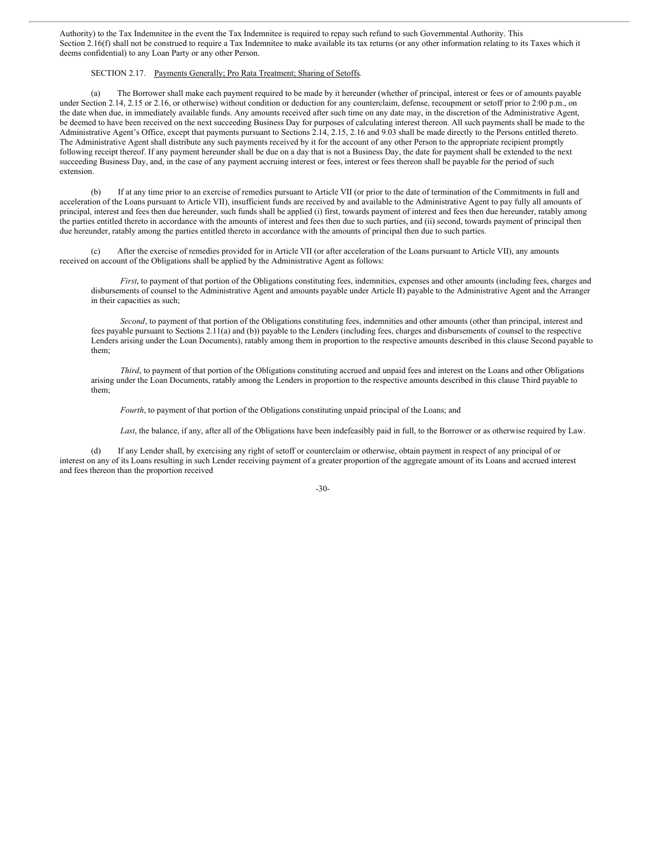Authority) to the Tax Indemnitee in the event the Tax Indemnitee is required to repay such refund to such Governmental Authority. This Section 2.16(f) shall not be construed to require a Tax Indemnitee to make available its tax returns (or any other information relating to its Taxes which it deems confidential) to any Loan Party or any other Person.

#### SECTION 2.17. Payments Generally; Pro Rata Treatment; Sharing of Setoffs.

(a) The Borrower shall make each payment required to be made by it hereunder (whether of principal, interest or fees or of amounts payable under Section 2.14, 2.15 or 2.16, or otherwise) without condition or deduction for any counterclaim, defense, recoupment or setoff prior to 2:00 p.m., on the date when due, in immediately available funds. Any amounts received after such time on any date may, in the discretion of the Administrative Agent, be deemed to have been received on the next succeeding Business Day for purposes of calculating interest thereon. All such payments shall be made to the Administrative Agent's Office, except that payments pursuant to Sections 2.14, 2.15, 2.16 and 9.03 shall be made directly to the Persons entitled thereto. The Administrative Agent shall distribute any such payments received by it for the account of any other Person to the appropriate recipient promptly following receipt thereof. If any payment hereunder shall be due on a day that is not a Business Day, the date for payment shall be extended to the next succeeding Business Day, and, in the case of any payment accruing interest or fees, interest or fees thereon shall be payable for the period of such extension.

(b) If at any time prior to an exercise of remedies pursuant to Article VII (or prior to the date of termination of the Commitments in full and acceleration of the Loans pursuant to Article VII), insufficient funds are received by and available to the Administrative Agent to pay fully all amounts of principal, interest and fees then due hereunder, such funds shall be applied (i) first, towards payment of interest and fees then due hereunder, ratably among the parties entitled thereto in accordance with the amounts of interest and fees then due to such parties, and (ii) second, towards payment of principal then due hereunder, ratably among the parties entitled thereto in accordance with the amounts of principal then due to such parties.

After the exercise of remedies provided for in Article VII (or after acceleration of the Loans pursuant to Article VII), any amounts received on account of the Obligations shall be applied by the Administrative Agent as follows:

*First*, to payment of that portion of the Obligations constituting fees, indemnities, expenses and other amounts (including fees, charges and disbursements of counsel to the Administrative Agent and amounts payable under Article II) payable to the Administrative Agent and the Arranger in their capacities as such;

*Second*, to payment of that portion of the Obligations constituting fees, indemnities and other amounts (other than principal, interest and fees payable pursuant to Sections 2.11(a) and (b)) payable to the Lenders (including fees, charges and disbursements of counsel to the respective Lenders arising under the Loan Documents), ratably among them in proportion to the respective amounts described in this clause Second payable to them;

*Third*, to payment of that portion of the Obligations constituting accrued and unpaid fees and interest on the Loans and other Obligations arising under the Loan Documents, ratably among the Lenders in proportion to the respective amounts described in this clause Third payable to them;

*Fourth*, to payment of that portion of the Obligations constituting unpaid principal of the Loans; and

*Last*, the balance, if any, after all of the Obligations have been indefeasibly paid in full, to the Borrower or as otherwise required by Law.

(d) If any Lender shall, by exercising any right of setoff or counterclaim or otherwise, obtain payment in respect of any principal of or interest on any of its Loans resulting in such Lender receiving payment of a greater proportion of the aggregate amount of its Loans and accrued interest and fees thereon than the proportion received

-30-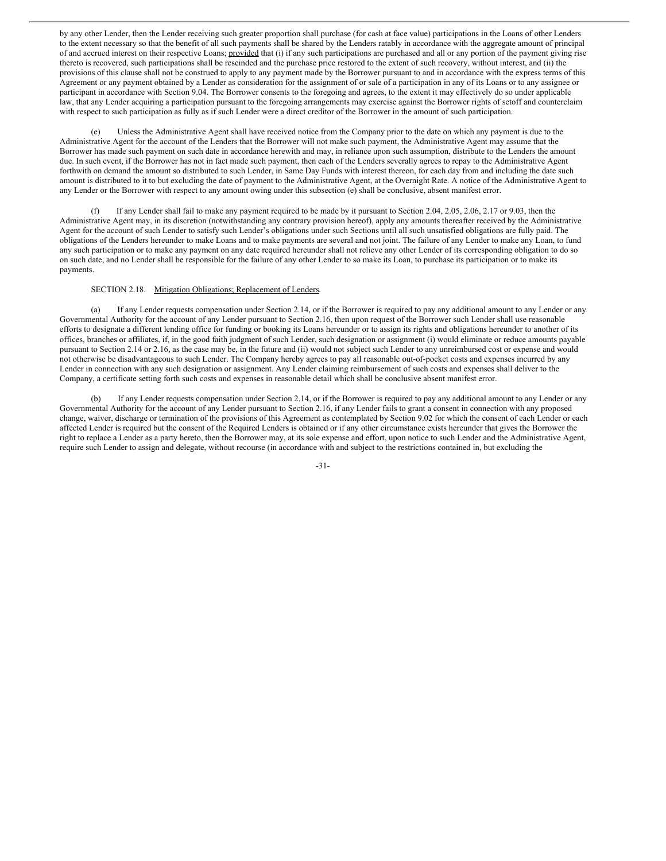by any other Lender, then the Lender receiving such greater proportion shall purchase (for cash at face value) participations in the Loans of other Lenders to the extent necessary so that the benefit of all such payments shall be shared by the Lenders ratably in accordance with the aggregate amount of principal of and accrued interest on their respective Loans; provided that (i) if any such participations are purchased and all or any portion of the payment giving rise thereto is recovered, such participations shall be rescinded and the purchase price restored to the extent of such recovery, without interest, and (ii) the provisions of this clause shall not be construed to apply to any payment made by the Borrower pursuant to and in accordance with the express terms of this Agreement or any payment obtained by a Lender as consideration for the assignment of or sale of a participation in any of its Loans or to any assignee or participant in accordance with Section 9.04. The Borrower consents to the foregoing and agrees, to the extent it may effectively do so under applicable law, that any Lender acquiring a participation pursuant to the foregoing arrangements may exercise against the Borrower rights of setoff and counterclaim with respect to such participation as fully as if such Lender were a direct creditor of the Borrower in the amount of such participation.

(e) Unless the Administrative Agent shall have received notice from the Company prior to the date on which any payment is due to the Administrative Agent for the account of the Lenders that the Borrower will not make such payment, the Administrative Agent may assume that the Borrower has made such payment on such date in accordance herewith and may, in reliance upon such assumption, distribute to the Lenders the amount due. In such event, if the Borrower has not in fact made such payment, then each of the Lenders severally agrees to repay to the Administrative Agent forthwith on demand the amount so distributed to such Lender, in Same Day Funds with interest thereon, for each day from and including the date such amount is distributed to it to but excluding the date of payment to the Administrative Agent, at the Overnight Rate. A notice of the Administrative Agent to any Lender or the Borrower with respect to any amount owing under this subsection (e) shall be conclusive, absent manifest error.

(f) If any Lender shall fail to make any payment required to be made by it pursuant to Section 2.04, 2.05, 2.06, 2.17 or 9.03, then the Administrative Agent may, in its discretion (notwithstanding any contrary provision hereof), apply any amounts thereafter received by the Administrative Agent for the account of such Lender to satisfy such Lender's obligations under such Sections until all such unsatisfied obligations are fully paid. The obligations of the Lenders hereunder to make Loans and to make payments are several and not joint. The failure of any Lender to make any Loan, to fund any such participation or to make any payment on any date required hereunder shall not relieve any other Lender of its corresponding obligation to do so on such date, and no Lender shall be responsible for the failure of any other Lender to so make its Loan, to purchase its participation or to make its payments.

#### SECTION 2.18. Mitigation Obligations; Replacement of Lenders.

(a) If any Lender requests compensation under Section 2.14, or if the Borrower is required to pay any additional amount to any Lender or any Governmental Authority for the account of any Lender pursuant to Section 2.16, then upon request of the Borrower such Lender shall use reasonable efforts to designate a different lending office for funding or booking its Loans hereunder or to assign its rights and obligations hereunder to another of its offices, branches or affiliates, if, in the good faith judgment of such Lender, such designation or assignment (i) would eliminate or reduce amounts payable pursuant to Section 2.14 or 2.16, as the case may be, in the future and (ii) would not subject such Lender to any unreimbursed cost or expense and would not otherwise be disadvantageous to such Lender. The Company hereby agrees to pay all reasonable out-of-pocket costs and expenses incurred by any Lender in connection with any such designation or assignment. Any Lender claiming reimbursement of such costs and expenses shall deliver to the Company, a certificate setting forth such costs and expenses in reasonable detail which shall be conclusive absent manifest error.

If any Lender requests compensation under Section 2.14, or if the Borrower is required to pay any additional amount to any Lender or any Governmental Authority for the account of any Lender pursuant to Section 2.16, if any Lender fails to grant a consent in connection with any proposed change, waiver, discharge or termination of the provisions of this Agreement as contemplated by Section 9.02 for which the consent of each Lender or each affected Lender is required but the consent of the Required Lenders is obtained or if any other circumstance exists hereunder that gives the Borrower the right to replace a Lender as a party hereto, then the Borrower may, at its sole expense and effort, upon notice to such Lender and the Administrative Agent, require such Lender to assign and delegate, without recourse (in accordance with and subject to the restrictions contained in, but excluding the

-31-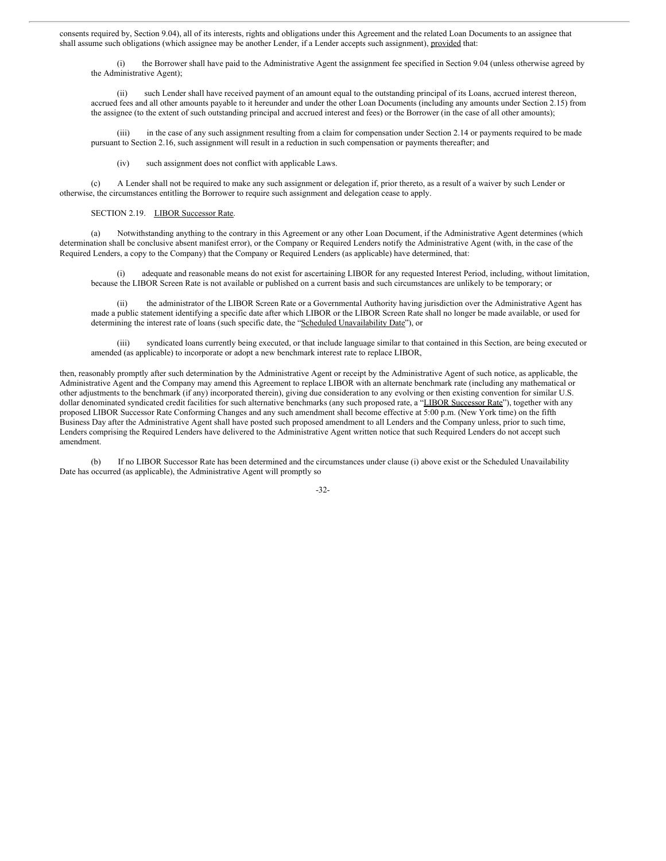consents required by, Section 9.04), all of its interests, rights and obligations under this Agreement and the related Loan Documents to an assignee that shall assume such obligations (which assignee may be another Lender, if a Lender accepts such assignment), provided that:

(i) the Borrower shall have paid to the Administrative Agent the assignment fee specified in Section 9.04 (unless otherwise agreed by the Administrative Agent);

(ii) such Lender shall have received payment of an amount equal to the outstanding principal of its Loans, accrued interest thereon, accrued fees and all other amounts payable to it hereunder and under the other Loan Documents (including any amounts under Section 2.15) from the assignee (to the extent of such outstanding principal and accrued interest and fees) or the Borrower (in the case of all other amounts);

(iii) in the case of any such assignment resulting from a claim for compensation under Section 2.14 or payments required to be made pursuant to Section 2.16, such assignment will result in a reduction in such compensation or payments thereafter; and

(iv) such assignment does not conflict with applicable Laws.

(c) A Lender shall not be required to make any such assignment or delegation if, prior thereto, as a result of a waiver by such Lender or otherwise, the circumstances entitling the Borrower to require such assignment and delegation cease to apply.

# SECTION 2.19. LIBOR Successor Rate.

(a) Notwithstanding anything to the contrary in this Agreement or any other Loan Document, if the Administrative Agent determines (which determination shall be conclusive absent manifest error), or the Company or Required Lenders notify the Administrative Agent (with, in the case of the Required Lenders, a copy to the Company) that the Company or Required Lenders (as applicable) have determined, that:

(i) adequate and reasonable means do not exist for ascertaining LIBOR for any requested Interest Period, including, without limitation, because the LIBOR Screen Rate is not available or published on a current basis and such circumstances are unlikely to be temporary; or

(ii) the administrator of the LIBOR Screen Rate or a Governmental Authority having jurisdiction over the Administrative Agent has made a public statement identifying a specific date after which LIBOR or the LIBOR Screen Rate shall no longer be made available, or used for determining the interest rate of loans (such specific date, the "Scheduled Unavailability Date"), or

(iii) syndicated loans currently being executed, or that include language similar to that contained in this Section, are being executed or amended (as applicable) to incorporate or adopt a new benchmark interest rate to replace LIBOR,

then, reasonably promptly after such determination by the Administrative Agent or receipt by the Administrative Agent of such notice, as applicable, the Administrative Agent and the Company may amend this Agreement to replace LIBOR with an alternate benchmark rate (including any mathematical or other adjustments to the benchmark (if any) incorporated therein), giving due consideration to any evolving or then existing convention for similar U.S. dollar denominated syndicated credit facilities for such alternative benchmarks (any such proposed rate, a "LIBOR Successor Rate"), together with any proposed LIBOR Successor Rate Conforming Changes and any such amendment shall become effective at 5:00 p.m. (New York time) on the fifth Business Day after the Administrative Agent shall have posted such proposed amendment to all Lenders and the Company unless, prior to such time, Lenders comprising the Required Lenders have delivered to the Administrative Agent written notice that such Required Lenders do not accept such amendment.

(b) If no LIBOR Successor Rate has been determined and the circumstances under clause (i) above exist or the Scheduled Unavailability Date has occurred (as applicable), the Administrative Agent will promptly so

#### -32-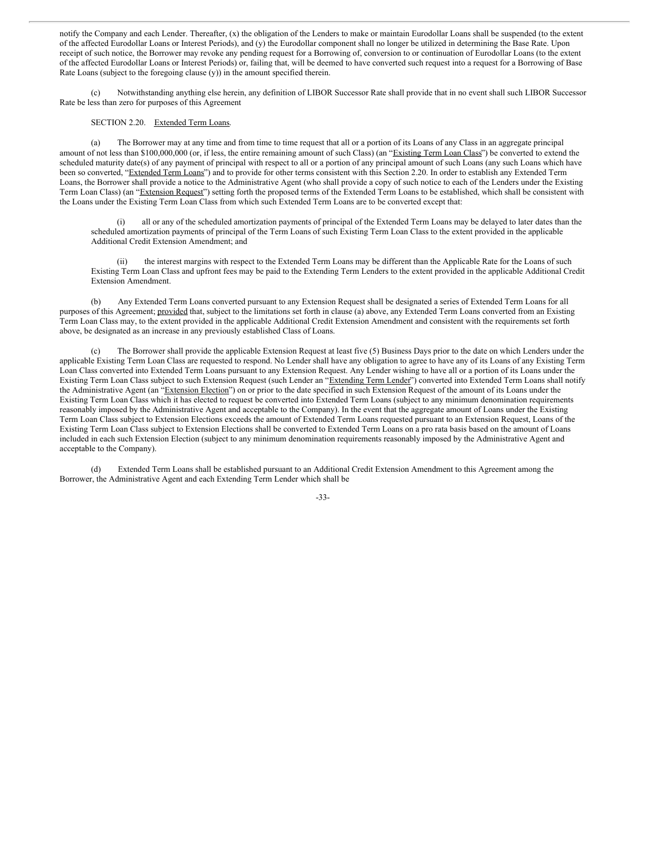notify the Company and each Lender. Thereafter, (x) the obligation of the Lenders to make or maintain Eurodollar Loans shall be suspended (to the extent of the affected Eurodollar Loans or Interest Periods), and (y) the Eurodollar component shall no longer be utilized in determining the Base Rate. Upon receipt of such notice, the Borrower may revoke any pending request for a Borrowing of, conversion to or continuation of Eurodollar Loans (to the extent of the affected Eurodollar Loans or Interest Periods) or, failing that, will be deemed to have converted such request into a request for a Borrowing of Base Rate Loans (subject to the foregoing clause (y)) in the amount specified therein.

(c) Notwithstanding anything else herein, any definition of LIBOR Successor Rate shall provide that in no event shall such LIBOR Successor Rate be less than zero for purposes of this Agreement

#### SECTION 2.20. Extended Term Loans.

(a) The Borrower may at any time and from time to time request that all or a portion of its Loans of any Class in an aggregate principal amount of not less than \$100,000,000 (or, if less, the entire remaining amount of such Class) (an "Existing Term Loan Class") be converted to extend the scheduled maturity date(s) of any payment of principal with respect to all or a portion of any principal amount of such Loans (any such Loans which have been so converted, "Extended Term Loans") and to provide for other terms consistent with this Section 2.20. In order to establish any Extended Term Loans, the Borrower shall provide a notice to the Administrative Agent (who shall provide a copy of such notice to each of the Lenders under the Existing Term Loan Class) (an "Extension Request") setting forth the proposed terms of the Extended Term Loans to be established, which shall be consistent with the Loans under the Existing Term Loan Class from which such Extended Term Loans are to be converted except that:

(i) all or any of the scheduled amortization payments of principal of the Extended Term Loans may be delayed to later dates than the scheduled amortization payments of principal of the Term Loans of such Existing Term Loan Class to the extent provided in the applicable Additional Credit Extension Amendment; and

(ii) the interest margins with respect to the Extended Term Loans may be different than the Applicable Rate for the Loans of such Existing Term Loan Class and upfront fees may be paid to the Extending Term Lenders to the extent provided in the applicable Additional Credit Extension Amendment.

(b) Any Extended Term Loans converted pursuant to any Extension Request shall be designated a series of Extended Term Loans for all purposes of this Agreement; provided that, subject to the limitations set forth in clause (a) above, any Extended Term Loans converted from an Existing Term Loan Class may, to the extent provided in the applicable Additional Credit Extension Amendment and consistent with the requirements set forth above, be designated as an increase in any previously established Class of Loans.

(c) The Borrower shall provide the applicable Extension Request at least five (5) Business Days prior to the date on which Lenders under the applicable Existing Term Loan Class are requested to respond. No Lender shall have any obligation to agree to have any of its Loans of any Existing Term Loan Class converted into Extended Term Loans pursuant to any Extension Request. Any Lender wishing to have all or a portion of its Loans under the Existing Term Loan Class subject to such Extension Request (such Lender an "Extending Term Lender") converted into Extended Term Loans shall notify the Administrative Agent (an "Extension Election") on or prior to the date specified in such Extension Request of the amount of its Loans under the Existing Term Loan Class which it has elected to request be converted into Extended Term Loans (subject to any minimum denomination requirements reasonably imposed by the Administrative Agent and acceptable to the Company). In the event that the aggregate amount of Loans under the Existing Term Loan Class subject to Extension Elections exceeds the amount of Extended Term Loans requested pursuant to an Extension Request, Loans of the Existing Term Loan Class subject to Extension Elections shall be converted to Extended Term Loans on a pro rata basis based on the amount of Loans included in each such Extension Election (subject to any minimum denomination requirements reasonably imposed by the Administrative Agent and acceptable to the Company).

(d) Extended Term Loans shall be established pursuant to an Additional Credit Extension Amendment to this Agreement among the Borrower, the Administrative Agent and each Extending Term Lender which shall be

-33-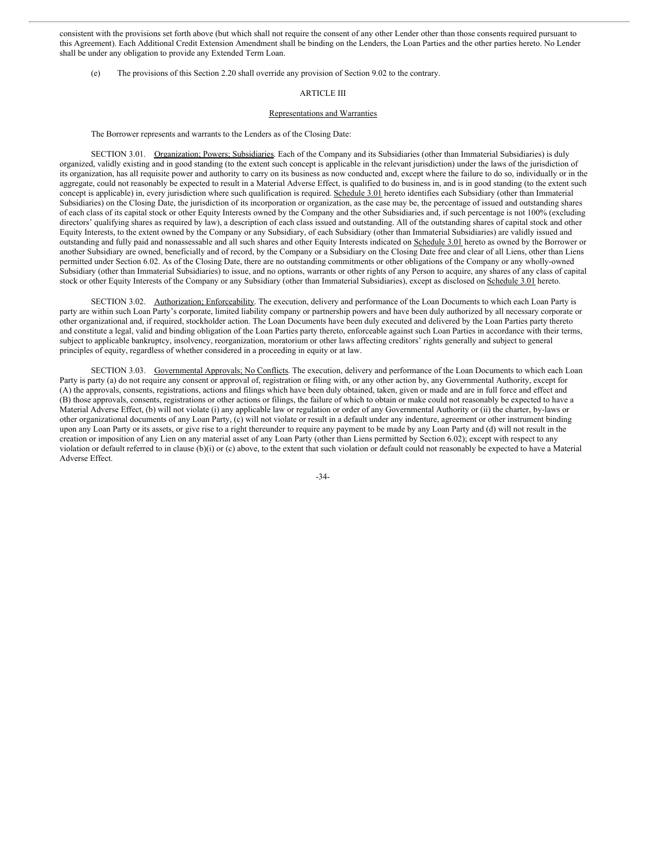consistent with the provisions set forth above (but which shall not require the consent of any other Lender other than those consents required pursuant to this Agreement). Each Additional Credit Extension Amendment shall be binding on the Lenders, the Loan Parties and the other parties hereto. No Lender shall be under any obligation to provide any Extended Term Loan.

(e) The provisions of this Section 2.20 shall override any provision of Section 9.02 to the contrary.

### ARTICLE III

#### Representations and Warranties

The Borrower represents and warrants to the Lenders as of the Closing Date:

SECTION 3.01. Organization; Powers; Subsidiaries. Each of the Company and its Subsidiaries (other than Immaterial Subsidiaries) is duly organized, validly existing and in good standing (to the extent such concept is applicable in the relevant jurisdiction) under the laws of the jurisdiction of its organization, has all requisite power and authority to carry on its business as now conducted and, except where the failure to do so, individually or in the aggregate, could not reasonably be expected to result in a Material Adverse Effect, is qualified to do business in, and is in good standing (to the extent such concept is applicable) in, every jurisdiction where such qualification is required. Schedule 3.01 hereto identifies each Subsidiary (other than Immaterial Subsidiaries) on the Closing Date, the jurisdiction of its incorporation or organization, as the case may be, the percentage of issued and outstanding shares of each class of its capital stock or other Equity Interests owned by the Company and the other Subsidiaries and, if such percentage is not 100% (excluding directors' qualifying shares as required by law), a description of each class issued and outstanding. All of the outstanding shares of capital stock and other Equity Interests, to the extent owned by the Company or any Subsidiary, of each Subsidiary (other than Immaterial Subsidiaries) are validly issued and outstanding and fully paid and nonassessable and all such shares and other Equity Interests indicated on Schedule 3.01 hereto as owned by the Borrower or another Subsidiary are owned, beneficially and of record, by the Company or a Subsidiary on the Closing Date free and clear of all Liens, other than Liens permitted under Section 6.02. As of the Closing Date, there are no outstanding commitments or other obligations of the Company or any wholly-owned Subsidiary (other than Immaterial Subsidiaries) to issue, and no options, warrants or other rights of any Person to acquire, any shares of any class of capital stock or other Equity Interests of the Company or any Subsidiary (other than Immaterial Subsidiaries), except as disclosed on Schedule 3.01 hereto.

SECTION 3.02. Authorization; Enforceability. The execution, delivery and performance of the Loan Documents to which each Loan Party is party are within such Loan Party's corporate, limited liability company or partnership powers and have been duly authorized by all necessary corporate or other organizational and, if required, stockholder action. The Loan Documents have been duly executed and delivered by the Loan Parties party thereto and constitute a legal, valid and binding obligation of the Loan Parties party thereto, enforceable against such Loan Parties in accordance with their terms, subject to applicable bankruptcy, insolvency, reorganization, moratorium or other laws affecting creditors' rights generally and subject to general principles of equity, regardless of whether considered in a proceeding in equity or at law.

SECTION 3.03. Governmental Approvals; No Conflicts. The execution, delivery and performance of the Loan Documents to which each Loan Party is party (a) do not require any consent or approval of, registration or filing with, or any other action by, any Governmental Authority, except for (A) the approvals, consents, registrations, actions and filings which have been duly obtained, taken, given or made and are in full force and effect and (B) those approvals, consents, registrations or other actions or filings, the failure of which to obtain or make could not reasonably be expected to have a Material Adverse Effect, (b) will not violate (i) any applicable law or regulation or order of any Governmental Authority or (ii) the charter, by-laws or other organizational documents of any Loan Party, (c) will not violate or result in a default under any indenture, agreement or other instrument binding upon any Loan Party or its assets, or give rise to a right thereunder to require any payment to be made by any Loan Party and (d) will not result in the creation or imposition of any Lien on any material asset of any Loan Party (other than Liens permitted by Section 6.02); except with respect to any violation or default referred to in clause (b)(i) or (c) above, to the extent that such violation or default could not reasonably be expected to have a Material Adverse Effect.

-34-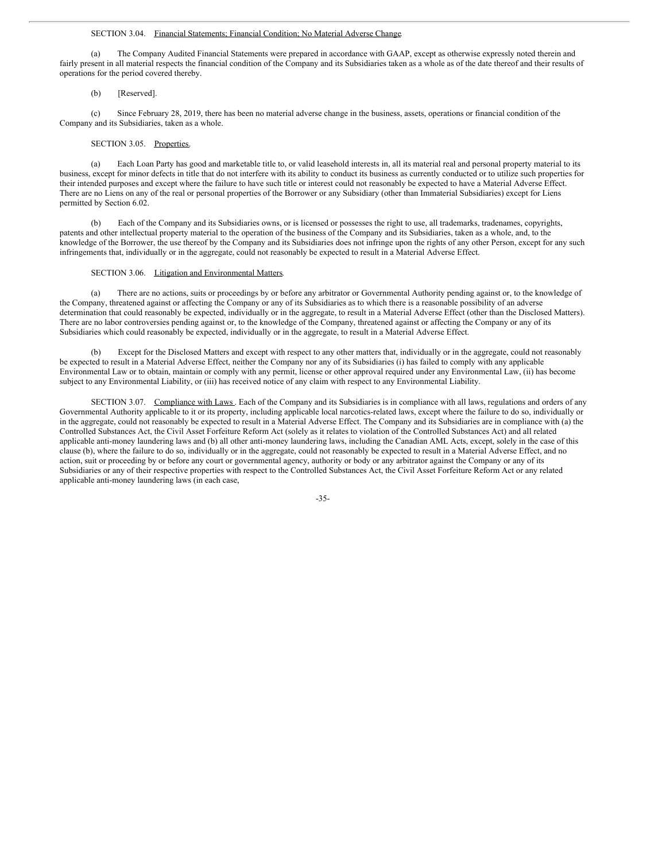#### SECTION 3.04. Financial Statements; Financial Condition; No Material Adverse Change.

(a) The Company Audited Financial Statements were prepared in accordance with GAAP, except as otherwise expressly noted therein and fairly present in all material respects the financial condition of the Company and its Subsidiaries taken as a whole as of the date thereof and their results of operations for the period covered thereby.

#### (b) [Reserved].

(c) Since February 28, 2019, there has been no material adverse change in the business, assets, operations or financial condition of the Company and its Subsidiaries, taken as a whole.

## SECTION 3.05. Properties.

(a) Each Loan Party has good and marketable title to, or valid leasehold interests in, all its material real and personal property material to its business, except for minor defects in title that do not interfere with its ability to conduct its business as currently conducted or to utilize such properties for their intended purposes and except where the failure to have such title or interest could not reasonably be expected to have a Material Adverse Effect. There are no Liens on any of the real or personal properties of the Borrower or any Subsidiary (other than Immaterial Subsidiaries) except for Liens permitted by Section 6.02.

(b) Each of the Company and its Subsidiaries owns, or is licensed or possesses the right to use, all trademarks, tradenames, copyrights, patents and other intellectual property material to the operation of the business of the Company and its Subsidiaries, taken as a whole, and, to the knowledge of the Borrower, the use thereof by the Company and its Subsidiaries does not infringe upon the rights of any other Person, except for any such infringements that, individually or in the aggregate, could not reasonably be expected to result in a Material Adverse Effect.

#### SECTION 3.06. Litigation and Environmental Matters.

(a) There are no actions, suits or proceedings by or before any arbitrator or Governmental Authority pending against or, to the knowledge of the Company, threatened against or affecting the Company or any of its Subsidiaries as to which there is a reasonable possibility of an adverse determination that could reasonably be expected, individually or in the aggregate, to result in a Material Adverse Effect (other than the Disclosed Matters). There are no labor controversies pending against or, to the knowledge of the Company, threatened against or affecting the Company or any of its Subsidiaries which could reasonably be expected, individually or in the aggregate, to result in a Material Adverse Effect.

Except for the Disclosed Matters and except with respect to any other matters that, individually or in the aggregate, could not reasonably be expected to result in a Material Adverse Effect, neither the Company nor any of its Subsidiaries (i) has failed to comply with any applicable Environmental Law or to obtain, maintain or comply with any permit, license or other approval required under any Environmental Law, (ii) has become subject to any Environmental Liability, or (iii) has received notice of any claim with respect to any Environmental Liability.

SECTION 3.07. Compliance with Laws. Each of the Company and its Subsidiaries is in compliance with all laws, regulations and orders of any Governmental Authority applicable to it or its property, including applicable local narcotics-related laws, except where the failure to do so, individually or in the aggregate, could not reasonably be expected to result in a Material Adverse Effect. The Company and its Subsidiaries are in compliance with (a) the Controlled Substances Act, the Civil Asset Forfeiture Reform Act (solely as it relates to violation of the Controlled Substances Act) and all related applicable anti-money laundering laws and (b) all other anti-money laundering laws, including the Canadian AML Acts, except, solely in the case of this clause (b), where the failure to do so, individually or in the aggregate, could not reasonably be expected to result in a Material Adverse Effect, and no action, suit or proceeding by or before any court or governmental agency, authority or body or any arbitrator against the Company or any of its Subsidiaries or any of their respective properties with respect to the Controlled Substances Act, the Civil Asset Forfeiture Reform Act or any related applicable anti-money laundering laws (in each case,

-35-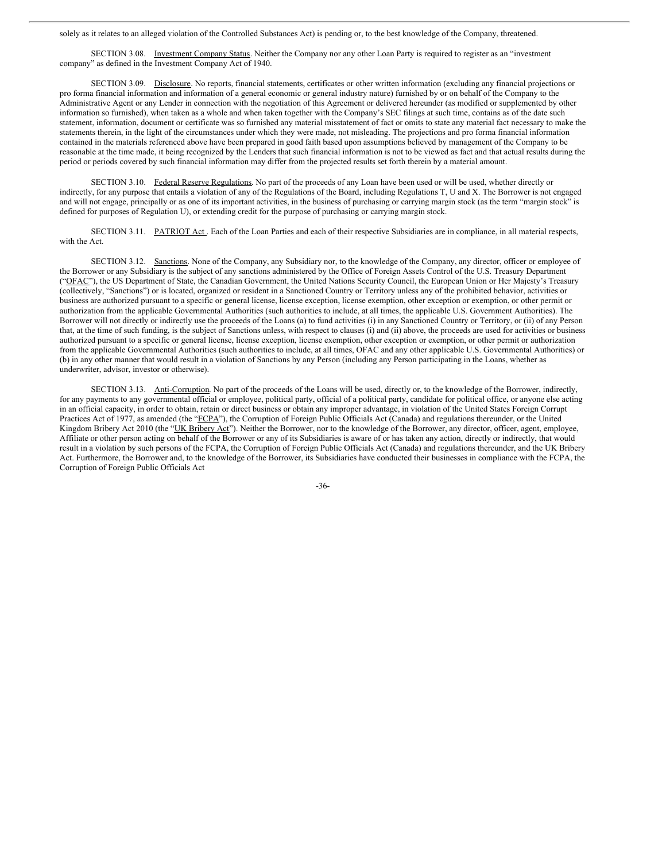solely as it relates to an alleged violation of the Controlled Substances Act) is pending or, to the best knowledge of the Company, threatened.

SECTION 3.08. Investment Company Status. Neither the Company nor any other Loan Party is required to register as an "investment company" as defined in the Investment Company Act of 1940.

SECTION 3.09. Disclosure. No reports, financial statements, certificates or other written information (excluding any financial projections or pro forma financial information and information of a general economic or general industry nature) furnished by or on behalf of the Company to the Administrative Agent or any Lender in connection with the negotiation of this Agreement or delivered hereunder (as modified or supplemented by other information so furnished), when taken as a whole and when taken together with the Company's SEC filings at such time, contains as of the date such statement, information, document or certificate was so furnished any material misstatement of fact or omits to state any material fact necessary to make the statements therein, in the light of the circumstances under which they were made, not misleading. The projections and pro forma financial information contained in the materials referenced above have been prepared in good faith based upon assumptions believed by management of the Company to be reasonable at the time made, it being recognized by the Lenders that such financial information is not to be viewed as fact and that actual results during the period or periods covered by such financial information may differ from the projected results set forth therein by a material amount.

SECTION 3.10. Federal Reserve Regulations. No part of the proceeds of any Loan have been used or will be used, whether directly or indirectly, for any purpose that entails a violation of any of the Regulations of the Board, including Regulations T, U and X. The Borrower is not engaged and will not engage, principally or as one of its important activities, in the business of purchasing or carrying margin stock (as the term "margin stock" is defined for purposes of Regulation U), or extending credit for the purpose of purchasing or carrying margin stock.

SECTION 3.11. PATRIOT Act. Each of the Loan Parties and each of their respective Subsidiaries are in compliance, in all material respects, with the Act.

SECTION 3.12. Sanctions. None of the Company, any Subsidiary nor, to the knowledge of the Company, any director, officer or employee of the Borrower or any Subsidiary is the subject of any sanctions administered by the Office of Foreign Assets Control of the U.S. Treasury Department ("OFAC"), the US Department of State, the Canadian Government, the United Nations Security Council, the European Union or Her Majesty's Treasury (collectively, "Sanctions") or is located, organized or resident in a Sanctioned Country or Territory unless any of the prohibited behavior, activities or business are authorized pursuant to a specific or general license, license exception, license exemption, other exception or exemption, or other permit or authorization from the applicable Governmental Authorities (such authorities to include, at all times, the applicable U.S. Government Authorities). The Borrower will not directly or indirectly use the proceeds of the Loans (a) to fund activities (i) in any Sanctioned Country or Territory, or (ii) of any Person that, at the time of such funding, is the subject of Sanctions unless, with respect to clauses (i) and (ii) above, the proceeds are used for activities or business authorized pursuant to a specific or general license, license exception, license exemption, other exception or exemption, or other permit or authorization from the applicable Governmental Authorities (such authorities to include, at all times, OFAC and any other applicable U.S. Governmental Authorities) or (b) in any other manner that would result in a violation of Sanctions by any Person (including any Person participating in the Loans, whether as underwriter, advisor, investor or otherwise).

SECTION 3.13. Anti-Corruption. No part of the proceeds of the Loans will be used, directly or, to the knowledge of the Borrower, indirectly, for any payments to any governmental official or employee, political party, official of a political party, candidate for political office, or anyone else acting in an official capacity, in order to obtain, retain or direct business or obtain any improper advantage, in violation of the United States Foreign Corrupt Practices Act of 1977, as amended (the "FCPA"), the Corruption of Foreign Public Officials Act (Canada) and regulations thereunder, or the United Kingdom Bribery Act 2010 (the "UK Bribery Act"). Neither the Borrower, nor to the knowledge of the Borrower, any director, officer, agent, employee, Affiliate or other person acting on behalf of the Borrower or any of its Subsidiaries is aware of or has taken any action, directly or indirectly, that would result in a violation by such persons of the FCPA, the Corruption of Foreign Public Officials Act (Canada) and regulations thereunder, and the UK Bribery Act. Furthermore, the Borrower and, to the knowledge of the Borrower, its Subsidiaries have conducted their businesses in compliance with the FCPA, the Corruption of Foreign Public Officials Act

-36-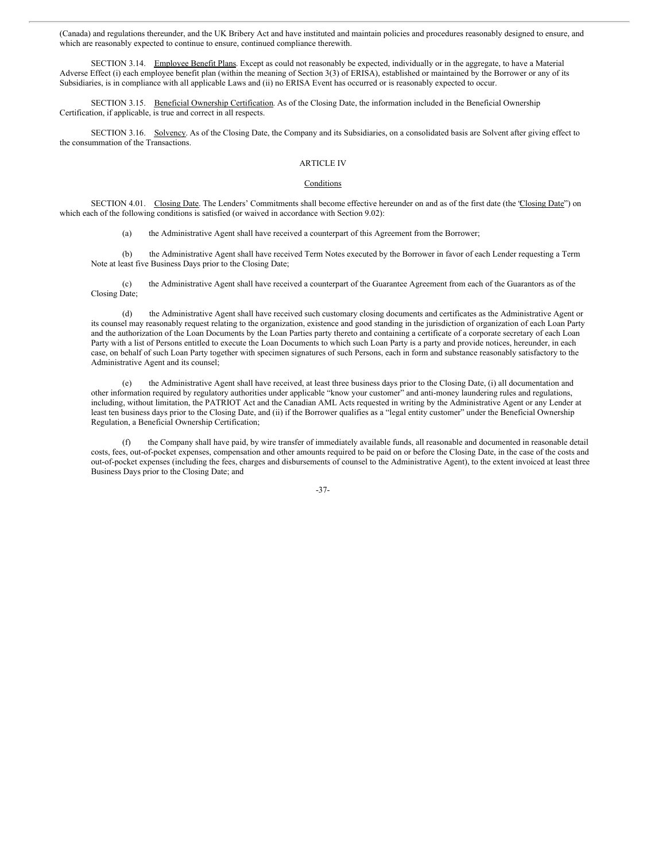(Canada) and regulations thereunder, and the UK Bribery Act and have instituted and maintain policies and procedures reasonably designed to ensure, and which are reasonably expected to continue to ensure, continued compliance therewith.

SECTION 3.14. Employee Benefit Plans. Except as could not reasonably be expected, individually or in the aggregate, to have a Material Adverse Effect (i) each employee benefit plan (within the meaning of Section 3(3) of ERISA), established or maintained by the Borrower or any of its Subsidiaries, is in compliance with all applicable Laws and (ii) no ERISA Event has occurred or is reasonably expected to occur.

SECTION 3.15. Beneficial Ownership Certification. As of the Closing Date, the information included in the Beneficial Ownership Certification, if applicable, is true and correct in all respects.

SECTION 3.16. Solvency. As of the Closing Date, the Company and its Subsidiaries, on a consolidated basis are Solvent after giving effect to the consummation of the Transactions.

### ARTICLE IV

### Conditions

SECTION 4.01. Closing Date. The Lenders' Commitments shall become effective hereunder on and as of the first date (the 'Closing Date'') on which each of the following conditions is satisfied (or waived in accordance with Section 9.02):

(a) the Administrative Agent shall have received a counterpart of this Agreement from the Borrower;

(b) the Administrative Agent shall have received Term Notes executed by the Borrower in favor of each Lender requesting a Term Note at least five Business Days prior to the Closing Date;

(c) the Administrative Agent shall have received a counterpart of the Guarantee Agreement from each of the Guarantors as of the Closing Date;

(d) the Administrative Agent shall have received such customary closing documents and certificates as the Administrative Agent or its counsel may reasonably request relating to the organization, existence and good standing in the jurisdiction of organization of each Loan Party and the authorization of the Loan Documents by the Loan Parties party thereto and containing a certificate of a corporate secretary of each Loan Party with a list of Persons entitled to execute the Loan Documents to which such Loan Party is a party and provide notices, hereunder, in each case, on behalf of such Loan Party together with specimen signatures of such Persons, each in form and substance reasonably satisfactory to the Administrative Agent and its counsel;

(e) the Administrative Agent shall have received, at least three business days prior to the Closing Date, (i) all documentation and other information required by regulatory authorities under applicable "know your customer" and anti-money laundering rules and regulations, including, without limitation, the PATRIOT Act and the Canadian AML Acts requested in writing by the Administrative Agent or any Lender at least ten business days prior to the Closing Date, and (ii) if the Borrower qualifies as a "legal entity customer" under the Beneficial Ownership Regulation, a Beneficial Ownership Certification;

(f) the Company shall have paid, by wire transfer of immediately available funds, all reasonable and documented in reasonable detail costs, fees, out-of-pocket expenses, compensation and other amounts required to be paid on or before the Closing Date, in the case of the costs and out-of-pocket expenses (including the fees, charges and disbursements of counsel to the Administrative Agent), to the extent invoiced at least three Business Days prior to the Closing Date; and

-37-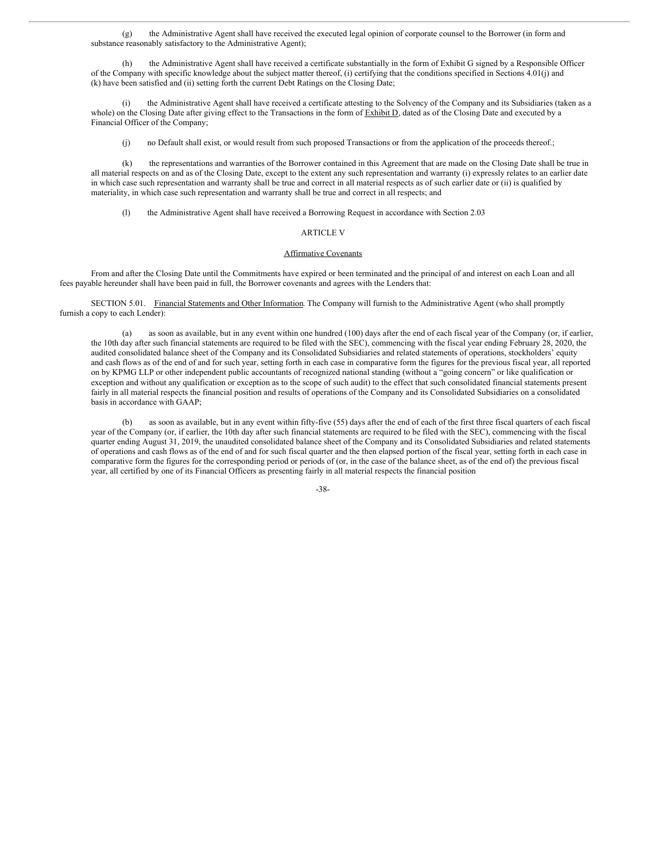(g) the Administrative Agent shall have received the executed legal opinion of corporate counsel to the Borrower (in form and substance reasonably satisfactory to the Administrative Agent);

(h) the Administrative Agent shall have received a certificate substantially in the form of Exhibit G signed by a Responsible Officer of the Company with specific knowledge about the subject matter thereof, (i) certifying that the conditions specified in Sections 4.01(j) and (k) have been satisfied and (ii) setting forth the current Debt Ratings on the Closing Date;

the Administrative Agent shall have received a certificate attesting to the Solvency of the Company and its Subsidiaries (taken as a whole) on the Closing Date after giving effect to the Transactions in the form of Exhibit D, dated as of the Closing Date and executed by a Financial Officer of the Company;

(j) no Default shall exist, or would result from such proposed Transactions or from the application of the proceeds thereof.;

(k) the representations and warranties of the Borrower contained in this Agreement that are made on the Closing Date shall be true in all material respects on and as of the Closing Date, except to the extent any such representation and warranty (i) expressly relates to an earlier date in which case such representation and warranty shall be true and correct in all material respects as of such earlier date or (ii) is qualified by materiality, in which case such representation and warranty shall be true and correct in all respects; and

(l) the Administrative Agent shall have received a Borrowing Request in accordance with Section 2.03

### ARTICLE V

#### Affirmative Covenants

From and after the Closing Date until the Commitments have expired or been terminated and the principal of and interest on each Loan and all fees payable hereunder shall have been paid in full, the Borrower covenants and agrees with the Lenders that:

SECTION 5.01. Financial Statements and Other Information. The Company will furnish to the Administrative Agent (who shall promptly furnish a copy to each Lender):

(a) as soon as available, but in any event within one hundred (100) days after the end of each fiscal year of the Company (or, if earlier, the 10th day after such financial statements are required to be filed with the SEC), commencing with the fiscal year ending February 28, 2020, the audited consolidated balance sheet of the Company and its Consolidated Subsidiaries and related statements of operations, stockholders' equity and cash flows as of the end of and for such year, setting forth in each case in comparative form the figures for the previous fiscal year, all reported on by KPMG LLP or other independent public accountants of recognized national standing (without a "going concern" or like qualification or exception and without any qualification or exception as to the scope of such audit) to the effect that such consolidated financial statements present fairly in all material respects the financial position and results of operations of the Company and its Consolidated Subsidiaries on a consolidated basis in accordance with GAAP;

(b) as soon as available, but in any event within fifty-five (55) days after the end of each of the first three fiscal quarters of each fiscal year of the Company (or, if earlier, the 10th day after such financial statements are required to be filed with the SEC), commencing with the fiscal quarter ending August 31, 2019, the unaudited consolidated balance sheet of the Company and its Consolidated Subsidiaries and related statements of operations and cash flows as of the end of and for such fiscal quarter and the then elapsed portion of the fiscal year, setting forth in each case in comparative form the figures for the corresponding period or periods of (or, in the case of the balance sheet, as of the end of) the previous fiscal year, all certified by one of its Financial Officers as presenting fairly in all material respects the financial position

-38-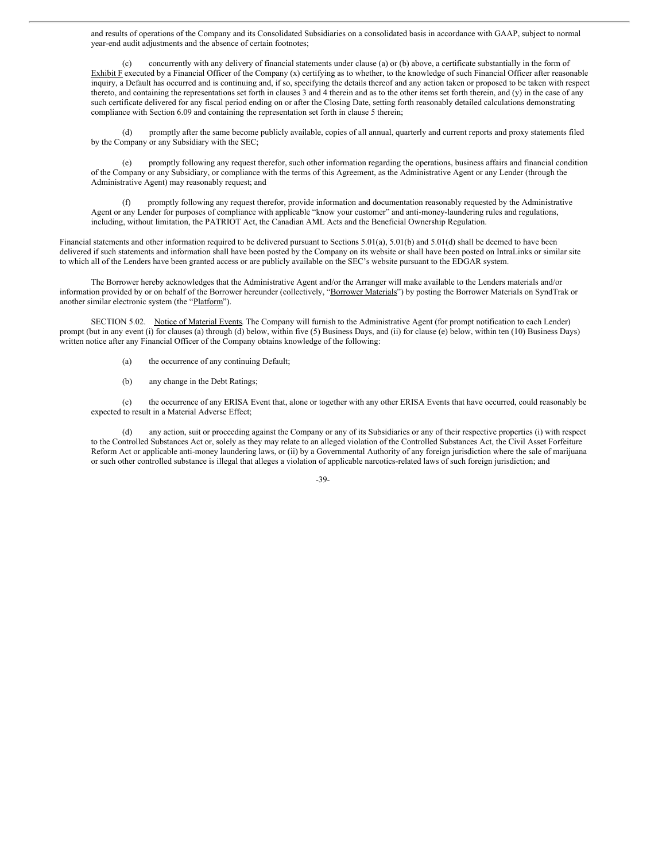and results of operations of the Company and its Consolidated Subsidiaries on a consolidated basis in accordance with GAAP, subject to normal year-end audit adjustments and the absence of certain footnotes;

(c) concurrently with any delivery of financial statements under clause (a) or (b) above, a certificate substantially in the form of Exhibit F executed by a Financial Officer of the Company  $(x)$  certifying as to whether, to the knowledge of such Financial Officer after reasonable inquiry, a Default has occurred and is continuing and, if so, specifying the details thereof and any action taken or proposed to be taken with respect thereto, and containing the representations set forth in clauses 3 and 4 therein and as to the other items set forth therein, and (y) in the case of any such certificate delivered for any fiscal period ending on or after the Closing Date, setting forth reasonably detailed calculations demonstrating compliance with Section 6.09 and containing the representation set forth in clause 5 therein;

(d) promptly after the same become publicly available, copies of all annual, quarterly and current reports and proxy statements filed by the Company or any Subsidiary with the SEC;

(e) promptly following any request therefor, such other information regarding the operations, business affairs and financial condition of the Company or any Subsidiary, or compliance with the terms of this Agreement, as the Administrative Agent or any Lender (through the Administrative Agent) may reasonably request; and

(f) promptly following any request therefor, provide information and documentation reasonably requested by the Administrative Agent or any Lender for purposes of compliance with applicable "know your customer" and anti-money-laundering rules and regulations, including, without limitation, the PATRIOT Act, the Canadian AML Acts and the Beneficial Ownership Regulation.

Financial statements and other information required to be delivered pursuant to Sections 5.01(a), 5.01(b) and 5.01(d) shall be deemed to have been delivered if such statements and information shall have been posted by the Company on its website or shall have been posted on IntraLinks or similar site to which all of the Lenders have been granted access or are publicly available on the SEC's website pursuant to the EDGAR system.

The Borrower hereby acknowledges that the Administrative Agent and/or the Arranger will make available to the Lenders materials and/or information provided by or on behalf of the Borrower hereunder (collectively, "Borrower Materials") by posting the Borrower Materials on SyndTrak or another similar electronic system (the "Platform").

SECTION 5.02. Notice of Material Events. The Company will furnish to the Administrative Agent (for prompt notification to each Lender) prompt (but in any event (i) for clauses (a) through (d) below, within five (5) Business Days, and (ii) for clause (e) below, within ten (10) Business Days) written notice after any Financial Officer of the Company obtains knowledge of the following:

- (a) the occurrence of any continuing Default;
- (b) any change in the Debt Ratings;

(c) the occurrence of any ERISA Event that, alone or together with any other ERISA Events that have occurred, could reasonably be expected to result in a Material Adverse Effect;

(d) any action, suit or proceeding against the Company or any of its Subsidiaries or any of their respective properties (i) with respect to the Controlled Substances Act or, solely as they may relate to an alleged violation of the Controlled Substances Act, the Civil Asset Forfeiture Reform Act or applicable anti-money laundering laws, or (ii) by a Governmental Authority of any foreign jurisdiction where the sale of marijuana or such other controlled substance is illegal that alleges a violation of applicable narcotics-related laws of such foreign jurisdiction; and

-39-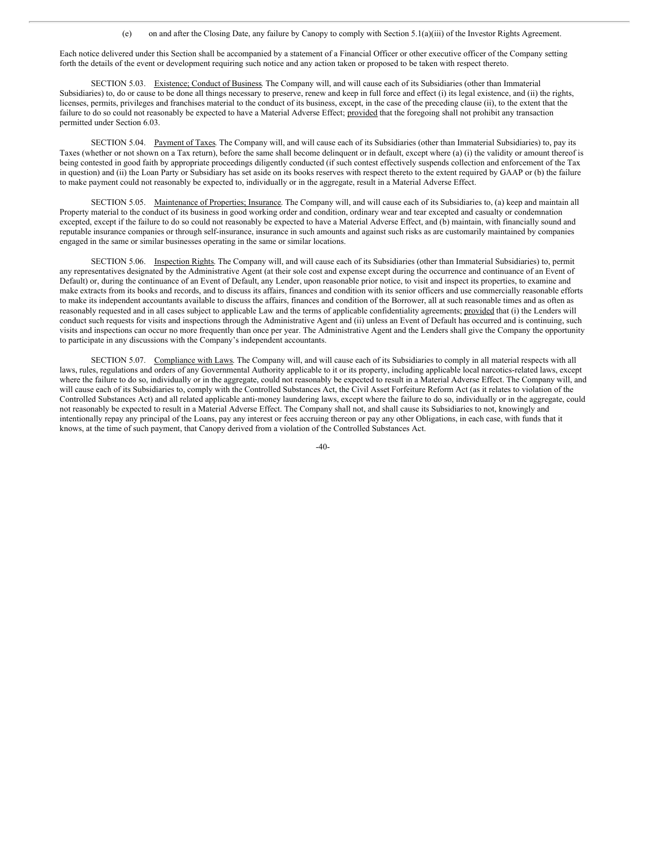#### (e) on and after the Closing Date, any failure by Canopy to comply with Section 5.1(a)(iii) of the Investor Rights Agreement.

Each notice delivered under this Section shall be accompanied by a statement of a Financial Officer or other executive officer of the Company setting forth the details of the event or development requiring such notice and any action taken or proposed to be taken with respect thereto.

SECTION 5.03. Existence; Conduct of Business. The Company will, and will cause each of its Subsidiaries (other than Immaterial Subsidiaries) to, do or cause to be done all things necessary to preserve, renew and keep in full force and effect (i) its legal existence, and (ii) the rights, licenses, permits, privileges and franchises material to the conduct of its business, except, in the case of the preceding clause (ii), to the extent that the failure to do so could not reasonably be expected to have a Material Adverse Effect; provided that the foregoing shall not prohibit any transaction permitted under Section 6.03.

SECTION 5.04. Payment of Taxes. The Company will, and will cause each of its Subsidiaries (other than Immaterial Subsidiaries) to, pay its Taxes (whether or not shown on a Tax return), before the same shall become delinquent or in default, except where (a) (i) the validity or amount thereof is being contested in good faith by appropriate proceedings diligently conducted (if such contest effectively suspends collection and enforcement of the Tax in question) and (ii) the Loan Party or Subsidiary has set aside on its books reserves with respect thereto to the extent required by GAAP or (b) the failure to make payment could not reasonably be expected to, individually or in the aggregate, result in a Material Adverse Effect.

SECTION 5.05. Maintenance of Properties; Insurance. The Company will, and will cause each of its Subsidiaries to, (a) keep and maintain all Property material to the conduct of its business in good working order and condition, ordinary wear and tear excepted and casualty or condemnation excepted, except if the failure to do so could not reasonably be expected to have a Material Adverse Effect, and (b) maintain, with financially sound and reputable insurance companies or through self-insurance, insurance in such amounts and against such risks as are customarily maintained by companies engaged in the same or similar businesses operating in the same or similar locations.

SECTION 5.06. Inspection Rights. The Company will, and will cause each of its Subsidiaries (other than Immaterial Subsidiaries) to, permit any representatives designated by the Administrative Agent (at their sole cost and expense except during the occurrence and continuance of an Event of Default) or, during the continuance of an Event of Default, any Lender, upon reasonable prior notice, to visit and inspect its properties, to examine and make extracts from its books and records, and to discuss its affairs, finances and condition with its senior officers and use commercially reasonable efforts to make its independent accountants available to discuss the affairs, finances and condition of the Borrower, all at such reasonable times and as often as reasonably requested and in all cases subject to applicable Law and the terms of applicable confidentiality agreements; provided that (i) the Lenders will conduct such requests for visits and inspections through the Administrative Agent and (ii) unless an Event of Default has occurred and is continuing, such visits and inspections can occur no more frequently than once per year. The Administrative Agent and the Lenders shall give the Company the opportunity to participate in any discussions with the Company's independent accountants.

SECTION 5.07. Compliance with Laws. The Company will, and will cause each of its Subsidiaries to comply in all material respects with all laws, rules, regulations and orders of any Governmental Authority applicable to it or its property, including applicable local narcotics-related laws, except where the failure to do so, individually or in the aggregate, could not reasonably be expected to result in a Material Adverse Effect. The Company will, and will cause each of its Subsidiaries to, comply with the Controlled Substances Act, the Civil Asset Forfeiture Reform Act (as it relates to violation of the Controlled Substances Act) and all related applicable anti-money laundering laws, except where the failure to do so, individually or in the aggregate, could not reasonably be expected to result in a Material Adverse Effect. The Company shall not, and shall cause its Subsidiaries to not, knowingly and intentionally repay any principal of the Loans, pay any interest or fees accruing thereon or pay any other Obligations, in each case, with funds that it knows, at the time of such payment, that Canopy derived from a violation of the Controlled Substances Act.

-40-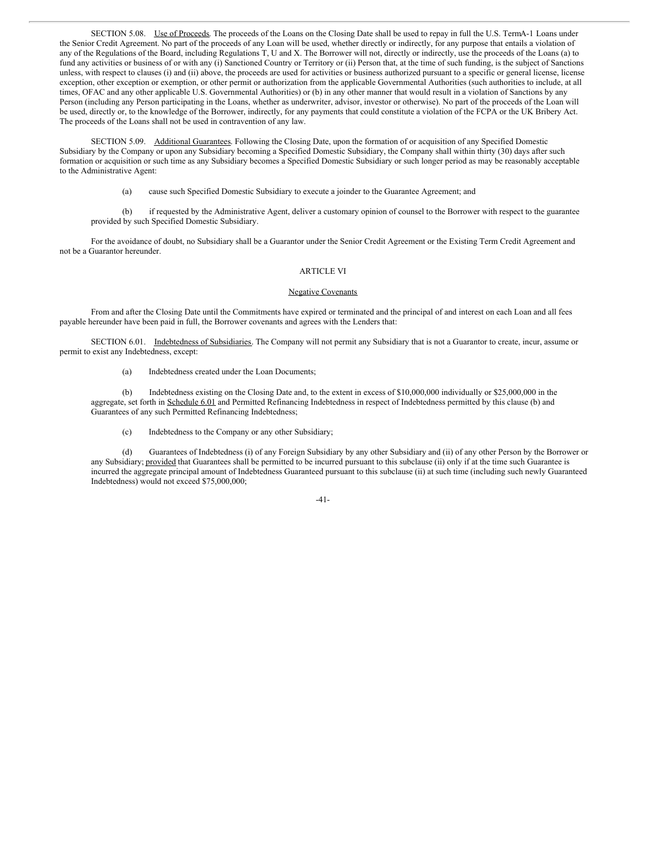SECTION 5.08. Use of Proceeds. The proceeds of the Loans on the Closing Date shall be used to repay in full the U.S. TermA-1 Loans under the Senior Credit Agreement. No part of the proceeds of any Loan will be used, whether directly or indirectly, for any purpose that entails a violation of any of the Regulations of the Board, including Regulations T, U and X. The Borrower will not, directly or indirectly, use the proceeds of the Loans (a) to fund any activities or business of or with any (i) Sanctioned Country or Territory or (ii) Person that, at the time of such funding, is the subject of Sanctions unless, with respect to clauses (i) and (ii) above, the proceeds are used for activities or business authorized pursuant to a specific or general license, license exception, other exception or exemption, or other permit or authorization from the applicable Governmental Authorities (such authorities to include, at all times, OFAC and any other applicable U.S. Governmental Authorities) or (b) in any other manner that would result in a violation of Sanctions by any Person (including any Person participating in the Loans, whether as underwriter, advisor, investor or otherwise). No part of the proceeds of the Loan will be used, directly or, to the knowledge of the Borrower, indirectly, for any payments that could constitute a violation of the FCPA or the UK Bribery Act. The proceeds of the Loans shall not be used in contravention of any law.

SECTION 5.09. Additional Guarantees. Following the Closing Date, upon the formation of or acquisition of any Specified Domestic Subsidiary by the Company or upon any Subsidiary becoming a Specified Domestic Subsidiary, the Company shall within thirty (30) days after such formation or acquisition or such time as any Subsidiary becomes a Specified Domestic Subsidiary or such longer period as may be reasonably acceptable to the Administrative Agent:

(a) cause such Specified Domestic Subsidiary to execute a joinder to the Guarantee Agreement; and

(b) if requested by the Administrative Agent, deliver a customary opinion of counsel to the Borrower with respect to the guarantee provided by such Specified Domestic Subsidiary.

For the avoidance of doubt, no Subsidiary shall be a Guarantor under the Senior Credit Agreement or the Existing Term Credit Agreement and not be a Guarantor hereunder.

### ARTICLE VI

#### Negative Covenants

From and after the Closing Date until the Commitments have expired or terminated and the principal of and interest on each Loan and all fees payable hereunder have been paid in full, the Borrower covenants and agrees with the Lenders that:

SECTION 6.01. Indebtedness of Subsidiaries. The Company will not permit any Subsidiary that is not a Guarantor to create, incur, assume or permit to exist any Indebtedness, except:

(a) Indebtedness created under the Loan Documents;

(b) Indebtedness existing on the Closing Date and, to the extent in excess of \$10,000,000 individually or \$25,000,000 in the aggregate, set forth in Schedule 6.01 and Permitted Refinancing Indebtedness in respect of Indebtedness permitted by this clause (b) and Guarantees of any such Permitted Refinancing Indebtedness;

(c) Indebtedness to the Company or any other Subsidiary;

(d) Guarantees of Indebtedness (i) of any Foreign Subsidiary by any other Subsidiary and (ii) of any other Person by the Borrower or any Subsidiary; provided that Guarantees shall be permitted to be incurred pursuant to this subclause (ii) only if at the time such Guarantee is incurred the aggregate principal amount of Indebtedness Guaranteed pursuant to this subclause (ii) at such time (including such newly Guaranteed Indebtedness) would not exceed \$75,000,000;

-41-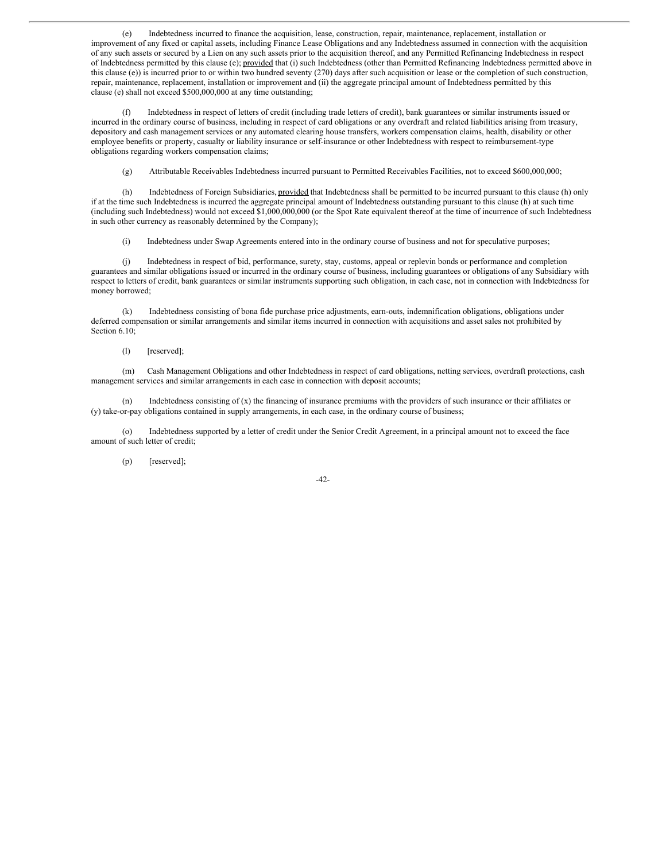(e) Indebtedness incurred to finance the acquisition, lease, construction, repair, maintenance, replacement, installation or improvement of any fixed or capital assets, including Finance Lease Obligations and any Indebtedness assumed in connection with the acquisition of any such assets or secured by a Lien on any such assets prior to the acquisition thereof, and any Permitted Refinancing Indebtedness in respect of Indebtedness permitted by this clause (e); provided that (i) such Indebtedness (other than Permitted Refinancing Indebtedness permitted above in this clause (e)) is incurred prior to or within two hundred seventy (270) days after such acquisition or lease or the completion of such construction, repair, maintenance, replacement, installation or improvement and (ii) the aggregate principal amount of Indebtedness permitted by this clause (e) shall not exceed \$500,000,000 at any time outstanding;

Indebtedness in respect of letters of credit (including trade letters of credit), bank guarantees or similar instruments issued or incurred in the ordinary course of business, including in respect of card obligations or any overdraft and related liabilities arising from treasury, depository and cash management services or any automated clearing house transfers, workers compensation claims, health, disability or other employee benefits or property, casualty or liability insurance or self-insurance or other Indebtedness with respect to reimbursement-type obligations regarding workers compensation claims;

(g) Attributable Receivables Indebtedness incurred pursuant to Permitted Receivables Facilities, not to exceed \$600,000,000;

(h) Indebtedness of Foreign Subsidiaries, provided that Indebtedness shall be permitted to be incurred pursuant to this clause (h) only if at the time such Indebtedness is incurred the aggregate principal amount of Indebtedness outstanding pursuant to this clause (h) at such time (including such Indebtedness) would not exceed \$1,000,000,000 (or the Spot Rate equivalent thereof at the time of incurrence of such Indebtedness in such other currency as reasonably determined by the Company);

(i) Indebtedness under Swap Agreements entered into in the ordinary course of business and not for speculative purposes;

(j) Indebtedness in respect of bid, performance, surety, stay, customs, appeal or replevin bonds or performance and completion guarantees and similar obligations issued or incurred in the ordinary course of business, including guarantees or obligations of any Subsidiary with respect to letters of credit, bank guarantees or similar instruments supporting such obligation, in each case, not in connection with Indebtedness for money borrowed<sup>.</sup>

(k) Indebtedness consisting of bona fide purchase price adjustments, earn-outs, indemnification obligations, obligations under deferred compensation or similar arrangements and similar items incurred in connection with acquisitions and asset sales not prohibited by Section 6.10;

(l) [reserved];

(m) Cash Management Obligations and other Indebtedness in respect of card obligations, netting services, overdraft protections, cash management services and similar arrangements in each case in connection with deposit accounts;

(n) Indebtedness consisting of (x) the financing of insurance premiums with the providers of such insurance or their affiliates or (y) take-or-pay obligations contained in supply arrangements, in each case, in the ordinary course of business;

(o) Indebtedness supported by a letter of credit under the Senior Credit Agreement, in a principal amount not to exceed the face amount of such letter of credit;

(p) [reserved];

-42-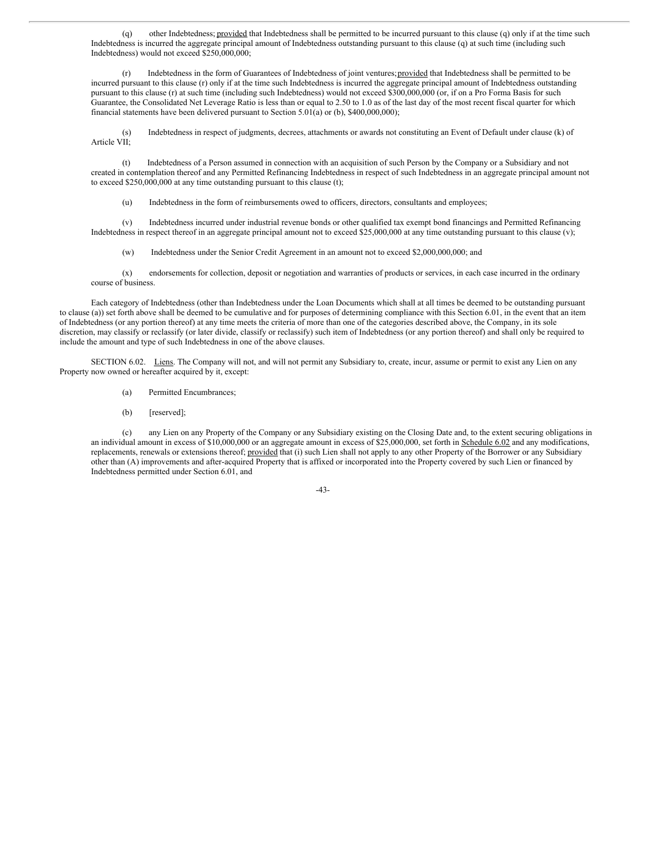(q) other Indebtedness; provided that Indebtedness shall be permitted to be incurred pursuant to this clause (q) only if at the time such Indebtedness is incurred the aggregate principal amount of Indebtedness outstanding pursuant to this clause (q) at such time (including such Indebtedness) would not exceed \$250,000,000;

(r) Indebtedness in the form of Guarantees of Indebtedness of joint ventures;provided that Indebtedness shall be permitted to be incurred pursuant to this clause (r) only if at the time such Indebtedness is incurred the aggregate principal amount of Indebtedness outstanding pursuant to this clause (r) at such time (including such Indebtedness) would not exceed \$300,000,000 (or, if on a Pro Forma Basis for such Guarantee, the Consolidated Net Leverage Ratio is less than or equal to 2.50 to 1.0 as of the last day of the most recent fiscal quarter for which financial statements have been delivered pursuant to Section 5.01(a) or (b),  $$400,000,000$ ;

(s) Indebtedness in respect of judgments, decrees, attachments or awards not constituting an Event of Default under clause (k) of Article VII;

(t) Indebtedness of a Person assumed in connection with an acquisition of such Person by the Company or a Subsidiary and not created in contemplation thereof and any Permitted Refinancing Indebtedness in respect of such Indebtedness in an aggregate principal amount not to exceed \$250,000,000 at any time outstanding pursuant to this clause (t);

(u) Indebtedness in the form of reimbursements owed to officers, directors, consultants and employees;

(v) Indebtedness incurred under industrial revenue bonds or other qualified tax exempt bond financings and Permitted Refinancing Indebtedness in respect thereof in an aggregate principal amount not to exceed \$25,000,000 at any time outstanding pursuant to this clause (v);

(w) Indebtedness under the Senior Credit Agreement in an amount not to exceed \$2,000,000,000; and

(x) endorsements for collection, deposit or negotiation and warranties of products or services, in each case incurred in the ordinary course of business.

Each category of Indebtedness (other than Indebtedness under the Loan Documents which shall at all times be deemed to be outstanding pursuant to clause (a)) set forth above shall be deemed to be cumulative and for purposes of determining compliance with this Section 6.01, in the event that an item of Indebtedness (or any portion thereof) at any time meets the criteria of more than one of the categories described above, the Company, in its sole discretion, may classify or reclassify (or later divide, classify or reclassify) such item of Indebtedness (or any portion thereof) and shall only be required to include the amount and type of such Indebtedness in one of the above clauses.

SECTION 6.02. Liens. The Company will not, and will not permit any Subsidiary to, create, incur, assume or permit to exist any Lien on any Property now owned or hereafter acquired by it, except:

- (a) Permitted Encumbrances;
- (b) [reserved];

(c) any Lien on any Property of the Company or any Subsidiary existing on the Closing Date and, to the extent securing obligations in an individual amount in excess of \$10,000,000 or an aggregate amount in excess of \$25,000,000, set forth in Schedule 6.02 and any modifications, replacements, renewals or extensions thereof; provided that (i) such Lien shall not apply to any other Property of the Borrower or any Subsidiary other than (A) improvements and after-acquired Property that is affixed or incorporated into the Property covered by such Lien or financed by Indebtedness permitted under Section 6.01, and

-43-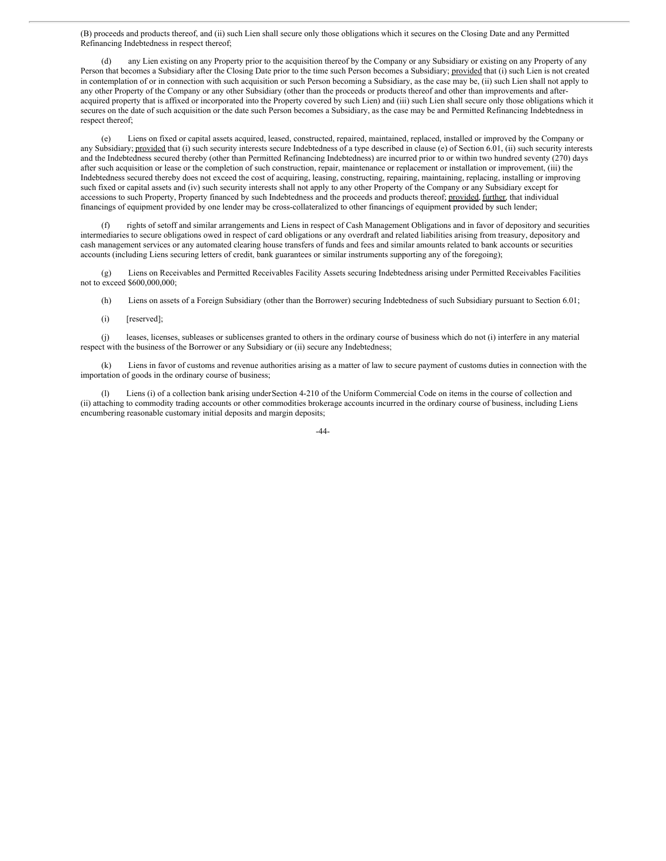(B) proceeds and products thereof, and (ii) such Lien shall secure only those obligations which it secures on the Closing Date and any Permitted Refinancing Indebtedness in respect thereof;

(d) any Lien existing on any Property prior to the acquisition thereof by the Company or any Subsidiary or existing on any Property of any Person that becomes a Subsidiary after the Closing Date prior to the time such Person becomes a Subsidiary; provided that (i) such Lien is not created in contemplation of or in connection with such acquisition or such Person becoming a Subsidiary, as the case may be, (ii) such Lien shall not apply to any other Property of the Company or any other Subsidiary (other than the proceeds or products thereof and other than improvements and afteracquired property that is affixed or incorporated into the Property covered by such Lien) and (iii) such Lien shall secure only those obligations which it secures on the date of such acquisition or the date such Person becomes a Subsidiary, as the case may be and Permitted Refinancing Indebtedness in respect thereof;

(e) Liens on fixed or capital assets acquired, leased, constructed, repaired, maintained, replaced, installed or improved by the Company or any Subsidiary; provided that (i) such security interests secure Indebtedness of a type described in clause (e) of Section 6.01, (ii) such security interests and the Indebtedness secured thereby (other than Permitted Refinancing Indebtedness) are incurred prior to or within two hundred seventy (270) days after such acquisition or lease or the completion of such construction, repair, maintenance or replacement or installation or improvement, (iii) the Indebtedness secured thereby does not exceed the cost of acquiring, leasing, constructing, repairing, maintaining, replacing, installing or improving such fixed or capital assets and (iv) such security interests shall not apply to any other Property of the Company or any Subsidiary except for accessions to such Property, Property financed by such Indebtedness and the proceeds and products thereof; provided, further, that individual financings of equipment provided by one lender may be cross-collateralized to other financings of equipment provided by such lender;

rights of setoff and similar arrangements and Liens in respect of Cash Management Obligations and in favor of depository and securities intermediaries to secure obligations owed in respect of card obligations or any overdraft and related liabilities arising from treasury, depository and cash management services or any automated clearing house transfers of funds and fees and similar amounts related to bank accounts or securities accounts (including Liens securing letters of credit, bank guarantees or similar instruments supporting any of the foregoing);

(g) Liens on Receivables and Permitted Receivables Facility Assets securing Indebtedness arising under Permitted Receivables Facilities not to exceed \$600,000,000;

- (h) Liens on assets of a Foreign Subsidiary (other than the Borrower) securing Indebtedness of such Subsidiary pursuant to Section 6.01;
- (i) [reserved];

(j) leases, licenses, subleases or sublicenses granted to others in the ordinary course of business which do not (i) interfere in any material respect with the business of the Borrower or any Subsidiary or (ii) secure any Indebtedness;

(k) Liens in favor of customs and revenue authorities arising as a matter of law to secure payment of customs duties in connection with the importation of goods in the ordinary course of business;

(l) Liens (i) of a collection bank arising underSection 4-210 of the Uniform Commercial Code on items in the course of collection and (ii) attaching to commodity trading accounts or other commodities brokerage accounts incurred in the ordinary course of business, including Liens encumbering reasonable customary initial deposits and margin deposits;

-44-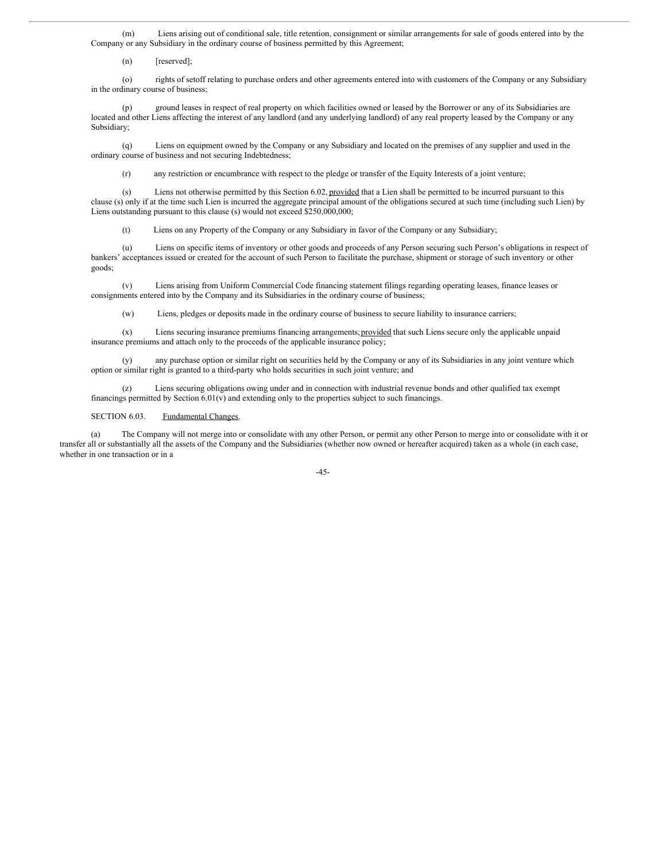(m) Liens arising out of conditional sale, title retention, consignment or similar arrangements for sale of goods entered into by the Company or any Subsidiary in the ordinary course of business permitted by this Agreement;

(n) [reserved];

(o) rights of setoff relating to purchase orders and other agreements entered into with customers of the Company or any Subsidiary in the ordinary course of business;

(p) ground leases in respect of real property on which facilities owned or leased by the Borrower or any of its Subsidiaries are located and other Liens affecting the interest of any landlord (and any underlying landlord) of any real property leased by the Company or any Subsidiary;

(q) Liens on equipment owned by the Company or any Subsidiary and located on the premises of any supplier and used in the ordinary course of business and not securing Indebtedness;

(r) any restriction or encumbrance with respect to the pledge or transfer of the Equity Interests of a joint venture;

(s) Liens not otherwise permitted by this Section 6.02, provided that a Lien shall be permitted to be incurred pursuant to this clause (s) only if at the time such Lien is incurred the aggregate principal amount of the obligations secured at such time (including such Lien) by Liens outstanding pursuant to this clause (s) would not exceed \$250,000,000;

(t) Liens on any Property of the Company or any Subsidiary in favor of the Company or any Subsidiary;

(u) Liens on specific items of inventory or other goods and proceeds of any Person securing such Person's obligations in respect of bankers' acceptances issued or created for the account of such Person to facilitate the purchase, shipment or storage of such inventory or other goods;

(v) Liens arising from Uniform Commercial Code financing statement filings regarding operating leases, finance leases or consignments entered into by the Company and its Subsidiaries in the ordinary course of business;

(w) Liens, pledges or deposits made in the ordinary course of business to secure liability to insurance carriers;

(x) Liens securing insurance premiums financing arrangements;provided that such Liens secure only the applicable unpaid insurance premiums and attach only to the proceeds of the applicable insurance policy;

(y) any purchase option or similar right on securities held by the Company or any of its Subsidiaries in any joint venture which option or similar right is granted to a third-party who holds securities in such joint venture; and

(z) Liens securing obligations owing under and in connection with industrial revenue bonds and other qualified tax exempt financings permitted by Section 6.01(v) and extending only to the properties subject to such financings.

### SECTION 6.03. Fundamental Changes.

(a) The Company will not merge into or consolidate with any other Person, or permit any other Person to merge into or consolidate with it or transfer all or substantially all the assets of the Company and the Subsidiaries (whether now owned or hereafter acquired) taken as a whole (in each case, whether in one transaction or in a

-45-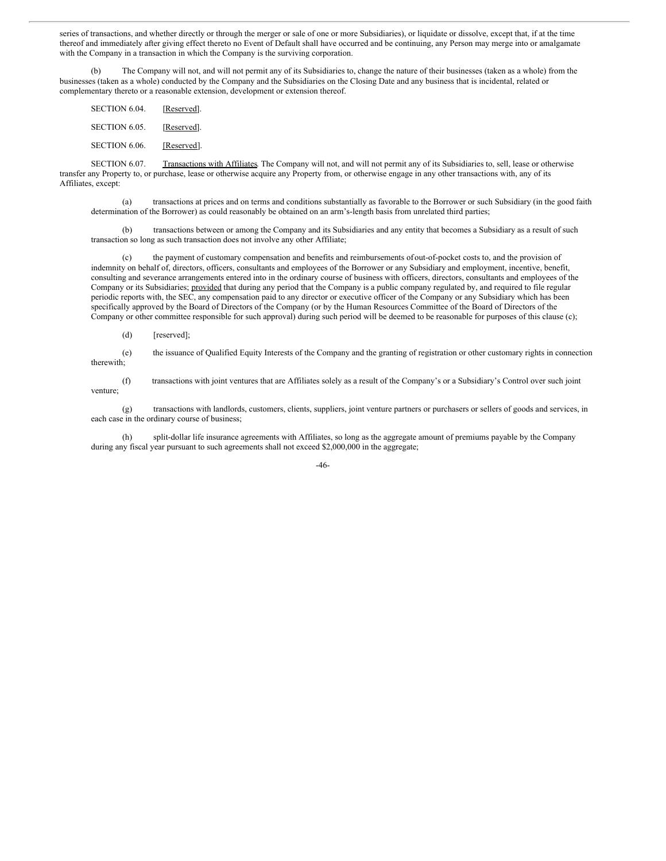series of transactions, and whether directly or through the merger or sale of one or more Subsidiaries), or liquidate or dissolve, except that, if at the time thereof and immediately after giving effect thereto no Event of Default shall have occurred and be continuing, any Person may merge into or amalgamate with the Company in a transaction in which the Company is the surviving corporation.

(b) The Company will not, and will not permit any of its Subsidiaries to, change the nature of their businesses (taken as a whole) from the businesses (taken as a whole) conducted by the Company and the Subsidiaries on the Closing Date and any business that is incidental, related or complementary thereto or a reasonable extension, development or extension thereof.

| SECTION 6.04. | [Reserved]. |
|---------------|-------------|
| SECTION 6.05. | [Reserved]. |
| SECTION 6.06. | [Reserved]. |

SECTION 6.07. Transactions with Affiliates. The Company will not, and will not permit any of its Subsidiaries to, sell, lease or otherwise transfer any Property to, or purchase, lease or otherwise acquire any Property from, or otherwise engage in any other transactions with, any of its Affiliates, except:

(a) transactions at prices and on terms and conditions substantially as favorable to the Borrower or such Subsidiary (in the good faith determination of the Borrower) as could reasonably be obtained on an arm's-length basis from unrelated third parties;

(b) transactions between or among the Company and its Subsidiaries and any entity that becomes a Subsidiary as a result of such transaction so long as such transaction does not involve any other Affiliate;

(c) the payment of customary compensation and benefits and reimbursements of out-of-pocket costs to, and the provision of indemnity on behalf of, directors, officers, consultants and employees of the Borrower or any Subsidiary and employment, incentive, benefit, consulting and severance arrangements entered into in the ordinary course of business with officers, directors, consultants and employees of the Company or its Subsidiaries; provided that during any period that the Company is a public company regulated by, and required to file regular periodic reports with, the SEC, any compensation paid to any director or executive officer of the Company or any Subsidiary which has been specifically approved by the Board of Directors of the Company (or by the Human Resources Committee of the Board of Directors of the Company or other committee responsible for such approval) during such period will be deemed to be reasonable for purposes of this clause (c);

(d) [reserved];

(e) the issuance of Qualified Equity Interests of the Company and the granting of registration or other customary rights in connection therewith;

(f) transactions with joint ventures that are Affiliates solely as a result of the Company's or a Subsidiary's Control over such joint venture;

(g) transactions with landlords, customers, clients, suppliers, joint venture partners or purchasers or sellers of goods and services, in each case in the ordinary course of business;

(h) split-dollar life insurance agreements with Affiliates, so long as the aggregate amount of premiums payable by the Company during any fiscal year pursuant to such agreements shall not exceed \$2,000,000 in the aggregate;

-46-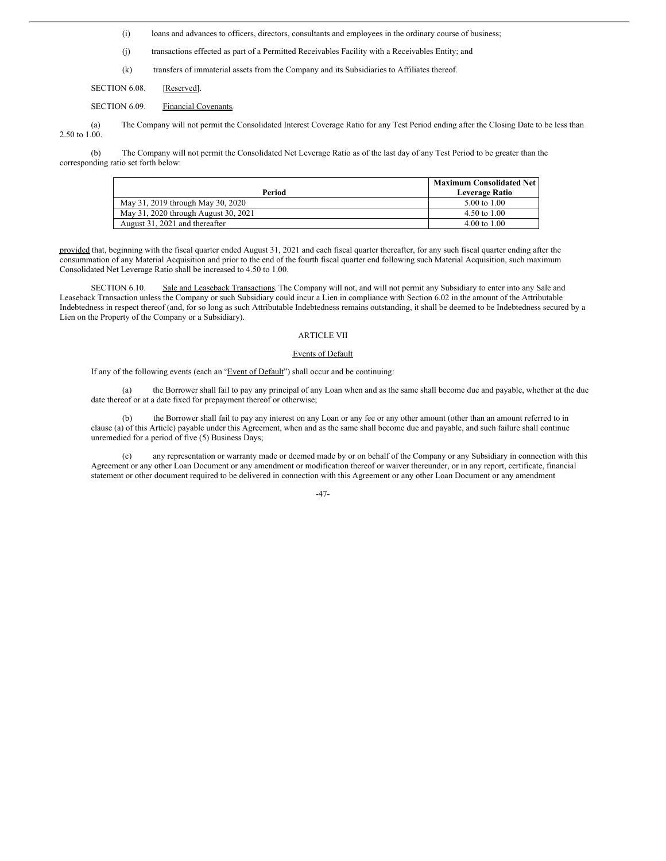(i) loans and advances to officers, directors, consultants and employees in the ordinary course of business;

(j) transactions effected as part of a Permitted Receivables Facility with a Receivables Entity; and

(k) transfers of immaterial assets from the Company and its Subsidiaries to Affiliates thereof.

SECTION 6.08. [Reserved].

### SECTION 6.09. Financial Covenants.

(a) The Company will not permit the Consolidated Interest Coverage Ratio for any Test Period ending after the Closing Date to be less than 2.50 to 1.00.

(b) The Company will not permit the Consolidated Net Leverage Ratio as of the last day of any Test Period to be greater than the corresponding ratio set forth below:

|                                      | <b>Maximum Consolidated Net</b> |
|--------------------------------------|---------------------------------|
| Period                               | Leverage Ratio                  |
| May 31, 2019 through May 30, 2020    | 5.00 to 1.00                    |
| May 31, 2020 through August 30, 2021 | 4.50 to 1.00                    |
| August 31, 2021 and thereafter       | 4.00 to $1.00$                  |

provided that, beginning with the fiscal quarter ended August 31, 2021 and each fiscal quarter thereafter, for any such fiscal quarter ending after the consummation of any Material Acquisition and prior to the end of the fourth fiscal quarter end following such Material Acquisition, such maximum Consolidated Net Leverage Ratio shall be increased to 4.50 to 1.00.

SECTION 6.10. Sale and Leaseback Transactions. The Company will not, and will not permit any Subsidiary to enter into any Sale and Leaseback Transaction unless the Company or such Subsidiary could incur a Lien in compliance with Section 6.02 in the amount of the Attributable Indebtedness in respect thereof (and, for so long as such Attributable Indebtedness remains outstanding, it shall be deemed to be Indebtedness secured by a Lien on the Property of the Company or a Subsidiary).

### ARTICLE VII

## Events of Default

If any of the following events (each an "Event of Default") shall occur and be continuing:

(a) the Borrower shall fail to pay any principal of any Loan when and as the same shall become due and payable, whether at the due date thereof or at a date fixed for prepayment thereof or otherwise;

(b) the Borrower shall fail to pay any interest on any Loan or any fee or any other amount (other than an amount referred to in clause (a) of this Article) payable under this Agreement, when and as the same shall become due and payable, and such failure shall continue unremedied for a period of five (5) Business Days;

(c) any representation or warranty made or deemed made by or on behalf of the Company or any Subsidiary in connection with this Agreement or any other Loan Document or any amendment or modification thereof or waiver thereunder, or in any report, certificate, financial statement or other document required to be delivered in connection with this Agreement or any other Loan Document or any amendment

-47-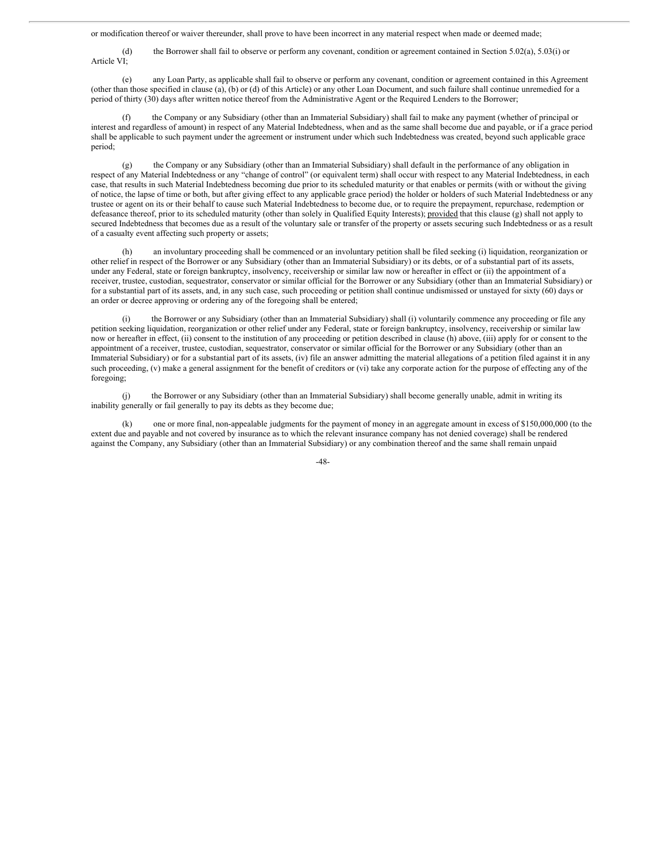or modification thereof or waiver thereunder, shall prove to have been incorrect in any material respect when made or deemed made;

(d) the Borrower shall fail to observe or perform any covenant, condition or agreement contained in Section 5.02(a), 5.03(i) or Article VI;

(e) any Loan Party, as applicable shall fail to observe or perform any covenant, condition or agreement contained in this Agreement (other than those specified in clause (a), (b) or (d) of this Article) or any other Loan Document, and such failure shall continue unremedied for a period of thirty (30) days after written notice thereof from the Administrative Agent or the Required Lenders to the Borrower;

(f) the Company or any Subsidiary (other than an Immaterial Subsidiary) shall fail to make any payment (whether of principal or interest and regardless of amount) in respect of any Material Indebtedness, when and as the same shall become due and payable, or if a grace period shall be applicable to such payment under the agreement or instrument under which such Indebtedness was created, beyond such applicable grace period;

(g) the Company or any Subsidiary (other than an Immaterial Subsidiary) shall default in the performance of any obligation in respect of any Material Indebtedness or any "change of control" (or equivalent term) shall occur with respect to any Material Indebtedness, in each case, that results in such Material Indebtedness becoming due prior to its scheduled maturity or that enables or permits (with or without the giving of notice, the lapse of time or both, but after giving effect to any applicable grace period) the holder or holders of such Material Indebtedness or any trustee or agent on its or their behalf to cause such Material Indebtedness to become due, or to require the prepayment, repurchase, redemption or defeasance thereof, prior to its scheduled maturity (other than solely in Qualified Equity Interests); provided that this clause (g) shall not apply to secured Indebtedness that becomes due as a result of the voluntary sale or transfer of the property or assets securing such Indebtedness or as a result of a casualty event affecting such property or assets;

an involuntary proceeding shall be commenced or an involuntary petition shall be filed seeking (i) liquidation, reorganization or other relief in respect of the Borrower or any Subsidiary (other than an Immaterial Subsidiary) or its debts, or of a substantial part of its assets, under any Federal, state or foreign bankruptcy, insolvency, receivership or similar law now or hereafter in effect or (ii) the appointment of a receiver, trustee, custodian, sequestrator, conservator or similar official for the Borrower or any Subsidiary (other than an Immaterial Subsidiary) or for a substantial part of its assets, and, in any such case, such proceeding or petition shall continue undismissed or unstayed for sixty (60) days or an order or decree approving or ordering any of the foregoing shall be entered;

the Borrower or any Subsidiary (other than an Immaterial Subsidiary) shall (i) voluntarily commence any proceeding or file any petition seeking liquidation, reorganization or other relief under any Federal, state or foreign bankruptcy, insolvency, receivership or similar law now or hereafter in effect, (ii) consent to the institution of any proceeding or petition described in clause (h) above, (iii) apply for or consent to the appointment of a receiver, trustee, custodian, sequestrator, conservator or similar official for the Borrower or any Subsidiary (other than an Immaterial Subsidiary) or for a substantial part of its assets, (iv) file an answer admitting the material allegations of a petition filed against it in any such proceeding, (v) make a general assignment for the benefit of creditors or (vi) take any corporate action for the purpose of effecting any of the foregoing;

the Borrower or any Subsidiary (other than an Immaterial Subsidiary) shall become generally unable, admit in writing its inability generally or fail generally to pay its debts as they become due;

one or more final, non-appealable judgments for the payment of money in an aggregate amount in excess of \$150,000,000 (to the extent due and payable and not covered by insurance as to which the relevant insurance company has not denied coverage) shall be rendered against the Company, any Subsidiary (other than an Immaterial Subsidiary) or any combination thereof and the same shall remain unpaid

-48-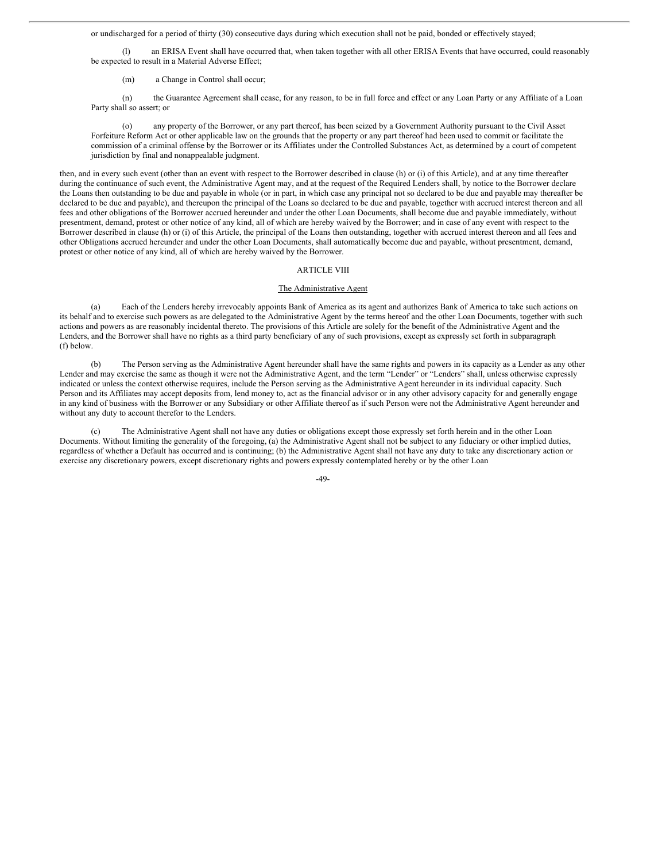or undischarged for a period of thirty (30) consecutive days during which execution shall not be paid, bonded or effectively stayed;

(l) an ERISA Event shall have occurred that, when taken together with all other ERISA Events that have occurred, could reasonably be expected to result in a Material Adverse Effect;

(m) a Change in Control shall occur;

(n) the Guarantee Agreement shall cease, for any reason, to be in full force and effect or any Loan Party or any Affiliate of a Loan Party shall so assert; or

(o) any property of the Borrower, or any part thereof, has been seized by a Government Authority pursuant to the Civil Asset Forfeiture Reform Act or other applicable law on the grounds that the property or any part thereof had been used to commit or facilitate the commission of a criminal offense by the Borrower or its Affiliates under the Controlled Substances Act, as determined by a court of competent jurisdiction by final and nonappealable judgment.

then, and in every such event (other than an event with respect to the Borrower described in clause (h) or (i) of this Article), and at any time thereafter during the continuance of such event, the Administrative Agent may, and at the request of the Required Lenders shall, by notice to the Borrower declare the Loans then outstanding to be due and payable in whole (or in part, in which case any principal not so declared to be due and payable may thereafter be declared to be due and payable), and thereupon the principal of the Loans so declared to be due and payable, together with accrued interest thereon and all fees and other obligations of the Borrower accrued hereunder and under the other Loan Documents, shall become due and payable immediately, without presentment, demand, protest or other notice of any kind, all of which are hereby waived by the Borrower; and in case of any event with respect to the Borrower described in clause (h) or (i) of this Article, the principal of the Loans then outstanding, together with accrued interest thereon and all fees and other Obligations accrued hereunder and under the other Loan Documents, shall automatically become due and payable, without presentment, demand, protest or other notice of any kind, all of which are hereby waived by the Borrower.

### ARTICLE VIII

#### The Administrative Agent

(a) Each of the Lenders hereby irrevocably appoints Bank of America as its agent and authorizes Bank of America to take such actions on its behalf and to exercise such powers as are delegated to the Administrative Agent by the terms hereof and the other Loan Documents, together with such actions and powers as are reasonably incidental thereto. The provisions of this Article are solely for the benefit of the Administrative Agent and the Lenders, and the Borrower shall have no rights as a third party beneficiary of any of such provisions, except as expressly set forth in subparagraph (f) below.

The Person serving as the Administrative Agent hereunder shall have the same rights and powers in its capacity as a Lender as any other Lender and may exercise the same as though it were not the Administrative Agent, and the term "Lender" or "Lenders" shall, unless otherwise expressly indicated or unless the context otherwise requires, include the Person serving as the Administrative Agent hereunder in its individual capacity. Such Person and its Affiliates may accept deposits from, lend money to, act as the financial advisor or in any other advisory capacity for and generally engage in any kind of business with the Borrower or any Subsidiary or other Affiliate thereof as if such Person were not the Administrative Agent hereunder and without any duty to account therefor to the Lenders.

(c) The Administrative Agent shall not have any duties or obligations except those expressly set forth herein and in the other Loan Documents. Without limiting the generality of the foregoing, (a) the Administrative Agent shall not be subject to any fiduciary or other implied duties, regardless of whether a Default has occurred and is continuing; (b) the Administrative Agent shall not have any duty to take any discretionary action or exercise any discretionary powers, except discretionary rights and powers expressly contemplated hereby or by the other Loan

-49-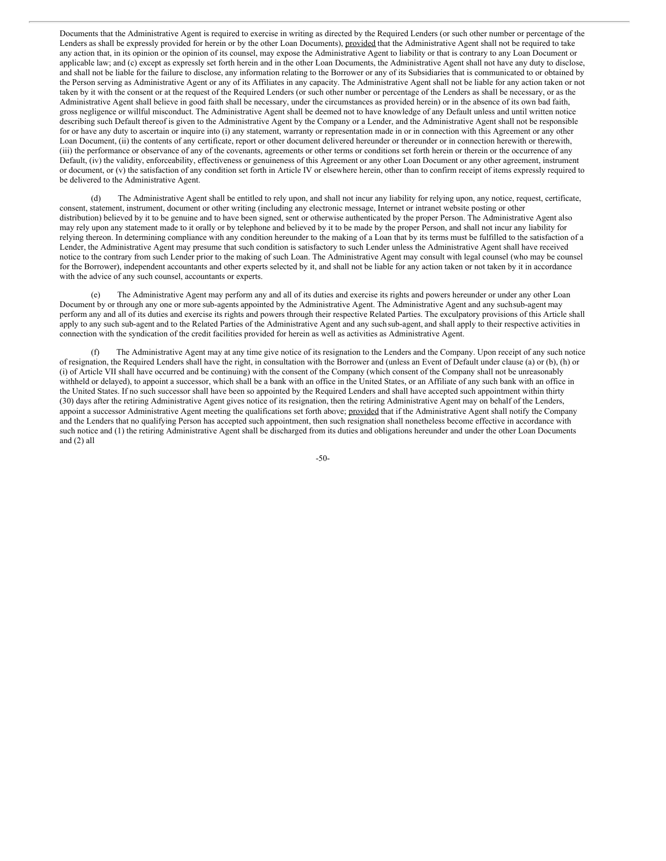Documents that the Administrative Agent is required to exercise in writing as directed by the Required Lenders (or such other number or percentage of the Lenders as shall be expressly provided for herein or by the other Loan Documents), provided that the Administrative Agent shall not be required to take any action that, in its opinion or the opinion of its counsel, may expose the Administrative Agent to liability or that is contrary to any Loan Document or applicable law; and (c) except as expressly set forth herein and in the other Loan Documents, the Administrative Agent shall not have any duty to disclose, and shall not be liable for the failure to disclose, any information relating to the Borrower or any of its Subsidiaries that is communicated to or obtained by the Person serving as Administrative Agent or any of its Affiliates in any capacity. The Administrative Agent shall not be liable for any action taken or not taken by it with the consent or at the request of the Required Lenders (or such other number or percentage of the Lenders as shall be necessary, or as the Administrative Agent shall believe in good faith shall be necessary, under the circumstances as provided herein) or in the absence of its own bad faith, gross negligence or willful misconduct. The Administrative Agent shall be deemed not to have knowledge of any Default unless and until written notice describing such Default thereof is given to the Administrative Agent by the Company or a Lender, and the Administrative Agent shall not be responsible for or have any duty to ascertain or inquire into (i) any statement, warranty or representation made in or in connection with this Agreement or any other Loan Document, (ii) the contents of any certificate, report or other document delivered hereunder or thereunder or in connection herewith or therewith, (iii) the performance or observance of any of the covenants, agreements or other terms or conditions set forth herein or therein or the occurrence of any Default, (iv) the validity, enforceability, effectiveness or genuineness of this Agreement or any other Loan Document or any other agreement, instrument or document, or (v) the satisfaction of any condition set forth in Article IV or elsewhere herein, other than to confirm receipt of items expressly required to be delivered to the Administrative Agent.

(d) The Administrative Agent shall be entitled to rely upon, and shall not incur any liability for relying upon, any notice, request, certificate, consent, statement, instrument, document or other writing (including any electronic message, Internet or intranet website posting or other distribution) believed by it to be genuine and to have been signed, sent or otherwise authenticated by the proper Person. The Administrative Agent also may rely upon any statement made to it orally or by telephone and believed by it to be made by the proper Person, and shall not incur any liability for relying thereon. In determining compliance with any condition hereunder to the making of a Loan that by its terms must be fulfilled to the satisfaction of a Lender, the Administrative Agent may presume that such condition is satisfactory to such Lender unless the Administrative Agent shall have received notice to the contrary from such Lender prior to the making of such Loan. The Administrative Agent may consult with legal counsel (who may be counsel for the Borrower), independent accountants and other experts selected by it, and shall not be liable for any action taken or not taken by it in accordance with the advice of any such counsel, accountants or experts.

The Administrative Agent may perform any and all of its duties and exercise its rights and powers hereunder or under any other Loan Document by or through any one or more sub-agents appointed by the Administrative Agent. The Administrative Agent and any suchsub-agent may perform any and all of its duties and exercise its rights and powers through their respective Related Parties. The exculpatory provisions of this Article shall apply to any such sub-agent and to the Related Parties of the Administrative Agent and any such sub-agent, and shall apply to their respective activities in connection with the syndication of the credit facilities provided for herein as well as activities as Administrative Agent.

The Administrative Agent may at any time give notice of its resignation to the Lenders and the Company. Upon receipt of any such notice of resignation, the Required Lenders shall have the right, in consultation with the Borrower and (unless an Event of Default under clause (a) or (b), (h) or (i) of Article VII shall have occurred and be continuing) with the consent of the Company (which consent of the Company shall not be unreasonably withheld or delayed), to appoint a successor, which shall be a bank with an office in the United States, or an Affiliate of any such bank with an office in the United States. If no such successor shall have been so appointed by the Required Lenders and shall have accepted such appointment within thirty (30) days after the retiring Administrative Agent gives notice of its resignation, then the retiring Administrative Agent may on behalf of the Lenders, appoint a successor Administrative Agent meeting the qualifications set forth above; provided that if the Administrative Agent shall notify the Company and the Lenders that no qualifying Person has accepted such appointment, then such resignation shall nonetheless become effective in accordance with such notice and (1) the retiring Administrative Agent shall be discharged from its duties and obligations hereunder and under the other Loan Documents and (2) all

-50-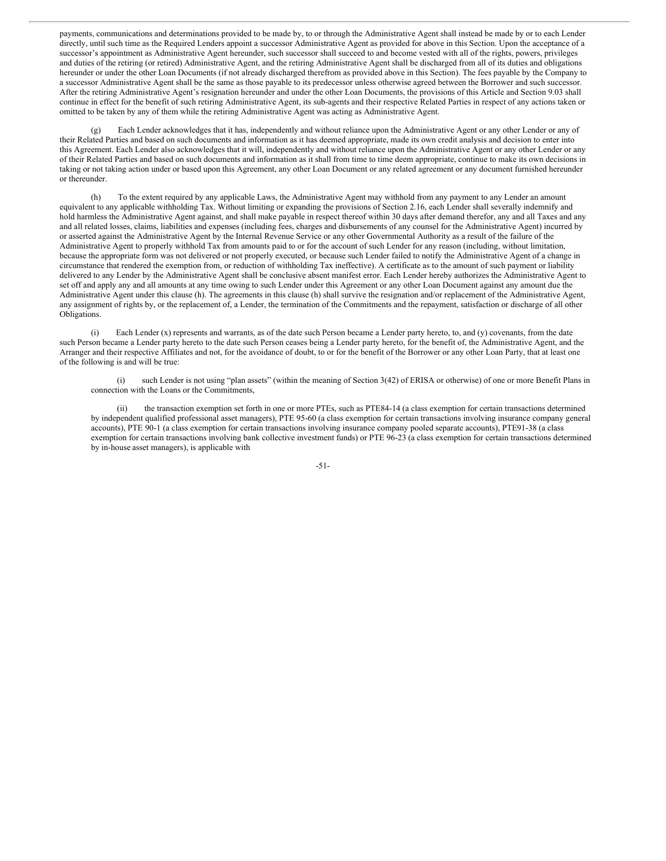payments, communications and determinations provided to be made by, to or through the Administrative Agent shall instead be made by or to each Lender directly, until such time as the Required Lenders appoint a successor Administrative Agent as provided for above in this Section. Upon the acceptance of a successor's appointment as Administrative Agent hereunder, such successor shall succeed to and become vested with all of the rights, powers, privileges and duties of the retiring (or retired) Administrative Agent, and the retiring Administrative Agent shall be discharged from all of its duties and obligations hereunder or under the other Loan Documents (if not already discharged therefrom as provided above in this Section). The fees payable by the Company to a successor Administrative Agent shall be the same as those payable to its predecessor unless otherwise agreed between the Borrower and such successor. After the retiring Administrative Agent's resignation hereunder and under the other Loan Documents, the provisions of this Article and Section 9.03 shall continue in effect for the benefit of such retiring Administrative Agent, its sub-agents and their respective Related Parties in respect of any actions taken or omitted to be taken by any of them while the retiring Administrative Agent was acting as Administrative Agent.

(g) Each Lender acknowledges that it has, independently and without reliance upon the Administrative Agent or any other Lender or any of their Related Parties and based on such documents and information as it has deemed appropriate, made its own credit analysis and decision to enter into this Agreement. Each Lender also acknowledges that it will, independently and without reliance upon the Administrative Agent or any other Lender or any of their Related Parties and based on such documents and information as it shall from time to time deem appropriate, continue to make its own decisions in taking or not taking action under or based upon this Agreement, any other Loan Document or any related agreement or any document furnished hereunder or thereunder.

(h) To the extent required by any applicable Laws, the Administrative Agent may withhold from any payment to any Lender an amount equivalent to any applicable withholding Tax. Without limiting or expanding the provisions of Section 2.16, each Lender shall severally indemnify and hold harmless the Administrative Agent against, and shall make payable in respect thereof within 30 days after demand therefor, any and all Taxes and any and all related losses, claims, liabilities and expenses (including fees, charges and disbursements of any counsel for the Administrative Agent) incurred by or asserted against the Administrative Agent by the Internal Revenue Service or any other Governmental Authority as a result of the failure of the Administrative Agent to properly withhold Tax from amounts paid to or for the account of such Lender for any reason (including, without limitation, because the appropriate form was not delivered or not properly executed, or because such Lender failed to notify the Administrative Agent of a change in circumstance that rendered the exemption from, or reduction of withholding Tax ineffective). A certificate as to the amount of such payment or liability delivered to any Lender by the Administrative Agent shall be conclusive absent manifest error. Each Lender hereby authorizes the Administrative Agent to set off and apply any and all amounts at any time owing to such Lender under this Agreement or any other Loan Document against any amount due the Administrative Agent under this clause (h). The agreements in this clause (h) shall survive the resignation and/or replacement of the Administrative Agent, any assignment of rights by, or the replacement of, a Lender, the termination of the Commitments and the repayment, satisfaction or discharge of all other Obligations.

(i) Each Lender (x) represents and warrants, as of the date such Person became a Lender party hereto, to, and (y) covenants, from the date such Person became a Lender party hereto to the date such Person ceases being a Lender party hereto, for the benefit of, the Administrative Agent, and the Arranger and their respective Affiliates and not, for the avoidance of doubt, to or for the benefit of the Borrower or any other Loan Party, that at least one of the following is and will be true:

(i) such Lender is not using "plan assets" (within the meaning of Section 3(42) of ERISA or otherwise) of one or more Benefit Plans in connection with the Loans or the Commitments,

(ii) the transaction exemption set forth in one or more PTEs, such as PTE84-14 (a class exemption for certain transactions determined by independent qualified professional asset managers), PTE 95-60 (a class exemption for certain transactions involving insurance company general accounts), PTE 90-1 (a class exemption for certain transactions involving insurance company pooled separate accounts), PTE91-38 (a class exemption for certain transactions involving bank collective investment funds) or PTE 96-23 (a class exemption for certain transactions determined by in-house asset managers), is applicable with

-51-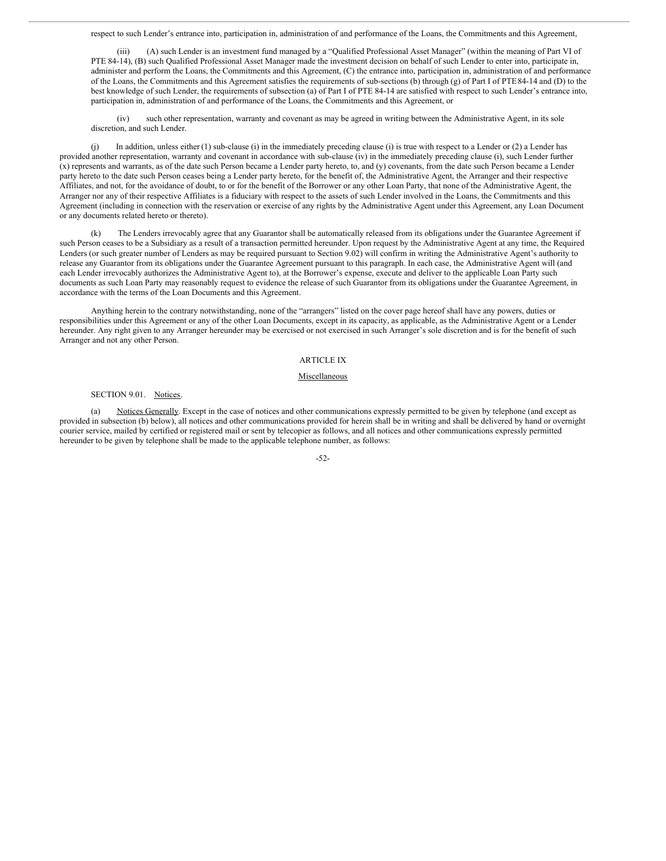respect to such Lender's entrance into, participation in, administration of and performance of the Loans, the Commitments and this Agreement,

(iii) (A) such Lender is an investment fund managed by a "Qualified Professional Asset Manager" (within the meaning of Part VI of PTE 84-14), (B) such Qualified Professional Asset Manager made the investment decision on behalf of such Lender to enter into, participate in, administer and perform the Loans, the Commitments and this Agreement, (C) the entrance into, participation in, administration of and performance of the Loans, the Commitments and this Agreement satisfies the requirements of sub-sections (b) through (g) of Part I of PTE84-14 and (D) to the best knowledge of such Lender, the requirements of subsection (a) of Part I of PTE 84-14 are satisfied with respect to such Lender's entrance into, participation in, administration of and performance of the Loans, the Commitments and this Agreement, or

(iv) such other representation, warranty and covenant as may be agreed in writing between the Administrative Agent, in its sole discretion, and such Lender.

(j) In addition, unless either (1) sub-clause (i) in the immediately preceding clause (i) is true with respect to a Lender or (2) a Lender has provided another representation, warranty and covenant in accordance with sub-clause (iv) in the immediately preceding clause (i), such Lender further (x) represents and warrants, as of the date such Person became a Lender party hereto, to, and (y) covenants, from the date such Person became a Lender party hereto to the date such Person ceases being a Lender party hereto, for the benefit of, the Administrative Agent, the Arranger and their respective Affiliates, and not, for the avoidance of doubt, to or for the benefit of the Borrower or any other Loan Party, that none of the Administrative Agent, the Arranger nor any of their respective Affiliates is a fiduciary with respect to the assets of such Lender involved in the Loans, the Commitments and this Agreement (including in connection with the reservation or exercise of any rights by the Administrative Agent under this Agreement, any Loan Document or any documents related hereto or thereto).

(k) The Lenders irrevocably agree that any Guarantor shall be automatically released from its obligations under the Guarantee Agreement if such Person ceases to be a Subsidiary as a result of a transaction permitted hereunder. Upon request by the Administrative Agent at any time, the Required Lenders (or such greater number of Lenders as may be required pursuant to Section 9.02) will confirm in writing the Administrative Agent's authority to release any Guarantor from its obligations under the Guarantee Agreement pursuant to this paragraph. In each case, the Administrative Agent will (and each Lender irrevocably authorizes the Administrative Agent to), at the Borrower's expense, execute and deliver to the applicable Loan Party such documents as such Loan Party may reasonably request to evidence the release of such Guarantor from its obligations under the Guarantee Agreement, in accordance with the terms of the Loan Documents and this Agreement.

Anything herein to the contrary notwithstanding, none of the "arrangers" listed on the cover page hereof shall have any powers, duties or responsibilities under this Agreement or any of the other Loan Documents, except in its capacity, as applicable, as the Administrative Agent or a Lender hereunder. Any right given to any Arranger hereunder may be exercised or not exercised in such Arranger's sole discretion and is for the benefit of such Arranger and not any other Person.

## ARTICLE IX

### Miscellaneous

#### SECTION 9.01. Notices.

(a) Notices Generally. Except in the case of notices and other communications expressly permitted to be given by telephone (and except as provided in subsection (b) below), all notices and other communications provided for herein shall be in writing and shall be delivered by hand or overnight courier service, mailed by certified or registered mail or sent by telecopier as follows, and all notices and other communications expressly permitted hereunder to be given by telephone shall be made to the applicable telephone number, as follows:

-52-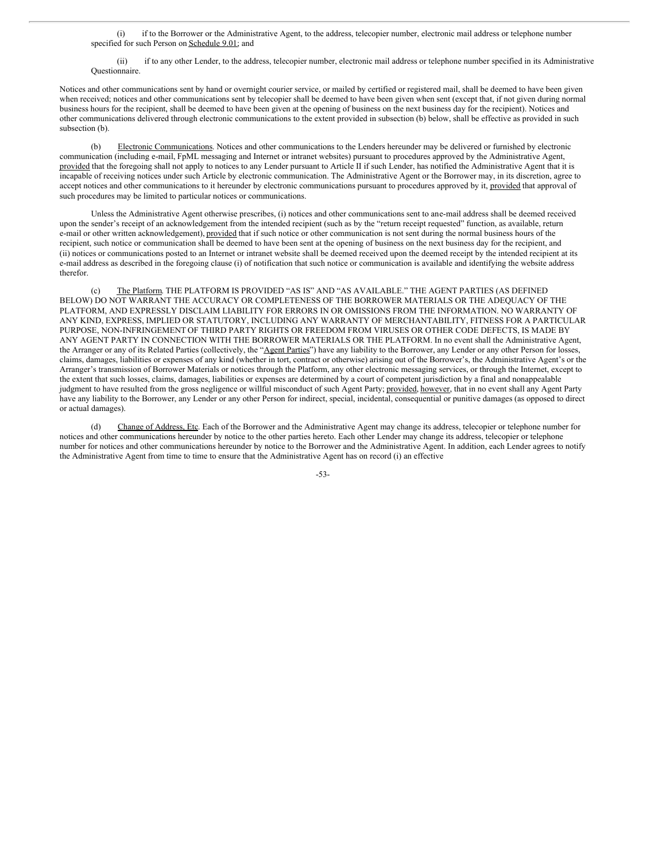(i) if to the Borrower or the Administrative Agent, to the address, telecopier number, electronic mail address or telephone number specified for such Person on Schedule 9.01; and

(ii) if to any other Lender, to the address, telecopier number, electronic mail address or telephone number specified in its Administrative Questionnaire.

Notices and other communications sent by hand or overnight courier service, or mailed by certified or registered mail, shall be deemed to have been given when received; notices and other communications sent by telecopier shall be deemed to have been given when sent (except that, if not given during normal business hours for the recipient, shall be deemed to have been given at the opening of business on the next business day for the recipient). Notices and other communications delivered through electronic communications to the extent provided in subsection (b) below, shall be effective as provided in such subsection (b).

(b) Electronic Communications. Notices and other communications to the Lenders hereunder may be delivered or furnished by electronic communication (including e-mail, FpML messaging and Internet or intranet websites) pursuant to procedures approved by the Administrative Agent, provided that the foregoing shall not apply to notices to any Lender pursuant to Article II if such Lender, has notified the Administrative Agent that it is incapable of receiving notices under such Article by electronic communication. The Administrative Agent or the Borrower may, in its discretion, agree to accept notices and other communications to it hereunder by electronic communications pursuant to procedures approved by it, provided that approval of such procedures may be limited to particular notices or communications.

Unless the Administrative Agent otherwise prescribes, (i) notices and other communications sent to ane-mail address shall be deemed received upon the sender's receipt of an acknowledgement from the intended recipient (such as by the "return receipt requested" function, as available, return e-mail or other written acknowledgement), provided that if such notice or other communication is not sent during the normal business hours of the recipient, such notice or communication shall be deemed to have been sent at the opening of business on the next business day for the recipient, and (ii) notices or communications posted to an Internet or intranet website shall be deemed received upon the deemed receipt by the intended recipient at its e-mail address as described in the foregoing clause (i) of notification that such notice or communication is available and identifying the website address therefor.

(c) The Platform. THE PLATFORM IS PROVIDED "AS IS" AND "AS AVAILABLE." THE AGENT PARTIES (AS DEFINED BELOW) DO NOT WARRANT THE ACCURACY OR COMPLETENESS OF THE BORROWER MATERIALS OR THE ADEQUACY OF THE PLATFORM, AND EXPRESSLY DISCLAIM LIABILITY FOR ERRORS IN OR OMISSIONS FROM THE INFORMATION. NO WARRANTY OF ANY KIND, EXPRESS, IMPLIED OR STATUTORY, INCLUDING ANY WARRANTY OF MERCHANTABILITY, FITNESS FOR A PARTICULAR PURPOSE, NON-INFRINGEMENT OF THIRD PARTY RIGHTS OR FREEDOM FROM VIRUSES OR OTHER CODE DEFECTS, IS MADE BY ANY AGENT PARTY IN CONNECTION WITH THE BORROWER MATERIALS OR THE PLATFORM. In no event shall the Administrative Agent, the Arranger or any of its Related Parties (collectively, the "Agent Parties") have any liability to the Borrower, any Lender or any other Person for losses, claims, damages, liabilities or expenses of any kind (whether in tort, contract or otherwise) arising out of the Borrower's, the Administrative Agent's or the Arranger's transmission of Borrower Materials or notices through the Platform, any other electronic messaging services, or through the Internet, except to the extent that such losses, claims, damages, liabilities or expenses are determined by a court of competent jurisdiction by a final and nonappealable judgment to have resulted from the gross negligence or willful misconduct of such Agent Party; provided, however, that in no event shall any Agent Party have any liability to the Borrower, any Lender or any other Person for indirect, special, incidental, consequential or punitive damages (as opposed to direct or actual damages).

(d) Change of Address, Etc. Each of the Borrower and the Administrative Agent may change its address, telecopier or telephone number for notices and other communications hereunder by notice to the other parties hereto. Each other Lender may change its address, telecopier or telephone number for notices and other communications hereunder by notice to the Borrower and the Administrative Agent. In addition, each Lender agrees to notify the Administrative Agent from time to time to ensure that the Administrative Agent has on record (i) an effective

-53-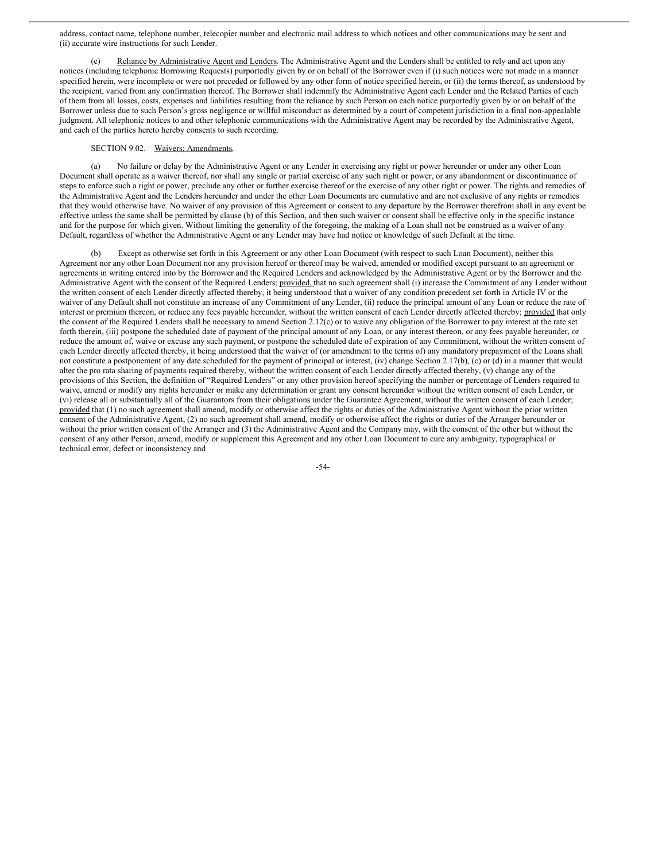address, contact name, telephone number, telecopier number and electronic mail address to which notices and other communications may be sent and (ii) accurate wire instructions for such Lender.

(e) Reliance by Administrative Agent and Lenders. The Administrative Agent and the Lenders shall be entitled to rely and act upon any notices (including telephonic Borrowing Requests) purportedly given by or on behalf of the Borrower even if (i) such notices were not made in a manner specified herein, were incomplete or were not preceded or followed by any other form of notice specified herein, or (ii) the terms thereof, as understood by the recipient, varied from any confirmation thereof. The Borrower shall indemnify the Administrative Agent each Lender and the Related Parties of each of them from all losses, costs, expenses and liabilities resulting from the reliance by such Person on each notice purportedly given by or on behalf of the Borrower unless due to such Person's gross negligence or willful misconduct as determined by a court of competent jurisdiction in a final non-appealable judgment. All telephonic notices to and other telephonic communications with the Administrative Agent may be recorded by the Administrative Agent, and each of the parties hereto hereby consents to such recording.

## SECTION 9.02. Waivers; Amendments.

(a) No failure or delay by the Administrative Agent or any Lender in exercising any right or power hereunder or under any other Loan Document shall operate as a waiver thereof, nor shall any single or partial exercise of any such right or power, or any abandonment or discontinuance of steps to enforce such a right or power, preclude any other or further exercise thereof or the exercise of any other right or power. The rights and remedies of the Administrative Agent and the Lenders hereunder and under the other Loan Documents are cumulative and are not exclusive of any rights or remedies that they would otherwise have. No waiver of any provision of this Agreement or consent to any departure by the Borrower therefrom shall in any event be effective unless the same shall be permitted by clause (b) of this Section, and then such waiver or consent shall be effective only in the specific instance and for the purpose for which given. Without limiting the generality of the foregoing, the making of a Loan shall not be construed as a waiver of any Default, regardless of whether the Administrative Agent or any Lender may have had notice or knowledge of such Default at the time.

(b) Except as otherwise set forth in this Agreement or any other Loan Document (with respect to such Loan Document), neither this Agreement nor any other Loan Document nor any provision hereof or thereof may be waived, amended or modified except pursuant to an agreement or agreements in writing entered into by the Borrower and the Required Lenders and acknowledged by the Administrative Agent or by the Borrower and the Administrative Agent with the consent of the Required Lenders; provided, that no such agreement shall (i) increase the Commitment of any Lender without the written consent of each Lender directly affected thereby, it being understood that a waiver of any condition precedent set forth in Article IV or the waiver of any Default shall not constitute an increase of any Commitment of any Lender, (ii) reduce the principal amount of any Loan or reduce the rate of interest or premium thereon, or reduce any fees payable hereunder, without the written consent of each Lender directly affected thereby; provided that only the consent of the Required Lenders shall be necessary to amend Section 2.12(c) or to waive any obligation of the Borrower to pay interest at the rate set forth therein, (iii) postpone the scheduled date of payment of the principal amount of any Loan, or any interest thereon, or any fees payable hereunder, or reduce the amount of, waive or excuse any such payment, or postpone the scheduled date of expiration of any Commitment, without the written consent of each Lender directly affected thereby, it being understood that the waiver of (or amendment to the terms of) any mandatory prepayment of the Loans shall not constitute a postponement of any date scheduled for the payment of principal or interest, (iv) change Section 2.17(b), (c) or (d) in a manner that would alter the pro rata sharing of payments required thereby, without the written consent of each Lender directly affected thereby, (v) change any of the provisions of this Section, the definition of "Required Lenders" or any other provision hereof specifying the number or percentage of Lenders required to waive, amend or modify any rights hereunder or make any determination or grant any consent hereunder without the written consent of each Lender, or (vi) release all or substantially all of the Guarantors from their obligations under the Guarantee Agreement, without the written consent of each Lender; provided that (1) no such agreement shall amend, modify or otherwise affect the rights or duties of the Administrative Agent without the prior written consent of the Administrative Agent, (2) no such agreement shall amend, modify or otherwise affect the rights or duties of the Arranger hereunder or without the prior written consent of the Arranger and (3) the Administrative Agent and the Company may, with the consent of the other but without the consent of any other Person, amend, modify or supplement this Agreement and any other Loan Document to cure any ambiguity, typographical or technical error, defect or inconsistency and

-54-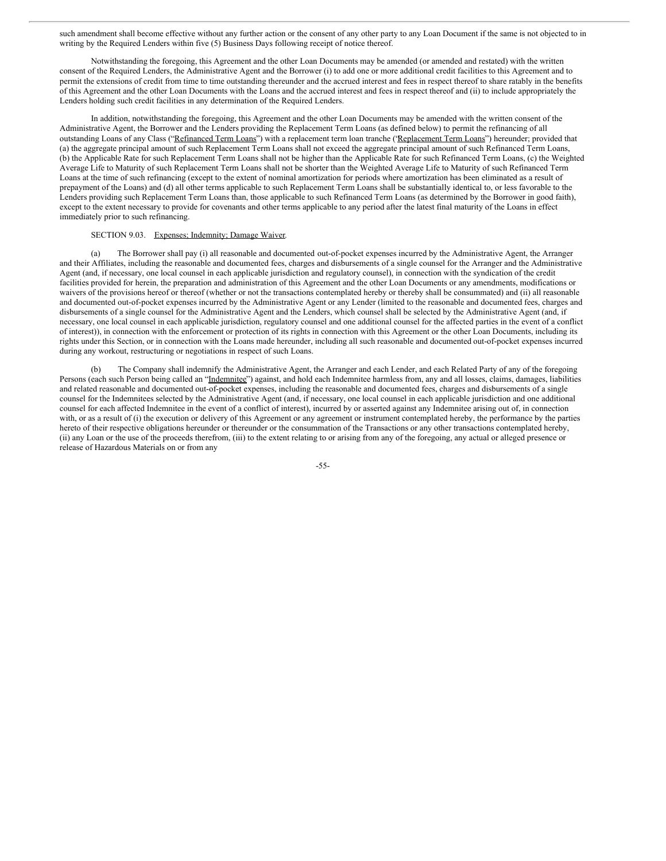such amendment shall become effective without any further action or the consent of any other party to any Loan Document if the same is not objected to in writing by the Required Lenders within five (5) Business Days following receipt of notice thereof.

Notwithstanding the foregoing, this Agreement and the other Loan Documents may be amended (or amended and restated) with the written consent of the Required Lenders, the Administrative Agent and the Borrower (i) to add one or more additional credit facilities to this Agreement and to permit the extensions of credit from time to time outstanding thereunder and the accrued interest and fees in respect thereof to share ratably in the benefits of this Agreement and the other Loan Documents with the Loans and the accrued interest and fees in respect thereof and (ii) to include appropriately the Lenders holding such credit facilities in any determination of the Required Lenders.

In addition, notwithstanding the foregoing, this Agreement and the other Loan Documents may be amended with the written consent of the Administrative Agent, the Borrower and the Lenders providing the Replacement Term Loans (as defined below) to permit the refinancing of all outstanding Loans of any Class ("Refinanced Term Loans") with a replacement term loan tranche ('Replacement Term Loans") hereunder; provided that (a) the aggregate principal amount of such Replacement Term Loans shall not exceed the aggregate principal amount of such Refinanced Term Loans, (b) the Applicable Rate for such Replacement Term Loans shall not be higher than the Applicable Rate for such Refinanced Term Loans, (c) the Weighted Average Life to Maturity of such Replacement Term Loans shall not be shorter than the Weighted Average Life to Maturity of such Refinanced Term Loans at the time of such refinancing (except to the extent of nominal amortization for periods where amortization has been eliminated as a result of prepayment of the Loans) and (d) all other terms applicable to such Replacement Term Loans shall be substantially identical to, or less favorable to the Lenders providing such Replacement Term Loans than, those applicable to such Refinanced Term Loans (as determined by the Borrower in good faith), except to the extent necessary to provide for covenants and other terms applicable to any period after the latest final maturity of the Loans in effect immediately prior to such refinancing.

### SECTION 9.03. Expenses; Indemnity; Damage Waiver.

(a) The Borrower shall pay (i) all reasonable and documented out-of-pocket expenses incurred by the Administrative Agent, the Arranger and their Affiliates, including the reasonable and documented fees, charges and disbursements of a single counsel for the Arranger and the Administrative Agent (and, if necessary, one local counsel in each applicable jurisdiction and regulatory counsel), in connection with the syndication of the credit facilities provided for herein, the preparation and administration of this Agreement and the other Loan Documents or any amendments, modifications or waivers of the provisions hereof or thereof (whether or not the transactions contemplated hereby or thereby shall be consummated) and (ii) all reasonable and documented out-of-pocket expenses incurred by the Administrative Agent or any Lender (limited to the reasonable and documented fees, charges and disbursements of a single counsel for the Administrative Agent and the Lenders, which counsel shall be selected by the Administrative Agent (and, if necessary, one local counsel in each applicable jurisdiction, regulatory counsel and one additional counsel for the affected parties in the event of a conflict of interest)), in connection with the enforcement or protection of its rights in connection with this Agreement or the other Loan Documents, including its rights under this Section, or in connection with the Loans made hereunder, including all such reasonable and documented out-of-pocket expenses incurred during any workout, restructuring or negotiations in respect of such Loans.

(b) The Company shall indemnify the Administrative Agent, the Arranger and each Lender, and each Related Party of any of the foregoing Persons (each such Person being called an "Indemnitee") against, and hold each Indemnitee harmless from, any and all losses, claims, damages, liabilities and related reasonable and documented out-of-pocket expenses, including the reasonable and documented fees, charges and disbursements of a single counsel for the Indemnitees selected by the Administrative Agent (and, if necessary, one local counsel in each applicable jurisdiction and one additional counsel for each affected Indemnitee in the event of a conflict of interest), incurred by or asserted against any Indemnitee arising out of, in connection with, or as a result of (i) the execution or delivery of this Agreement or any agreement or instrument contemplated hereby, the performance by the parties hereto of their respective obligations hereunder or thereunder or the consummation of the Transactions or any other transactions contemplated hereby, (ii) any Loan or the use of the proceeds therefrom, (iii) to the extent relating to or arising from any of the foregoing, any actual or alleged presence or release of Hazardous Materials on or from any

-55-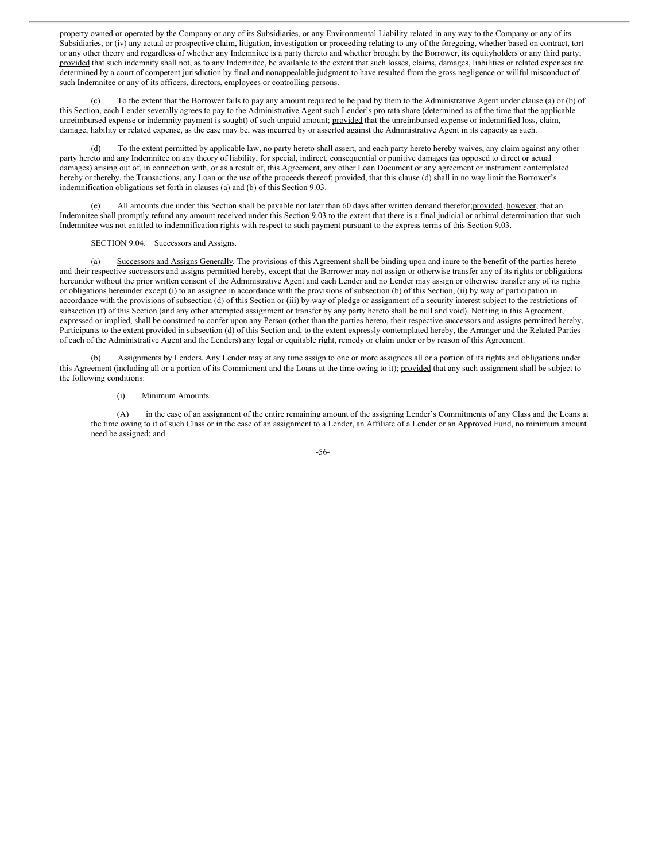property owned or operated by the Company or any of its Subsidiaries, or any Environmental Liability related in any way to the Company or any of its Subsidiaries, or (iv) any actual or prospective claim, litigation, investigation or proceeding relating to any of the foregoing, whether based on contract, tort or any other theory and regardless of whether any Indemnitee is a party thereto and whether brought by the Borrower, its equityholders or any third party; provided that such indemnity shall not, as to any Indemnitee, be available to the extent that such losses, claims, damages, liabilities or related expenses are determined by a court of competent jurisdiction by final and nonappealable judgment to have resulted from the gross negligence or willful misconduct of such Indemnitee or any of its officers, directors, employees or controlling persons.

(c) To the extent that the Borrower fails to pay any amount required to be paid by them to the Administrative Agent under clause (a) or (b) of this Section, each Lender severally agrees to pay to the Administrative Agent such Lender's pro rata share (determined as of the time that the applicable unreimbursed expense or indemnity payment is sought) of such unpaid amount; provided that the unreimbursed expense or indemnified loss, claim, damage, liability or related expense, as the case may be, was incurred by or asserted against the Administrative Agent in its capacity as such.

(d) To the extent permitted by applicable law, no party hereto shall assert, and each party hereto hereby waives, any claim against any other party hereto and any Indemnitee on any theory of liability, for special, indirect, consequential or punitive damages (as opposed to direct or actual damages) arising out of, in connection with, or as a result of, this Agreement, any other Loan Document or any agreement or instrument contemplated hereby or thereby, the Transactions, any Loan or the use of the proceeds thereof; provided, that this clause (d) shall in no way limit the Borrower's indemnification obligations set forth in clauses (a) and (b) of this Section 9.03.

All amounts due under this Section shall be payable not later than 60 days after written demand therefor;provided, however, that an Indemnitee shall promptly refund any amount received under this Section 9.03 to the extent that there is a final judicial or arbitral determination that such Indemnitee was not entitled to indemnification rights with respect to such payment pursuant to the express terms of this Section 9.03.

## SECTION 9.04. Successors and Assigns.

(a) Successors and Assigns Generally. The provisions of this Agreement shall be binding upon and inure to the benefit of the parties hereto and their respective successors and assigns permitted hereby, except that the Borrower may not assign or otherwise transfer any of its rights or obligations hereunder without the prior written consent of the Administrative Agent and each Lender and no Lender may assign or otherwise transfer any of its rights or obligations hereunder except (i) to an assignee in accordance with the provisions of subsection (b) of this Section, (ii) by way of participation in accordance with the provisions of subsection (d) of this Section or (iii) by way of pledge or assignment of a security interest subject to the restrictions of subsection (f) of this Section (and any other attempted assignment or transfer by any party hereto shall be null and void). Nothing in this Agreement, expressed or implied, shall be construed to confer upon any Person (other than the parties hereto, their respective successors and assigns permitted hereby, Participants to the extent provided in subsection (d) of this Section and, to the extent expressly contemplated hereby, the Arranger and the Related Parties of each of the Administrative Agent and the Lenders) any legal or equitable right, remedy or claim under or by reason of this Agreement.

Assignments by Lenders. Any Lender may at any time assign to one or more assignees all or a portion of its rights and obligations under this Agreement (including all or a portion of its Commitment and the Loans at the time owing to it); provided that any such assignment shall be subject to the following conditions:

#### (i) Minimum Amounts.

(A) in the case of an assignment of the entire remaining amount of the assigning Lender's Commitments of any Class and the Loans at the time owing to it of such Class or in the case of an assignment to a Lender, an Affiliate of a Lender or an Approved Fund, no minimum amount need be assigned; and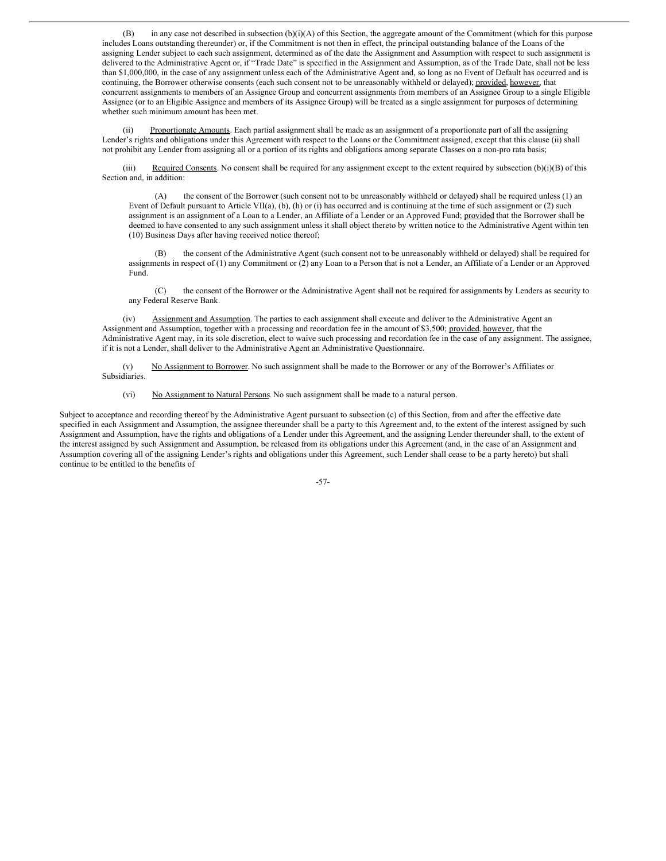(B) in any case not described in subsection  $(b)(i)(A)$  of this Section, the aggregate amount of the Commitment (which for this purpose includes Loans outstanding thereunder) or, if the Commitment is not then in effect, the principal outstanding balance of the Loans of the assigning Lender subject to each such assignment, determined as of the date the Assignment and Assumption with respect to such assignment is delivered to the Administrative Agent or, if "Trade Date" is specified in the Assignment and Assumption, as of the Trade Date, shall not be less than \$1,000,000, in the case of any assignment unless each of the Administrative Agent and, so long as no Event of Default has occurred and is continuing, the Borrower otherwise consents (each such consent not to be unreasonably withheld or delayed); provided, however, that concurrent assignments to members of an Assignee Group and concurrent assignments from members of an Assignee Group to a single Eligible Assignee (or to an Eligible Assignee and members of its Assignee Group) will be treated as a single assignment for purposes of determining whether such minimum amount has been met.

(ii) Proportionate Amounts. Each partial assignment shall be made as an assignment of a proportionate part of all the assigning Lender's rights and obligations under this Agreement with respect to the Loans or the Commitment assigned, except that this clause (ii) shall not prohibit any Lender from assigning all or a portion of its rights and obligations among separate Classes on a non-pro rata basis;

(iii) Required Consents. No consent shall be required for any assignment except to the extent required by subsection (b)(i)(B) of this Section and, in addition:

(A) the consent of the Borrower (such consent not to be unreasonably withheld or delayed) shall be required unless (1) an Event of Default pursuant to Article VII(a), (b), (h) or (i) has occurred and is continuing at the time of such assignment or (2) such assignment is an assignment of a Loan to a Lender, an Affiliate of a Lender or an Approved Fund; provided that the Borrower shall be deemed to have consented to any such assignment unless it shall object thereto by written notice to the Administrative Agent within ten (10) Business Days after having received notice thereof;

(B) the consent of the Administrative Agent (such consent not to be unreasonably withheld or delayed) shall be required for assignments in respect of (1) any Commitment or (2) any Loan to a Person that is not a Lender, an Affiliate of a Lender or an Approved Fund.

(C) the consent of the Borrower or the Administrative Agent shall not be required for assignments by Lenders as security to any Federal Reserve Bank.

(iv) Assignment and Assumption. The parties to each assignment shall execute and deliver to the Administrative Agent an Assignment and Assumption, together with a processing and recordation fee in the amount of \$3,500; provided, however, that the Administrative Agent may, in its sole discretion, elect to waive such processing and recordation fee in the case of any assignment. The assignee, if it is not a Lender, shall deliver to the Administrative Agent an Administrative Questionnaire.

(v) No Assignment to Borrower. No such assignment shall be made to the Borrower or any of the Borrower's Affiliates or Subsidiaries.

#### (vi) No Assignment to Natural Persons. No such assignment shall be made to a natural person.

Subject to acceptance and recording thereof by the Administrative Agent pursuant to subsection (c) of this Section, from and after the effective date specified in each Assignment and Assumption, the assignee thereunder shall be a party to this Agreement and, to the extent of the interest assigned by such Assignment and Assumption, have the rights and obligations of a Lender under this Agreement, and the assigning Lender thereunder shall, to the extent of the interest assigned by such Assignment and Assumption, be released from its obligations under this Agreement (and, in the case of an Assignment and Assumption covering all of the assigning Lender's rights and obligations under this Agreement, such Lender shall cease to be a party hereto) but shall continue to be entitled to the benefits of

-57-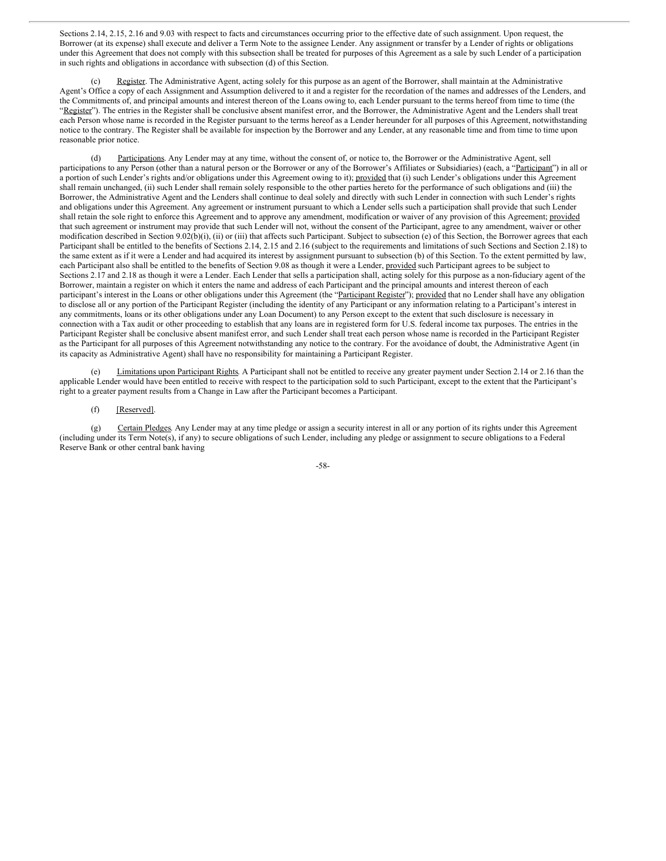Sections 2.14, 2.15, 2.16 and 9.03 with respect to facts and circumstances occurring prior to the effective date of such assignment. Upon request, the Borrower (at its expense) shall execute and deliver a Term Note to the assignee Lender. Any assignment or transfer by a Lender of rights or obligations under this Agreement that does not comply with this subsection shall be treated for purposes of this Agreement as a sale by such Lender of a participation in such rights and obligations in accordance with subsection (d) of this Section.

(c) Register. The Administrative Agent, acting solely for this purpose as an agent of the Borrower, shall maintain at the Administrative Agent's Office a copy of each Assignment and Assumption delivered to it and a register for the recordation of the names and addresses of the Lenders, and the Commitments of, and principal amounts and interest thereon of the Loans owing to, each Lender pursuant to the terms hereof from time to time (the "Register"). The entries in the Register shall be conclusive absent manifest error, and the Borrower, the Administrative Agent and the Lenders shall treat each Person whose name is recorded in the Register pursuant to the terms hereof as a Lender hereunder for all purposes of this Agreement, notwithstanding notice to the contrary. The Register shall be available for inspection by the Borrower and any Lender, at any reasonable time and from time to time upon reasonable prior notice.

Participations. Any Lender may at any time, without the consent of, or notice to, the Borrower or the Administrative Agent, sell participations to any Person (other than a natural person or the Borrower or any of the Borrower's Affiliates or Subsidiaries) (each, a "Participant") in all or a portion of such Lender's rights and/or obligations under this Agreement owing to it); provided that (i) such Lender's obligations under this Agreement shall remain unchanged, (ii) such Lender shall remain solely responsible to the other parties hereto for the performance of such obligations and (iii) the Borrower, the Administrative Agent and the Lenders shall continue to deal solely and directly with such Lender in connection with such Lender's rights and obligations under this Agreement. Any agreement or instrument pursuant to which a Lender sells such a participation shall provide that such Lender shall retain the sole right to enforce this Agreement and to approve any amendment, modification or waiver of any provision of this Agreement; provided that such agreement or instrument may provide that such Lender will not, without the consent of the Participant, agree to any amendment, waiver or other modification described in Section 9.02(b)(i), (ii) or (iii) that affects such Participant. Subject to subsection (e) of this Section, the Borrower agrees that each Participant shall be entitled to the benefits of Sections 2.14, 2.15 and 2.16 (subject to the requirements and limitations of such Sections and Section 2.18) to the same extent as if it were a Lender and had acquired its interest by assignment pursuant to subsection (b) of this Section. To the extent permitted by law, each Participant also shall be entitled to the benefits of Section 9.08 as though it were a Lender, provided such Participant agrees to be subject to Sections 2.17 and 2.18 as though it were a Lender. Each Lender that sells a participation shall, acting solely for this purpose as a non-fiduciary agent of the Borrower, maintain a register on which it enters the name and address of each Participant and the principal amounts and interest thereon of each participant's interest in the Loans or other obligations under this Agreement (the "Participant Register"); provided that no Lender shall have any obligation to disclose all or any portion of the Participant Register (including the identity of any Participant or any information relating to a Participant's interest in any commitments, loans or its other obligations under any Loan Document) to any Person except to the extent that such disclosure is necessary in connection with a Tax audit or other proceeding to establish that any loans are in registered form for U.S. federal income tax purposes. The entries in the Participant Register shall be conclusive absent manifest error, and such Lender shall treat each person whose name is recorded in the Participant Register as the Participant for all purposes of this Agreement notwithstanding any notice to the contrary. For the avoidance of doubt, the Administrative Agent (in its capacity as Administrative Agent) shall have no responsibility for maintaining a Participant Register.

Limitations upon Participant Rights. A Participant shall not be entitled to receive any greater payment under Section 2.14 or 2.16 than the applicable Lender would have been entitled to receive with respect to the participation sold to such Participant, except to the extent that the Participant's right to a greater payment results from a Change in Law after the Participant becomes a Participant.

### (f) [Reserved].

(g) Certain Pledges. Any Lender may at any time pledge or assign a security interest in all or any portion of its rights under this Agreement (including under its Term Note(s), if any) to secure obligations of such Lender, including any pledge or assignment to secure obligations to a Federal Reserve Bank or other central bank having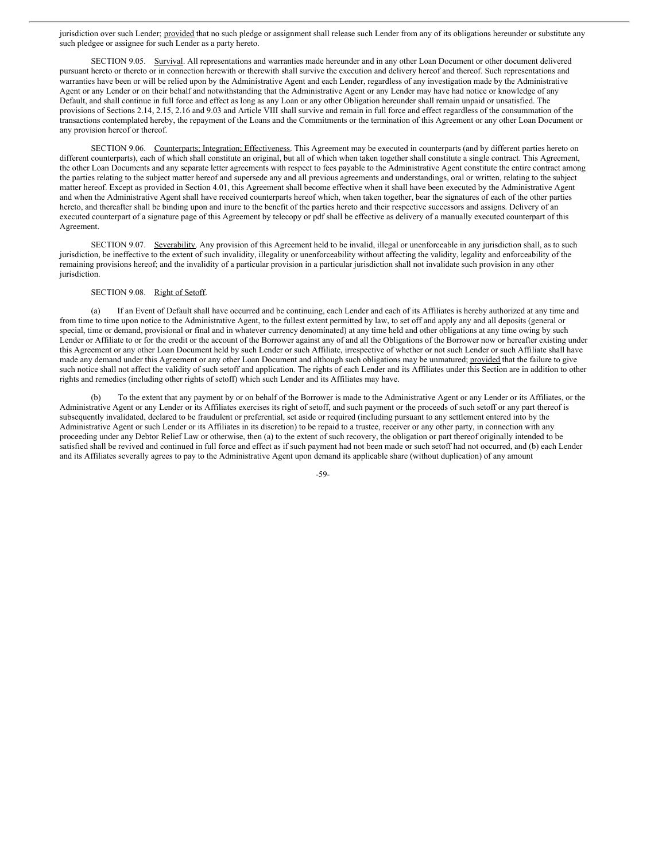jurisdiction over such Lender; provided that no such pledge or assignment shall release such Lender from any of its obligations hereunder or substitute any such pledgee or assignee for such Lender as a party hereto.

SECTION 9.05. Survival. All representations and warranties made hereunder and in any other Loan Document or other document delivered pursuant hereto or thereto or in connection herewith or therewith shall survive the execution and delivery hereof and thereof. Such representations and warranties have been or will be relied upon by the Administrative Agent and each Lender, regardless of any investigation made by the Administrative Agent or any Lender or on their behalf and notwithstanding that the Administrative Agent or any Lender may have had notice or knowledge of any Default, and shall continue in full force and effect as long as any Loan or any other Obligation hereunder shall remain unpaid or unsatisfied. The provisions of Sections 2.14, 2.15, 2.16 and 9.03 and Article VIII shall survive and remain in full force and effect regardless of the consummation of the transactions contemplated hereby, the repayment of the Loans and the Commitments or the termination of this Agreement or any other Loan Document or any provision hereof or thereof.

SECTION 9.06. Counterparts; Integration; Effectiveness. This Agreement may be executed in counterparts (and by different parties hereto on different counterparts), each of which shall constitute an original, but all of which when taken together shall constitute a single contract. This Agreement, the other Loan Documents and any separate letter agreements with respect to fees payable to the Administrative Agent constitute the entire contract among the parties relating to the subject matter hereof and supersede any and all previous agreements and understandings, oral or written, relating to the subject matter hereof. Except as provided in Section 4.01, this Agreement shall become effective when it shall have been executed by the Administrative Agent and when the Administrative Agent shall have received counterparts hereof which, when taken together, bear the signatures of each of the other parties hereto, and thereafter shall be binding upon and inure to the benefit of the parties hereto and their respective successors and assigns. Delivery of an executed counterpart of a signature page of this Agreement by telecopy or pdf shall be effective as delivery of a manually executed counterpart of this Agreement.

SECTION 9.07. Severability. Any provision of this Agreement held to be invalid, illegal or unenforceable in any jurisdiction shall, as to such jurisdiction, be ineffective to the extent of such invalidity, illegality or unenforceability without affecting the validity, legality and enforceability of the remaining provisions hereof; and the invalidity of a particular provision in a particular jurisdiction shall not invalidate such provision in any other jurisdiction.

## SECTION 9.08. Right of Setoff.

(a) If an Event of Default shall have occurred and be continuing, each Lender and each of its Affiliates is hereby authorized at any time and from time to time upon notice to the Administrative Agent, to the fullest extent permitted by law, to set off and apply any and all deposits (general or special, time or demand, provisional or final and in whatever currency denominated) at any time held and other obligations at any time owing by such Lender or Affiliate to or for the credit or the account of the Borrower against any of and all the Obligations of the Borrower now or hereafter existing under this Agreement or any other Loan Document held by such Lender or such Affiliate, irrespective of whether or not such Lender or such Affiliate shall have made any demand under this Agreement or any other Loan Document and although such obligations may be unmatured; provided that the failure to give such notice shall not affect the validity of such setoff and application. The rights of each Lender and its Affiliates under this Section are in addition to other rights and remedies (including other rights of setoff) which such Lender and its Affiliates may have.

(b) To the extent that any payment by or on behalf of the Borrower is made to the Administrative Agent or any Lender or its Affiliates, or the Administrative Agent or any Lender or its Affiliates exercises its right of setoff, and such payment or the proceeds of such setoff or any part thereof is subsequently invalidated, declared to be fraudulent or preferential, set aside or required (including pursuant to any settlement entered into by the Administrative Agent or such Lender or its Affiliates in its discretion) to be repaid to a trustee, receiver or any other party, in connection with any proceeding under any Debtor Relief Law or otherwise, then (a) to the extent of such recovery, the obligation or part thereof originally intended to be satisfied shall be revived and continued in full force and effect as if such payment had not been made or such setoff had not occurred, and (b) each Lender and its Affiliates severally agrees to pay to the Administrative Agent upon demand its applicable share (without duplication) of any amount

-59-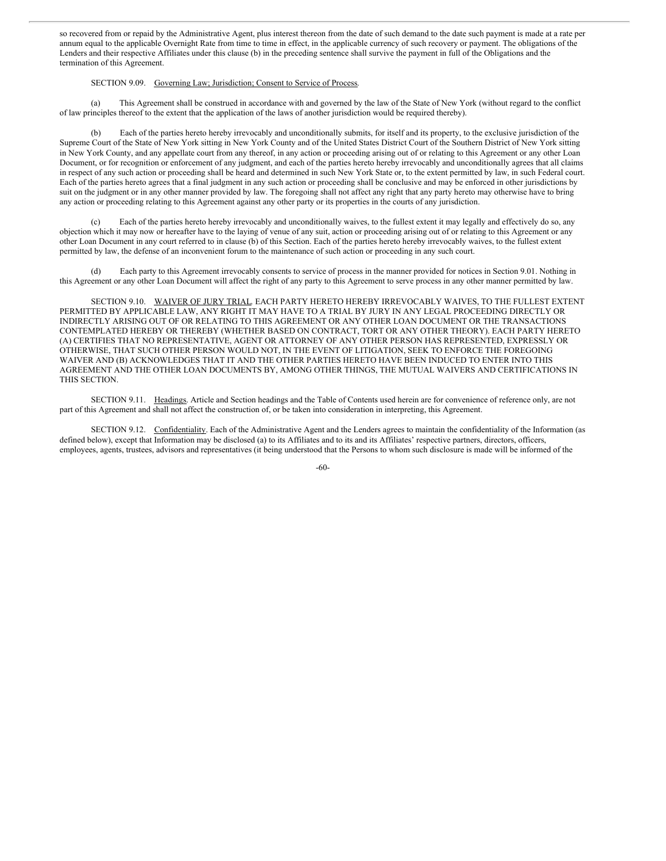so recovered from or repaid by the Administrative Agent, plus interest thereon from the date of such demand to the date such payment is made at a rate per annum equal to the applicable Overnight Rate from time to time in effect, in the applicable currency of such recovery or payment. The obligations of the Lenders and their respective Affiliates under this clause (b) in the preceding sentence shall survive the payment in full of the Obligations and the termination of this Agreement.

## SECTION 9.09. Governing Law; Jurisdiction; Consent to Service of Process.

(a) This Agreement shall be construed in accordance with and governed by the law of the State of New York (without regard to the conflict of law principles thereof to the extent that the application of the laws of another jurisdiction would be required thereby).

(b) Each of the parties hereto hereby irrevocably and unconditionally submits, for itself and its property, to the exclusive jurisdiction of the Supreme Court of the State of New York sitting in New York County and of the United States District Court of the Southern District of New York sitting in New York County, and any appellate court from any thereof, in any action or proceeding arising out of or relating to this Agreement or any other Loan Document, or for recognition or enforcement of any judgment, and each of the parties hereto hereby irrevocably and unconditionally agrees that all claims in respect of any such action or proceeding shall be heard and determined in such New York State or, to the extent permitted by law, in such Federal court. Each of the parties hereto agrees that a final judgment in any such action or proceeding shall be conclusive and may be enforced in other jurisdictions by suit on the judgment or in any other manner provided by law. The foregoing shall not affect any right that any party hereto may otherwise have to bring any action or proceeding relating to this Agreement against any other party or its properties in the courts of any jurisdiction.

(c) Each of the parties hereto hereby irrevocably and unconditionally waives, to the fullest extent it may legally and effectively do so, any objection which it may now or hereafter have to the laying of venue of any suit, action or proceeding arising out of or relating to this Agreement or any other Loan Document in any court referred to in clause (b) of this Section. Each of the parties hereto hereby irrevocably waives, to the fullest extent permitted by law, the defense of an inconvenient forum to the maintenance of such action or proceeding in any such court.

(d) Each party to this Agreement irrevocably consents to service of process in the manner provided for notices in Section 9.01. Nothing in this Agreement or any other Loan Document will affect the right of any party to this Agreement to serve process in any other manner permitted by law.

SECTION 9.10. WAIVER OF JURY TRIAL. EACH PARTY HERETO HEREBY IRREVOCABLY WAIVES, TO THE FULLEST EXTENT PERMITTED BY APPLICABLE LAW, ANY RIGHT IT MAY HAVE TO A TRIAL BY JURY IN ANY LEGAL PROCEEDING DIRECTLY OR INDIRECTLY ARISING OUT OF OR RELATING TO THIS AGREEMENT OR ANY OTHER LOAN DOCUMENT OR THE TRANSACTIONS CONTEMPLATED HEREBY OR THEREBY (WHETHER BASED ON CONTRACT, TORT OR ANY OTHER THEORY). EACH PARTY HERETO (A) CERTIFIES THAT NO REPRESENTATIVE, AGENT OR ATTORNEY OF ANY OTHER PERSON HAS REPRESENTED, EXPRESSLY OR OTHERWISE, THAT SUCH OTHER PERSON WOULD NOT, IN THE EVENT OF LITIGATION, SEEK TO ENFORCE THE FOREGOING WAIVER AND (B) ACKNOWLEDGES THAT IT AND THE OTHER PARTIES HERETO HAVE BEEN INDUCED TO ENTER INTO THIS AGREEMENT AND THE OTHER LOAN DOCUMENTS BY, AMONG OTHER THINGS, THE MUTUAL WAIVERS AND CERTIFICATIONS IN THIS SECTION.

SECTION 9.11. Headings. Article and Section headings and the Table of Contents used herein are for convenience of reference only, are not part of this Agreement and shall not affect the construction of, or be taken into consideration in interpreting, this Agreement.

SECTION 9.12. Confidentiality. Each of the Administrative Agent and the Lenders agrees to maintain the confidentiality of the Information (as defined below), except that Information may be disclosed (a) to its Affiliates and to its and its Affiliates' respective partners, directors, officers, employees, agents, trustees, advisors and representatives (it being understood that the Persons to whom such disclosure is made will be informed of the

-60-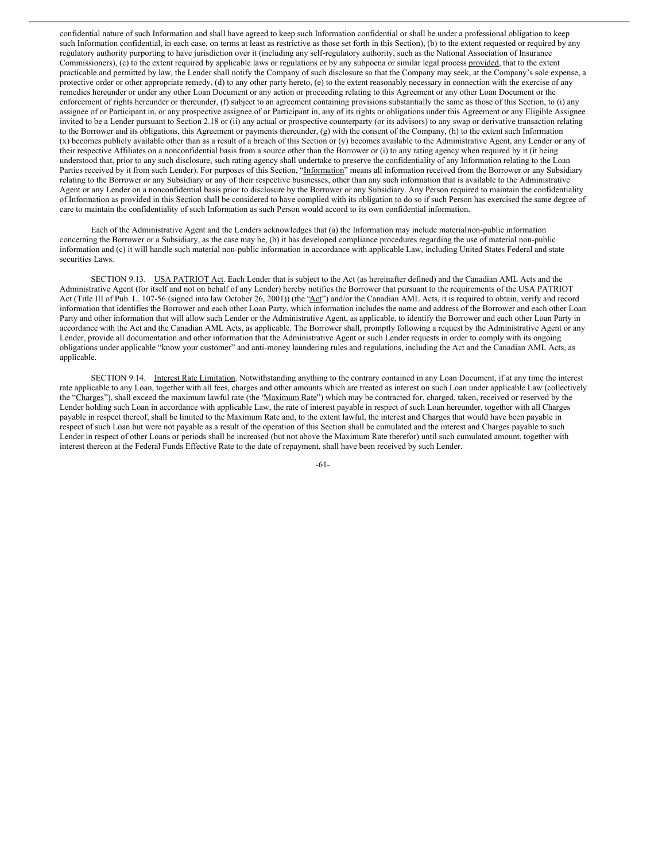confidential nature of such Information and shall have agreed to keep such Information confidential or shall be under a professional obligation to keep such Information confidential, in each case, on terms at least as restrictive as those set forth in this Section), (b) to the extent requested or required by any regulatory authority purporting to have jurisdiction over it (including any self-regulatory authority, such as the National Association of Insurance Commissioners), (c) to the extent required by applicable laws or regulations or by any subpoena or similar legal process provided, that to the extent practicable and permitted by law, the Lender shall notify the Company of such disclosure so that the Company may seek, at the Company's sole expense, a protective order or other appropriate remedy, (d) to any other party hereto, (e) to the extent reasonably necessary in connection with the exercise of any remedies hereunder or under any other Loan Document or any action or proceeding relating to this Agreement or any other Loan Document or the enforcement of rights hereunder or thereunder, (f) subject to an agreement containing provisions substantially the same as those of this Section, to (i) any assignee of or Participant in, or any prospective assignee of or Participant in, any of its rights or obligations under this Agreement or any Eligible Assignee invited to be a Lender pursuant to Section 2.18 or (ii) any actual or prospective counterparty (or its advisors) to any swap or derivative transaction relating to the Borrower and its obligations, this Agreement or payments thereunder, (g) with the consent of the Company, (h) to the extent such Information  $(x)$  becomes publicly available other than as a result of a breach of this Section or  $(y)$  becomes available to the Administrative Agent, any Lender or any of their respective Affiliates on a nonconfidential basis from a source other than the Borrower or (i) to any rating agency when required by it (it being understood that, prior to any such disclosure, such rating agency shall undertake to preserve the confidentiality of any Information relating to the Loan Parties received by it from such Lender). For purposes of this Section, "Information" means all information received from the Borrower or any Subsidiary relating to the Borrower or any Subsidiary or any of their respective businesses, other than any such information that is available to the Administrative Agent or any Lender on a nonconfidential basis prior to disclosure by the Borrower or any Subsidiary. Any Person required to maintain the confidentiality of Information as provided in this Section shall be considered to have complied with its obligation to do so if such Person has exercised the same degree of care to maintain the confidentiality of such Information as such Person would accord to its own confidential information.

Each of the Administrative Agent and the Lenders acknowledges that (a) the Information may include materialnon-public information concerning the Borrower or a Subsidiary, as the case may be, (b) it has developed compliance procedures regarding the use of material non-public information and (c) it will handle such material non-public information in accordance with applicable Law, including United States Federal and state securities Laws.

SECTION 9.13. USA PATRIOT Act. Each Lender that is subject to the Act (as hereinafter defined) and the Canadian AML Acts and the Administrative Agent (for itself and not on behalf of any Lender) hereby notifies the Borrower that pursuant to the requirements of the USA PATRIOT Act (Title III of Pub. L. 107-56 (signed into law October 26, 2001)) (the "Act") and/or the Canadian AML Acts, it is required to obtain, verify and record information that identifies the Borrower and each other Loan Party, which information includes the name and address of the Borrower and each other Loan Party and other information that will allow such Lender or the Administrative Agent, as applicable, to identify the Borrower and each other Loan Party in accordance with the Act and the Canadian AML Acts, as applicable. The Borrower shall, promptly following a request by the Administrative Agent or any Lender, provide all documentation and other information that the Administrative Agent or such Lender requests in order to comply with its ongoing obligations under applicable "know your customer" and anti-money laundering rules and regulations, including the Act and the Canadian AML Acts, as applicable.

SECTION 9.14. Interest Rate Limitation. Notwithstanding anything to the contrary contained in any Loan Document, if at any time the interest rate applicable to any Loan, together with all fees, charges and other amounts which are treated as interest on such Loan under applicable Law (collectively the "Charges"), shall exceed the maximum lawful rate (the 'Maximum Rate") which may be contracted for, charged, taken, received or reserved by the Lender holding such Loan in accordance with applicable Law, the rate of interest payable in respect of such Loan hereunder, together with all Charges payable in respect thereof, shall be limited to the Maximum Rate and, to the extent lawful, the interest and Charges that would have been payable in respect of such Loan but were not payable as a result of the operation of this Section shall be cumulated and the interest and Charges payable to such Lender in respect of other Loans or periods shall be increased (but not above the Maximum Rate therefor) until such cumulated amount, together with interest thereon at the Federal Funds Effective Rate to the date of repayment, shall have been received by such Lender.

-61-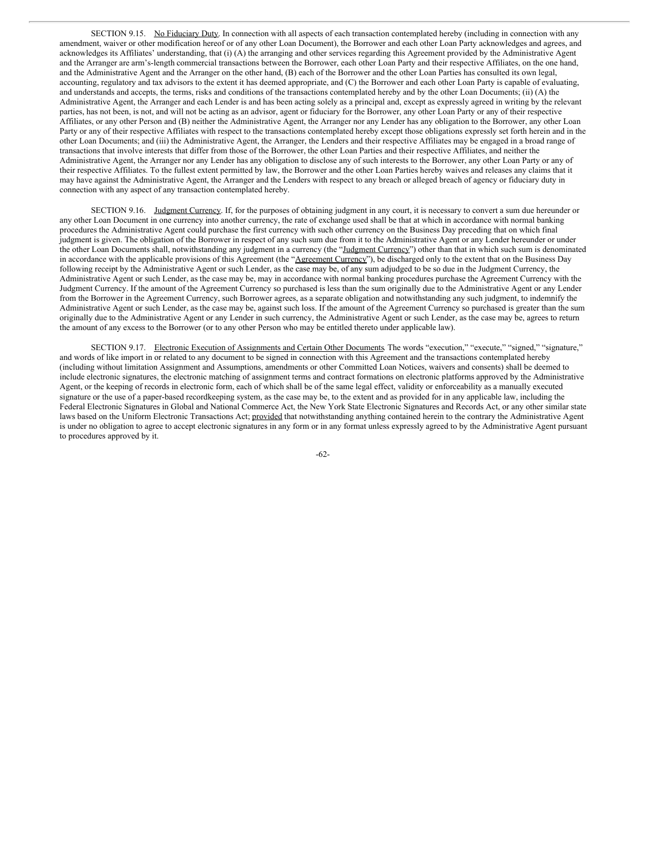SECTION 9.15. No Fiduciary Duty. In connection with all aspects of each transaction contemplated hereby (including in connection with any amendment, waiver or other modification hereof or of any other Loan Document), the Borrower and each other Loan Party acknowledges and agrees, and acknowledges its Affiliates' understanding, that (i) (A) the arranging and other services regarding this Agreement provided by the Administrative Agent and the Arranger are arm's-length commercial transactions between the Borrower, each other Loan Party and their respective Affiliates, on the one hand, and the Administrative Agent and the Arranger on the other hand, (B) each of the Borrower and the other Loan Parties has consulted its own legal, accounting, regulatory and tax advisors to the extent it has deemed appropriate, and (C) the Borrower and each other Loan Party is capable of evaluating, and understands and accepts, the terms, risks and conditions of the transactions contemplated hereby and by the other Loan Documents; (ii) (A) the Administrative Agent, the Arranger and each Lender is and has been acting solely as a principal and, except as expressly agreed in writing by the relevant parties, has not been, is not, and will not be acting as an advisor, agent or fiduciary for the Borrower, any other Loan Party or any of their respective Affiliates, or any other Person and (B) neither the Administrative Agent, the Arranger nor any Lender has any obligation to the Borrower, any other Loan Party or any of their respective Affiliates with respect to the transactions contemplated hereby except those obligations expressly set forth herein and in the other Loan Documents; and (iii) the Administrative Agent, the Arranger, the Lenders and their respective Affiliates may be engaged in a broad range of transactions that involve interests that differ from those of the Borrower, the other Loan Parties and their respective Affiliates, and neither the Administrative Agent, the Arranger nor any Lender has any obligation to disclose any of such interests to the Borrower, any other Loan Party or any of their respective Affiliates. To the fullest extent permitted by law, the Borrower and the other Loan Parties hereby waives and releases any claims that it may have against the Administrative Agent, the Arranger and the Lenders with respect to any breach or alleged breach of agency or fiduciary duty in connection with any aspect of any transaction contemplated hereby.

SECTION 9.16. Judgment Currency. If, for the purposes of obtaining judgment in any court, it is necessary to convert a sum due hereunder or any other Loan Document in one currency into another currency, the rate of exchange used shall be that at which in accordance with normal banking procedures the Administrative Agent could purchase the first currency with such other currency on the Business Day preceding that on which final judgment is given. The obligation of the Borrower in respect of any such sum due from it to the Administrative Agent or any Lender hereunder or under the other Loan Documents shall, notwithstanding any judgment in a currency (the "Judgment Currency") other than that in which such sum is denominated in accordance with the applicable provisions of this Agreement (the "Agreement Currency"), be discharged only to the extent that on the Business Day following receipt by the Administrative Agent or such Lender, as the case may be, of any sum adjudged to be so due in the Judgment Currency, the Administrative Agent or such Lender, as the case may be, may in accordance with normal banking procedures purchase the Agreement Currency with the Judgment Currency. If the amount of the Agreement Currency so purchased is less than the sum originally due to the Administrative Agent or any Lender from the Borrower in the Agreement Currency, such Borrower agrees, as a separate obligation and notwithstanding any such judgment, to indemnify the Administrative Agent or such Lender, as the case may be, against such loss. If the amount of the Agreement Currency so purchased is greater than the sum originally due to the Administrative Agent or any Lender in such currency, the Administrative Agent or such Lender, as the case may be, agrees to return the amount of any excess to the Borrower (or to any other Person who may be entitled thereto under applicable law).

SECTION 9.17. Electronic Execution of Assignments and Certain Other Documents. The words "execution," "execute," "signed," "signature," and words of like import in or related to any document to be signed in connection with this Agreement and the transactions contemplated hereby (including without limitation Assignment and Assumptions, amendments or other Committed Loan Notices, waivers and consents) shall be deemed to include electronic signatures, the electronic matching of assignment terms and contract formations on electronic platforms approved by the Administrative Agent, or the keeping of records in electronic form, each of which shall be of the same legal effect, validity or enforceability as a manually executed signature or the use of a paper-based recordkeeping system, as the case may be, to the extent and as provided for in any applicable law, including the Federal Electronic Signatures in Global and National Commerce Act, the New York State Electronic Signatures and Records Act, or any other similar state laws based on the Uniform Electronic Transactions Act; provided that notwithstanding anything contained herein to the contrary the Administrative Agent is under no obligation to agree to accept electronic signatures in any form or in any format unless expressly agreed to by the Administrative Agent pursuant to procedures approved by it.

-62-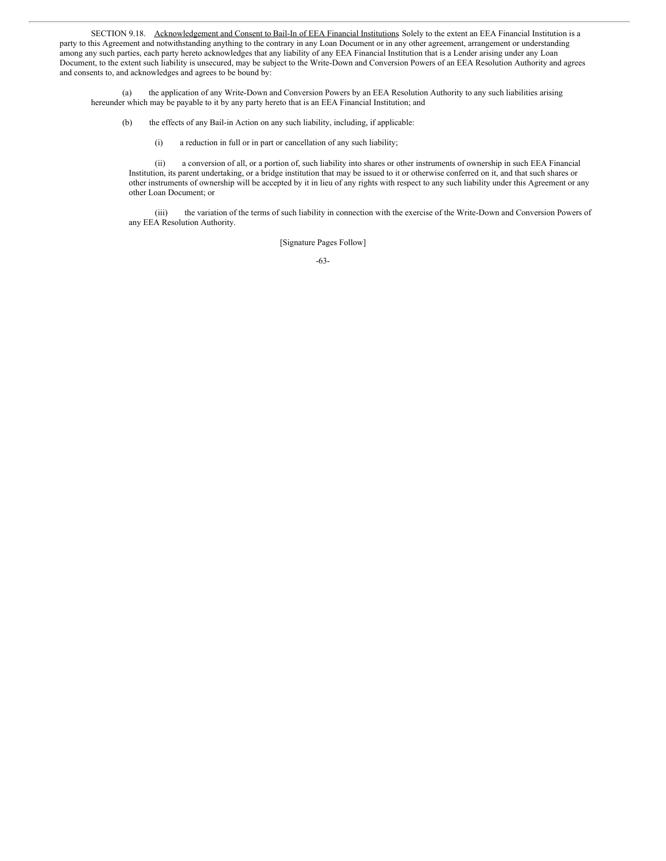SECTION 9.18. Acknowledgement and Consent to Bail-In of EEA Financial Institutions Solely to the extent an EEA Financial Institution is a party to this Agreement and notwithstanding anything to the contrary in any Loan Document or in any other agreement, arrangement or understanding among any such parties, each party hereto acknowledges that any liability of any EEA Financial Institution that is a Lender arising under any Loan Document, to the extent such liability is unsecured, may be subject to the Write-Down and Conversion Powers of an EEA Resolution Authority and agrees and consents to, and acknowledges and agrees to be bound by:

(a) the application of any Write-Down and Conversion Powers by an EEA Resolution Authority to any such liabilities arising hereunder which may be payable to it by any party hereto that is an EEA Financial Institution; and

(b) the effects of any Bail-in Action on any such liability, including, if applicable:

(i) a reduction in full or in part or cancellation of any such liability;

(ii) a conversion of all, or a portion of, such liability into shares or other instruments of ownership in such EEA Financial Institution, its parent undertaking, or a bridge institution that may be issued to it or otherwise conferred on it, and that such shares or other instruments of ownership will be accepted by it in lieu of any rights with respect to any such liability under this Agreement or any other Loan Document; or

(iii) the variation of the terms of such liability in connection with the exercise of the Write-Down and Conversion Powers of any EEA Resolution Authority.

[Signature Pages Follow]

-63-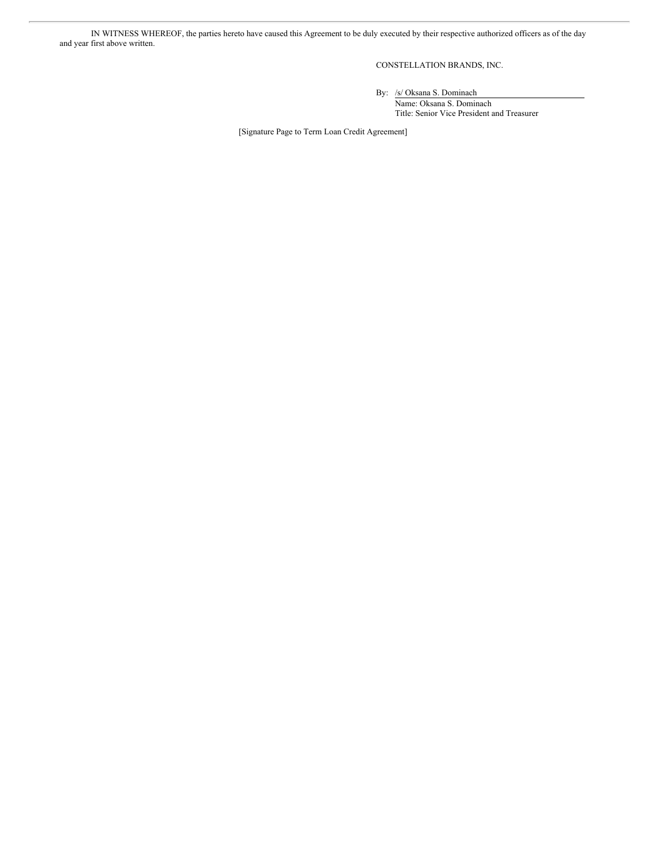IN WITNESS WHEREOF, the parties hereto have caused this Agreement to be duly executed by their respective authorized officers as of the day and year first above written.

CONSTELLATION BRANDS, INC.

By: /s/ Oksana S. Dominach

Name: Oksana S. Dominach Title: Senior Vice President and Treasurer

[Signature Page to Term Loan Credit Agreement]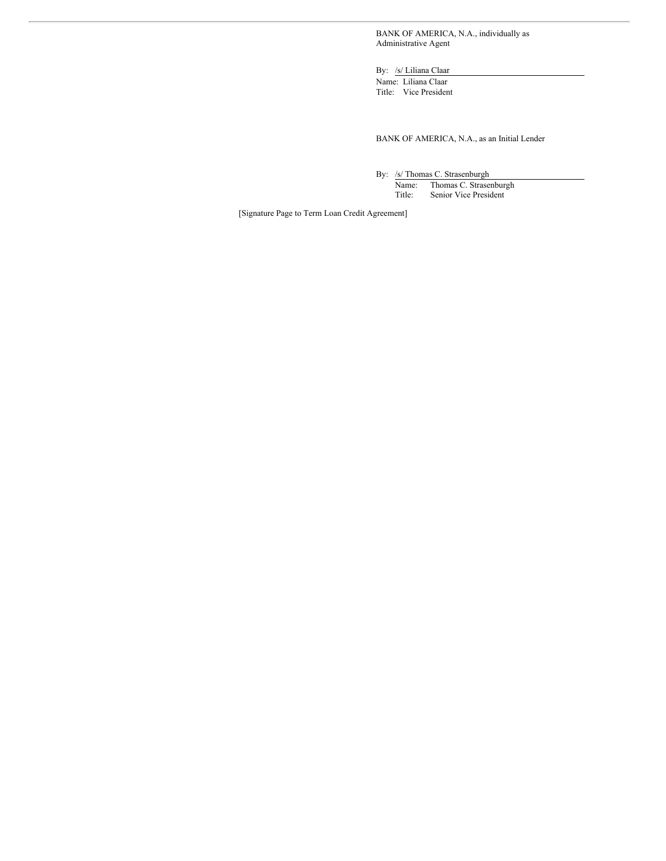BANK OF AMERICA, N.A., individually as Administrative Agent

By: /s/ Liliana Claar Name: Liliana Claar Title: Vice President

BANK OF AMERICA, N.A., as an Initial Lender

By: /s/ Thomas C. Strasenburgh

Name: Thomas C. Strasenburgh Title: Senior Vice President

[Signature Page to Term Loan Credit Agreement]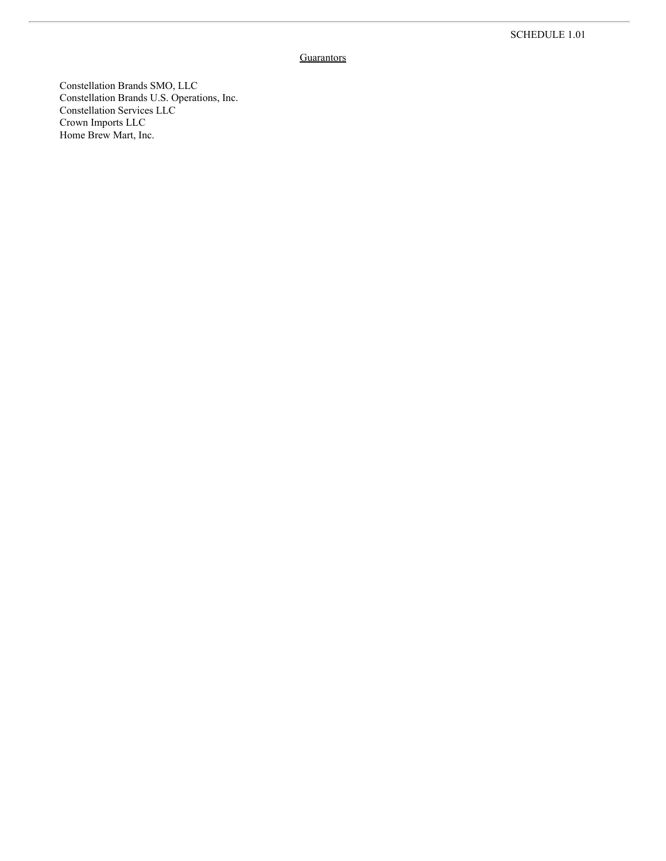#### SCHEDULE 1.01

#### Guarantors

Constellation Brands SMO, LLC Constellation Brands U.S. Operations, Inc. Constellation Services LLC Crown Imports LLC Home Brew Mart, Inc.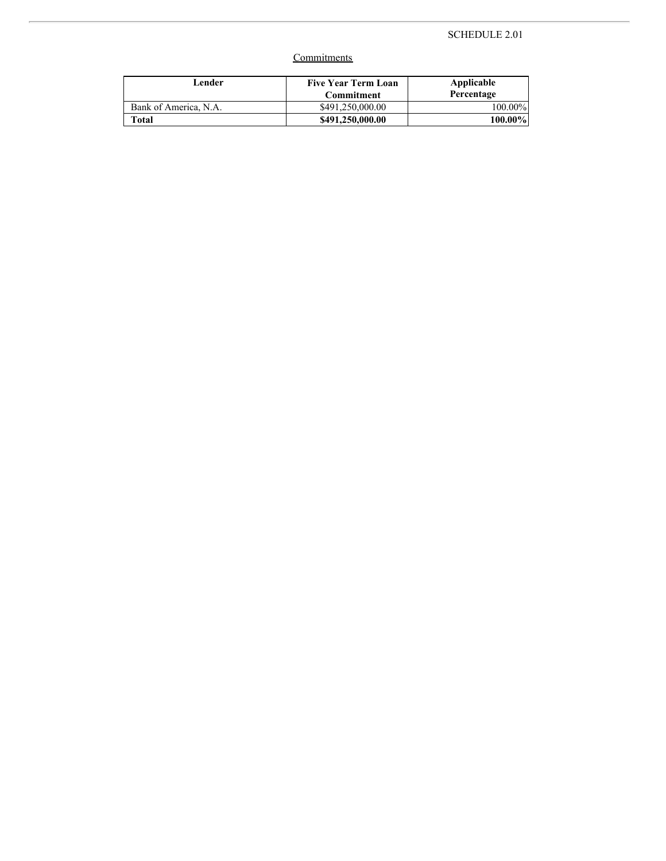## SCHEDULE 2.01

**Commitments** 

| Lender                | <b>Five Year Term Loan</b><br>Commitment | Applicable<br>Percentage |
|-----------------------|------------------------------------------|--------------------------|
| Bank of America, N.A. | \$491,250,000.00                         | $100.00\%$               |
| Total                 | \$491,250,000.00                         | $100.00\%$               |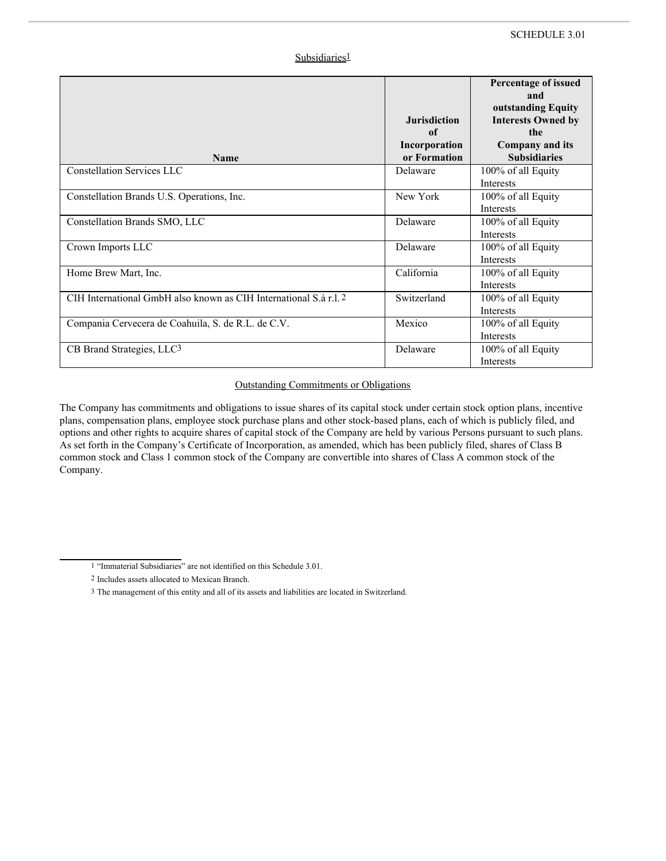## Subsidiaries<sup>1</sup>

| <b>Name</b>                                                       | <b>Jurisdiction</b><br>of<br>Incorporation<br>or Formation | Percentage of issued<br>and<br>outstanding Equity<br><b>Interests Owned by</b><br>the<br>Company and its<br><b>Subsidiaries</b> |
|-------------------------------------------------------------------|------------------------------------------------------------|---------------------------------------------------------------------------------------------------------------------------------|
| <b>Constellation Services LLC</b>                                 | Delaware                                                   | 100% of all Equity                                                                                                              |
|                                                                   |                                                            | <b>Interests</b>                                                                                                                |
| Constellation Brands U.S. Operations, Inc.                        | New York                                                   | 100% of all Equity                                                                                                              |
|                                                                   |                                                            | <b>Interests</b>                                                                                                                |
| Constellation Brands SMO, LLC                                     | Delaware                                                   | 100% of all Equity                                                                                                              |
|                                                                   |                                                            | <b>Interests</b>                                                                                                                |
| Crown Imports LLC                                                 | Delaware                                                   | 100% of all Equity                                                                                                              |
|                                                                   |                                                            | <b>Interests</b>                                                                                                                |
| Home Brew Mart, Inc.                                              | California                                                 | 100% of all Equity                                                                                                              |
|                                                                   |                                                            | <b>Interests</b>                                                                                                                |
| CIH International GmbH also known as CIH International S.à r.l. 2 | Switzerland                                                | 100% of all Equity                                                                                                              |
|                                                                   |                                                            | <b>Interests</b>                                                                                                                |
| Compania Cervecera de Coahuila, S. de R.L. de C.V.                | Mexico                                                     | 100% of all Equity                                                                                                              |
|                                                                   |                                                            | <b>Interests</b>                                                                                                                |
| CB Brand Strategies, LLC3                                         | Delaware                                                   | 100% of all Equity                                                                                                              |
|                                                                   |                                                            | <b>Interests</b>                                                                                                                |

## Outstanding Commitments or Obligations

The Company has commitments and obligations to issue shares of its capital stock under certain stock option plans, incentive plans, compensation plans, employee stock purchase plans and other stock-based plans, each of which is publicly filed, and options and other rights to acquire shares of capital stock of the Company are held by various Persons pursuant to such plans. As set forth in the Company's Certificate of Incorporation, as amended, which has been publicly filed, shares of Class B common stock and Class 1 common stock of the Company are convertible into shares of Class A common stock of the Company.

<sup>1</sup> "Immaterial Subsidiaries" are not identified on this Schedule 3.01.

<sup>2</sup> Includes assets allocated to Mexican Branch.

<sup>3</sup> The management of this entity and all of its assets and liabilities are located in Switzerland.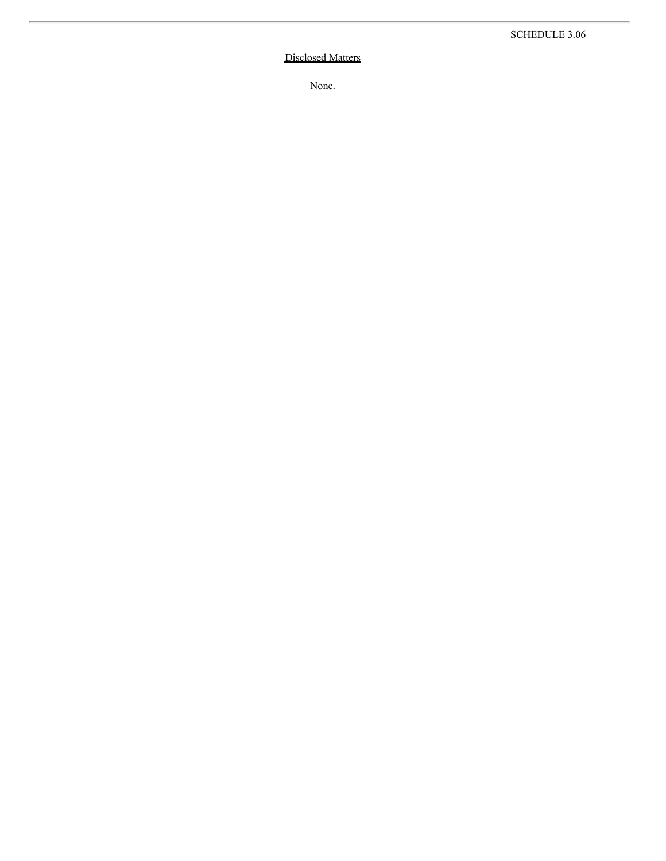Disclosed Matters

None.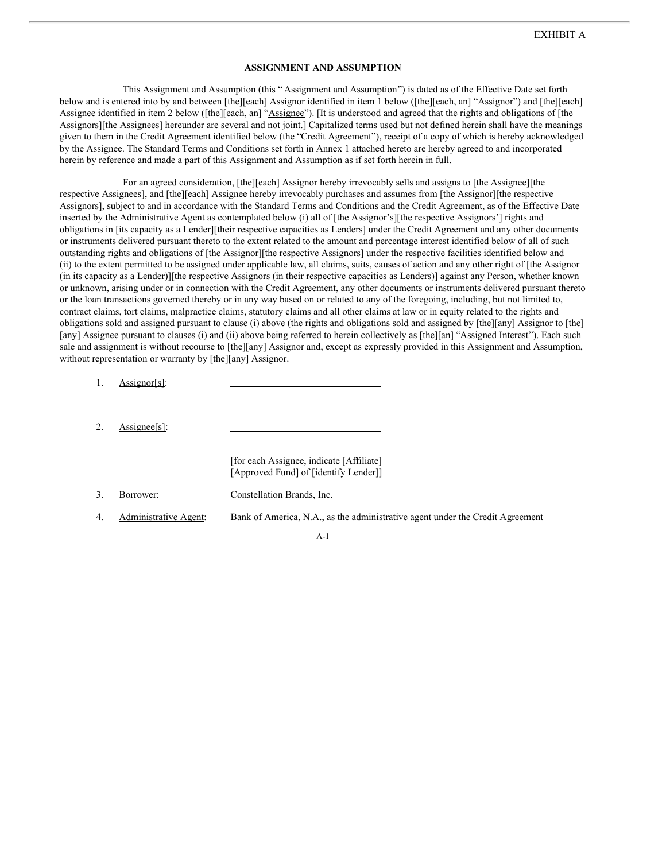#### **ASSIGNMENT AND ASSUMPTION**

This Assignment and Assumption (this "Assignment and Assumption") is dated as of the Effective Date set forth below and is entered into by and between [the][each] Assignor identified in item 1 below ([the][each, an] "Assignor") and [the][each] Assignee identified in item 2 below ([the][each, an] "Assignee"). [It is understood and agreed that the rights and obligations of [the Assignors][the Assignees] hereunder are several and not joint.] Capitalized terms used but not defined herein shall have the meanings given to them in the Credit Agreement identified below (the "Credit Agreement"), receipt of a copy of which is hereby acknowledged by the Assignee. The Standard Terms and Conditions set forth in Annex 1 attached hereto are hereby agreed to and incorporated herein by reference and made a part of this Assignment and Assumption as if set forth herein in full.

For an agreed consideration, [the][each] Assignor hereby irrevocably sells and assigns to [the Assignee][the respective Assignees], and [the][each] Assignee hereby irrevocably purchases and assumes from [the Assignor][the respective Assignors], subject to and in accordance with the Standard Terms and Conditions and the Credit Agreement, as of the Effective Date inserted by the Administrative Agent as contemplated below (i) all of [the Assignor's][the respective Assignors'] rights and obligations in [its capacity as a Lender][their respective capacities as Lenders] under the Credit Agreement and any other documents or instruments delivered pursuant thereto to the extent related to the amount and percentage interest identified below of all of such outstanding rights and obligations of [the Assignor][the respective Assignors] under the respective facilities identified below and (ii) to the extent permitted to be assigned under applicable law, all claims, suits, causes of action and any other right of [the Assignor (in its capacity as a Lender)][the respective Assignors (in their respective capacities as Lenders)] against any Person, whether known or unknown, arising under or in connection with the Credit Agreement, any other documents or instruments delivered pursuant thereto or the loan transactions governed thereby or in any way based on or related to any of the foregoing, including, but not limited to, contract claims, tort claims, malpractice claims, statutory claims and all other claims at law or in equity related to the rights and obligations sold and assigned pursuant to clause (i) above (the rights and obligations sold and assigned by [the][any] Assignor to [the] [any] Assignee pursuant to clauses (i) and (ii) above being referred to herein collectively as [the][an] "Assigned Interest"). Each such sale and assignment is without recourse to [the][any] Assignor and, except as expressly provided in this Assignment and Assumption, without representation or warranty by [the][any] Assignor.

| Assignori s i : |  |
|-----------------|--|
|                 |  |
|                 |  |

| $\text{Assignee}[s]$ : |                                                                                   |
|------------------------|-----------------------------------------------------------------------------------|
|                        | [for each Assignee, indicate [Affiliate]<br>[Approved Fund] of [identify Lender]] |
| Borrower:              | Constellation Brands, Inc.                                                        |
| Administrative Agent:  | Bank of America, N.A., as the administrative agent under the Credit Agreement     |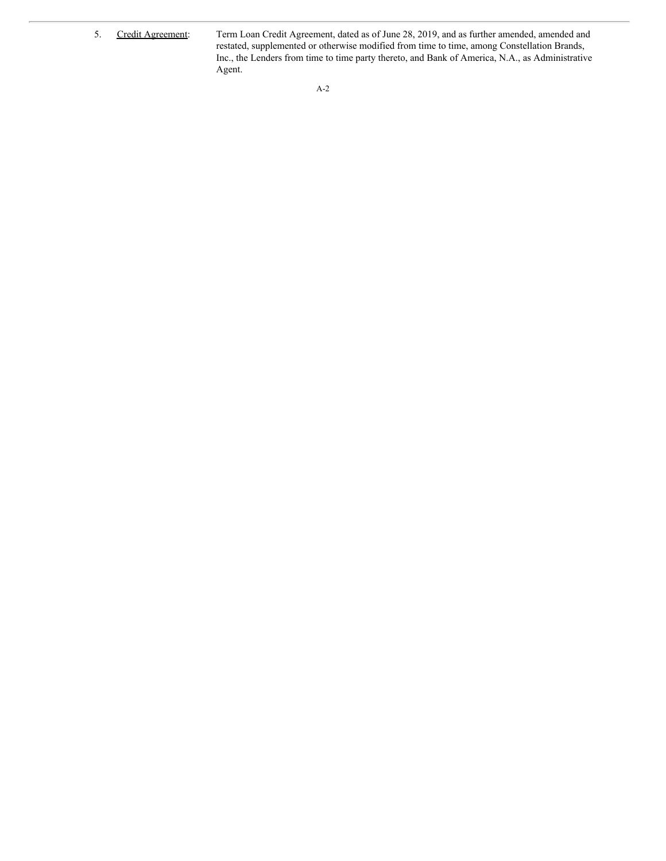5. Credit Agreement: Term Loan Credit Agreement, dated as of June 28, 2019, and as further amended, amended and restated, supplemented or otherwise modified from time to time, among Constellation Brands, Inc., the Lenders from time to time party thereto, and Bank of America, N.A., as Administrative Agent.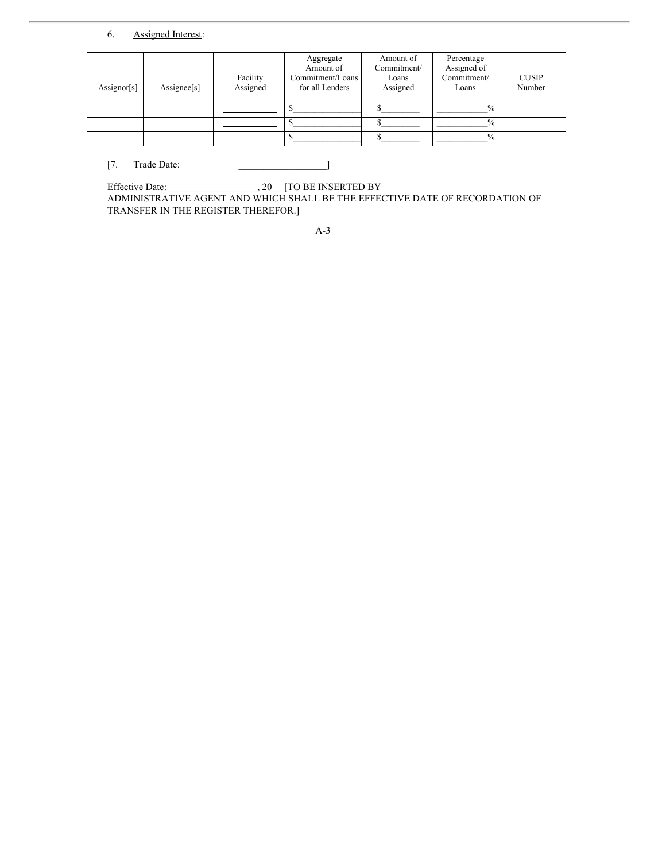## 6. Assigned Interest:

| $\text{Assignor}[s]$ | $\text{Assigne}[s]$ | Facility<br>Assigned | Aggregate<br>Amount of<br>Commitment/Loans<br>for all Lenders | Amount of<br>Commitment/<br>Loans<br>Assigned | Percentage<br>Assigned of<br>Commitment/<br>Loans | <b>CUSIP</b><br>Number |
|----------------------|---------------------|----------------------|---------------------------------------------------------------|-----------------------------------------------|---------------------------------------------------|------------------------|
|                      |                     |                      |                                                               |                                               | 0/2                                               |                        |
|                      |                     |                      |                                                               |                                               | 0/2                                               |                        |
|                      |                     |                      |                                                               |                                               | $\frac{0}{0}$                                     |                        |

## [7. Trade Date: \_\_\_\_\_\_\_\_\_\_\_\_\_\_\_\_\_\_]

Effective Date: \_\_\_\_\_\_\_\_\_\_\_\_\_\_\_\_\_\_\_\_\_\_\_\_, 20\_\_ [TO BE INSERTED BY ADMINISTRATIVE AGENT AND WHICH SHALL BE THE EFFECTIVE DATE OF RECORDATION OF TRANSFER IN THE REGISTER THEREFOR.]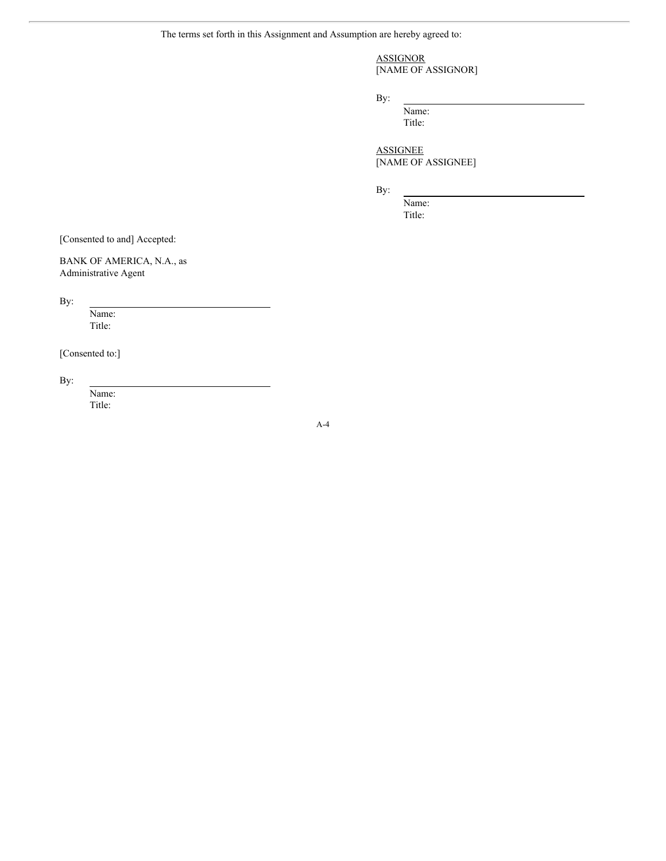The terms set forth in this Assignment and Assumption are hereby agreed to:

ASSIGNOR [NAME OF ASSIGNOR]

By:

Name: Title:

**ASSIGNEE** [NAME OF ASSIGNEE]

By:

Name: Title:

[Consented to and] Accepted:

## BANK OF AMERICA, N.A., as Administrative Agent

By:

Name: Title:

[Consented to:]

By:

Name: Title: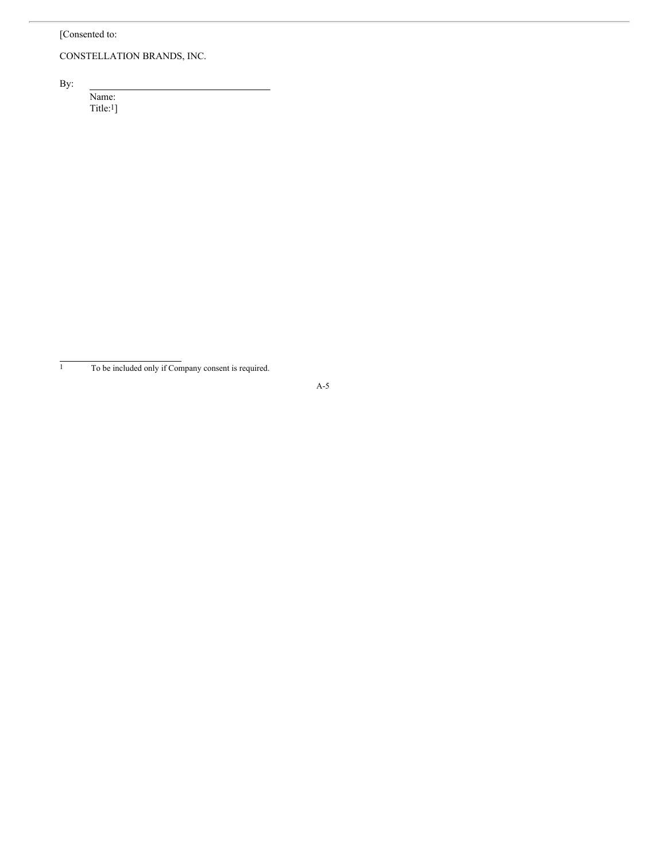## [Consented to:

CONSTELLATION BRANDS, INC.

By:

Name: Title:1]

1 To be included only if Company consent is required.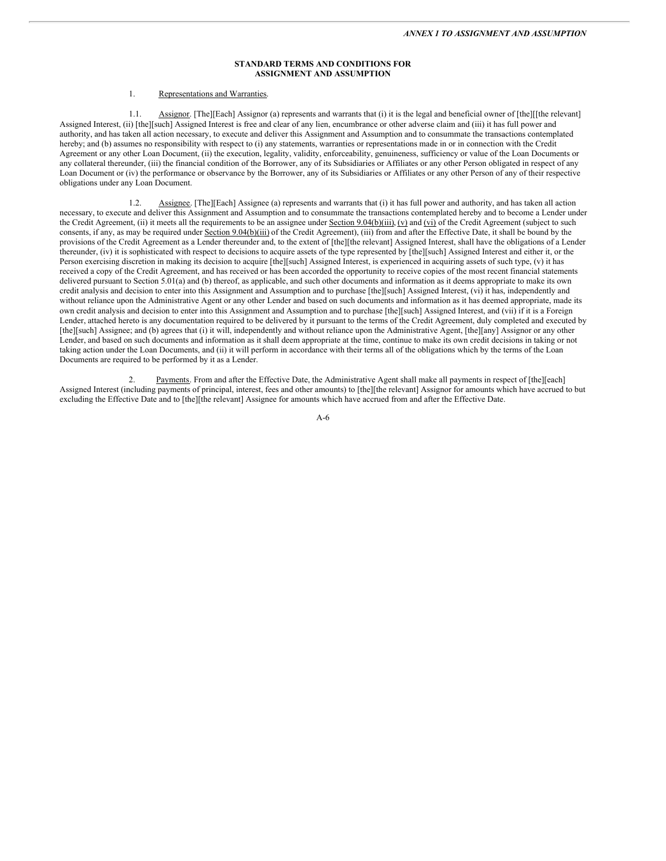#### **STANDARD TERMS AND CONDITIONS FOR ASSIGNMENT AND ASSUMPTION**

#### 1. Representations and Warranties.

1.1. Assignor. [The][Each] Assignor (a) represents and warrants that (i) it is the legal and beneficial owner of [the][[the relevant] Assigned Interest, (ii) [the][such] Assigned Interest is free and clear of any lien, encumbrance or other adverse claim and (iii) it has full power and authority, and has taken all action necessary, to execute and deliver this Assignment and Assumption and to consummate the transactions contemplated hereby; and (b) assumes no responsibility with respect to (i) any statements, warranties or representations made in or in connection with the Credit Agreement or any other Loan Document, (ii) the execution, legality, validity, enforceability, genuineness, sufficiency or value of the Loan Documents or any collateral thereunder, (iii) the financial condition of the Borrower, any of its Subsidiaries or Affiliates or any other Person obligated in respect of any Loan Document or (iv) the performance or observance by the Borrower, any of its Subsidiaries or Affiliates or any other Person of any of their respective obligations under any Loan Document.

1.2. Assignee. [The][Each] Assignee (a) represents and warrants that (i) it has full power and authority, and has taken all action necessary, to execute and deliver this Assignment and Assumption and to consummate the transactions contemplated hereby and to become a Lender under the Credit Agreement, (ii) it meets all the requirements to be an assignee under Section 9.04(b)(iii), (v) and (vi) of the Credit Agreement (subject to such consents, if any, as may be required under Section 9.04(b)(iii) of the Credit Agreement), (iii) from and after the Effective Date, it shall be bound by the provisions of the Credit Agreement as a Lender thereunder and, to the extent of [the][the relevant] Assigned Interest, shall have the obligations of a Lender thereunder, (iv) it is sophisticated with respect to decisions to acquire assets of the type represented by [the][such] Assigned Interest and either it, or the Person exercising discretion in making its decision to acquire [the][such] Assigned Interest, is experienced in acquiring assets of such type, (v) it has received a copy of the Credit Agreement, and has received or has been accorded the opportunity to receive copies of the most recent financial statements delivered pursuant to Section 5.01(a) and (b) thereof, as applicable, and such other documents and information as it deems appropriate to make its own credit analysis and decision to enter into this Assignment and Assumption and to purchase [the][such] Assigned Interest, (vi) it has, independently and without reliance upon the Administrative Agent or any other Lender and based on such documents and information as it has deemed appropriate, made its own credit analysis and decision to enter into this Assignment and Assumption and to purchase [the][such] Assigned Interest, and (vii) if it is a Foreign Lender, attached hereto is any documentation required to be delivered by it pursuant to the terms of the Credit Agreement, duly completed and executed by [the][such] Assignee; and (b) agrees that (i) it will, independently and without reliance upon the Administrative Agent, [the][any] Assignor or any other Lender, and based on such documents and information as it shall deem appropriate at the time, continue to make its own credit decisions in taking or not taking action under the Loan Documents, and (ii) it will perform in accordance with their terms all of the obligations which by the terms of the Loan Documents are required to be performed by it as a Lender.

2. Payments. From and after the Effective Date, the Administrative Agent shall make all payments in respect of [the][each] Assigned Interest (including payments of principal, interest, fees and other amounts) to [the][the relevant] Assignor for amounts which have accrued to but excluding the Effective Date and to [the][the relevant] Assignee for amounts which have accrued from and after the Effective Date.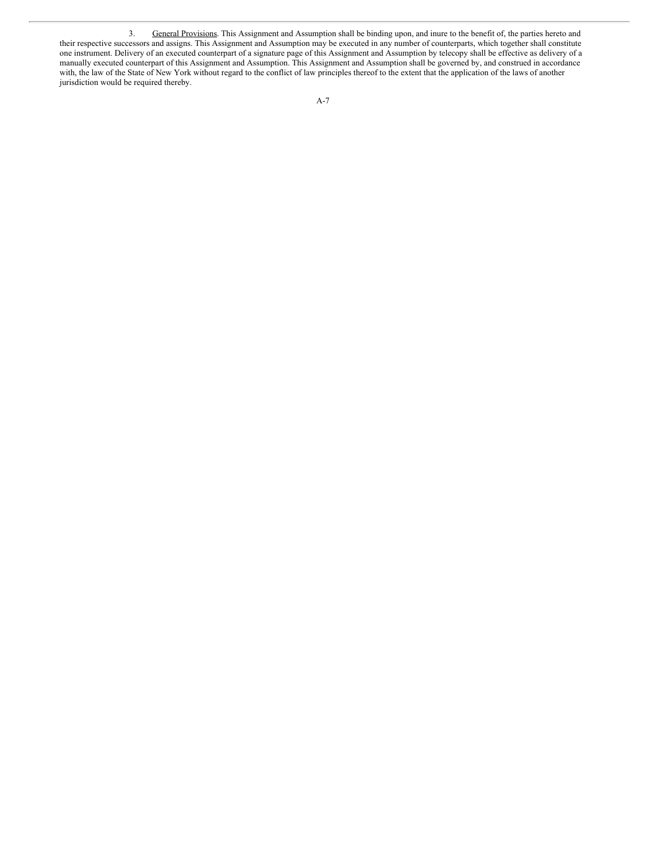<sup>3.</sup> General Provisions. This Assignment and Assumption shall be binding upon, and inure to the benefit of, the parties hereto and their respective successors and assigns. This Assignment and Assumption may be executed in any number of counterparts, which together shall constitute one instrument. Delivery of an executed counterpart of a signature page of this Assignment and Assumption by telecopy shall be effective as delivery of a manually executed counterpart of this Assignment and Assumption. This Assignment and Assumption shall be governed by, and construed in accordance with, the law of the State of New York without regard to the conflict of law principles thereof to the extent that the application of the laws of another jurisdiction would be required thereby.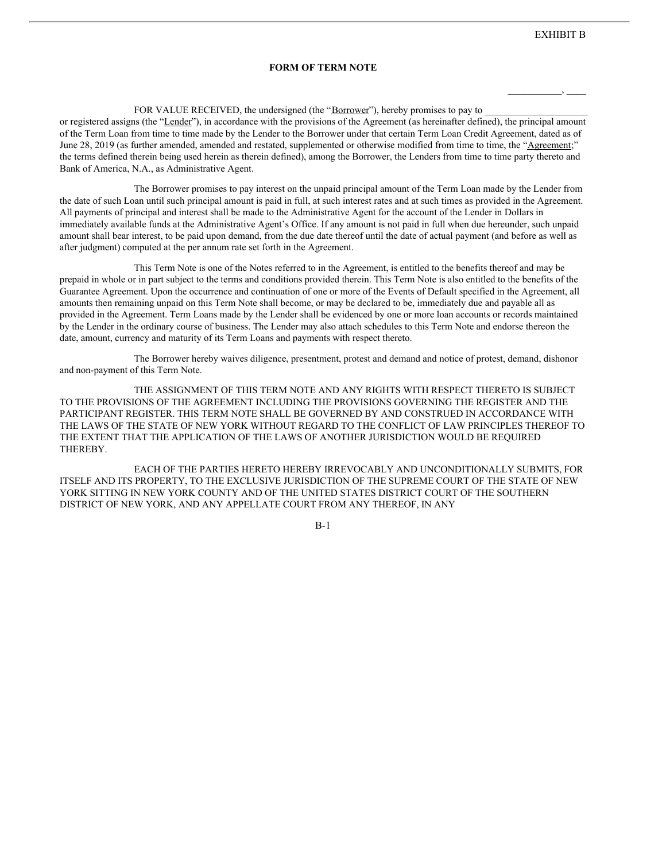EXHIBIT B

 $\,$ ,  $\,$ 

#### **FORM OF TERM NOTE**

FOR VALUE RECEIVED, the undersigned (the "Borrower"), hereby promises to pay to

or registered assigns (the "Lender"), in accordance with the provisions of the Agreement (as hereinafter defined), the principal amount of the Term Loan from time to time made by the Lender to the Borrower under that certain Term Loan Credit Agreement, dated as of June 28, 2019 (as further amended, amended and restated, supplemented or otherwise modified from time to time, the "Agreement;" the terms defined therein being used herein as therein defined), among the Borrower, the Lenders from time to time party thereto and Bank of America, N.A., as Administrative Agent.

The Borrower promises to pay interest on the unpaid principal amount of the Term Loan made by the Lender from the date of such Loan until such principal amount is paid in full, at such interest rates and at such times as provided in the Agreement. All payments of principal and interest shall be made to the Administrative Agent for the account of the Lender in Dollars in immediately available funds at the Administrative Agent's Office. If any amount is not paid in full when due hereunder, such unpaid amount shall bear interest, to be paid upon demand, from the due date thereof until the date of actual payment (and before as well as after judgment) computed at the per annum rate set forth in the Agreement.

This Term Note is one of the Notes referred to in the Agreement, is entitled to the benefits thereof and may be prepaid in whole or in part subject to the terms and conditions provided therein. This Term Note is also entitled to the benefits of the Guarantee Agreement. Upon the occurrence and continuation of one or more of the Events of Default specified in the Agreement, all amounts then remaining unpaid on this Term Note shall become, or may be declared to be, immediately due and payable all as provided in the Agreement. Term Loans made by the Lender shall be evidenced by one or more loan accounts or records maintained by the Lender in the ordinary course of business. The Lender may also attach schedules to this Term Note and endorse thereon the date, amount, currency and maturity of its Term Loans and payments with respect thereto.

The Borrower hereby waives diligence, presentment, protest and demand and notice of protest, demand, dishonor and non-payment of this Term Note.

THE ASSIGNMENT OF THIS TERM NOTE AND ANY RIGHTS WITH RESPECT THERETO IS SUBJECT TO THE PROVISIONS OF THE AGREEMENT INCLUDING THE PROVISIONS GOVERNING THE REGISTER AND THE PARTICIPANT REGISTER. THIS TERM NOTE SHALL BE GOVERNED BY AND CONSTRUED IN ACCORDANCE WITH THE LAWS OF THE STATE OF NEW YORK WITHOUT REGARD TO THE CONFLICT OF LAW PRINCIPLES THEREOF TO THE EXTENT THAT THE APPLICATION OF THE LAWS OF ANOTHER JURISDICTION WOULD BE REQUIRED THEREBY.

EACH OF THE PARTIES HERETO HEREBY IRREVOCABLY AND UNCONDITIONALLY SUBMITS, FOR ITSELF AND ITS PROPERTY, TO THE EXCLUSIVE JURISDICTION OF THE SUPREME COURT OF THE STATE OF NEW YORK SITTING IN NEW YORK COUNTY AND OF THE UNITED STATES DISTRICT COURT OF THE SOUTHERN DISTRICT OF NEW YORK, AND ANY APPELLATE COURT FROM ANY THEREOF, IN ANY

B-1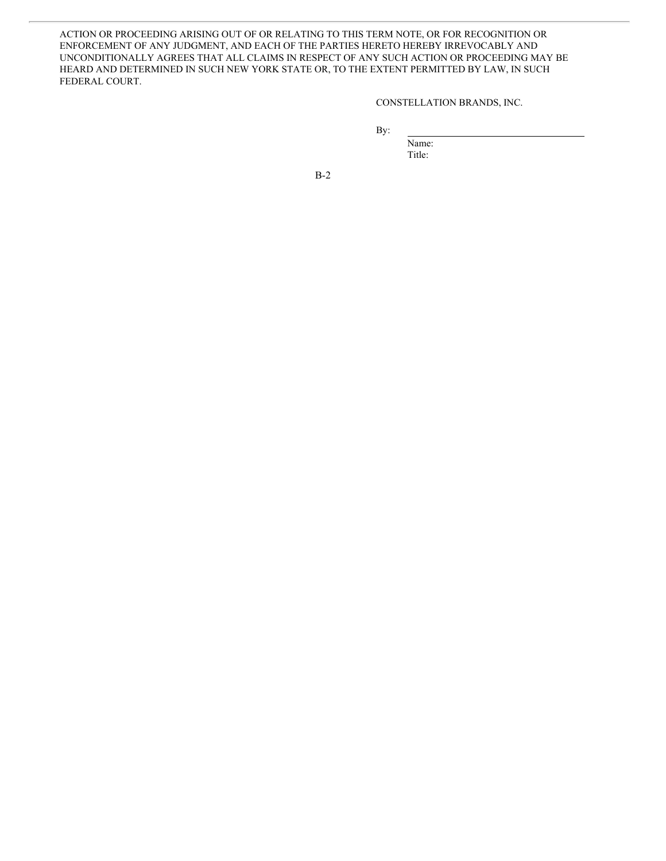ACTION OR PROCEEDING ARISING OUT OF OR RELATING TO THIS TERM NOTE, OR FOR RECOGNITION OR ENFORCEMENT OF ANY JUDGMENT, AND EACH OF THE PARTIES HERETO HEREBY IRREVOCABLY AND UNCONDITIONALLY AGREES THAT ALL CLAIMS IN RESPECT OF ANY SUCH ACTION OR PROCEEDING MAY BE HEARD AND DETERMINED IN SUCH NEW YORK STATE OR, TO THE EXTENT PERMITTED BY LAW, IN SUCH FEDERAL COURT.

#### CONSTELLATION BRANDS, INC.

By:

Name: Title:

B-2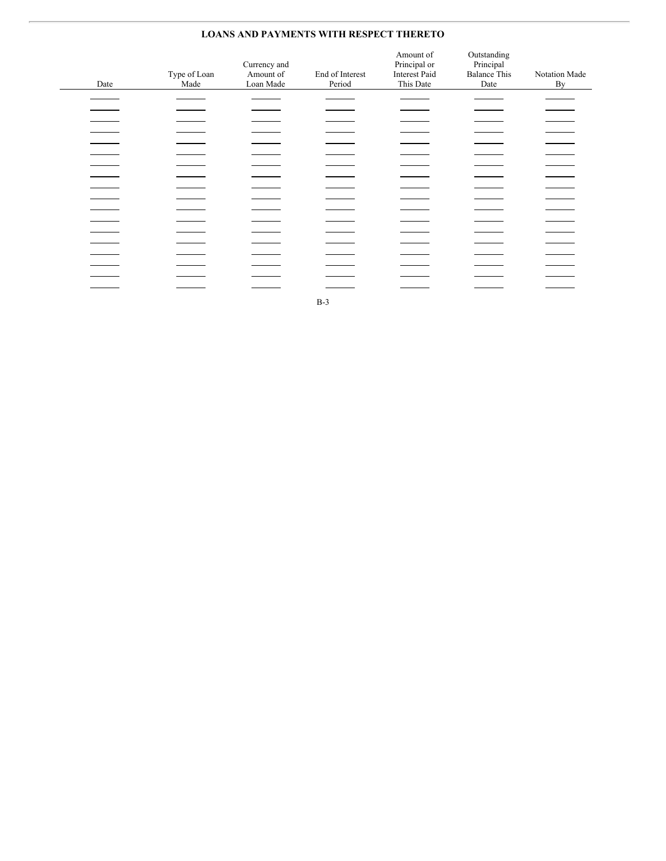#### **LOANS AND PAYMENTS WITH RESPECT THERETO**

|      | Type of Loan | Currency and<br>Amount of | End of Interest | Amount of<br>Principal or<br><b>Interest Paid</b> | Outstanding<br>Principal<br><b>Balance This</b> | Notation Made |
|------|--------------|---------------------------|-----------------|---------------------------------------------------|-------------------------------------------------|---------------|
| Date | Made         | Loan Made                 | Period          | This Date                                         | Date                                            | By            |
|      |              |                           |                 |                                                   |                                                 |               |
|      |              |                           |                 |                                                   |                                                 |               |
|      |              |                           |                 |                                                   |                                                 |               |
|      |              |                           |                 |                                                   |                                                 |               |
|      |              |                           |                 |                                                   |                                                 |               |
|      |              |                           |                 |                                                   |                                                 |               |
|      |              |                           |                 |                                                   |                                                 |               |
|      |              |                           |                 |                                                   |                                                 |               |
|      |              |                           |                 |                                                   |                                                 |               |
|      |              |                           |                 |                                                   |                                                 |               |
|      |              |                           |                 |                                                   |                                                 |               |
|      |              |                           |                 |                                                   |                                                 |               |
|      |              |                           |                 |                                                   |                                                 |               |
|      |              |                           |                 |                                                   |                                                 |               |
|      |              |                           |                 |                                                   |                                                 |               |
|      |              |                           |                 |                                                   |                                                 |               |
|      |              |                           |                 |                                                   |                                                 |               |
|      |              |                           |                 |                                                   |                                                 |               |

B-3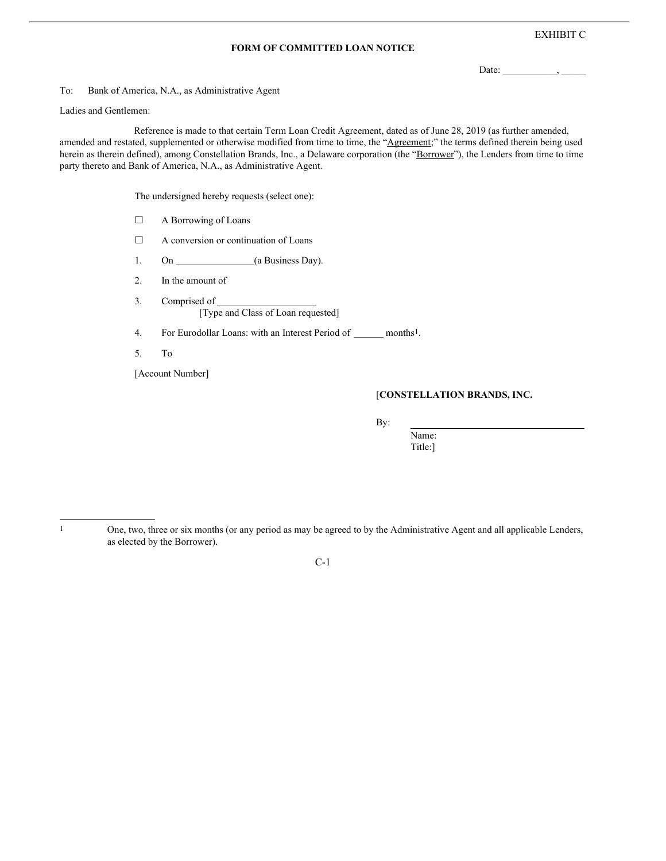#### **FORM OF COMMITTED LOAN NOTICE**

Date: \_\_\_\_\_\_\_\_\_\_\_\_\_\_\_, \_\_\_\_\_\_\_\_\_

To: Bank of America, N.A., as Administrative Agent

Ladies and Gentlemen:

Reference is made to that certain Term Loan Credit Agreement, dated as of June 28, 2019 (as further amended, amended and restated, supplemented or otherwise modified from time to time, the "Agreement;" the terms defined therein being used herein as therein defined), among Constellation Brands, Inc., a Delaware corporation (the "Borrower"), the Lenders from time to time party thereto and Bank of America, N.A., as Administrative Agent.

The undersigned hereby requests (select one):

- ☐ A Borrowing of Loans
- ☐ A conversion or continuation of Loans
- 1. On \_\_\_\_\_\_\_\_\_\_\_\_\_(a Business Day).
- 2. In the amount of
- 3. Comprised of

[Type and Class of Loan requested]

4. For Eurodollar Loans: with an Interest Period of  $\_\_\_\_\$  months<sup>1</sup>.

5. To

[Account Number]

## [**CONSTELLATION BRANDS, INC.**

By:

Name: Title:]

1 One, two, three or six months (or any period as may be agreed to by the Administrative Agent and all applicable Lenders, as elected by the Borrower).

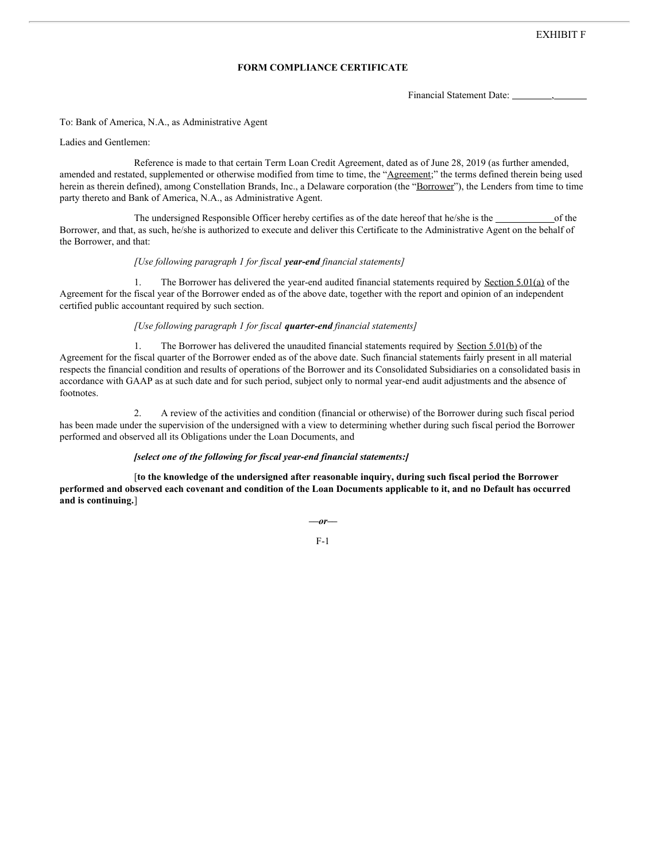EXHIBIT F

#### **FORM COMPLIANCE CERTIFICATE**

Financial Statement Date: ,

To: Bank of America, N.A., as Administrative Agent

Ladies and Gentlemen:

Reference is made to that certain Term Loan Credit Agreement, dated as of June 28, 2019 (as further amended, amended and restated, supplemented or otherwise modified from time to time, the "Agreement;" the terms defined therein being used herein as therein defined), among Constellation Brands, Inc., a Delaware corporation (the "Borrower"), the Lenders from time to time party thereto and Bank of America, N.A., as Administrative Agent.

The undersigned Responsible Officer hereby certifies as of the date hereof that he/she is the of the of the Borrower, and that, as such, he/she is authorized to execute and deliver this Certificate to the Administrative Agent on the behalf of the Borrower, and that:

#### *[Use following paragraph 1 for fiscal year-end financial statements]*

1. The Borrower has delivered the year-end audited financial statements required by Section 5.01(a) of the Agreement for the fiscal year of the Borrower ended as of the above date, together with the report and opinion of an independent certified public accountant required by such section.

#### *[Use following paragraph 1 for fiscal quarter-end financial statements]*

1. The Borrower has delivered the unaudited financial statements required by Section 5.01(b) of the Agreement for the fiscal quarter of the Borrower ended as of the above date. Such financial statements fairly present in all material respects the financial condition and results of operations of the Borrower and its Consolidated Subsidiaries on a consolidated basis in accordance with GAAP as at such date and for such period, subject only to normal year-end audit adjustments and the absence of footnotes.

2. A review of the activities and condition (financial or otherwise) of the Borrower during such fiscal period has been made under the supervision of the undersigned with a view to determining whether during such fiscal period the Borrower performed and observed all its Obligations under the Loan Documents, and

#### *[select one of the following for fiscal year-end financial statements:]*

[**to the knowledge of the undersigned after reasonable inquiry, during such fiscal period the Borrower** performed and observed each covenant and condition of the Loan Documents applicable to it, and no Default has occurred **and is continuing.**]

> *––or––* F-1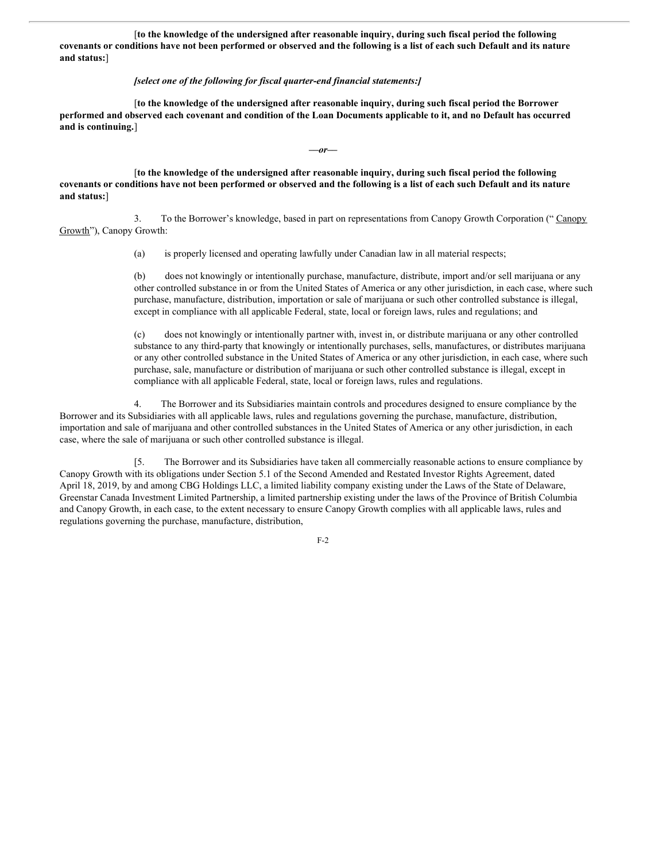[**to the knowledge of the undersigned after reasonable inquiry, during such fiscal period the following** covenants or conditions have not been performed or observed and the following is a list of each such Default and its nature **and status:**]

#### *[select one of the following for fiscal quarter-end financial statements:]*

[**to the knowledge of the undersigned after reasonable inquiry, during such fiscal period the Borrower** performed and observed each covenant and condition of the Loan Documents applicable to it, and no Default has occurred **and is continuing.**]

*––or––*

[**to the knowledge of the undersigned after reasonable inquiry, during such fiscal period the following** covenants or conditions have not been performed or observed and the following is a list of each such Default and its nature **and status:**]

3. To the Borrower's knowledge, based in part on representations from Canopy Growth Corporation (" Canopy Growth"), Canopy Growth:

(a) is properly licensed and operating lawfully under Canadian law in all material respects;

(b) does not knowingly or intentionally purchase, manufacture, distribute, import and/or sell marijuana or any other controlled substance in or from the United States of America or any other jurisdiction, in each case, where such purchase, manufacture, distribution, importation or sale of marijuana or such other controlled substance is illegal, except in compliance with all applicable Federal, state, local or foreign laws, rules and regulations; and

(c) does not knowingly or intentionally partner with, invest in, or distribute marijuana or any other controlled substance to any third-party that knowingly or intentionally purchases, sells, manufactures, or distributes marijuana or any other controlled substance in the United States of America or any other jurisdiction, in each case, where such purchase, sale, manufacture or distribution of marijuana or such other controlled substance is illegal, except in compliance with all applicable Federal, state, local or foreign laws, rules and regulations.

4. The Borrower and its Subsidiaries maintain controls and procedures designed to ensure compliance by the Borrower and its Subsidiaries with all applicable laws, rules and regulations governing the purchase, manufacture, distribution, importation and sale of marijuana and other controlled substances in the United States of America or any other jurisdiction, in each case, where the sale of marijuana or such other controlled substance is illegal.

[5. The Borrower and its Subsidiaries have taken all commercially reasonable actions to ensure compliance by Canopy Growth with its obligations under Section 5.1 of the Second Amended and Restated Investor Rights Agreement, dated April 18, 2019, by and among CBG Holdings LLC, a limited liability company existing under the Laws of the State of Delaware, Greenstar Canada Investment Limited Partnership, a limited partnership existing under the laws of the Province of British Columbia and Canopy Growth, in each case, to the extent necessary to ensure Canopy Growth complies with all applicable laws, rules and regulations governing the purchase, manufacture, distribution,

F-2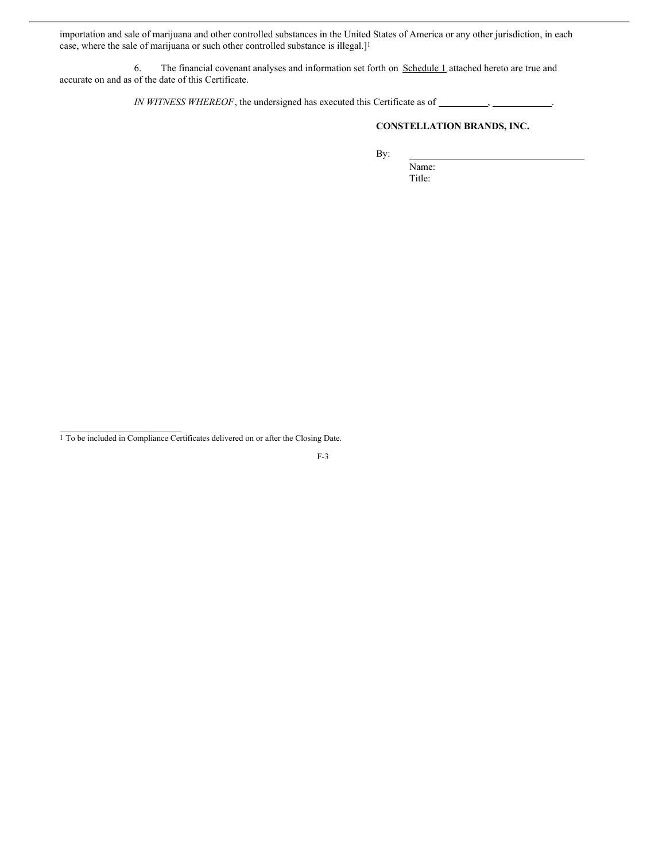importation and sale of marijuana and other controlled substances in the United States of America or any other jurisdiction, in each case, where the sale of marijuana or such other controlled substance is illegal.]1

6. The financial covenant analyses and information set forth on Schedule 1 attached hereto are true and accurate on and as of the date of this Certificate.

*IN WITNESS WHEREOF*, the undersigned has executed this Certificate as of , .

## **CONSTELLATION BRANDS, INC.**

By:

Name: Title:

<sup>1</sup> To be included in Compliance Certificates delivered on or after the Closing Date.

F-3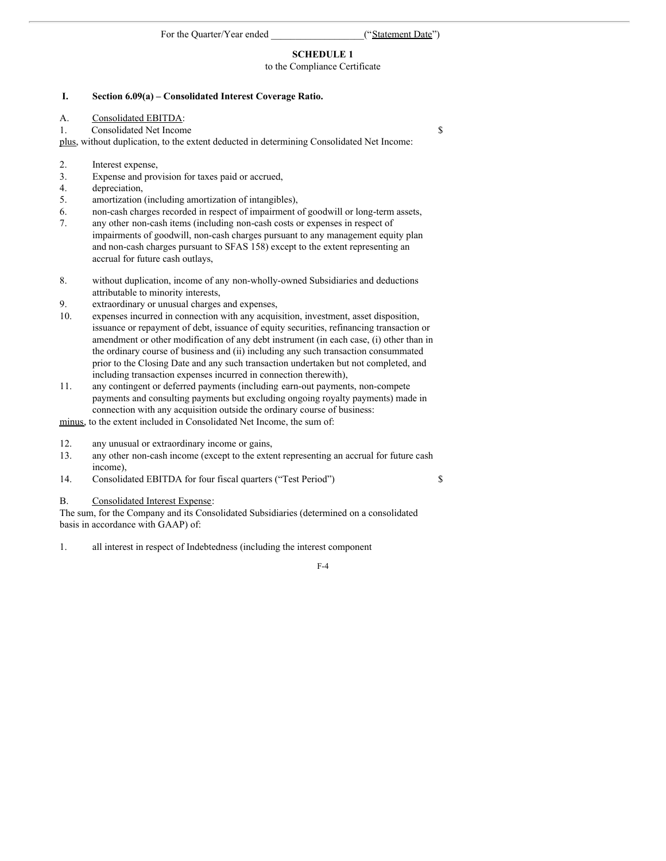For the Quarter/Year ended ("Statement Date")

#### **SCHEDULE 1**

to the Compliance Certificate

#### **I. Section 6.09(a) – Consolidated Interest Coverage Ratio.**

#### A. Consolidated EBITDA:

## 1. Consolidated Net Income

plus, without duplication, to the extent deducted in determining Consolidated Net Income:

- 2. Interest expense,
- 3. Expense and provision for taxes paid or accrued,
- 4. depreciation,
- 5. amortization (including amortization of intangibles),
- 6. non-cash charges recorded in respect of impairment of goodwill or long-term assets,
- 7. any other non-cash items (including non-cash costs or expenses in respect of impairments of goodwill, non-cash charges pursuant to any management equity plan and non-cash charges pursuant to SFAS 158) except to the extent representing an accrual for future cash outlays,
- 8. without duplication, income of any non-wholly-owned Subsidiaries and deductions attributable to minority interests,
- 9. extraordinary or unusual charges and expenses,
- 10. expenses incurred in connection with any acquisition, investment, asset disposition, issuance or repayment of debt, issuance of equity securities, refinancing transaction or amendment or other modification of any debt instrument (in each case, (i) other than in the ordinary course of business and (ii) including any such transaction consummated prior to the Closing Date and any such transaction undertaken but not completed, and including transaction expenses incurred in connection therewith),
- 11. any contingent or deferred payments (including earn-out payments, non-compete payments and consulting payments but excluding ongoing royalty payments) made in connection with any acquisition outside the ordinary course of business:

minus, to the extent included in Consolidated Net Income, the sum of:

- 12. any unusual or extraordinary income or gains,
- 13. any other non-cash income (except to the extent representing an accrual for future cash income),
- 14. Consolidated EBITDA for four fiscal quarters ("Test Period") \$

#### B. Consolidated Interest Expense:

The sum, for the Company and its Consolidated Subsidiaries (determined on a consolidated basis in accordance with GAAP) of:

1. all interest in respect of Indebtedness (including the interest component

#### F-4

\$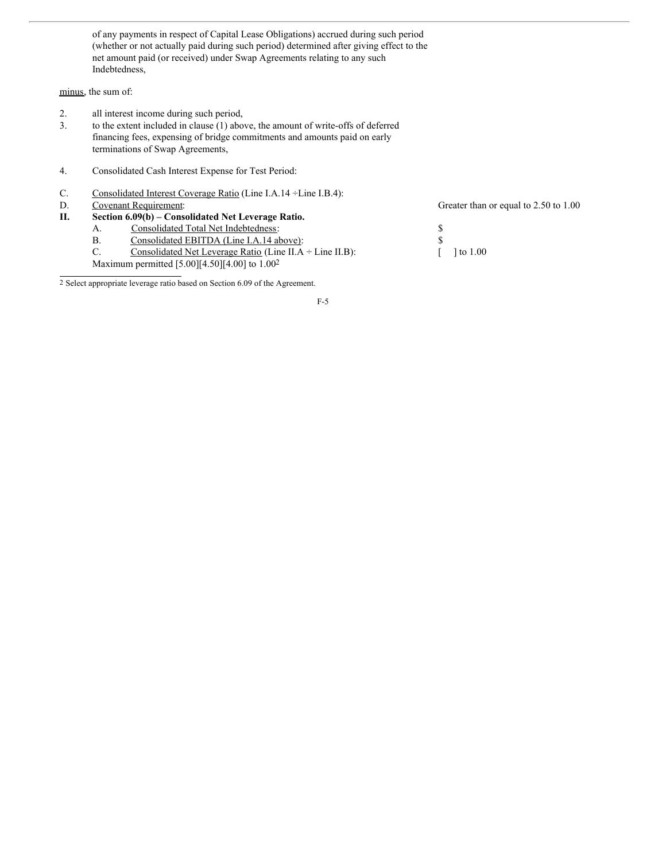of any payments in respect of Capital Lease Obligations) accrued during such period (whether or not actually paid during such period) determined after giving effect to the net amount paid (or received) under Swap Agreements relating to any such Indebtedness,

minus, the sum of:

- 2. all interest income during such period,
- 3. to the extent included in clause (1) above, the amount of write-offs of deferred financing fees, expensing of bridge commitments and amounts paid on early terminations of Swap Agreements,
- 4. Consolidated Cash Interest Expense for Test Period:
- C. Consolidated Interest Coverage Ratio (Line I.A.14  $\div$ Line I.B.4):
- 
- **II. Section 6.09(b) – Consolidated Net Leverage Ratio.**
	- A. Consolidated Total Net Indebtedness:  $\$
	-
	- B. Consolidated EBITDA (Line I.A.14 above): \$<br>C. Consolidated Net Leverage Ratio (Line II.A ÷ Line II.B): [ C. Consolidated Net Leverage Ratio (Line II.A ÷ Line II.B): [ ] to 1.00

Maximum permitted [5.00][4.50][4.00] to 1.002

F-5

D. Covenant Requirement: Greater than or equal to 2.50 to 1.00

<sup>2</sup> Select appropriate leverage ratio based on Section 6.09 of the Agreement.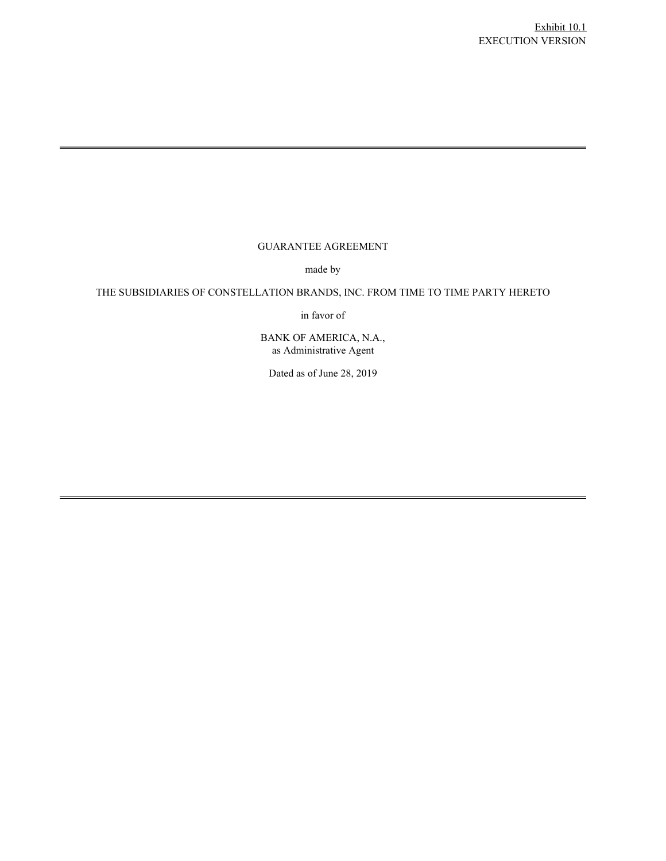## GUARANTEE AGREEMENT

made by

THE SUBSIDIARIES OF CONSTELLATION BRANDS, INC. FROM TIME TO TIME PARTY HERETO

in favor of

BANK OF AMERICA, N.A., as Administrative Agent

Dated as of June 28, 2019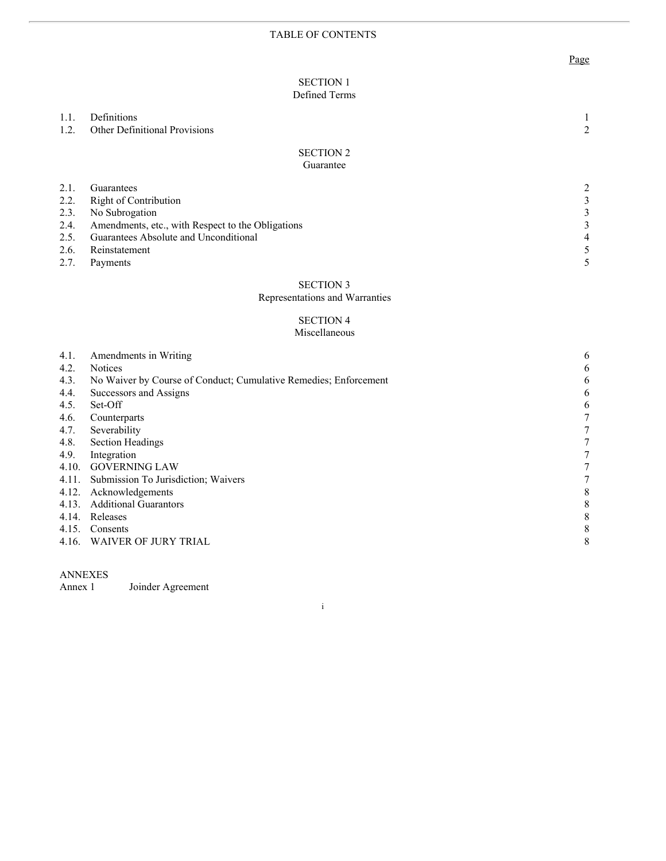## Page

## SECTION 1 Defined Terms

#### 1.1. Definitions 1

1.2. Other Definitional Provisions 2

## SECTION 2 Guarantee

| 2.1.<br>2.2. | Guarantees<br><b>Right of Contribution</b>        |                |
|--------------|---------------------------------------------------|----------------|
| 2.3.         | No Subrogation                                    |                |
| 2.4.         | Amendments, etc., with Respect to the Obligations |                |
| 2.5.         | Guarantees Absolute and Unconditional             | $\overline{4}$ |
| 2.6.         | Reinstatement                                     |                |

2.7. Payments 5

## SECTION 3

Representations and Warranties

## SECTION 4 Miscellaneous

| 4.1.  | Amendments in Writing                                            | 6               |
|-------|------------------------------------------------------------------|-----------------|
| 4.2.  | <b>Notices</b>                                                   | 6               |
| 4.3.  | No Waiver by Course of Conduct; Cumulative Remedies; Enforcement | 6               |
| 4.4.  | Successors and Assigns                                           | 6               |
| 4.5.  | Set-Off                                                          | 6               |
| 4.6.  | Counterparts                                                     | $7\phantom{.0}$ |
| 4.7.  | Severability                                                     |                 |
| 4.8.  | <b>Section Headings</b>                                          | 7               |
| 4.9.  | Integration                                                      |                 |
| 4.10. | <b>GOVERNING LAW</b>                                             |                 |
| 4.11. | Submission To Jurisdiction; Waivers                              | $7\overline{ }$ |
| 4.12. | Acknowledgements                                                 | 8               |
| 4.13. | <b>Additional Guarantors</b>                                     | 8               |
| 4.14. | Releases                                                         | 8               |
| 4.15. | Consents                                                         | 8               |
| 4.16. | WAIVER OF JURY TRIAL                                             | 8               |

# ANNEXES<br>Annex 1

Joinder Agreement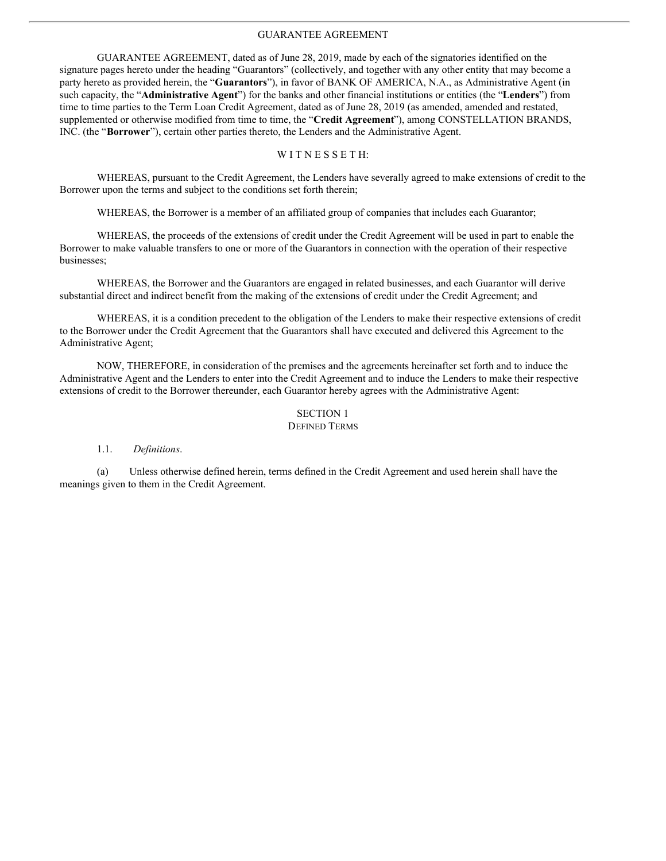## GUARANTEE AGREEMENT

GUARANTEE AGREEMENT, dated as of June 28, 2019, made by each of the signatories identified on the signature pages hereto under the heading "Guarantors" (collectively, and together with any other entity that may become a party hereto as provided herein, the "**Guarantors**"), in favor of BANK OF AMERICA, N.A., as Administrative Agent (in such capacity, the "**Administrative Agent**") for the banks and other financial institutions or entities (the "**Lenders**") from time to time parties to the Term Loan Credit Agreement, dated as of June 28, 2019 (as amended, amended and restated, supplemented or otherwise modified from time to time, the "**Credit Agreement**"), among CONSTELLATION BRANDS, INC. (the "**Borrower**"), certain other parties thereto, the Lenders and the Administrative Agent.

## WITNESSETH:

WHEREAS, pursuant to the Credit Agreement, the Lenders have severally agreed to make extensions of credit to the Borrower upon the terms and subject to the conditions set forth therein;

WHEREAS, the Borrower is a member of an affiliated group of companies that includes each Guarantor;

WHEREAS, the proceeds of the extensions of credit under the Credit Agreement will be used in part to enable the Borrower to make valuable transfers to one or more of the Guarantors in connection with the operation of their respective businesses;

WHEREAS, the Borrower and the Guarantors are engaged in related businesses, and each Guarantor will derive substantial direct and indirect benefit from the making of the extensions of credit under the Credit Agreement; and

WHEREAS, it is a condition precedent to the obligation of the Lenders to make their respective extensions of credit to the Borrower under the Credit Agreement that the Guarantors shall have executed and delivered this Agreement to the Administrative Agent;

NOW, THEREFORE, in consideration of the premises and the agreements hereinafter set forth and to induce the Administrative Agent and the Lenders to enter into the Credit Agreement and to induce the Lenders to make their respective extensions of credit to the Borrower thereunder, each Guarantor hereby agrees with the Administrative Agent:

#### SECTION 1 DEFINED TERMS

1.1. *Definitions*.

(a) Unless otherwise defined herein, terms defined in the Credit Agreement and used herein shall have the meanings given to them in the Credit Agreement.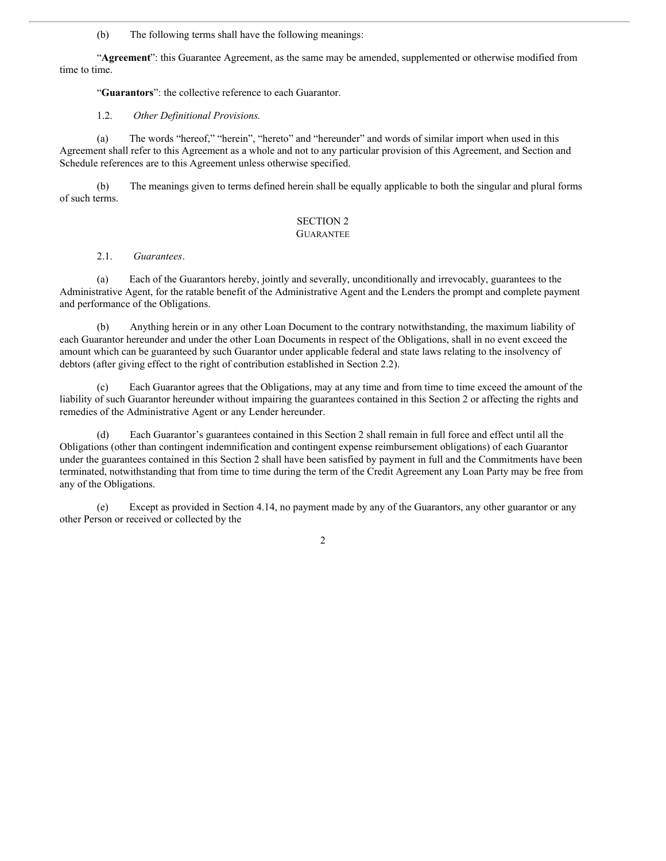(b) The following terms shall have the following meanings:

"**Agreement**": this Guarantee Agreement, as the same may be amended, supplemented or otherwise modified from time to time.

"**Guarantors**": the collective reference to each Guarantor.

1.2. *Other Definitional Provisions*.

(a) The words "hereof," "herein", "hereto" and "hereunder" and words of similar import when used in this Agreement shall refer to this Agreement as a whole and not to any particular provision of this Agreement, and Section and Schedule references are to this Agreement unless otherwise specified.

(b) The meanings given to terms defined herein shall be equally applicable to both the singular and plural forms of such terms.

## SECTION 2

## **GUARANTEE**

2.1. *Guarantees*.

(a) Each of the Guarantors hereby, jointly and severally, unconditionally and irrevocably, guarantees to the Administrative Agent, for the ratable benefit of the Administrative Agent and the Lenders the prompt and complete payment and performance of the Obligations.

(b) Anything herein or in any other Loan Document to the contrary notwithstanding, the maximum liability of each Guarantor hereunder and under the other Loan Documents in respect of the Obligations, shall in no event exceed the amount which can be guaranteed by such Guarantor under applicable federal and state laws relating to the insolvency of debtors (after giving effect to the right of contribution established in Section 2.2).

Each Guarantor agrees that the Obligations, may at any time and from time to time exceed the amount of the liability of such Guarantor hereunder without impairing the guarantees contained in this Section 2 or affecting the rights and remedies of the Administrative Agent or any Lender hereunder.

(d) Each Guarantor's guarantees contained in this Section 2 shall remain in full force and effect until all the Obligations (other than contingent indemnification and contingent expense reimbursement obligations) of each Guarantor under the guarantees contained in this Section 2 shall have been satisfied by payment in full and the Commitments have been terminated, notwithstanding that from time to time during the term of the Credit Agreement any Loan Party may be free from any of the Obligations.

(e) Except as provided in Section 4.14, no payment made by any of the Guarantors, any other guarantor or any other Person or received or collected by the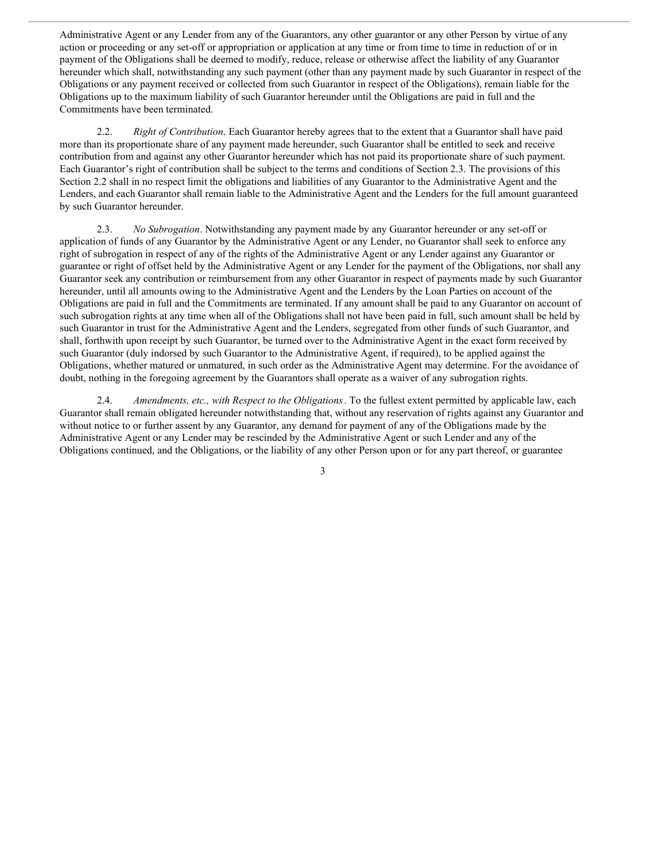Administrative Agent or any Lender from any of the Guarantors, any other guarantor or any other Person by virtue of any action or proceeding or any set-off or appropriation or application at any time or from time to time in reduction of or in payment of the Obligations shall be deemed to modify, reduce, release or otherwise affect the liability of any Guarantor hereunder which shall, notwithstanding any such payment (other than any payment made by such Guarantor in respect of the Obligations or any payment received or collected from such Guarantor in respect of the Obligations), remain liable for the Obligations up to the maximum liability of such Guarantor hereunder until the Obligations are paid in full and the Commitments have been terminated.

2.2. *Right of Contribution*. Each Guarantor hereby agrees that to the extent that a Guarantor shall have paid more than its proportionate share of any payment made hereunder, such Guarantor shall be entitled to seek and receive contribution from and against any other Guarantor hereunder which has not paid its proportionate share of such payment. Each Guarantor's right of contribution shall be subject to the terms and conditions of Section 2.3. The provisions of this Section 2.2 shall in no respect limit the obligations and liabilities of any Guarantor to the Administrative Agent and the Lenders, and each Guarantor shall remain liable to the Administrative Agent and the Lenders for the full amount guaranteed by such Guarantor hereunder.

2.3. *No Subrogation*. Notwithstanding any payment made by any Guarantor hereunder or any set-off or application of funds of any Guarantor by the Administrative Agent or any Lender, no Guarantor shall seek to enforce any right of subrogation in respect of any of the rights of the Administrative Agent or any Lender against any Guarantor or guarantee or right of offset held by the Administrative Agent or any Lender for the payment of the Obligations, nor shall any Guarantor seek any contribution or reimbursement from any other Guarantor in respect of payments made by such Guarantor hereunder, until all amounts owing to the Administrative Agent and the Lenders by the Loan Parties on account of the Obligations are paid in full and the Commitments are terminated. If any amount shall be paid to any Guarantor on account of such subrogation rights at any time when all of the Obligations shall not have been paid in full, such amount shall be held by such Guarantor in trust for the Administrative Agent and the Lenders, segregated from other funds of such Guarantor, and shall, forthwith upon receipt by such Guarantor, be turned over to the Administrative Agent in the exact form received by such Guarantor (duly indorsed by such Guarantor to the Administrative Agent, if required), to be applied against the Obligations, whether matured or unmatured, in such order as the Administrative Agent may determine. For the avoidance of doubt, nothing in the foregoing agreement by the Guarantors shall operate as a waiver of any subrogation rights.

2.4. *Amendments, etc., with Respect to the Obligations*. To the fullest extent permitted by applicable law, each Guarantor shall remain obligated hereunder notwithstanding that, without any reservation of rights against any Guarantor and without notice to or further assent by any Guarantor, any demand for payment of any of the Obligations made by the Administrative Agent or any Lender may be rescinded by the Administrative Agent or such Lender and any of the Obligations continued, and the Obligations, or the liability of any other Person upon or for any part thereof, or guarantee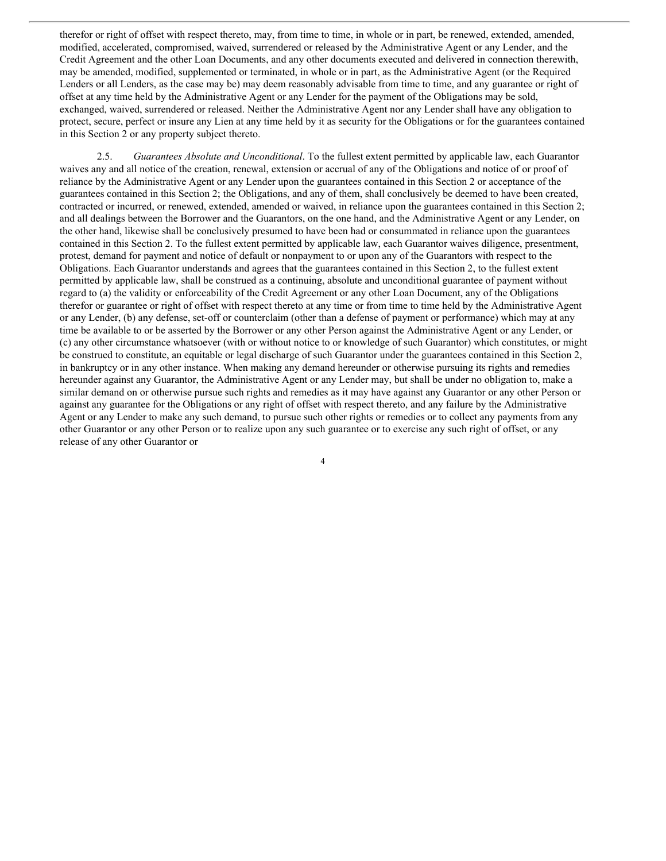therefor or right of offset with respect thereto, may, from time to time, in whole or in part, be renewed, extended, amended, modified, accelerated, compromised, waived, surrendered or released by the Administrative Agent or any Lender, and the Credit Agreement and the other Loan Documents, and any other documents executed and delivered in connection therewith, may be amended, modified, supplemented or terminated, in whole or in part, as the Administrative Agent (or the Required Lenders or all Lenders, as the case may be) may deem reasonably advisable from time to time, and any guarantee or right of offset at any time held by the Administrative Agent or any Lender for the payment of the Obligations may be sold, exchanged, waived, surrendered or released. Neither the Administrative Agent nor any Lender shall have any obligation to protect, secure, perfect or insure any Lien at any time held by it as security for the Obligations or for the guarantees contained in this Section 2 or any property subject thereto.

2.5. *Guarantees Absolute and Unconditional*. To the fullest extent permitted by applicable law, each Guarantor waives any and all notice of the creation, renewal, extension or accrual of any of the Obligations and notice of or proof of reliance by the Administrative Agent or any Lender upon the guarantees contained in this Section 2 or acceptance of the guarantees contained in this Section 2; the Obligations, and any of them, shall conclusively be deemed to have been created, contracted or incurred, or renewed, extended, amended or waived, in reliance upon the guarantees contained in this Section 2; and all dealings between the Borrower and the Guarantors, on the one hand, and the Administrative Agent or any Lender, on the other hand, likewise shall be conclusively presumed to have been had or consummated in reliance upon the guarantees contained in this Section 2. To the fullest extent permitted by applicable law, each Guarantor waives diligence, presentment, protest, demand for payment and notice of default or nonpayment to or upon any of the Guarantors with respect to the Obligations. Each Guarantor understands and agrees that the guarantees contained in this Section 2, to the fullest extent permitted by applicable law, shall be construed as a continuing, absolute and unconditional guarantee of payment without regard to (a) the validity or enforceability of the Credit Agreement or any other Loan Document, any of the Obligations therefor or guarantee or right of offset with respect thereto at any time or from time to time held by the Administrative Agent or any Lender, (b) any defense, set-off or counterclaim (other than a defense of payment or performance) which may at any time be available to or be asserted by the Borrower or any other Person against the Administrative Agent or any Lender, or (c) any other circumstance whatsoever (with or without notice to or knowledge of such Guarantor) which constitutes, or might be construed to constitute, an equitable or legal discharge of such Guarantor under the guarantees contained in this Section 2, in bankruptcy or in any other instance. When making any demand hereunder or otherwise pursuing its rights and remedies hereunder against any Guarantor, the Administrative Agent or any Lender may, but shall be under no obligation to, make a similar demand on or otherwise pursue such rights and remedies as it may have against any Guarantor or any other Person or against any guarantee for the Obligations or any right of offset with respect thereto, and any failure by the Administrative Agent or any Lender to make any such demand, to pursue such other rights or remedies or to collect any payments from any other Guarantor or any other Person or to realize upon any such guarantee or to exercise any such right of offset, or any release of any other Guarantor or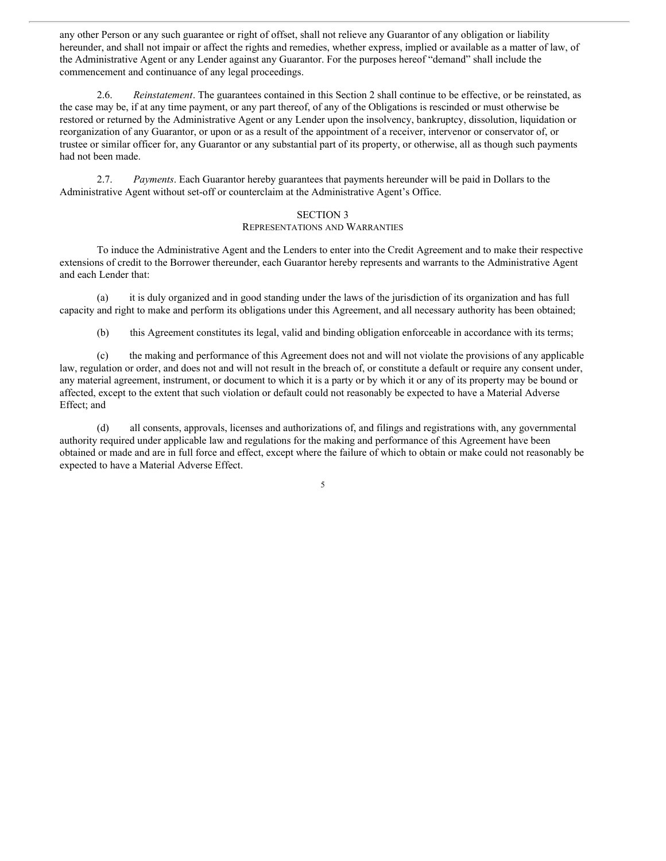any other Person or any such guarantee or right of offset, shall not relieve any Guarantor of any obligation or liability hereunder, and shall not impair or affect the rights and remedies, whether express, implied or available as a matter of law, of the Administrative Agent or any Lender against any Guarantor. For the purposes hereof "demand" shall include the commencement and continuance of any legal proceedings.

2.6. *Reinstatement*. The guarantees contained in this Section 2 shall continue to be effective, or be reinstated, as the case may be, if at any time payment, or any part thereof, of any of the Obligations is rescinded or must otherwise be restored or returned by the Administrative Agent or any Lender upon the insolvency, bankruptcy, dissolution, liquidation or reorganization of any Guarantor, or upon or as a result of the appointment of a receiver, intervenor or conservator of, or trustee or similar officer for, any Guarantor or any substantial part of its property, or otherwise, all as though such payments had not been made.

2.7. *Payments*. Each Guarantor hereby guarantees that payments hereunder will be paid in Dollars to the Administrative Agent without set-off or counterclaim at the Administrative Agent's Office.

## SECTION 3 REPRESENTATIONS AND WARRANTIES

To induce the Administrative Agent and the Lenders to enter into the Credit Agreement and to make their respective extensions of credit to the Borrower thereunder, each Guarantor hereby represents and warrants to the Administrative Agent and each Lender that:

(a) it is duly organized and in good standing under the laws of the jurisdiction of its organization and has full capacity and right to make and perform its obligations under this Agreement, and all necessary authority has been obtained;

(b) this Agreement constitutes its legal, valid and binding obligation enforceable in accordance with its terms;

(c) the making and performance of this Agreement does not and will not violate the provisions of any applicable law, regulation or order, and does not and will not result in the breach of, or constitute a default or require any consent under, any material agreement, instrument, or document to which it is a party or by which it or any of its property may be bound or affected, except to the extent that such violation or default could not reasonably be expected to have a Material Adverse Effect; and

(d) all consents, approvals, licenses and authorizations of, and filings and registrations with, any governmental authority required under applicable law and regulations for the making and performance of this Agreement have been obtained or made and are in full force and effect, except where the failure of which to obtain or make could not reasonably be expected to have a Material Adverse Effect.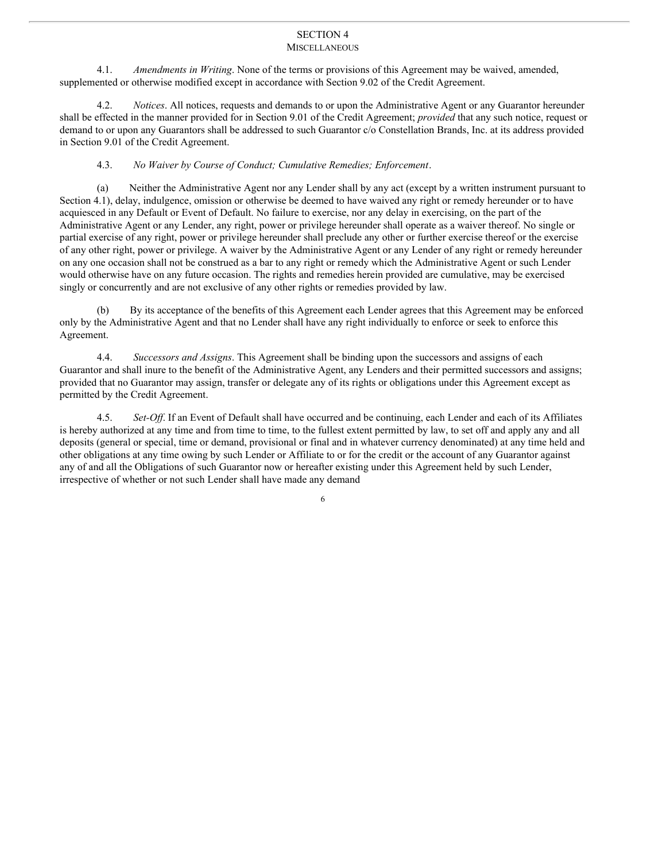## SECTION 4 **MISCELLANEOUS**

4.1. *Amendments in Writing*. None of the terms or provisions of this Agreement may be waived, amended, supplemented or otherwise modified except in accordance with Section 9.02 of the Credit Agreement.

4.2. *Notices*. All notices, requests and demands to or upon the Administrative Agent or any Guarantor hereunder shall be effected in the manner provided for in Section 9.01 of the Credit Agreement; *provided* that any such notice, request or demand to or upon any Guarantors shall be addressed to such Guarantor c/o Constellation Brands, Inc. at its address provided in Section 9.01 of the Credit Agreement.

## 4.3. *No Waiver by Course of Conduct; Cumulative Remedies; Enforcement*.

(a) Neither the Administrative Agent nor any Lender shall by any act (except by a written instrument pursuant to Section 4.1), delay, indulgence, omission or otherwise be deemed to have waived any right or remedy hereunder or to have acquiesced in any Default or Event of Default. No failure to exercise, nor any delay in exercising, on the part of the Administrative Agent or any Lender, any right, power or privilege hereunder shall operate as a waiver thereof. No single or partial exercise of any right, power or privilege hereunder shall preclude any other or further exercise thereof or the exercise of any other right, power or privilege. A waiver by the Administrative Agent or any Lender of any right or remedy hereunder on any one occasion shall not be construed as a bar to any right or remedy which the Administrative Agent or such Lender would otherwise have on any future occasion. The rights and remedies herein provided are cumulative, may be exercised singly or concurrently and are not exclusive of any other rights or remedies provided by law.

(b) By its acceptance of the benefits of this Agreement each Lender agrees that this Agreement may be enforced only by the Administrative Agent and that no Lender shall have any right individually to enforce or seek to enforce this Agreement.

4.4. *Successors and Assigns*. This Agreement shall be binding upon the successors and assigns of each Guarantor and shall inure to the benefit of the Administrative Agent, any Lenders and their permitted successors and assigns; provided that no Guarantor may assign, transfer or delegate any of its rights or obligations under this Agreement except as permitted by the Credit Agreement.

4.5. *Set-Of* . If an Event of Default shall have occurred and be continuing, each Lender and each of its Affiliates is hereby authorized at any time and from time to time, to the fullest extent permitted by law, to set off and apply any and all deposits (general or special, time or demand, provisional or final and in whatever currency denominated) at any time held and other obligations at any time owing by such Lender or Affiliate to or for the credit or the account of any Guarantor against any of and all the Obligations of such Guarantor now or hereafter existing under this Agreement held by such Lender, irrespective of whether or not such Lender shall have made any demand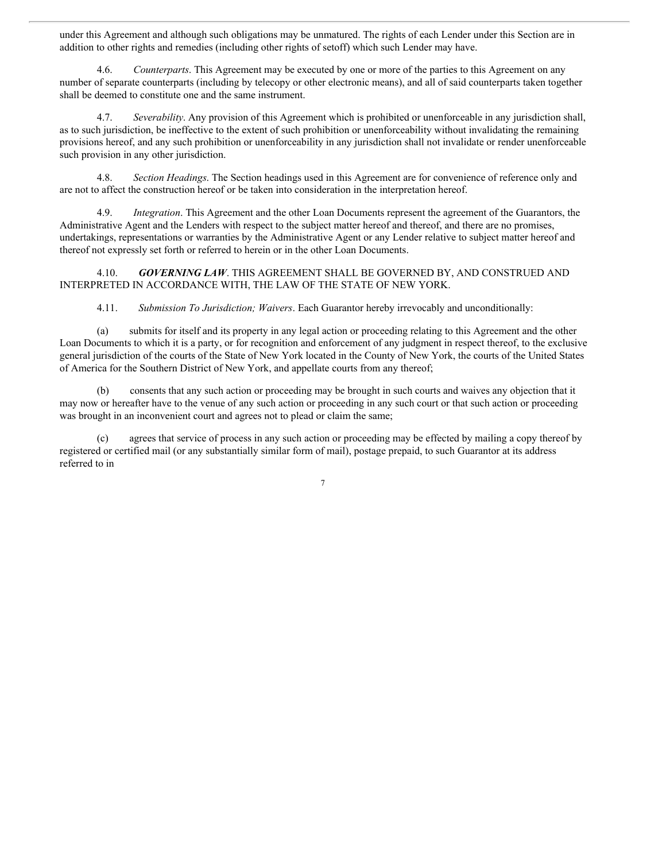under this Agreement and although such obligations may be unmatured. The rights of each Lender under this Section are in addition to other rights and remedies (including other rights of setoff) which such Lender may have.

4.6. *Counterparts*. This Agreement may be executed by one or more of the parties to this Agreement on any number of separate counterparts (including by telecopy or other electronic means), and all of said counterparts taken together shall be deemed to constitute one and the same instrument.

4.7. *Severability*. Any provision of this Agreement which is prohibited or unenforceable in any jurisdiction shall, as to such jurisdiction, be ineffective to the extent of such prohibition or unenforceability without invalidating the remaining provisions hereof, and any such prohibition or unenforceability in any jurisdiction shall not invalidate or render unenforceable such provision in any other jurisdiction.

4.8. *Section Headings*. The Section headings used in this Agreement are for convenience of reference only and are not to affect the construction hereof or be taken into consideration in the interpretation hereof.

4.9. *Integration*. This Agreement and the other Loan Documents represent the agreement of the Guarantors, the Administrative Agent and the Lenders with respect to the subject matter hereof and thereof, and there are no promises, undertakings, representations or warranties by the Administrative Agent or any Lender relative to subject matter hereof and thereof not expressly set forth or referred to herein or in the other Loan Documents.

4.10. *GOVERNING LAW*. THIS AGREEMENT SHALL BE GOVERNED BY, AND CONSTRUED AND INTERPRETED IN ACCORDANCE WITH, THE LAW OF THE STATE OF NEW YORK.

4.11. *Submission To Jurisdiction; Waivers*. Each Guarantor hereby irrevocably and unconditionally:

(a) submits for itself and its property in any legal action or proceeding relating to this Agreement and the other Loan Documents to which it is a party, or for recognition and enforcement of any judgment in respect thereof, to the exclusive general jurisdiction of the courts of the State of New York located in the County of New York, the courts of the United States of America for the Southern District of New York, and appellate courts from any thereof;

(b) consents that any such action or proceeding may be brought in such courts and waives any objection that it may now or hereafter have to the venue of any such action or proceeding in any such court or that such action or proceeding was brought in an inconvenient court and agrees not to plead or claim the same;

(c) agrees that service of process in any such action or proceeding may be effected by mailing a copy thereof by registered or certified mail (or any substantially similar form of mail), postage prepaid, to such Guarantor at its address referred to in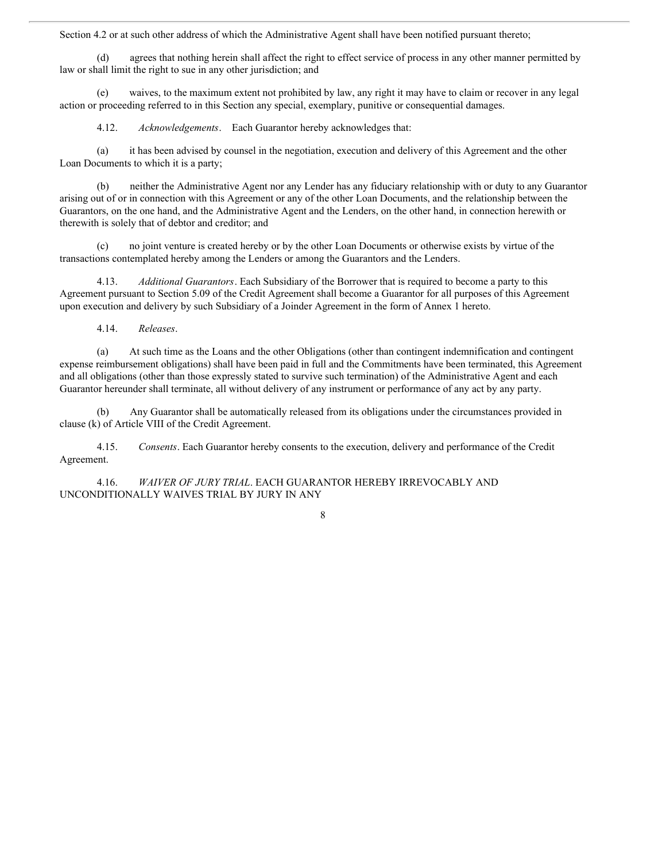Section 4.2 or at such other address of which the Administrative Agent shall have been notified pursuant thereto;

(d) agrees that nothing herein shall affect the right to effect service of process in any other manner permitted by law or shall limit the right to sue in any other jurisdiction; and

(e) waives, to the maximum extent not prohibited by law, any right it may have to claim or recover in any legal action or proceeding referred to in this Section any special, exemplary, punitive or consequential damages.

4.12. *Acknowledgements*. Each Guarantor hereby acknowledges that:

(a) it has been advised by counsel in the negotiation, execution and delivery of this Agreement and the other Loan Documents to which it is a party;

(b) neither the Administrative Agent nor any Lender has any fiduciary relationship with or duty to any Guarantor arising out of or in connection with this Agreement or any of the other Loan Documents, and the relationship between the Guarantors, on the one hand, and the Administrative Agent and the Lenders, on the other hand, in connection herewith or therewith is solely that of debtor and creditor; and

(c) no joint venture is created hereby or by the other Loan Documents or otherwise exists by virtue of the transactions contemplated hereby among the Lenders or among the Guarantors and the Lenders.

4.13. *Additional Guarantors*. Each Subsidiary of the Borrower that is required to become a party to this Agreement pursuant to Section 5.09 of the Credit Agreement shall become a Guarantor for all purposes of this Agreement upon execution and delivery by such Subsidiary of a Joinder Agreement in the form of Annex 1 hereto.

4.14. *Releases*.

(a) At such time as the Loans and the other Obligations (other than contingent indemnification and contingent expense reimbursement obligations) shall have been paid in full and the Commitments have been terminated, this Agreement and all obligations (other than those expressly stated to survive such termination) of the Administrative Agent and each Guarantor hereunder shall terminate, all without delivery of any instrument or performance of any act by any party.

(b) Any Guarantor shall be automatically released from its obligations under the circumstances provided in clause (k) of Article VIII of the Credit Agreement.

4.15. *Consents*. Each Guarantor hereby consents to the execution, delivery and performance of the Credit Agreement.

4.16. *WAIVER OF JURY TRIAL*. EACH GUARANTOR HEREBY IRREVOCABLY AND UNCONDITIONALLY WAIVES TRIAL BY JURY IN ANY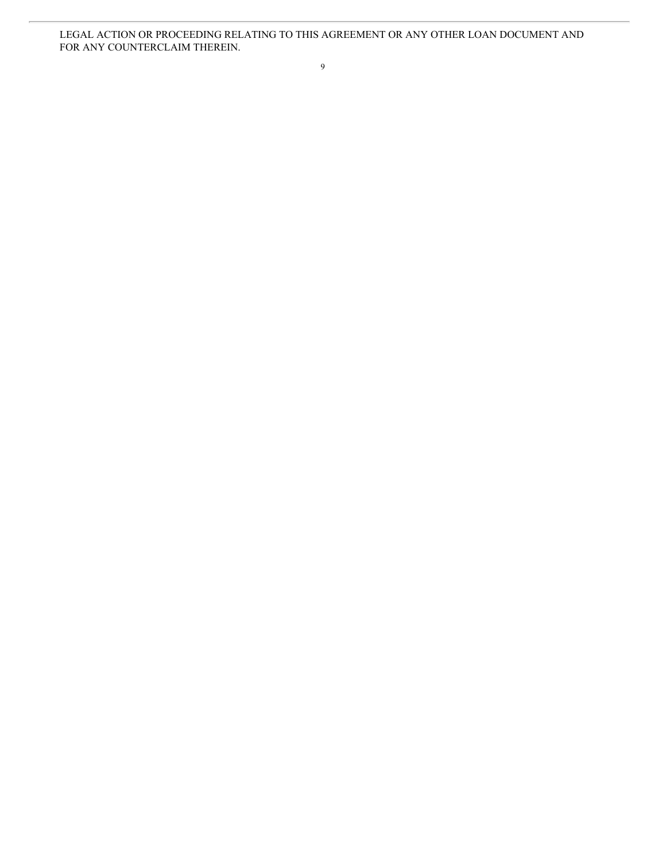LEGAL ACTION OR PROCEEDING RELATING TO THIS AGREEMENT OR ANY OTHER LOAN DOCUMENT AND FOR ANY COUNTERCLAIM THEREIN.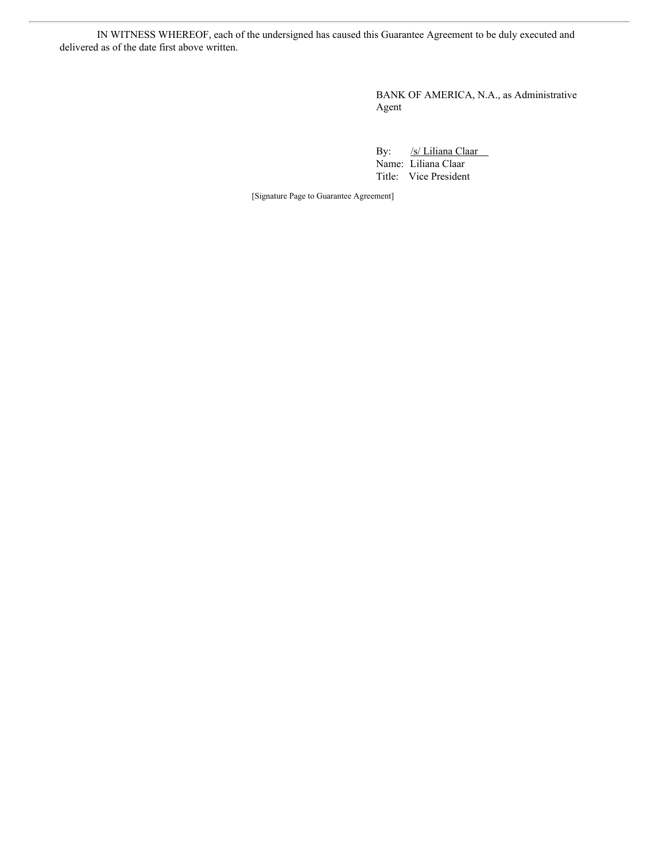IN WITNESS WHEREOF, each of the undersigned has caused this Guarantee Agreement to be duly executed and delivered as of the date first above written.

> BANK OF AMERICA, N.A., as Administrative Agent

By: /s/ Liliana Claar Name: Liliana Claar Title: Vice President

[Signature Page to Guarantee Agreement]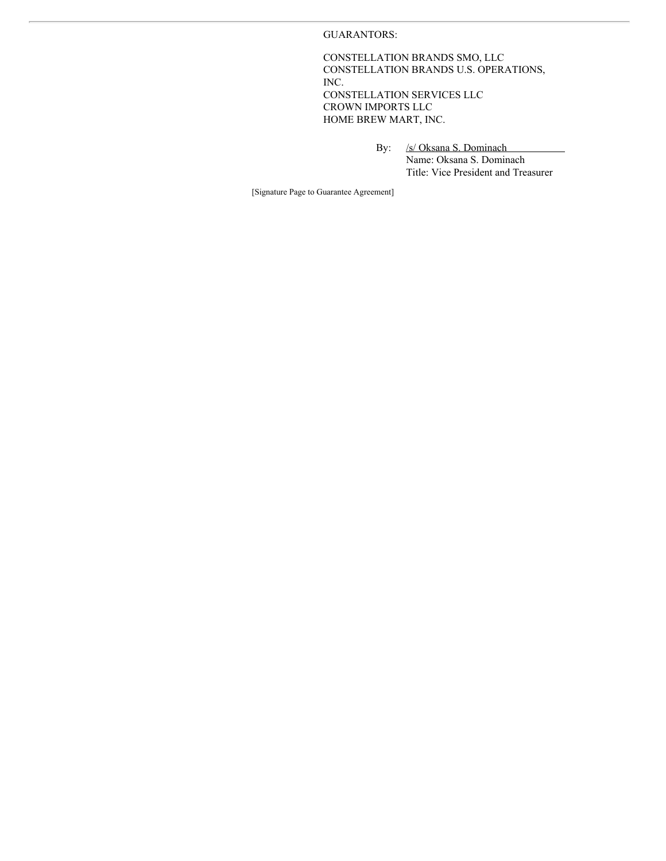#### GUARANTORS:

CONSTELLATION BRANDS SMO, LLC CONSTELLATION BRANDS U.S. OPERATIONS, INC. CONSTELLATION SERVICES LLC CROWN IMPORTS LLC HOME BREW MART, INC.

> By: /s/ Oksana S. Dominach Name: Oksana S. Dominach Title: Vice President and Treasurer

[Signature Page to Guarantee Agreement]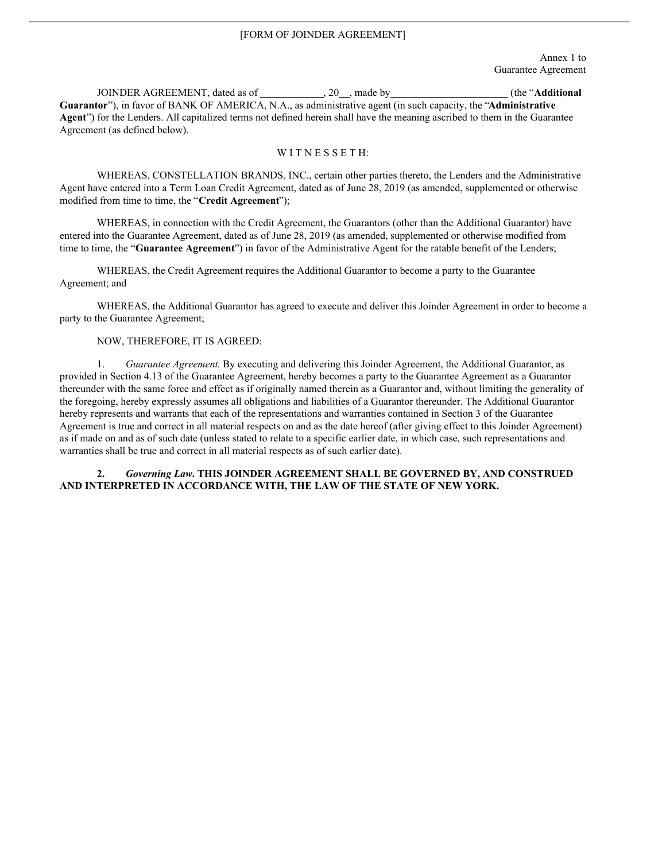Annex 1 to Guarantee Agreement

JOINDER AGREEMENT, dated as of \_\_\_\_\_\_\_\_\_\_\_\_, 20\_\_, made by \_\_\_\_\_\_\_\_\_\_\_\_\_\_\_\_(the "Additional **Guarantor**"), in favor of BANK OF AMERICA, N.A., as administrative agent (in such capacity, the "**Administrative Agent**") for the Lenders. All capitalized terms not defined herein shall have the meaning ascribed to them in the Guarantee Agreement (as defined below).

## WITNESSETH:

WHEREAS, CONSTELLATION BRANDS, INC., certain other parties thereto, the Lenders and the Administrative Agent have entered into a Term Loan Credit Agreement, dated as of June 28, 2019 (as amended, supplemented or otherwise modified from time to time, the "**Credit Agreement**");

WHEREAS, in connection with the Credit Agreement, the Guarantors (other than the Additional Guarantor) have entered into the Guarantee Agreement, dated as of June 28, 2019 (as amended, supplemented or otherwise modified from time to time, the "**Guarantee Agreement**") in favor of the Administrative Agent for the ratable benefit of the Lenders;

WHEREAS, the Credit Agreement requires the Additional Guarantor to become a party to the Guarantee Agreement; and

WHEREAS, the Additional Guarantor has agreed to execute and deliver this Joinder Agreement in order to become a party to the Guarantee Agreement;

NOW, THEREFORE, IT IS AGREED:

1. *Guarantee Agreement*. By executing and delivering this Joinder Agreement, the Additional Guarantor, as provided in Section 4.13 of the Guarantee Agreement, hereby becomes a party to the Guarantee Agreement as a Guarantor thereunder with the same force and effect as if originally named therein as a Guarantor and, without limiting the generality of the foregoing, hereby expressly assumes all obligations and liabilities of a Guarantor thereunder. The Additional Guarantor hereby represents and warrants that each of the representations and warranties contained in Section 3 of the Guarantee Agreement is true and correct in all material respects on and as the date hereof (after giving effect to this Joinder Agreement) as if made on and as of such date (unless stated to relate to a specific earlier date, in which case, such representations and warranties shall be true and correct in all material respects as of such earlier date).

**2.** *Governing Law***. THIS JOINDER AGREEMENT SHALL BE GOVERNED BY, AND CONSTRUED AND INTERPRETED IN ACCORDANCE WITH, THE LAW OF THE STATE OF NEW YORK.**